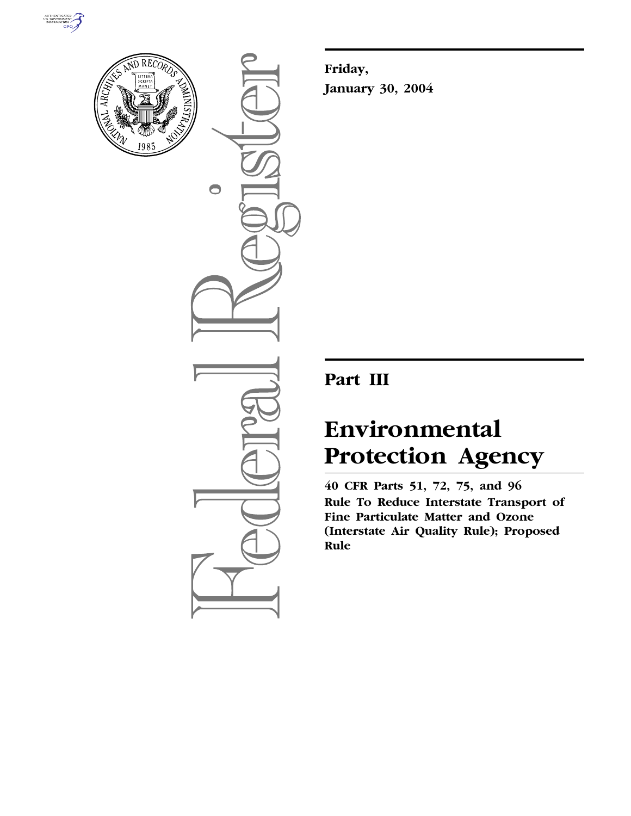



 $\bigcirc$ 

**Friday, January 30, 2004**

# **Part III**

# **Environmental Protection Agency**

**40 CFR Parts 51, 72, 75, and 96 Rule To Reduce Interstate Transport of Fine Particulate Matter and Ozone (Interstate Air Quality Rule); Proposed Rule**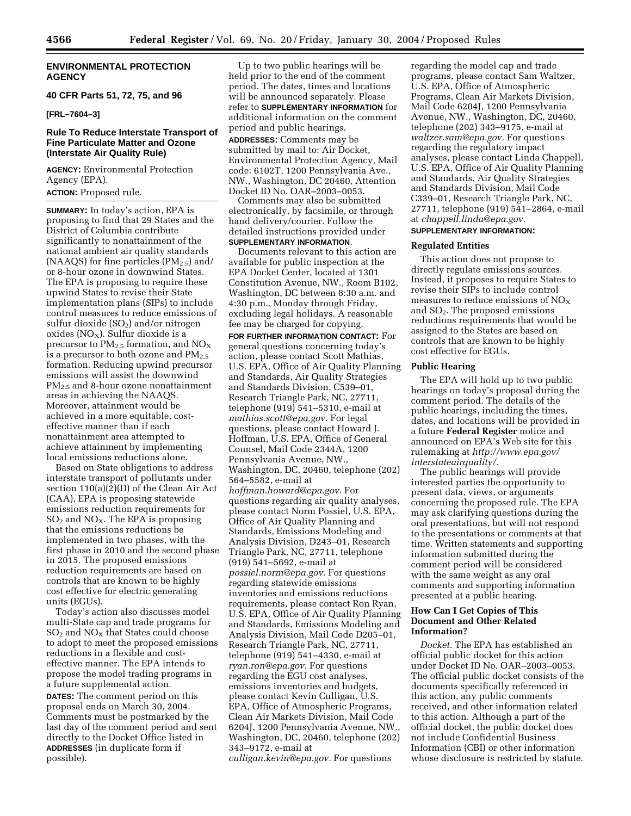#### **ENVIRONMENTAL PROTECTION AGENCY**

### **40 CFR Parts 51, 72, 75, and 96**

**[FRL–7604–3]** 

#### **Rule To Reduce Interstate Transport of Fine Particulate Matter and Ozone (Interstate Air Quality Rule)**

**AGENCY:** Environmental Protection Agency (EPA).

**ACTION:** Proposed rule.

**SUMMARY:** In today's action, EPA is proposing to find that 29 States and the District of Columbia contribute significantly to nonattainment of the national ambient air quality standards (NAAQS) for fine particles  $(PM_{2.5})$  and/ or 8-hour ozone in downwind States. The EPA is proposing to require these upwind States to revise their State implementation plans (SIPs) to include control measures to reduce emissions of sulfur dioxide  $(SO<sub>2</sub>)$  and/or nitrogen oxides ( $NO<sub>X</sub>$ ). Sulfur dioxide is a precursor to  $PM_{2.5}$  formation, and  $NO_X$ is a precursor to both ozone and  $PM_{2.5}$ formation. Reducing upwind precursor emissions will assist the downwind PM<sub>2.5</sub> and 8-hour ozone nonattainment areas in achieving the NAAQS. Moreover, attainment would be achieved in a more equitable, costeffective manner than if each nonattainment area attempted to achieve attainment by implementing local emissions reductions alone.

Based on State obligations to address interstate transport of pollutants under section 110(a)(2)(D) of the Clean Air Act (CAA), EPA is proposing statewide emissions reduction requirements for  $SO<sub>2</sub>$  and  $NO<sub>X</sub>$ . The EPA is proposing that the emissions reductions be implemented in two phases, with the first phase in 2010 and the second phase in 2015. The proposed emissions reduction requirements are based on controls that are known to be highly cost effective for electric generating units (EGUs).

Today's action also discusses model multi-State cap and trade programs for  $SO<sub>2</sub>$  and  $NO<sub>X</sub>$  that States could choose to adopt to meet the proposed emissions reductions in a flexible and costeffective manner. The EPA intends to propose the model trading programs in a future supplemental action.

**DATES:** The comment period on this proposal ends on March 30, 2004. Comments must be postmarked by the last day of the comment period and sent directly to the Docket Office listed in **ADDRESSES** (in duplicate form if possible).

Up to two public hearings will be held prior to the end of the comment period. The dates, times and locations will be announced separately. Please refer to **SUPPLEMENTARY INFORMATION** for additional information on the comment period and public hearings.

**ADDRESSES:** Comments may be submitted by mail to: Air Docket, Environmental Protection Agency, Mail code: 6102T, 1200 Pennsylvania Ave., NW., Washington, DC 20460, Attention Docket ID No. OAR–2003–0053.

Comments may also be submitted electronically, by facsimile, or through hand delivery/courier. Follow the detailed instructions provided under **SUPPLEMENTARY INFORMATION**.

Documents relevant to this action are available for public inspection at the EPA Docket Center, located at 1301 Constitution Avenue, NW., Room B102, Washington, DC between 8:30 a.m. and 4:30 p.m., Monday through Friday, excluding legal holidays. A reasonable fee may be charged for copying.

**FOR FURTHER INFORMATION CONTACT:** For general questions concerning today's action, please contact Scott Mathias, U.S. EPA, Office of Air Quality Planning and Standards, Air Quality Strategies and Standards Division, C539–01, Research Triangle Park, NC, 27711, telephone (919) 541–5310, e-mail at *mathias.scott@epa.gov.* For legal questions, please contact Howard J. Hoffman, U.S. EPA, Office of General Counsel, Mail Code 2344A, 1200 Pennsylvania Avenue, NW., Washington, DC, 20460, telephone (202) 564–5582, e-mail at *hoffman.howard@epa.gov*. For questions regarding air quality analyses, please contact Norm Possiel, U.S. EPA, Office of Air Quality Planning and Standards, Emissions Modeling and Analysis Division, D243–01, Research Triangle Park, NC, 27711, telephone (919) 541–5692, e-mail at *possiel.norm@epa.gov.* For questions regarding statewide emissions inventories and emissions reductions requirements, please contact Ron Ryan, U.S. EPA, Office of Air Quality Planning and Standards, Emissions Modeling and Analysis Division, Mail Code D205–01, Research Triangle Park, NC, 27711, telephone (919) 541–4330, e-mail at *ryan.ron@epa.gov*. For questions regarding the EGU cost analyses, emissions inventories and budgets, please contact Kevin Culligan, U.S. EPA, Office of Atmospheric Programs, Clean Air Markets Division, Mail Code 6204J, 1200 Pennsylvania Avenue, NW., Washington, DC, 20460, telephone (202) 343–9172, e-mail at *culligan.kevin@epa.gov.* For questions

regarding the model cap and trade programs, please contact Sam Waltzer, U.S. EPA, Office of Atmospheric Programs, Clean Air Markets Division, Mail Code 6204J, 1200 Pennsylvania Avenue, NW., Washington, DC, 20460, telephone (202) 343–9175, e-mail at *waltzer.sam@epa.gov.* For questions regarding the regulatory impact analyses, please contact Linda Chappell, U.S. EPA, Office of Air Quality Planning and Standards, Air Quality Strategies and Standards Division, Mail Code C339–01, Research Triangle Park, NC, 27711, telephone (919) 541–2864, e-mail at *chappell.linda@epa.gov.*

#### **SUPPLEMENTARY INFORMATION:**

#### **Regulated Entities**

This action does not propose to directly regulate emissions sources. Instead, it proposes to require States to revise their SIPs to include control measures to reduce emissions of  $NO<sub>X</sub>$ and SO2. The proposed emissions reductions requirements that would be assigned to the States are based on controls that are known to be highly cost effective for EGUs.

#### **Public Hearing**

The EPA will hold up to two public hearings on today's proposal during the comment period. The details of the public hearings, including the times, dates, and locations will be provided in a future **Federal Register** notice and announced on EPA's Web site for this rulemaking at *http://www.epa.gov/ interstateairquality/.*

The public hearings will provide interested parties the opportunity to present data, views, or arguments concerning the proposed rule. The EPA may ask clarifying questions during the oral presentations, but will not respond to the presentations or comments at that time. Written statements and supporting information submitted during the comment period will be considered with the same weight as any oral comments and supporting information presented at a public hearing.

#### **How Can I Get Copies of This Document and Other Related Information?**

*Docket.* The EPA has established an official public docket for this action under Docket ID No. OAR–2003–0053. The official public docket consists of the documents specifically referenced in this action, any public comments received, and other information related to this action. Although a part of the official docket, the public docket does not include Confidential Business Information (CBI) or other information whose disclosure is restricted by statute.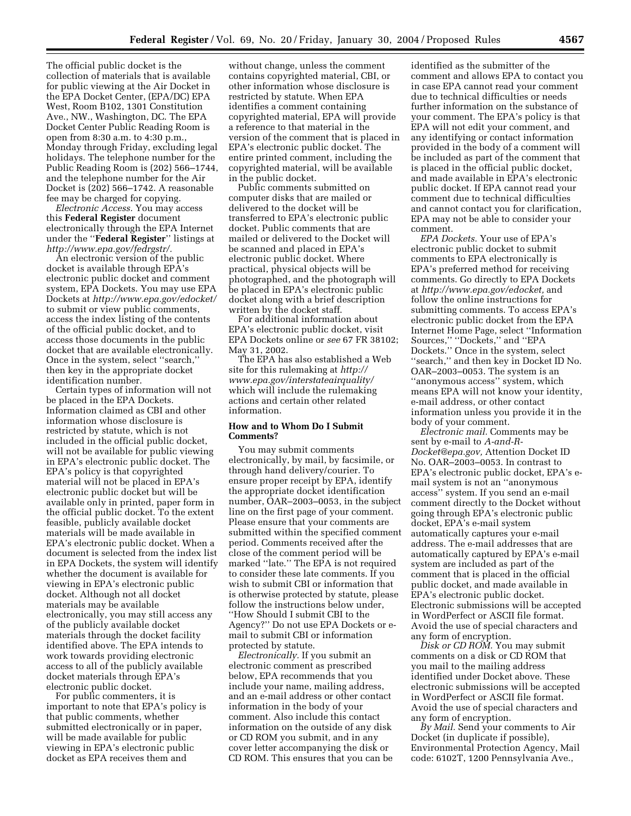The official public docket is the collection of materials that is available for public viewing at the Air Docket in the EPA Docket Center, (EPA/DC) EPA West, Room B102, 1301 Constitution Ave., NW., Washington, DC. The EPA Docket Center Public Reading Room is open from 8:30 a.m. to 4:30 p.m., Monday through Friday, excluding legal holidays. The telephone number for the Public Reading Room is (202) 566–1744, and the telephone number for the Air Docket is (202) 566–1742. A reasonable fee may be charged for copying.

*Electronic Access.* You may access this **Federal Register** document electronically through the EPA Internet under the ''**Federal Register**'' listings at *http://www.epa.gov/fedrgstr/.*

An electronic version of the public docket is available through EPA's electronic public docket and comment system, EPA Dockets. You may use EPA Dockets at *http://www.epa.gov/edocket/* to submit or view public comments, access the index listing of the contents of the official public docket, and to access those documents in the public docket that are available electronically. Once in the system, select ''search,'' then key in the appropriate docket identification number.

Certain types of information will not be placed in the EPA Dockets. Information claimed as CBI and other information whose disclosure is restricted by statute, which is not included in the official public docket, will not be available for public viewing in EPA's electronic public docket. The EPA's policy is that copyrighted material will not be placed in EPA's electronic public docket but will be available only in printed, paper form in the official public docket. To the extent feasible, publicly available docket materials will be made available in EPA's electronic public docket. When a document is selected from the index list in EPA Dockets, the system will identify whether the document is available for viewing in EPA's electronic public docket. Although not all docket materials may be available electronically, you may still access any of the publicly available docket materials through the docket facility identified above. The EPA intends to work towards providing electronic access to all of the publicly available docket materials through EPA's electronic public docket.

For public commenters, it is important to note that EPA's policy is that public comments, whether submitted electronically or in paper, will be made available for public viewing in EPA's electronic public docket as EPA receives them and

without change, unless the comment contains copyrighted material, CBI, or other information whose disclosure is restricted by statute. When EPA identifies a comment containing copyrighted material, EPA will provide a reference to that material in the version of the comment that is placed in EPA's electronic public docket. The entire printed comment, including the copyrighted material, will be available in the public docket.

Public comments submitted on computer disks that are mailed or delivered to the docket will be transferred to EPA's electronic public docket. Public comments that are mailed or delivered to the Docket will be scanned and placed in EPA's electronic public docket. Where practical, physical objects will be photographed, and the photograph will be placed in EPA's electronic public docket along with a brief description written by the docket staff.

For additional information about EPA's electronic public docket, visit EPA Dockets online or *see* 67 FR 38102; May 31, 2002.

The EPA has also established a Web site for this rulemaking at *http:// www.epa.gov/interstateairquality/* which will include the rulemaking actions and certain other related information.

#### **How and to Whom Do I Submit Comments?**

You may submit comments electronically, by mail, by facsimile, or through hand delivery/courier. To ensure proper receipt by EPA, identify the appropriate docket identification number, OAR–2003–0053, in the subject line on the first page of your comment. Please ensure that your comments are submitted within the specified comment period. Comments received after the close of the comment period will be marked ''late.'' The EPA is not required to consider these late comments. If you wish to submit CBI or information that is otherwise protected by statute, please follow the instructions below under, ''How Should I submit CBI to the Agency?'' Do not use EPA Dockets or email to submit CBI or information protected by statute.

*Electronically.* If you submit an electronic comment as prescribed below, EPA recommends that you include your name, mailing address, and an e-mail address or other contact information in the body of your comment. Also include this contact information on the outside of any disk or CD ROM you submit, and in any cover letter accompanying the disk or CD ROM. This ensures that you can be

identified as the submitter of the comment and allows EPA to contact you in case EPA cannot read your comment due to technical difficulties or needs further information on the substance of your comment. The EPA's policy is that EPA will not edit your comment, and any identifying or contact information provided in the body of a comment will be included as part of the comment that is placed in the official public docket, and made available in EPA's electronic public docket. If EPA cannot read your comment due to technical difficulties and cannot contact you for clarification, EPA may not be able to consider your comment.

*EPA Dockets.* Your use of EPA's electronic public docket to submit comments to EPA electronically is EPA's preferred method for receiving comments. Go directly to EPA Dockets at *http://www.epa.gov/edocket,* and follow the online instructions for submitting comments. To access EPA's electronic public docket from the EPA Internet Home Page, select ''Information Sources," "Dockets," and "EPA Dockets.'' Once in the system, select ''search,'' and then key in Docket ID No. OAR–2003–0053. The system is an ''anonymous access'' system, which means EPA will not know your identity, e-mail address, or other contact information unless you provide it in the body of your comment.

*Electronic mail.* Comments may be sent by e-mail to *A-and-R-Docket@epa.gov,* Attention Docket ID No. OAR–2003–0053. In contrast to EPA's electronic public docket, EPA's email system is not an ''anonymous access'' system. If you send an e-mail comment directly to the Docket without going through EPA's electronic public docket, EPA's e-mail system automatically captures your e-mail address. The e-mail addresses that are automatically captured by EPA's e-mail system are included as part of the comment that is placed in the official public docket, and made available in EPA's electronic public docket. Electronic submissions will be accepted in WordPerfect or ASCII file format. Avoid the use of special characters and any form of encryption.

*Disk or CD ROM.* You may submit comments on a disk or CD ROM that you mail to the mailing address identified under Docket above. These electronic submissions will be accepted in WordPerfect or ASCII file format. Avoid the use of special characters and any form of encryption.

*By Mail.* Send your comments to Air Docket (in duplicate if possible), Environmental Protection Agency, Mail code: 6102T, 1200 Pennsylvania Ave.,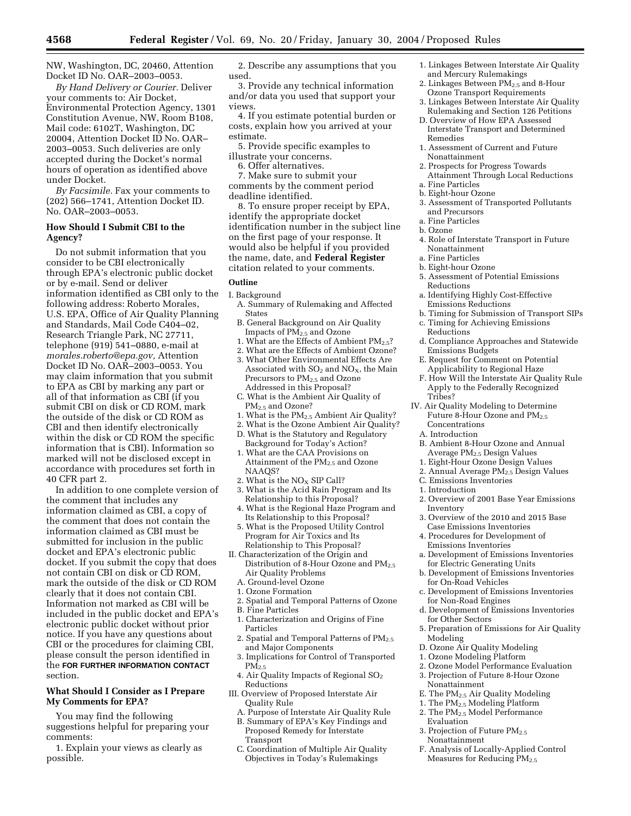NW, Washington, DC, 20460, Attention Docket ID No. OAR–2003–0053.

*By Hand Delivery or Courier.* Deliver your comments to: Air Docket, Environmental Protection Agency, 1301 Constitution Avenue, NW, Room B108, Mail code: 6102T, Washington, DC 20004, Attention Docket ID No. OAR– 2003–0053. Such deliveries are only accepted during the Docket's normal hours of operation as identified above under Docket.

*By Facsimile.* Fax your comments to (202) 566–1741, Attention Docket ID. No. OAR–2003–0053.

#### **How Should I Submit CBI to the Agency?**

Do not submit information that you consider to be CBI electronically through EPA's electronic public docket or by e-mail. Send or deliver information identified as CBI only to the following address: Roberto Morales, U.S. EPA, Office of Air Quality Planning and Standards, Mail Code C404–02, Research Triangle Park, NC 27711, telephone (919) 541–0880, e-mail at *morales.roberto@epa.gov,* Attention Docket ID No. OAR–2003–0053. You may claim information that you submit to EPA as CBI by marking any part or all of that information as CBI (if you submit CBI on disk or CD ROM, mark the outside of the disk or CD ROM as CBI and then identify electronically within the disk or CD ROM the specific information that is CBI). Information so marked will not be disclosed except in accordance with procedures set forth in 40 CFR part 2.

In addition to one complete version of the comment that includes any information claimed as CBI, a copy of the comment that does not contain the information claimed as CBI must be submitted for inclusion in the public docket and EPA's electronic public docket. If you submit the copy that does not contain CBI on disk or CD ROM, mark the outside of the disk or CD ROM clearly that it does not contain CBI. Information not marked as CBI will be included in the public docket and EPA's electronic public docket without prior notice. If you have any questions about CBI or the procedures for claiming CBI, please consult the person identified in the **FOR FURTHER INFORMATION CONTACT** section.

#### **What Should I Consider as I Prepare My Comments for EPA?**

You may find the following suggestions helpful for preparing your comments:

1. Explain your views as clearly as possible.

2. Describe any assumptions that you used.

3. Provide any technical information and/or data you used that support your views.

4. If you estimate potential burden or costs, explain how you arrived at your estimate.

- 5. Provide specific examples to illustrate your concerns.
- 6. Offer alternatives.

7. Make sure to submit your comments by the comment period deadline identified.

8. To ensure proper receipt by EPA, identify the appropriate docket identification number in the subject line on the first page of your response. It would also be helpful if you provided the name, date, and **Federal Register** citation related to your comments.

#### **Outline**

- I. Background A. Summary of Rulemaking and Affected States
	- B. General Background on Air Quality Impacts of PM2.5 and Ozone
	- 1. What are the Effects of Ambient  $PM_{2.5}$ ?
	- 2. What are the Effects of Ambient Ozone?
	- 3. What Other Environmental Effects Are Associated with  $SO<sub>2</sub>$  and  $NO<sub>X</sub>$ , the Main Precursors to PM<sub>2.5</sub> and Ozone Addressed in this Proposal?
	- C. What is the Ambient Air Quality of PM2.5 and Ozone?
	- 1. What is the PM2.5 Ambient Air Quality?
	- 2. What is the Ozone Ambient Air Quality?
	- D. What is the Statutory and Regulatory Background for Today's Action?
	- 1. What are the CAA Provisions on Attainment of the PM<sub>2.5</sub> and Ozone NAAQS?
	- 2. What is the  $NO<sub>X</sub>$  SIP Call?
	- 3. What is the Acid Rain Program and Its Relationship to this Proposal?
	- 4. What is the Regional Haze Program and Its Relationship to this Proposal?
	- 5. What is the Proposed Utility Control Program for Air Toxics and Its Relationship to This Proposal?
- II. Characterization of the Origin and Distribution of 8-Hour Ozone and PM<sub>2.5</sub> Air Quality Problems
	- A. Ground-level Ozone
	- 1. Ozone Formation
	- 2. Spatial and Temporal Patterns of Ozone
	- B. Fine Particles
- 1. Characterization and Origins of Fine Particles
- 2. Spatial and Temporal Patterns of PM<sub>2.5</sub> and Major Components
- 3. Implications for Control of Transported  $PM_{2.5}$
- 4. Air Quality Impacts of Regional SO<sub>2</sub> Reductions
- III. Overview of Proposed Interstate Air Quality Rule
	- A. Purpose of Interstate Air Quality Rule
	- B. Summary of EPA's Key Findings and Proposed Remedy for Interstate
	- Transport
	- C. Coordination of Multiple Air Quality Objectives in Today's Rulemakings
- 1. Linkages Between Interstate Air Quality and Mercury Rulemakings
- 2. Linkages Between PM<sub>2.5</sub> and 8-Hour Ozone Transport Requirements
- 3. Linkages Between Interstate Air Quality Rulemaking and Section 126 Petitions
- D. Overview of How EPA Assessed Interstate Transport and Determined Remedies
- 1. Assessment of Current and Future Nonattainment
- 2. Prospects for Progress Towards Attainment Through Local Reductions a. Fine Particles
- b. Eight-hour Ozone
- 3. Assessment of Transported Pollutants and Precursors
- a. Fine Particles
- b. Ozone
- 4. Role of Interstate Transport in Future Nonattainment
- a. Fine Particles
- b. Eight-hour Ozone
- 5. Assessment of Potential Emissions Reductions
- a. Identifying Highly Cost-Effective Emissions Reductions
- b. Timing for Submission of Transport SIPs
- c. Timing for Achieving Emissions Reductions
- d. Compliance Approaches and Statewide Emissions Budgets
- E. Request for Comment on Potential Applicability to Regional Haze
- F. How Will the Interstate Air Quality Rule Apply to the Federally Recognized Tribes?
- IV. Air Quality Modeling to Determine Future 8-Hour Ozone and PM<sub>2.5</sub> Concentrations
	- A. Introduction
	- B. Ambient 8-Hour Ozone and Annual Average PM2.5 Design Values
	- 1. Eight-Hour Ozone Design Values
- 2. Annual Average PM2.5 Design Values
- C. Emissions Inventories
- 1. Introduction
- 2. Overview of 2001 Base Year Emissions Inventory
- 3. Overview of the 2010 and 2015 Base Case Emissions Inventories
- 4. Procedures for Development of Emissions Inventories
- a. Development of Emissions Inventories for Electric Generating Units
- b. Development of Emissions Inventories for On-Road Vehicles
- c. Development of Emissions Inventories for Non-Road Engines
- d. Development of Emissions Inventories for Other Sectors
- 5. Preparation of Emissions for Air Quality Modeling
- D. Ozone Air Quality Modeling
- 1. Ozone Modeling Platform
- 2. Ozone Model Performance Evaluation
- 3. Projection of Future 8-Hour Ozone
- Nonattainment E. The PM2.5 Air Quality Modeling
- 
- 1. The  $\mathrm{PM_{2.5}}$  Modeling Platform 2. The PM<sub>2.5</sub> Model Performance
- Evaluation
- 3. Projection of Future PM<sub>2.5</sub> Nonattainment
- F. Analysis of Locally-Applied Control Measures for Reducing  $PM_{2.5}$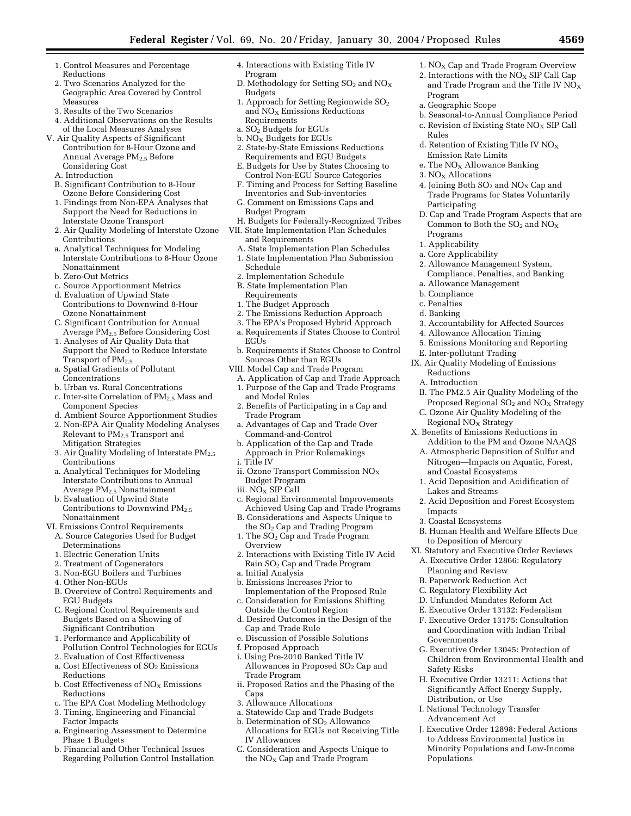- 1. Control Measures and Percentage Reductions
- 2. Two Scenarios Analyzed for the Geographic Area Covered by Control Measures
- 3. Results of the Two Scenarios
- 4. Additional Observations on the Results of the Local Measures Analyses
- V. Air Quality Aspects of Significant Contribution for 8-Hour Ozone and Annual Average PM<sub>2.5</sub> Before Considering Cost
	- A. Introduction
	- B. Significant Contribution to 8-Hour Ozone Before Considering Cost
	- 1. Findings from Non-EPA Analyses that Support the Need for Reductions in Interstate Ozone Transport
	- 2. Air Quality Modeling of Interstate Ozone Contributions
	- a. Analytical Techniques for Modeling Interstate Contributions to 8-Hour Ozone Nonattainment
	- b. Zero-Out Metrics
	- c. Source Apportionment Metrics
	- d. Evaluation of Upwind State Contributions to Downwind 8-Hour Ozone Nonattainment
	- C. Significant Contribution for Annual Average PM2.5 Before Considering Cost
	- 1. Analyses of Air Quality Data that Support the Need to Reduce Interstate Transport of PM<sub>2.5</sub>
	- a. Spatial Gradients of Pollutant Concentrations
	- b. Urban vs. Rural Concentrations
	- c. Inter-site Correlation of PM<sub>2.5</sub> Mass and Component Species
	- d. Ambient Source Apportionment Studies
	- 2. Non-EPA Air Quality Modeling Analyses Relevant to PM2.5 Transport and Mitigation Strategies
	- 3. Air Quality Modeling of Interstate  $PM_{2.5}$ Contributions
	- a. Analytical Techniques for Modeling Interstate Contributions to Annual Average PM2.5 Nonattainment
	- b. Evaluation of Upwind State Contributions to Downwind  $PM_{2.5}$ Nonattainment
- VI. Emissions Control Requirements
- A. Source Categories Used for Budget
	- Determinations
- 1. Electric Generation Units
- 2. Treatment of Cogenerators
- 3. Non-EGU Boilers and Turbines
- 4. Other Non-EGUs
- B. Overview of Control Requirements and EGU Budgets
- C. Regional Control Requirements and Budgets Based on a Showing of Significant Contribution
- 1. Performance and Applicability of Pollution Control Technologies for EGUs
- 2. Evaluation of Cost Effectiveness a. Cost Effectiveness of SO<sub>2</sub> Emissions
- Reductions b. Cost Effectiveness of  $NO<sub>x</sub>$  Emissions
- Reductions
- c. The EPA Cost Modeling Methodology
- 3. Timing, Engineering and Financial Factor Impacts
- a. Engineering Assessment to Determine Phase 1 Budgets
- b. Financial and Other Technical Issues Regarding Pollution Control Installation
- 4. Interactions with Existing Title IV Program
- D. Methodology for Setting  $SO<sub>2</sub>$  and  $NO<sub>X</sub>$ Budgets
- 1. Approach for Setting Regionwide SO<sub>2</sub> and NOX Emissions Reductions Requirements
- a.  $SO<sub>2</sub>$  Budgets for EGUs
- $b. NO<sub>X</sub>$  Budgets for EGUs
- 2. State-by-State Emissions Reductions Requirements and EGU Budgets E. Budgets for Use by States Choosing to
- Control Non-EGU Source Categories
- F. Timing and Process for Setting Baseline Inventories and Sub-inventories
- G. Comment on Emissions Caps and Budget Program
- H. Budgets for Federally-Recognized Tribes
- VII. State Implementation Plan Schedules and Requirements
	- A. State Implementation Plan Schedules
	- 1. State Implementation Plan Submission Schedule
	- 2. Implementation Schedule
	- B. State Implementation Plan Requirements
	- 1. The Budget Approach
	- 2. The Emissions Reduction Approach
	- 3. The EPA's Proposed Hybrid Approach a. Requirements if States Choose to Control  $EGIs$
	- b. Requirements if States Choose to Control Sources Other than EGUs
- VIII. Model Cap and Trade Program
	- A. Application of Cap and Trade Approach 1. Purpose of the Cap and Trade Programs and Model Rules
	- 2. Benefits of Participating in a Cap and Trade Program
	- a. Advantages of Cap and Trade Over Command-and-Control
	- b. Application of the Cap and Trade Approach in Prior Rulemakings
	- i. Title IV
	- ii. Ozone Transport Commission NOX Budget Program
	- iii. NO<sub>X</sub> SIP Call
	- c. Regional Environmental Improvements Achieved Using Cap and Trade Programs
	- B. Considerations and Aspects Unique to the SO2 Cap and Trading Program
	- 1. The SO<sub>2</sub> Cap and Trade Program **Overview**
	- 2. Interactions with Existing Title IV Acid Rain SO<sub>2</sub> Cap and Trade Program
	- a. Initial Analysis
	- b. Emissions Increases Prior to Implementation of the Proposed Rule
	- c. Consideration for Emissions Shifting Outside the Control Region
	- d. Desired Outcomes in the Design of the Cap and Trade Rule
	- e. Discussion of Possible Solutions
	- f. Proposed Approach
	- i. Using Pre-2010 Banked Title IV Allowances in Proposed SO<sub>2</sub> Cap and Trade Program
	- ii. Proposed Ratios and the Phasing of the Caps
- 3. Allowance Allocations
- a. Statewide Cap and Trade Budgets
- b. Determination of SO<sub>2</sub> Allowance Allocations for EGUs not Receiving Title IV Allowances
- C. Consideration and Aspects Unique to the  $NO<sub>x</sub>$  Cap and Trade Program
- 1.  $NO<sub>X</sub>$  Cap and Trade Program Overview
- 2. Interactions with the  $NO<sub>X</sub>$  SIP Call Cap and Trade Program and the Title IV  $NO<sub>X</sub>$ Program
- a. Geographic Scope
- b. Seasonal-to-Annual Compliance Period c. Revision of Existing State  $NO<sub>x</sub>$  SIP Call
- Rules d. Retention of Existing Title IV NO<sub>X</sub>
- Emission Rate Limits
- e. The  $NO<sub>X</sub>$  Allowance Banking
- 3.  $NO<sub>x</sub>$  Allocations
- 4. Joining Both  $SO<sub>2</sub>$  and  $NO<sub>X</sub>$  Cap and Trade Programs for States Voluntarily Participating
- D. Cap and Trade Program Aspects that are Common to Both the  $SO_2$  and  $NO_X$ Programs
- 1. Applicability
- a. Core Applicability
- 2. Allowance Management System, Compliance, Penalties, and Banking

3. Accountability for Affected Sources 4. Allowance Allocation Timing 5. Emissions Monitoring and Reporting

B. The PM2.5 Air Quality Modeling of the Proposed Regional SO<sub>2</sub> and NO<sub>X</sub> Strategy C. Ozone Air Quality Modeling of the

Addition to the PM and Ozone NAAQS A. Atmospheric Deposition of Sulfur and Nitrogen—Impacts on Aquatic, Forest,

1. Acid Deposition and Acidification of

2. Acid Deposition and Forest Ecosystem

B. Human Health and Welfare Effects Due

G. Executive Order 13045: Protection of Children from Environmental Health and

H. Executive Order 13211: Actions that Significantly Affect Energy Supply,

J. Executive Order 12898: Federal Actions to Address Environmental Justice in Minority Populations and Low-Income

a. Allowance Management

E. Inter-pollutant Trading IX. Air Quality Modeling of Emissions

Regional  $NO<sub>x</sub>$  Strategy X. Benefits of Emissions Reductions in

and Coastal Ecosystems

to Deposition of Mercury XI. Statutory and Executive Order Reviews A. Executive Order 12866: Regulatory

Planning and Review B. Paperwork Reduction Act C. Regulatory Flexibility Act D. Unfunded Mandates Reform Act E. Executive Order 13132: Federalism F. Executive Order 13175: Consultation and Coordination with Indian Tribal

Governments

Safety Risks

Populations

Distribution, or Use I. National Technology Transfer Advancement Act

Lakes and Streams

3. Coastal Ecosystems

Impacts

b. Compliance

Reductions A. Introduction

c. Penalties d. Banking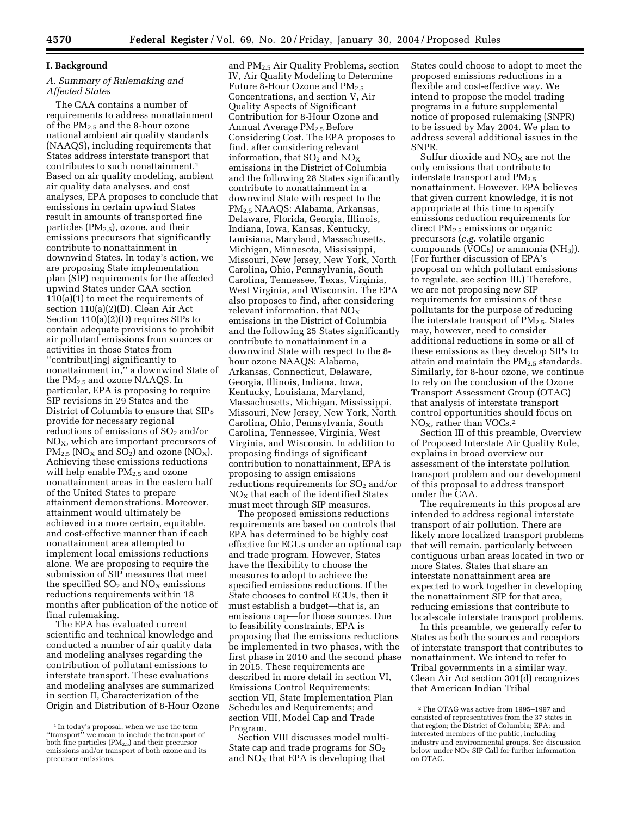#### **I. Background**

#### *A. Summary of Rulemaking and Affected States*

The CAA contains a number of requirements to address nonattainment of the PM2.5 and the 8-hour ozone national ambient air quality standards (NAAQS), including requirements that States address interstate transport that contributes to such nonattainment.1 Based on air quality modeling, ambient air quality data analyses, and cost analyses, EPA proposes to conclude that emissions in certain upwind States result in amounts of transported fine particles  $(PM_{2.5})$ , ozone, and their emissions precursors that significantly contribute to nonattainment in downwind States. In today's action, we are proposing State implementation plan (SIP) requirements for the affected upwind States under CAA section 110(a)(1) to meet the requirements of section 110(a)(2)(D). Clean Air Act Section 110(a)(2)(D) requires SIPs to contain adequate provisions to prohibit air pollutant emissions from sources or activities in those States from ''contribut[ing] significantly to nonattainment in,'' a downwind State of the PM2.5 and ozone NAAQS. In particular, EPA is proposing to require SIP revisions in 29 States and the District of Columbia to ensure that SIPs provide for necessary regional reductions of emissions of SO<sub>2</sub> and/or  $NO<sub>X</sub>$ , which are important precursors of  $PM_{2.5}$  (NO<sub>X</sub> and SO<sub>2</sub>) and ozone (NO<sub>X</sub>). Achieving these emissions reductions will help enable  $PM_{2.5}$  and ozone nonattainment areas in the eastern half of the United States to prepare attainment demonstrations. Moreover, attainment would ultimately be achieved in a more certain, equitable, and cost-effective manner than if each nonattainment area attempted to implement local emissions reductions alone. We are proposing to require the submission of SIP measures that meet the specified  $SO<sub>2</sub>$  and  $NO<sub>X</sub>$  emissions reductions requirements within 18 months after publication of the notice of final rulemaking.

The EPA has evaluated current scientific and technical knowledge and conducted a number of air quality data and modeling analyses regarding the contribution of pollutant emissions to interstate transport. These evaluations and modeling analyses are summarized in section II, Characterization of the Origin and Distribution of 8-Hour Ozone

and PM2.5 Air Quality Problems, section IV, Air Quality Modeling to Determine Future 8-Hour Ozone and  $PM_{2.5}$ Concentrations, and section V, Air Quality Aspects of Significant Contribution for 8-Hour Ozone and Annual Average  $PM_{2.5}$  Before Considering Cost. The EPA proposes to find, after considering relevant information, that  $SO_2$  and  $NO_X$ emissions in the District of Columbia and the following 28 States significantly contribute to nonattainment in a downwind State with respect to the PM2.5 NAAQS: Alabama, Arkansas, Delaware, Florida, Georgia, Illinois, Indiana, Iowa, Kansas, Kentucky, Louisiana, Maryland, Massachusetts, Michigan, Minnesota, Mississippi, Missouri, New Jersey, New York, North Carolina, Ohio, Pennsylvania, South Carolina, Tennessee, Texas, Virginia, West Virginia, and Wisconsin. The EPA also proposes to find, after considering relevant information, that NO<sub>X</sub> emissions in the District of Columbia and the following 25 States significantly contribute to nonattainment in a downwind State with respect to the 8 hour ozone NAAQS: Alabama, Arkansas, Connecticut, Delaware, Georgia, Illinois, Indiana, Iowa, Kentucky, Louisiana, Maryland, Massachusetts, Michigan, Mississippi, Missouri, New Jersey, New York, North Carolina, Ohio, Pennsylvania, South Carolina, Tennessee, Virginia, West Virginia, and Wisconsin. In addition to proposing findings of significant contribution to nonattainment, EPA is proposing to assign emissions reductions requirements for  $SO<sub>2</sub>$  and/or  $NO<sub>x</sub>$  that each of the identified States must meet through SIP measures.

The proposed emissions reductions requirements are based on controls that EPA has determined to be highly cost effective for EGUs under an optional cap and trade program. However, States have the flexibility to choose the measures to adopt to achieve the specified emissions reductions. If the State chooses to control EGUs, then it must establish a budget—that is, an emissions cap—for those sources. Due to feasibility constraints, EPA is proposing that the emissions reductions be implemented in two phases, with the first phase in 2010 and the second phase in 2015. These requirements are described in more detail in section VI, Emissions Control Requirements; section VII, State Implementation Plan Schedules and Requirements; and section VIII, Model Cap and Trade Program.

Section VIII discusses model multi-State cap and trade programs for  $SO<sub>2</sub>$ and  $NO<sub>X</sub>$  that EPA is developing that

States could choose to adopt to meet the proposed emissions reductions in a flexible and cost-effective way. We intend to propose the model trading programs in a future supplemental notice of proposed rulemaking (SNPR) to be issued by May 2004. We plan to address several additional issues in the SNPR.

Sulfur dioxide and  $NO<sub>X</sub>$  are not the only emissions that contribute to interstate transport and  $PM_{2.5}$ nonattainment. However, EPA believes that given current knowledge, it is not appropriate at this time to specify emissions reduction requirements for direct PM<sub>2.5</sub> emissions or organic precursors (*e.g.* volatile organic compounds ( $\rm\ddot{V}OCs$ ) or ammonia (NH<sub>3</sub>)). (For further discussion of EPA's proposal on which pollutant emissions to regulate, see section III.) Therefore, we are not proposing new SIP requirements for emissions of these pollutants for the purpose of reducing the interstate transport of  $PM_{2.5}$ . States may, however, need to consider additional reductions in some or all of these emissions as they develop SIPs to attain and maintain the  $PM_{2.5}$  standards. Similarly, for 8-hour ozone, we continue to rely on the conclusion of the Ozone Transport Assessment Group (OTAG) that analysis of interstate transport control opportunities should focus on  $NO<sub>x</sub>$ , rather than VOCs.<sup>2</sup>

Section III of this preamble, Overview of Proposed Interstate Air Quality Rule, explains in broad overview our assessment of the interstate pollution transport problem and our development of this proposal to address transport under the CAA.

The requirements in this proposal are intended to address regional interstate transport of air pollution. There are likely more localized transport problems that will remain, particularly between contiguous urban areas located in two or more States. States that share an interstate nonattainment area are expected to work together in developing the nonattainment SIP for that area, reducing emissions that contribute to local-scale interstate transport problems.

In this preamble, we generally refer to States as both the sources and receptors of interstate transport that contributes to nonattainment. We intend to refer to Tribal governments in a similar way. Clean Air Act section 301(d) recognizes that American Indian Tribal

<sup>&</sup>lt;sup>1</sup> In today's proposal, when we use the term ''transport'' we mean to include the transport of both fine particles  $(PM_{2.5})$  and their precursor emissions and/or transport of both ozone and its precursor emissions.

<sup>2</sup>The OTAG was active from 1995–1997 and consisted of representatives from the 37 states in that region; the District of Columbia; EPA; and interested members of the public, including industry and environmental groups. See discussion below under  $NO<sub>x</sub>$  SIP Call for further information on OTAG.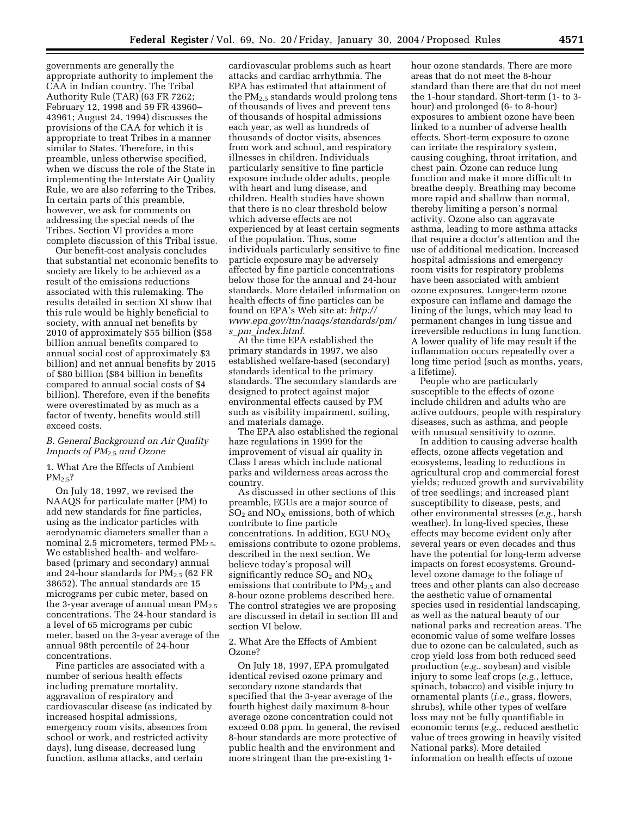governments are generally the appropriate authority to implement the CAA in Indian country. The Tribal Authority Rule (TAR) (63 FR 7262; February 12, 1998 and 59 FR 43960– 43961; August 24, 1994) discusses the provisions of the CAA for which it is appropriate to treat Tribes in a manner similar to States. Therefore, in this preamble, unless otherwise specified, when we discuss the role of the State in implementing the Interstate Air Quality Rule, we are also referring to the Tribes. In certain parts of this preamble, however, we ask for comments on addressing the special needs of the Tribes. Section VI provides a more complete discussion of this Tribal issue.

Our benefit-cost analysis concludes that substantial net economic benefits to society are likely to be achieved as a result of the emissions reductions associated with this rulemaking. The results detailed in section XI show that this rule would be highly beneficial to society, with annual net benefits by 2010 of approximately \$55 billion (\$58 billion annual benefits compared to annual social cost of approximately \$3 billion) and net annual benefits by 2015 of \$80 billion (\$84 billion in benefits compared to annual social costs of \$4 billion). Therefore, even if the benefits were overestimated by as much as a factor of twenty, benefits would still exceed costs.

#### *B. General Background on Air Quality Impacts of PM*2.5 *and Ozone*

1. What Are the Effects of Ambient  $PM<sub>2.5</sub>?$ 

On July 18, 1997, we revised the NAAQS for particulate matter (PM) to add new standards for fine particles, using as the indicator particles with aerodynamic diameters smaller than a nominal 2.5 micrometers, termed  $PM_{2.5}$ . We established health- and welfarebased (primary and secondary) annual and 24-hour standards for  $PM_{2.5}$  (62 FR 38652). The annual standards are 15 micrograms per cubic meter, based on the 3-year average of annual mean  $PM_{2.5}$ concentrations. The 24-hour standard is a level of 65 micrograms per cubic meter, based on the 3-year average of the annual 98th percentile of 24-hour concentrations.

Fine particles are associated with a number of serious health effects including premature mortality, aggravation of respiratory and cardiovascular disease (as indicated by increased hospital admissions, emergency room visits, absences from school or work, and restricted activity days), lung disease, decreased lung function, asthma attacks, and certain

cardiovascular problems such as heart attacks and cardiac arrhythmia. The EPA has estimated that attainment of the PM<sub>2.5</sub> standards would prolong tens of thousands of lives and prevent tens of thousands of hospital admissions each year, as well as hundreds of thousands of doctor visits, absences from work and school, and respiratory illnesses in children. Individuals particularly sensitive to fine particle exposure include older adults, people with heart and lung disease, and children. Health studies have shown that there is no clear threshold below which adverse effects are not experienced by at least certain segments of the population. Thus, some individuals particularly sensitive to fine particle exposure may be adversely affected by fine particle concentrations below those for the annual and 24-hour standards. More detailed information on health effects of fine particles can be found on EPA's Web site at: *http:// www.epa.gov/ttn/naaqs/standards/pm/ s*\_*pm*\_*index.html.*

At the time EPA established the primary standards in 1997, we also established welfare-based (secondary) standards identical to the primary standards. The secondary standards are designed to protect against major environmental effects caused by PM such as visibility impairment, soiling, and materials damage.

The EPA also established the regional haze regulations in 1999 for the improvement of visual air quality in Class I areas which include national parks and wilderness areas across the country.

As discussed in other sections of this preamble, EGUs are a major source of  $SO<sub>2</sub>$  and  $NO<sub>X</sub>$  emissions, both of which contribute to fine particle concentrations. In addition, EGU  $NO_X$ emissions contribute to ozone problems, described in the next section. We believe today's proposal will significantly reduce  $SO_2$  and  $NO_X$ emissions that contribute to  $PM_{2.5}$  and 8-hour ozone problems described here. The control strategies we are proposing are discussed in detail in section III and section VI below.

#### 2. What Are the Effects of Ambient Ozone?

On July 18, 1997, EPA promulgated identical revised ozone primary and secondary ozone standards that specified that the 3-year average of the fourth highest daily maximum 8-hour average ozone concentration could not exceed 0.08 ppm. In general, the revised 8-hour standards are more protective of public health and the environment and more stringent than the pre-existing 1hour ozone standards. There are more areas that do not meet the 8-hour standard than there are that do not meet the 1-hour standard. Short-term (1- to 3 hour) and prolonged (6- to 8-hour) exposures to ambient ozone have been linked to a number of adverse health effects. Short-term exposure to ozone can irritate the respiratory system, causing coughing, throat irritation, and chest pain. Ozone can reduce lung function and make it more difficult to breathe deeply. Breathing may become more rapid and shallow than normal, thereby limiting a person's normal activity. Ozone also can aggravate asthma, leading to more asthma attacks that require a doctor's attention and the use of additional medication. Increased hospital admissions and emergency room visits for respiratory problems have been associated with ambient ozone exposures. Longer-term ozone exposure can inflame and damage the lining of the lungs, which may lead to permanent changes in lung tissue and irreversible reductions in lung function. A lower quality of life may result if the inflammation occurs repeatedly over a long time period (such as months, years, a lifetime).

People who are particularly susceptible to the effects of ozone include children and adults who are active outdoors, people with respiratory diseases, such as asthma, and people with unusual sensitivity to ozone.

In addition to causing adverse health effects, ozone affects vegetation and ecosystems, leading to reductions in agricultural crop and commercial forest yields; reduced growth and survivability of tree seedlings; and increased plant susceptibility to disease, pests, and other environmental stresses (*e.g.*, harsh weather). In long-lived species, these effects may become evident only after several years or even decades and thus have the potential for long-term adverse impacts on forest ecosystems. Groundlevel ozone damage to the foliage of trees and other plants can also decrease the aesthetic value of ornamental species used in residential landscaping, as well as the natural beauty of our national parks and recreation areas. The economic value of some welfare losses due to ozone can be calculated, such as crop yield loss from both reduced seed production (*e.g.*, soybean) and visible injury to some leaf crops (*e.g.*, lettuce, spinach, tobacco) and visible injury to ornamental plants (*i.e.*, grass, flowers, shrubs), while other types of welfare loss may not be fully quantifiable in economic terms (*e.g.*, reduced aesthetic value of trees growing in heavily visited National parks). More detailed information on health effects of ozone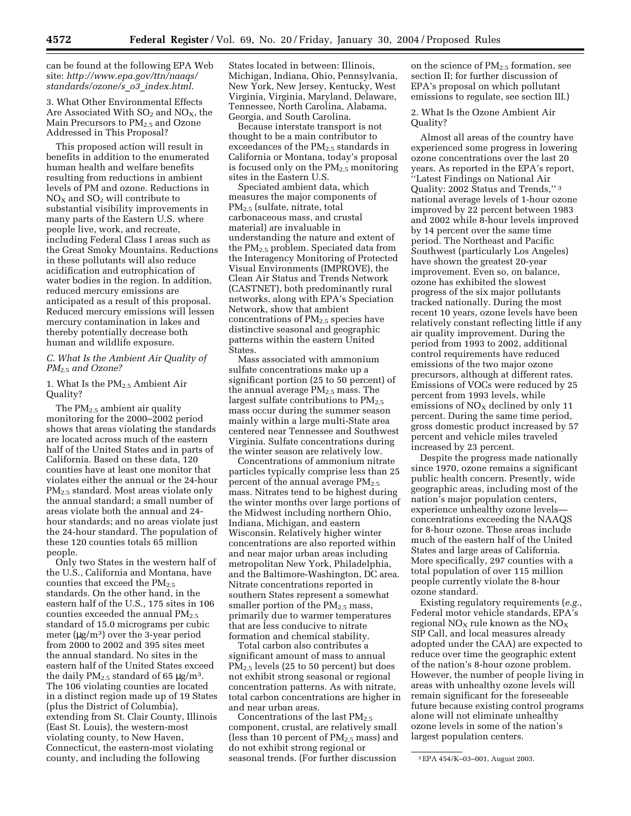can be found at the following EPA Web site: *http://www.epa.gov/ttn/naaqs/ standards/ozone/s*\_*o3*\_*index.html.*

3. What Other Environmental Effects Are Associated With  $SO<sub>2</sub>$  and  $NO<sub>X</sub>$ , the Main Precursors to  $PM_{2.5}$  and Ozone Addressed in This Proposal?

This proposed action will result in benefits in addition to the enumerated human health and welfare benefits resulting from reductions in ambient levels of PM and ozone. Reductions in  $NO<sub>X</sub>$  and  $SO<sub>2</sub>$  will contribute to substantial visibility improvements in many parts of the Eastern U.S. where people live, work, and recreate, including Federal Class I areas such as the Great Smoky Mountains. Reductions in these pollutants will also reduce acidification and eutrophication of water bodies in the region. In addition, reduced mercury emissions are anticipated as a result of this proposal. Reduced mercury emissions will lessen mercury contamination in lakes and thereby potentially decrease both human and wildlife exposure.

#### *C. What Is the Ambient Air Quality of PM*2.5 *and Ozone?*

1. What Is the PM2.5 Ambient Air Quality?

The  $PM<sub>2.5</sub>$  ambient air quality monitoring for the 2000–2002 period shows that areas violating the standards are located across much of the eastern half of the United States and in parts of California. Based on these data, 120 counties have at least one monitor that violates either the annual or the 24-hour PM2.5 standard. Most areas violate only the annual standard; a small number of areas violate both the annual and 24 hour standards; and no areas violate just the 24-hour standard. The population of these 120 counties totals 65 million people.

Only two States in the western half of the U.S., California and Montana, have counties that exceed the PM<sub>2.5</sub> standards. On the other hand, in the eastern half of the U.S., 175 sites in 106 counties exceeded the annual  $PM_{2.5}$ standard of 15.0 micrograms per cubic meter  $(\mu g/m^3)$  over the 3-year period from 2000 to 2002 and 395 sites meet the annual standard. No sites in the eastern half of the United States exceed the daily  $PM_{2.5}$  standard of 65  $\mu$ g/m<sup>3</sup>. The 106 violating counties are located in a distinct region made up of 19 States (plus the District of Columbia), extending from St. Clair County, Illinois (East St. Louis), the western-most violating county, to New Haven, Connecticut, the eastern-most violating county, and including the following

States located in between: Illinois, Michigan, Indiana, Ohio, Pennsylvania, New York, New Jersey, Kentucky, West Virginia, Virginia, Maryland, Delaware, Tennessee, North Carolina, Alabama, Georgia, and South Carolina.

Because interstate transport is not thought to be a main contributor to exceedances of the  $PM_{2.5}$  standards in California or Montana, today's proposal is focused only on the  $PM_{2.5}$  monitoring sites in the Eastern U.S.

Speciated ambient data, which measures the major components of PM2.5 (sulfate, nitrate, total carbonaceous mass, and crustal material) are invaluable in understanding the nature and extent of the PM2.5 problem. Speciated data from the Interagency Monitoring of Protected Visual Environments (IMPROVE), the Clean Air Status and Trends Network (CASTNET), both predominantly rural networks, along with EPA's Speciation Network, show that ambient concentrations of  $PM_{2.5}$  species have distinctive seasonal and geographic patterns within the eastern United States.

Mass associated with ammonium sulfate concentrations make up a significant portion (25 to 50 percent) of the annual average  $PM_{2.5}$  mass. The largest sulfate contributions to  $PM_{2.5}$ mass occur during the summer season mainly within a large multi-State area centered near Tennessee and Southwest Virginia. Sulfate concentrations during the winter season are relatively low.

Concentrations of ammonium nitrate particles typically comprise less than 25 percent of the annual average  $PM_{2.5}$ mass. Nitrates tend to be highest during the winter months over large portions of the Midwest including northern Ohio, Indiana, Michigan, and eastern Wisconsin. Relatively higher winter concentrations are also reported within and near major urban areas including metropolitan New York, Philadelphia, and the Baltimore-Washington, DC area. Nitrate concentrations reported in southern States represent a somewhat smaller portion of the  $PM_{2.5}$  mass, primarily due to warmer temperatures that are less conducive to nitrate formation and chemical stability.

Total carbon also contributes a significant amount of mass to annual  $PM<sub>25</sub>$  levels (25 to 50 percent) but does not exhibit strong seasonal or regional concentration patterns. As with nitrate, total carbon concentrations are higher in and near urban areas.

Concentrations of the last  $PM_{2.5}$ component, crustal, are relatively small (less than 10 percent of  $PM_{2.5}$  mass) and do not exhibit strong regional or seasonal trends. (For further discussion

on the science of PM2.5 formation, see section II; for further discussion of EPA's proposal on which pollutant emissions to regulate, see section III.)

2. What Is the Ozone Ambient Air Quality?

Almost all areas of the country have experienced some progress in lowering ozone concentrations over the last 20 years. As reported in the EPA's report, ''Latest Findings on National Air Quality: 2002 Status and Trends,'' 3 national average levels of 1-hour ozone improved by 22 percent between 1983 and 2002 while 8-hour levels improved by 14 percent over the same time period. The Northeast and Pacific Southwest (particularly Los Angeles) have shown the greatest 20-year improvement. Even so, on balance, ozone has exhibited the slowest progress of the six major pollutants tracked nationally. During the most recent 10 years, ozone levels have been relatively constant reflecting little if any air quality improvement. During the period from 1993 to 2002, additional control requirements have reduced emissions of the two major ozone precursors, although at different rates. Emissions of VOCs were reduced by 25 percent from 1993 levels, while emissions of  $NO<sub>x</sub>$  declined by only 11 percent. During the same time period, gross domestic product increased by 57 percent and vehicle miles traveled increased by 23 percent.

Despite the progress made nationally since 1970, ozone remains a significant public health concern. Presently, wide geographic areas, including most of the nation's major population centers, experience unhealthy ozone levels concentrations exceeding the NAAQS for 8-hour ozone. These areas include much of the eastern half of the United States and large areas of California. More specifically, 297 counties with a total population of over 115 million people currently violate the 8-hour ozone standard.

Existing regulatory requirements (*e.g.*, Federal motor vehicle standards, EPA's regional  $NO<sub>X</sub>$  rule known as the  $NO<sub>X</sub>$ SIP Call, and local measures already adopted under the CAA) are expected to reduce over time the geographic extent of the nation's 8-hour ozone problem. However, the number of people living in areas with unhealthy ozone levels will remain significant for the foreseeable future because existing control programs alone will not eliminate unhealthy ozone levels in some of the nation's largest population centers.

<sup>3</sup>EPA 454/K–03–001, August 2003.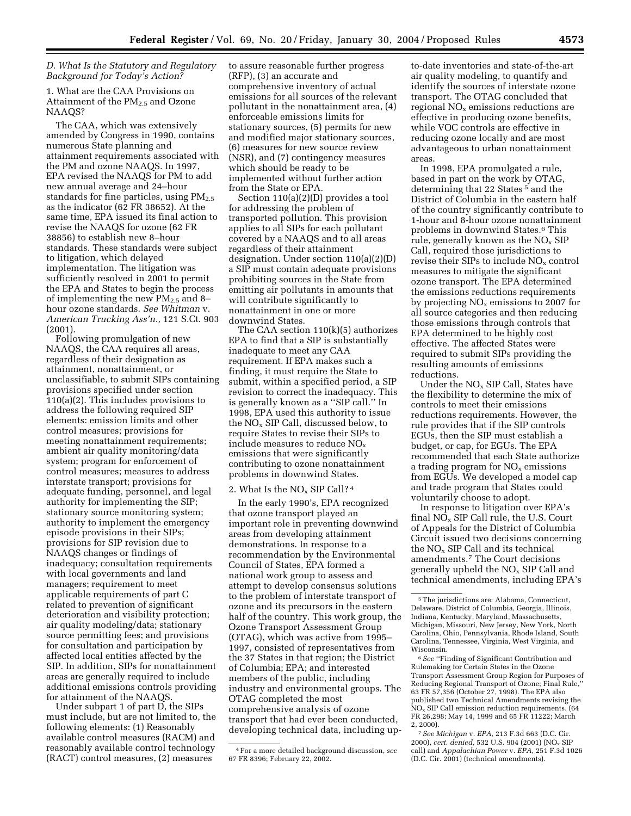#### *D. What Is the Statutory and Regulatory Background for Today's Action?*

1. What are the CAA Provisions on Attainment of the PM<sub>2.5</sub> and Ozone NAAQS?

The CAA, which was extensively amended by Congress in 1990, contains numerous State planning and attainment requirements associated with the PM and ozone NAAQS. In 1997, EPA revised the NAAQS for PM to add new annual average and 24–hour standards for fine particles, using  $PM_{2.5}$ as the indicator (62 FR 38652). At the same time, EPA issued its final action to revise the NAAQS for ozone (62 FR 38856) to establish new 8–hour standards. These standards were subject to litigation, which delayed implementation. The litigation was sufficiently resolved in 2001 to permit the EPA and States to begin the process of implementing the new  $PM_{2.5}$  and 8hour ozone standards. *See Whitman* v. *American Trucking Ass'n.,* 121 S.Ct. 903 (2001).

Following promulgation of new NAAQS, the CAA requires all areas, regardless of their designation as attainment, nonattainment, or unclassifiable, to submit SIPs containing provisions specified under section 110(a)(2). This includes provisions to address the following required SIP elements: emission limits and other control measures; provisions for meeting nonattainment requirements; ambient air quality monitoring/data system; program for enforcement of control measures; measures to address interstate transport; provisions for adequate funding, personnel, and legal authority for implementing the SIP; stationary source monitoring system; authority to implement the emergency episode provisions in their SIPs; provisions for SIP revision due to NAAQS changes or findings of inadequacy; consultation requirements with local governments and land managers; requirement to meet applicable requirements of part C related to prevention of significant deterioration and visibility protection; air quality modeling/data; stationary source permitting fees; and provisions for consultation and participation by affected local entities affected by the SIP. In addition, SIPs for nonattainment areas are generally required to include additional emissions controls providing for attainment of the NAAQS.

Under subpart 1 of part D, the SIPs must include, but are not limited to, the following elements: (1) Reasonably available control measures (RACM) and reasonably available control technology (RACT) control measures, (2) measures

to assure reasonable further progress (RFP), (3) an accurate and comprehensive inventory of actual emissions for all sources of the relevant pollutant in the nonattainment area, (4) enforceable emissions limits for stationary sources, (5) permits for new and modified major stationary sources, (6) measures for new source review (NSR), and (7) contingency measures which should be ready to be implemented without further action from the State or EPA.

Section 110(a)(2)(D) provides a tool for addressing the problem of transported pollution. This provision applies to all SIPs for each pollutant covered by a NAAQS and to all areas regardless of their attainment designation. Under section 110(a)(2)(D) a SIP must contain adequate provisions prohibiting sources in the State from emitting air pollutants in amounts that will contribute significantly to nonattainment in one or more downwind States.

The CAA section 110(k)(5) authorizes EPA to find that a SIP is substantially inadequate to meet any CAA requirement. If EPA makes such a finding, it must require the State to submit, within a specified period, a SIP revision to correct the inadequacy. This is generally known as a ''SIP call.'' In 1998, EPA used this authority to issue the NOx SIP Call, discussed below, to require States to revise their SIPs to include measures to reduce NOx emissions that were significantly contributing to ozone nonattainment problems in downwind States.

#### 2. What Is the  $NO<sub>x</sub>$  SIP Call?<sup>4</sup>

In the early 1990's, EPA recognized that ozone transport played an important role in preventing downwind areas from developing attainment demonstrations. In response to a recommendation by the Environmental Council of States, EPA formed a national work group to assess and attempt to develop consensus solutions to the problem of interstate transport of ozone and its precursors in the eastern half of the country. This work group, the Ozone Transport Assessment Group (OTAG), which was active from 1995– 1997, consisted of representatives from the 37 States in that region; the District of Columbia; EPA; and interested members of the public, including industry and environmental groups. The OTAG completed the most comprehensive analysis of ozone transport that had ever been conducted, developing technical data, including up-

to-date inventories and state-of-the-art air quality modeling, to quantify and identify the sources of interstate ozone transport. The OTAG concluded that regional  $NO<sub>x</sub>$  emissions reductions are effective in producing ozone benefits, while VOC controls are effective in reducing ozone locally and are most advantageous to urban nonattainment areas.

In 1998, EPA promulgated a rule, based in part on the work by OTAG, determining that 22 States 5 and the District of Columbia in the eastern half of the country significantly contribute to 1-hour and 8-hour ozone nonattainment problems in downwind States.6 This rule, generally known as the  $NO<sub>x</sub>$  SIP Call, required those jurisdictions to revise their SIPs to include NOx control measures to mitigate the significant ozone transport. The EPA determined the emissions reductions requirements by projecting  $NO<sub>x</sub>$  emissions to 2007 for all source categories and then reducing those emissions through controls that EPA determined to be highly cost effective. The affected States were required to submit SIPs providing the resulting amounts of emissions reductions.

Under the NOx SIP Call, States have the flexibility to determine the mix of controls to meet their emissions reductions requirements. However, the rule provides that if the SIP controls EGUs, then the SIP must establish a budget, or cap, for EGUs. The EPA recommended that each State authorize a trading program for  $NO<sub>x</sub>$  emissions from EGUs. We developed a model cap and trade program that States could voluntarily choose to adopt.

In response to litigation over EPA's final NOx SIP Call rule, the U.S. Court of Appeals for the District of Columbia Circuit issued two decisions concerning the NOx SIP Call and its technical amendments.7 The Court decisions generally upheld the  $NO<sub>x</sub>$  SIP Call and technical amendments, including EPA's

6*See* ''Finding of Significant Contribution and Rulemaking for Certain States in the Ozone Transport Assessment Group Region for Purposes of Reducing Regional Transport of Ozone; Final Rule,'' 63 FR 57,356 (October 27, 1998). The EPA also published two Technical Amendments revising the NOx SIP Call emission reduction requirements. (64 FR 26,298; May 14, 1999 and 65 FR 11222; March 2, 2000).

7*See Michigan* v. *EPA,* 213 F.3d 663 (D.C. Cir. 2000), *cert. denied,* 532 U.S. 904 (2001) (NOx SIP call) and *Appalachian Power* v. *EPA,* 251 F.3d 1026 (D.C. Cir. 2001) (technical amendments).

<sup>4</sup>For a more detailed background discussion, *see* 67 FR 8396; February 22, 2002.

<sup>5</sup>The jurisdictions are: Alabama, Connecticut, Delaware, District of Columbia, Georgia, Illinois, Indiana, Kentucky, Maryland, Massachusetts, Michigan, Missouri, New Jersey, New York, North Carolina, Ohio, Pennsylvania, Rhode Island, South Carolina, Tennessee, Virginia, West Virginia, and Wisconsin.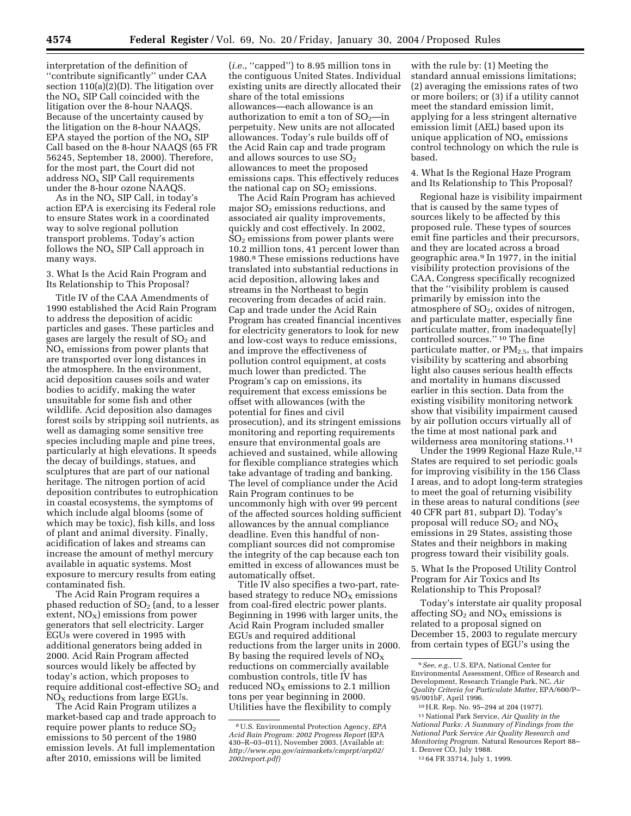interpretation of the definition of ''contribute significantly'' under CAA section 110(a)(2)(D). The litigation over the  $NO<sub>x</sub>$  SIP Call coincided with the litigation over the 8-hour NAAQS. Because of the uncertainty caused by the litigation on the 8-hour NAAQS, EPA stayed the portion of the  $NO<sub>x</sub>$  SIP Call based on the 8-hour NAAQS (65 FR 56245, September 18, 2000). Therefore, for the most part, the Court did not address  $NO<sub>x</sub>$  SIP Call requirements under the 8-hour ozone NAAQS.

As in the  $NO<sub>x</sub>$  SIP Call, in today's action EPA is exercising its Federal role to ensure States work in a coordinated way to solve regional pollution transport problems. Today's action follows the  $NO<sub>x</sub>$  SIP Call approach in many ways.

#### 3. What Is the Acid Rain Program and Its Relationship to This Proposal?

Title IV of the CAA Amendments of 1990 established the Acid Rain Program to address the deposition of acidic particles and gases. These particles and gases are largely the result of  $SO<sub>2</sub>$  and  $NO<sub>x</sub>$  emissions from power plants that are transported over long distances in the atmosphere. In the environment, acid deposition causes soils and water bodies to acidify, making the water unsuitable for some fish and other wildlife. Acid deposition also damages forest soils by stripping soil nutrients, as well as damaging some sensitive tree species including maple and pine trees, particularly at high elevations. It speeds the decay of buildings, statues, and sculptures that are part of our national heritage. The nitrogen portion of acid deposition contributes to eutrophication in coastal ecosystems, the symptoms of which include algal blooms (some of which may be toxic), fish kills, and loss of plant and animal diversity. Finally, acidification of lakes and streams can increase the amount of methyl mercury available in aquatic systems. Most exposure to mercury results from eating contaminated fish.

The Acid Rain Program requires a phased reduction of  $SO<sub>2</sub>$  (and, to a lesser extent,  $NO<sub>x</sub>$ ) emissions from power generators that sell electricity. Larger EGUs were covered in 1995 with additional generators being added in 2000. Acid Rain Program affected sources would likely be affected by today's action, which proposes to require additional cost-effective  $SO<sub>2</sub>$  and  $NO<sub>x</sub>$  reductions from large EGUs.

The Acid Rain Program utilizes a market-based cap and trade approach to require power plants to reduce  $SO<sub>2</sub>$ emissions to 50 percent of the 1980 emission levels. At full implementation after 2010, emissions will be limited

(*i.e.*, ''capped'') to 8.95 million tons in the contiguous United States. Individual existing units are directly allocated their share of the total emissions allowances—each allowance is an authorization to emit a ton of  $SO_2$ —in perpetuity. New units are not allocated allowances. Today's rule builds off of the Acid Rain cap and trade program and allows sources to use  $SO<sub>2</sub>$ allowances to meet the proposed emissions caps. This effectively reduces the national cap on  $SO<sub>2</sub>$  emissions.

The Acid Rain Program has achieved major  $SO<sub>2</sub>$  emissions reductions, and associated air quality improvements, quickly and cost effectively. In 2002, SO2 emissions from power plants were 10.2 million tons, 41 percent lower than 1980.8 These emissions reductions have translated into substantial reductions in acid deposition, allowing lakes and streams in the Northeast to begin recovering from decades of acid rain. Cap and trade under the Acid Rain Program has created financial incentives for electricity generators to look for new and low-cost ways to reduce emissions, and improve the effectiveness of pollution control equipment, at costs much lower than predicted. The Program's cap on emissions, its requirement that excess emissions be offset with allowances (with the potential for fines and civil prosecution), and its stringent emissions monitoring and reporting requirements ensure that environmental goals are achieved and sustained, while allowing for flexible compliance strategies which take advantage of trading and banking. The level of compliance under the Acid Rain Program continues to be uncommonly high with over 99 percent of the affected sources holding sufficient allowances by the annual compliance deadline. Even this handful of noncompliant sources did not compromise the integrity of the cap because each ton emitted in excess of allowances must be automatically offset.

Title IV also specifies a two-part, ratebased strategy to reduce  $NO<sub>X</sub>$  emissions from coal-fired electric power plants. Beginning in 1996 with larger units, the Acid Rain Program included smaller EGUs and required additional reductions from the larger units in 2000. By basing the required levels of  $NO<sub>x</sub>$ reductions on commercially available combustion controls, title IV has reduced  $NO<sub>x</sub>$  emissions to 2.1 million tons per year beginning in 2000. Utilities have the flexibility to comply

with the rule by: (1) Meeting the standard annual emissions limitations; (2) averaging the emissions rates of two or more boilers; or (3) if a utility cannot meet the standard emission limit, applying for a less stringent alternative emission limit (AEL) based upon its unique application of  $NO<sub>x</sub>$  emissions control technology on which the rule is based.

4. What Is the Regional Haze Program and Its Relationship to This Proposal?

Regional haze is visibility impairment that is caused by the same types of sources likely to be affected by this proposed rule. These types of sources emit fine particles and their precursors, and they are located across a broad geographic area.9 In 1977, in the initial visibility protection provisions of the CAA, Congress specifically recognized that the ''visibility problem is caused primarily by emission into the atmosphere of  $SO<sub>2</sub>$ , oxides of nitrogen, and particulate matter, especially fine particulate matter, from inadequate[ly] controlled sources.'' 10 The fine particulate matter, or  $PM_{2.5}$ , that impairs visibility by scattering and absorbing light also causes serious health effects and mortality in humans discussed earlier in this section. Data from the existing visibility monitoring network show that visibility impairment caused by air pollution occurs virtually all of the time at most national park and wilderness area monitoring stations.11

Under the 1999 Regional Haze Rule,<sup>12</sup> States are required to set periodic goals for improving visibility in the 156 Class I areas, and to adopt long-term strategies to meet the goal of returning visibility in these areas to natural conditions (*see* 40 CFR part 81, subpart D). Today's proposal will reduce  $SO_2$  and  $NO_X$ emissions in 29 States, assisting those States and their neighbors in making progress toward their visibility goals.

5. What Is the Proposed Utility Control Program for Air Toxics and Its Relationship to This Proposal?

Today's interstate air quality proposal affecting  $SO_2$  and  $NO<sub>x</sub>$  emissions is related to a proposal signed on December 15, 2003 to regulate mercury from certain types of EGU's using the

11National Park Service, *Air Quality in the National Parks: A Summary of Findings from the National Park Service Air Quality Research and Monitoring Program.* Natural Resources Report 88– 1. Denver CO, July 1988.

<sup>8</sup>U.S. Environmental Protection Agency, *EPA Acid Rain Program: 2002 Progress Report* (EPA 430–R–03–011), November 2003. (Available at: *http://www.epa.gov/airmarkets/cmprpt/arp02/ 2002report.pdf)*

<sup>9</sup>*See, e.g.,* U.S. EPA, National Center for Environmental Assessment, Office of Research and Development, Research Triangle Park, NC, *Air Quality Criteria for Particulate Matter,* EPA/600/P– 95/001bF, April 1996.

<sup>10</sup>H.R. Rep. No. 95–294 at 204 (1977).

<sup>12</sup> 64 FR 35714, July 1, 1999.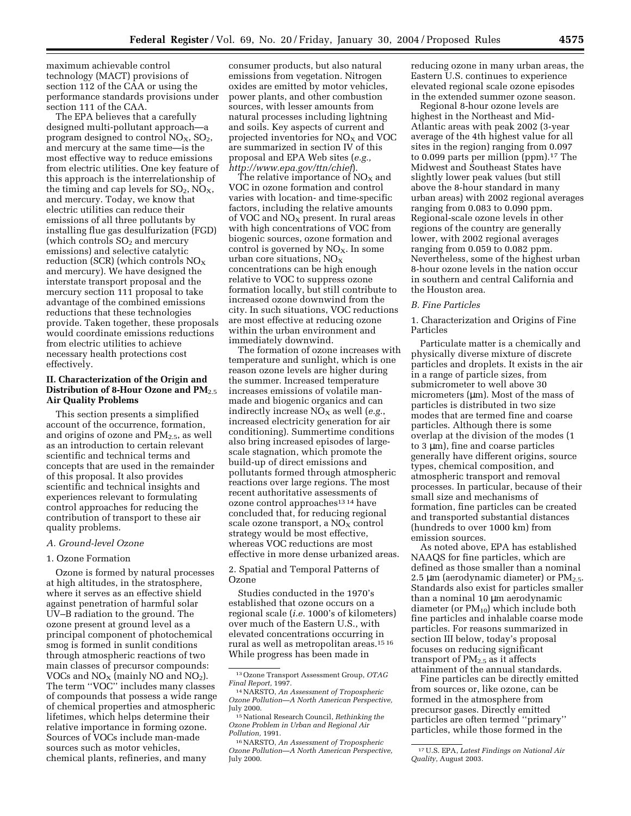maximum achievable control technology (MACT) provisions of section 112 of the CAA or using the performance standards provisions under section 111 of the CAA.

The EPA believes that a carefully designed multi-pollutant approach—a program designed to control  $NO<sub>X</sub>$ ,  $SO<sub>2</sub>$ , and mercury at the same time—is the most effective way to reduce emissions from electric utilities. One key feature of this approach is the interrelationship of the timing and cap levels for  $SO_2$ ,  $NO_X$ , and mercury. Today, we know that electric utilities can reduce their emissions of all three pollutants by installing flue gas desulfurization (FGD) (which controls  $SO<sub>2</sub>$  and mercury emissions) and selective catalytic reduction (SCR) (which controls  $NO<sub>X</sub>$ and mercury). We have designed the interstate transport proposal and the mercury section 111 proposal to take advantage of the combined emissions reductions that these technologies provide. Taken together, these proposals would coordinate emissions reductions from electric utilities to achieve necessary health protections cost effectively.

#### **II. Characterization of the Origin and Distribution of 8-Hour Ozone and PM**2.5 **Air Quality Problems**

This section presents a simplified account of the occurrence, formation, and origins of ozone and  $PM_{2.5}$ , as well as an introduction to certain relevant scientific and technical terms and concepts that are used in the remainder of this proposal. It also provides scientific and technical insights and experiences relevant to formulating control approaches for reducing the contribution of transport to these air quality problems.

#### *A. Ground-level Ozone*

#### 1. Ozone Formation

Ozone is formed by natural processes at high altitudes, in the stratosphere, where it serves as an effective shield against penetration of harmful solar UV–B radiation to the ground. The ozone present at ground level as a principal component of photochemical smog is formed in sunlit conditions through atmospheric reactions of two main classes of precursor compounds: VOCs and  $NO<sub>X</sub>$  (mainly NO and  $NO<sub>2</sub>$ ). The term ''VOC'' includes many classes of compounds that possess a wide range of chemical properties and atmospheric lifetimes, which helps determine their relative importance in forming ozone. Sources of VOCs include man-made sources such as motor vehicles, chemical plants, refineries, and many

consumer products, but also natural emissions from vegetation. Nitrogen oxides are emitted by motor vehicles, power plants, and other combustion sources, with lesser amounts from natural processes including lightning and soils. Key aspects of current and projected inventories for  $NO<sub>X</sub>$  and VOC are summarized in section IV of this proposal and EPA Web sites (*e.g., http://www.epa.gov/ttn/chief*).

The relative importance of  $NO<sub>X</sub>$  and VOC in ozone formation and control varies with location- and time-specific factors, including the relative amounts of VOC and  $NO<sub>X</sub>$  present. In rural areas with high concentrations of VOC from biogenic sources, ozone formation and control is governed by  $NO<sub>X</sub>$ . In some urban core situations,  $NO_X$ concentrations can be high enough relative to VOC to suppress ozone formation locally, but still contribute to increased ozone downwind from the city. In such situations, VOC reductions are most effective at reducing ozone within the urban environment and immediately downwind.

The formation of ozone increases with temperature and sunlight, which is one reason ozone levels are higher during the summer. Increased temperature increases emissions of volatile manmade and biogenic organics and can indirectly increase NO<sub>X</sub> as well (*e.g.*, increased electricity generation for air conditioning). Summertime conditions also bring increased episodes of largescale stagnation, which promote the build-up of direct emissions and pollutants formed through atmospheric reactions over large regions. The most recent authoritative assessments of ozone control approaches<sup>13 14</sup> have concluded that, for reducing regional scale ozone transport, a  $NO<sub>X</sub>$  control strategy would be most effective, whereas VOC reductions are most effective in more dense urbanized areas.

2. Spatial and Temporal Patterns of Ozone

Studies conducted in the 1970's established that ozone occurs on a regional scale (*i.e.* 1000's of kilometers) over much of the Eastern U.S., with elevated concentrations occurring in rural as well as metropolitan areas.15 16 While progress has been made in

reducing ozone in many urban areas, the Eastern U.S. continues to experience elevated regional scale ozone episodes in the extended summer ozone season.

Regional 8-hour ozone levels are highest in the Northeast and Mid-Atlantic areas with peak 2002 (3-year average of the 4th highest value for all sites in the region) ranging from 0.097 to 0.099 parts per million (ppm).17 The Midwest and Southeast States have slightly lower peak values (but still above the 8-hour standard in many urban areas) with 2002 regional averages ranging from 0.083 to 0.090 ppm. Regional-scale ozone levels in other regions of the country are generally lower, with 2002 regional averages ranging from 0.059 to 0.082 ppm. Nevertheless, some of the highest urban 8-hour ozone levels in the nation occur in southern and central California and the Houston area.

#### *B. Fine Particles*

1. Characterization and Origins of Fine Particles

Particulate matter is a chemically and physically diverse mixture of discrete particles and droplets. It exists in the air in a range of particle sizes, from submicrometer to well above 30 micrometers (um). Most of the mass of particles is distributed in two size modes that are termed fine and coarse particles. Although there is some overlap at the division of the modes (1 to 3 µm), fine and coarse particles generally have different origins, source types, chemical composition, and atmospheric transport and removal processes. In particular, because of their small size and mechanisms of formation, fine particles can be created and transported substantial distances (hundreds to over 1000 km) from emission sources.

As noted above, EPA has established NAAQS for fine particles, which are defined as those smaller than a nominal 2.5  $\mu$ m (aerodynamic diameter) or PM<sub>2.5</sub>. Standards also exist for particles smaller than a nominal 10 µm aerodynamic diameter (or PM10) which include both fine particles and inhalable coarse mode particles. For reasons summarized in section III below, today's proposal focuses on reducing significant transport of  $PM<sub>2.5</sub>$  as it affects attainment of the annual standards.

Fine particles can be directly emitted from sources or, like ozone, can be formed in the atmosphere from precursor gases. Directly emitted particles are often termed ''primary'' particles, while those formed in the

*Quality,* August 2003.

<sup>13</sup>Ozone Transport Assessment Group, *OTAG* 

*Final Report,* 1997. 14NARSTO, *An Assessment of Tropospheric Ozone Pollution—A North American Perspective,* July 2000.

<sup>15</sup>National Research Council, *Rethinking the Ozone Problem in Urban and Regional Air Pollution,* 1991.

<sup>16</sup>NARSTO, *An Assessment of Tropospheric Ozone Pollution—A North American Perspective,* July 2000.

<sup>17</sup>U.S. EPA, *Latest Findings on National Air*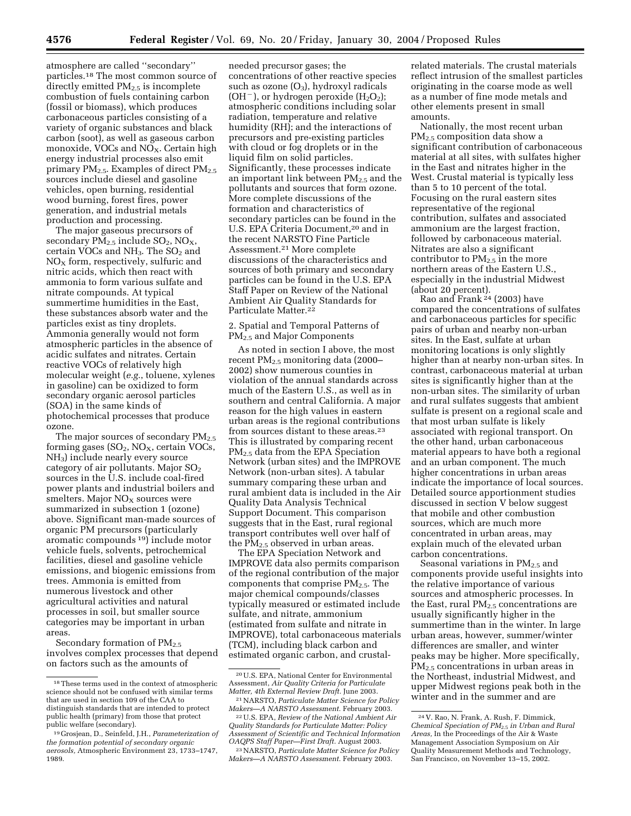atmosphere are called ''secondary'' particles.18 The most common source of directly emitted  $PM_{2.5}$  is incomplete combustion of fuels containing carbon (fossil or biomass), which produces carbonaceous particles consisting of a variety of organic substances and black carbon (soot), as well as gaseous carbon monoxide, VOCs and  $NO<sub>X</sub>$ . Certain high energy industrial processes also emit primary PM<sub>2.5</sub>. Examples of direct PM<sub>2.5</sub> sources include diesel and gasoline vehicles, open burning, residential wood burning, forest fires, power generation, and industrial metals production and processing.

The major gaseous precursors of secondary  $PM_{2.5}$  include  $SO_2$ ,  $NO_X$ , certain VOCs and  $NH<sub>3</sub>$ . The  $SO<sub>2</sub>$  and  $NO<sub>X</sub>$  form, respectively, sulfuric and nitric acids, which then react with ammonia to form various sulfate and nitrate compounds. At typical summertime humidities in the East, these substances absorb water and the particles exist as tiny droplets. Ammonia generally would not form atmospheric particles in the absence of acidic sulfates and nitrates. Certain reactive VOCs of relatively high molecular weight (*e.g.*, toluene, xylenes in gasoline) can be oxidized to form secondary organic aerosol particles (SOA) in the same kinds of photochemical processes that produce ozone.

The major sources of secondary  $PM_{2.5}$ forming gases  $(SO_2, NO_X,$  certain VOCs, NH3) include nearly every source category of air pollutants. Major  $SO<sub>2</sub>$ sources in the U.S. include coal-fired power plants and industrial boilers and  $s$ melters. Major NO<sub>X</sub> sources were summarized in subsection 1 (ozone) above. Significant man-made sources of organic PM precursors (particularly aromatic compounds 19) include motor vehicle fuels, solvents, petrochemical facilities, diesel and gasoline vehicle emissions, and biogenic emissions from trees. Ammonia is emitted from numerous livestock and other agricultural activities and natural processes in soil, but smaller source categories may be important in urban areas.

Secondary formation of  $PM_{2.5}$ involves complex processes that depend on factors such as the amounts of

needed precursor gases; the concentrations of other reactive species such as ozone  $(O_3)$ , hydroxyl radicals (OH<sup>-</sup>), or hydrogen peroxide ( $H_2O_2$ ); atmospheric conditions including solar radiation, temperature and relative humidity (RH); and the interactions of precursors and pre-existing particles with cloud or fog droplets or in the liquid film on solid particles. Significantly, these processes indicate an important link between  $PM_{2.5}$  and the pollutants and sources that form ozone. More complete discussions of the formation and characteristics of secondary particles can be found in the U.S. EPA Criteria Document,<sup>20</sup> and in the recent NARSTO Fine Particle Assessment.21 More complete discussions of the characteristics and sources of both primary and secondary particles can be found in the U.S. EPA Staff Paper on Review of the National Ambient Air Quality Standards for Particulate Matter.<sup>22</sup>

#### 2. Spatial and Temporal Patterns of PM2.5 and Major Components

As noted in section I above, the most recent PM2.5 monitoring data (2000– 2002) show numerous counties in violation of the annual standards across much of the Eastern U.S., as well as in southern and central California. A major reason for the high values in eastern urban areas is the regional contributions from sources distant to these areas.<sup>23</sup> This is illustrated by comparing recent PM2.5 data from the EPA Speciation Network (urban sites) and the IMPROVE Network (non-urban sites). A tabular summary comparing these urban and rural ambient data is included in the Air Quality Data Analysis Technical Support Document. This comparison suggests that in the East, rural regional transport contributes well over half of the  $PM_{2.5}$  observed in urban areas.

The EPA Speciation Network and IMPROVE data also permits comparison of the regional contribution of the major components that comprise  $PM_{2.5}$ . The major chemical compounds/classes typically measured or estimated include sulfate, and nitrate, ammonium (estimated from sulfate and nitrate in IMPROVE), total carbonaceous materials (TCM), including black carbon and estimated organic carbon, and crustal-

related materials. The crustal materials reflect intrusion of the smallest particles originating in the coarse mode as well as a number of fine mode metals and other elements present in small amounts.

Nationally, the most recent urban PM2.5 composition data show a significant contribution of carbonaceous material at all sites, with sulfates higher in the East and nitrates higher in the West. Crustal material is typically less than 5 to 10 percent of the total. Focusing on the rural eastern sites representative of the regional contribution, sulfates and associated ammonium are the largest fraction, followed by carbonaceous material. Nitrates are also a significant contributor to  $PM_{2.5}$  in the more northern areas of the Eastern U.S., especially in the industrial Midwest (about 20 percent).

Rao and Frank  $^{24}$  (2003) have compared the concentrations of sulfates and carbonaceous particles for specific pairs of urban and nearby non-urban sites. In the East, sulfate at urban monitoring locations is only slightly higher than at nearby non-urban sites. In contrast, carbonaceous material at urban sites is significantly higher than at the non-urban sites. The similarity of urban and rural sulfates suggests that ambient sulfate is present on a regional scale and that most urban sulfate is likely associated with regional transport. On the other hand, urban carbonaceous material appears to have both a regional and an urban component. The much higher concentrations in urban areas indicate the importance of local sources. Detailed source apportionment studies discussed in section V below suggest that mobile and other combustion sources, which are much more concentrated in urban areas, may explain much of the elevated urban carbon concentrations.

Seasonal variations in PM<sub>2.5</sub> and components provide useful insights into the relative importance of various sources and atmospheric processes. In the East, rural  $PM_{2.5}$  concentrations are usually significantly higher in the summertime than in the winter. In large urban areas, however, summer/winter differences are smaller, and winter peaks may be higher. More specifically, PM2.5 concentrations in urban areas in the Northeast, industrial Midwest, and upper Midwest regions peak both in the winter and in the summer and are

<sup>18</sup>These terms used in the context of atmospheric science should not be confused with similar terms that are used in section 109 of the CAA to distinguish standards that are intended to protect public health (primary) from those that protect public welfare (secondary).

<sup>19</sup> Grosjean, D., Seinfeld, J.H., *Parameterization of the formation potential of secondary organic aerosols,* Atmospheric Environment 23, 1733–1747, 1989.

<sup>20</sup>U.S. EPA, National Center for Environmental Assessment, *Air Quality Criteria for Particulate Matter, 4th External Review Draft.* June 2003.

<sup>21</sup>NARSTO, *Particulate Matter Science for Policy Makers—A NARSTO Assessment.* February 2003.

<sup>22</sup>U.S. EPA, *Review of the National Ambient Air Quality Standards for Particulate Matter: Policy Assessment of Scientific and Technical Information OAQPS Staff Paper—First Draft.* August 2003.

<sup>23</sup>NARSTO, *Particulate Matter Science for Policy Makers—A NARSTO Assessment.* February 2003.

<sup>24</sup> V. Rao, N. Frank, A. Rush, F. Dimmick, *Chemical Speciation of PM*2.5 *in Urban and Rural Areas,* In the Proceedings of the Air & Waste Management Association Symposium on Air Quality Measurement Methods and Technology, San Francisco, on November 13–15, 2002.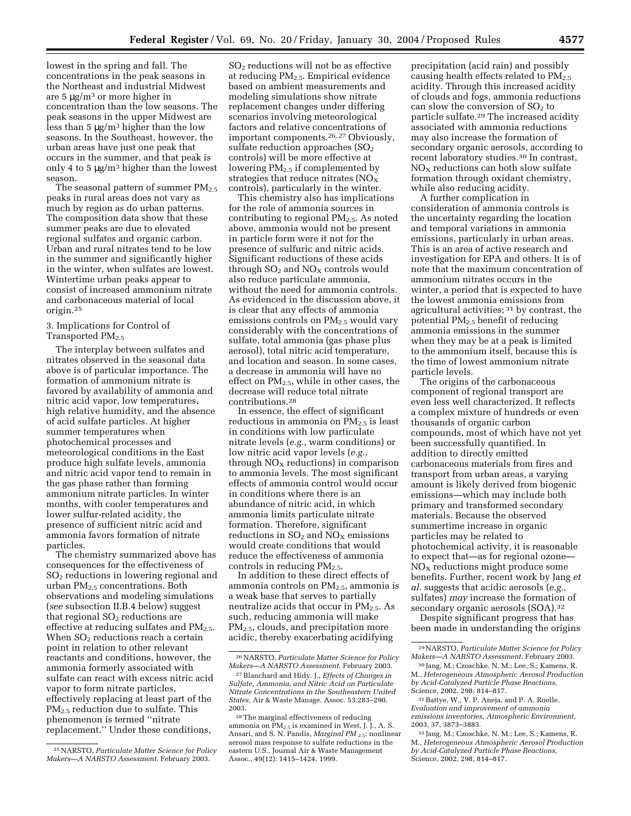lowest in the spring and fall. The concentrations in the peak seasons in the Northeast and industrial Midwest are 5 µg/m3 or more higher in concentration than the low seasons. The peak seasons in the upper Midwest are less than 5  $\mu$ g/m<sup>3</sup> higher than the low seasons. In the Southeast, however, the urban areas have just one peak that occurs in the summer, and that peak is only 4 to 5  $\mu$ g/m<sup>3</sup> higher than the lowest season.

The seasonal pattern of summer  $PM_{2.5}$ peaks in rural areas does not vary as much by region as do urban patterns. The composition data show that these summer peaks are due to elevated regional sulfates and organic carbon. Urban and rural nitrates tend to be low in the summer and significantly higher in the winter, when sulfates are lowest. Wintertime urban peaks appear to consist of increased ammonium nitrate and carbonaceous material of local origin.25

#### 3. Implications for Control of Transported PM2.5

The interplay between sulfates and nitrates observed in the seasonal data above is of particular importance. The formation of ammonium nitrate is favored by availability of ammonia and nitric acid vapor, low temperatures, high relative humidity, and the absence of acid sulfate particles. At higher summer temperatures when photochemical processes and meteorological conditions in the East produce high sulfate levels, ammonia and nitric acid vapor tend to remain in the gas phase rather than forming ammonium nitrate particles. In winter months, with cooler temperatures and lower sulfur-related acidity, the presence of sufficient nitric acid and ammonia favors formation of nitrate particles.

The chemistry summarized above has consequences for the effectiveness of SO2 reductions in lowering regional and urban  $PM_{2.5}$  concentrations. Both observations and modeling simulations (*see* subsection II.B.4 below) suggest that regional  $SO<sub>2</sub>$  reductions are effective at reducing sulfates and  $PM_{2.5}$ . When  $SO<sub>2</sub>$  reductions reach a certain point in relation to other relevant reactants and conditions, however, the ammonia formerly associated with sulfate can react with excess nitric acid vapor to form nitrate particles, effectively replacing at least part of the  $PM_{2.5}$  reduction due to sulfate. This phenomenon is termed ''nitrate replacement.'' Under these conditions,

SO2 reductions will not be as effective at reducing  $PM_{2.5}$ . Empirical evidence based on ambient measurements and modeling simulations show nitrate replacement changes under differing scenarios involving meteorological factors and relative concentrations of important components.26, 27 Obviously, sulfate reduction approaches  $(SO<sub>2</sub>)$ controls) will be more effective at lowering PM2.5 if complemented by strategies that reduce nitrates  $(NO<sub>X</sub>)$ controls), particularly in the winter.

This chemistry also has implications for the role of ammonia sources in contributing to regional  $PM<sub>2.5</sub>$ . As noted above, ammonia would not be present in particle form were it not for the presence of sulfuric and nitric acids. Significant reductions of these acids through  $SO<sub>2</sub>$  and  $NO<sub>x</sub>$  controls would also reduce particulate ammonia, without the need for ammonia controls. As evidenced in the discussion above, it is clear that any effects of ammonia emissions controls on  $PM_{2.5}$  would vary considerably with the concentrations of sulfate, total ammonia (gas phase plus aerosol), total nitric acid temperature, and location and season. In some cases, a decrease in ammonia will have no effect on PM<sub>2.5</sub>, while in other cases, the decrease will reduce total nitrate contributions.28

In essence, the effect of significant reductions in ammonia on  $PM<sub>2.5</sub>$  is least in conditions with low particulate nitrate levels (*e.g.,* warm conditions) or low nitric acid vapor levels (*e.g.,* through  $NO<sub>x</sub>$  reductions) in comparison to ammonia levels. The most significant effects of ammonia control would occur in conditions where there is an abundance of nitric acid, in which ammonia limits particulate nitrate formation. Therefore, significant reductions in  $SO_2$  and  $NO<sub>X</sub>$  emissions would create conditions that would reduce the effectiveness of ammonia controls in reducing  $PM<sub>2.5</sub>$ .

In addition to these direct effects of ammonia controls on  $PM_{2.5}$ , ammonia is a weak base that serves to partially neutralize acids that occur in  $PM<sub>2.5</sub>$ . As such, reducing ammonia will make PM2.5, clouds, and precipitation more acidic, thereby exacerbating acidifying

precipitation (acid rain) and possibly causing health effects related to  $PM<sub>2.5</sub>$ acidity. Through this increased acidity of clouds and fogs, ammonia reductions can slow the conversion of  $SO<sub>2</sub>$  to particle sulfate.29 The increased acidity associated with ammonia reductions may also increase the formation of secondary organic aerosols, according to recent laboratory studies.30 In contrast,  $NO<sub>X</sub>$  reductions can both slow sulfate formation through oxidant chemistry, while also reducing acidity.

A further complication in consideration of ammonia controls is the uncertainty regarding the location and temporal variations in ammonia emissions, particularly in urban areas. This is an area of active research and investigation for EPA and others. It is of note that the maximum concentration of ammonium nitrates occurs in the winter, a period that is expected to have the lowest ammonia emissions from agricultural activities; 31 by contrast, the potential PM2.5 benefit of reducing ammonia emissions in the summer when they may be at a peak is limited to the ammonium itself, because this is the time of lowest ammonium nitrate particle levels.

The origins of the carbonaceous component of regional transport are even less well characterized. It reflects a complex mixture of hundreds or even thousands of organic carbon compounds, most of which have not yet been successfully quantified. In addition to directly emitted carbonaceous materials from fires and transport from urban areas, a varying amount is likely derived from biogenic emissions—which may include both primary and transformed secondary materials. Because the observed summertime increase in organic particles may be related to photochemical activity, it is reasonable to expect that—as for regional ozone—  $NO<sub>x</sub>$  reductions might produce some benefits. Further, recent work by Jang *et al.* suggests that acidic aerosols (*e.g.,* sulfates) *may* increase the formation of secondary organic aerosols (SOA).32

Despite significant progress that has been made in understanding the origins

<sup>25</sup>NARSTO, *Particulate Matter Science for Policy Makers—A NARSTO Assessment.* February 2003.

<sup>26</sup>NARSTO, *Particulate Matter Science for Policy Makers—A NARSTO Assessment.* February 2003.

<sup>27</sup>Blanchard and Hidy. J., *Effects of Changes in Sulfate, Ammonia, and Nitric Acid on Particulate Nitrate Concentrations in the Southeastern United States,* Air & Waste Manage. Assoc. 53:283–290. 2003.

<sup>28</sup>The marginal effectiveness of reducing ammonia on PM2.5 is examined in West, J. J., A. S. Ansari, and S. N. Pandis, *Marginal PM* 2.5: nonlinear aerosol mass response to sulfate reductions in the eastern U.S., Journal Air & Waste Management Assoc., 49(12): 1415–1424, 1999.

<sup>29</sup>NARSTO, *Particulate Matter Science for Policy Makers—A NARSTO Assessment.* February 2003.

<sup>30</sup> Jang, M.; Czoschke, N. M.; Lee, S.; Kamens, R. M., *Heterogeneous Atmospheric Aerosol Production by Acid-Catalyzed Particle Phase Reactions,* Science, 2002, 298, 814–817.

<sup>31</sup>Battye, W., V. P. Aneja, and P. A. Roelle, *Evaluation and improvement of ammonia emissions inventories, Atmospheric Environment,* 2003, 37, 3873–3883.

<sup>32</sup> Jang, M.; Czoschke, N. M.; Lee, S.; Kamens, R. M., *Heterogeneous Atmospheric Aerosol Production by Acid-Catalyzed Particle Phase Reactions,* Science, 2002, 298, 814–817.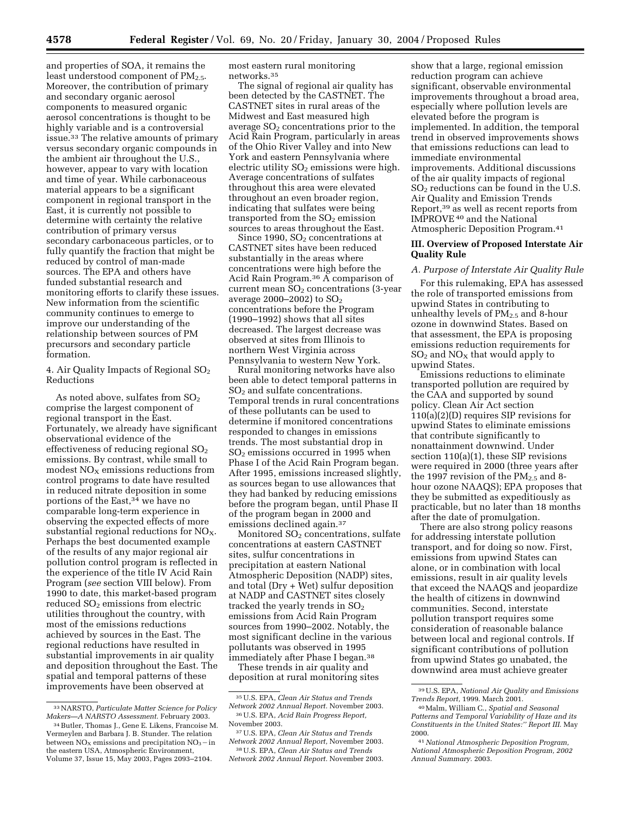and properties of SOA, it remains the least understood component of  $PM_{2.5}$ . Moreover, the contribution of primary and secondary organic aerosol components to measured organic aerosol concentrations is thought to be highly variable and is a controversial issue.33 The relative amounts of primary versus secondary organic compounds in the ambient air throughout the U.S., however, appear to vary with location and time of year. While carbonaceous material appears to be a significant component in regional transport in the East, it is currently not possible to determine with certainty the relative contribution of primary versus secondary carbonaceous particles, or to fully quantify the fraction that might be reduced by control of man-made sources. The EPA and others have funded substantial research and monitoring efforts to clarify these issues. New information from the scientific community continues to emerge to improve our understanding of the relationship between sources of PM precursors and secondary particle formation.

4. Air Quality Impacts of Regional  $SO<sub>2</sub>$ Reductions

As noted above, sulfates from  $SO<sub>2</sub>$ comprise the largest component of regional transport in the East. Fortunately, we already have significant observational evidence of the effectiveness of reducing regional  $SO<sub>2</sub>$ emissions. By contrast, while small to modest  $NO<sub>x</sub>$  emissions reductions from control programs to date have resulted in reduced nitrate deposition in some portions of the East,<sup>34</sup> we have no comparable long-term experience in observing the expected effects of more substantial regional reductions for  $NO<sub>X</sub>$ . Perhaps the best documented example of the results of any major regional air pollution control program is reflected in the experience of the title IV Acid Rain Program (*see* section VIII below). From 1990 to date, this market-based program reduced SO<sub>2</sub> emissions from electric utilities throughout the country, with most of the emissions reductions achieved by sources in the East. The regional reductions have resulted in substantial improvements in air quality and deposition throughout the East. The spatial and temporal patterns of these improvements have been observed at

most eastern rural monitoring networks.35

The signal of regional air quality has been detected by the CASTNET. The CASTNET sites in rural areas of the Midwest and East measured high average  $SO<sub>2</sub>$  concentrations prior to the Acid Rain Program, particularly in areas of the Ohio River Valley and into New York and eastern Pennsylvania where electric utility  $SO<sub>2</sub>$  emissions were high. Average concentrations of sulfates throughout this area were elevated throughout an even broader region, indicating that sulfates were being transported from the  $SO<sub>2</sub>$  emission sources to areas throughout the East.

Since 1990,  $SO<sub>2</sub>$  concentrations at CASTNET sites have been reduced substantially in the areas where concentrations were high before the Acid Rain Program.36 A comparison of current mean  $SO<sub>2</sub>$  concentrations (3-year average 2000–2002) to  $SO_2$ concentrations before the Program (1990–1992) shows that all sites decreased. The largest decrease was observed at sites from Illinois to northern West Virginia across Pennsylvania to western New York.

Rural monitoring networks have also been able to detect temporal patterns in SO<sub>2</sub> and sulfate concentrations. Temporal trends in rural concentrations of these pollutants can be used to determine if monitored concentrations responded to changes in emissions trends. The most substantial drop in SO2 emissions occurred in 1995 when Phase I of the Acid Rain Program began. After 1995, emissions increased slightly, as sources began to use allowances that they had banked by reducing emissions before the program began, until Phase II of the program began in 2000 and emissions declined again.<sup>37</sup>

Monitored  $SO<sub>2</sub>$  concentrations, sulfate concentrations at eastern CASTNET sites, sulfur concentrations in precipitation at eastern National Atmospheric Deposition (NADP) sites, and total (Dry + Wet) sulfur deposition at NADP and CASTNET sites closely tracked the yearly trends in  $SO<sub>2</sub>$ emissions from Acid Rain Program sources from 1990–2002. Notably, the most significant decline in the various pollutants was observed in 1995 immediately after Phase I began.38

These trends in air quality and deposition at rural monitoring sites

show that a large, regional emission reduction program can achieve significant, observable environmental improvements throughout a broad area, especially where pollution levels are elevated before the program is implemented. In addition, the temporal trend in observed improvements shows that emissions reductions can lead to immediate environmental improvements. Additional discussions of the air quality impacts of regional  $SO<sub>2</sub>$  reductions can be found in the U.S. Air Quality and Emission Trends Report,39 as well as recent reports from IMPROVE 40 and the National Atmospheric Deposition Program.41

#### **III. Overview of Proposed Interstate Air Quality Rule**

## *A. Purpose of Interstate Air Quality Rule*

For this rulemaking, EPA has assessed the role of transported emissions from upwind States in contributing to unhealthy levels of  $PM_{2.5}$  and 8-hour ozone in downwind States. Based on that assessment, the EPA is proposing emissions reduction requirements for  $SO<sub>2</sub>$  and  $NO<sub>X</sub>$  that would apply to upwind States.

Emissions reductions to eliminate transported pollution are required by the CAA and supported by sound policy. Clean Air Act section 110(a)(2)(D) requires SIP revisions for upwind States to eliminate emissions that contribute significantly to nonattainment downwind. Under section 110(a)(1), these SIP revisions were required in 2000 (three years after the 1997 revision of the  $PM_{2.5}$  and 8hour ozone NAAQS); EPA proposes that they be submitted as expeditiously as practicable, but no later than 18 months after the date of promulgation.

There are also strong policy reasons for addressing interstate pollution transport, and for doing so now. First, emissions from upwind States can alone, or in combination with local emissions, result in air quality levels that exceed the NAAQS and jeopardize the health of citizens in downwind communities. Second, interstate pollution transport requires some consideration of reasonable balance between local and regional controls. If significant contributions of pollution from upwind States go unabated, the downwind area must achieve greater

<sup>33</sup>NARSTO, *Particulate Matter Science for Policy Makers—A NARSTO Assessment.* February 2003.

<sup>34</sup>Butler, Thomas J., Gene E. Likens, Francoise M. Vermeylen and Barbara J. B. Stunder. The relation between  $NO<sub>x</sub>$  emissions and precipitation  $NO<sub>3</sub>$  - in the eastern USA, Atmospheric Environment, Volume 37, Issue 15, May 2003, Pages 2093–2104.

<sup>35</sup>U.S. EPA, *Clean Air Status and Trends Network 2002 Annual Report.* November 2003.

<sup>36</sup>U.S. EPA, *Acid Rain Progress Report,* November 2003.

<sup>37</sup>U.S. EPA, *Clean Air Status and Trends Network 2002 Annual Report,* November 2003.

<sup>38</sup>U.S. EPA, *Clean Air Status and Trends Network 2002 Annual Report.* November 2003.

<sup>39</sup>U.S. EPA, *National Air Quality and Emissions Trends Report,* 1999. March 2001.

<sup>40</sup>Malm, William C., *Spatial and Seasonal Patterns and Temporal Variability of Haze and its Constituents in the United States:'' Report III.* May 2000.

<sup>41</sup>*National Atmospheric Deposition Program, National Atmospheric Deposition Program, 2002 Annual Summary.* 2003.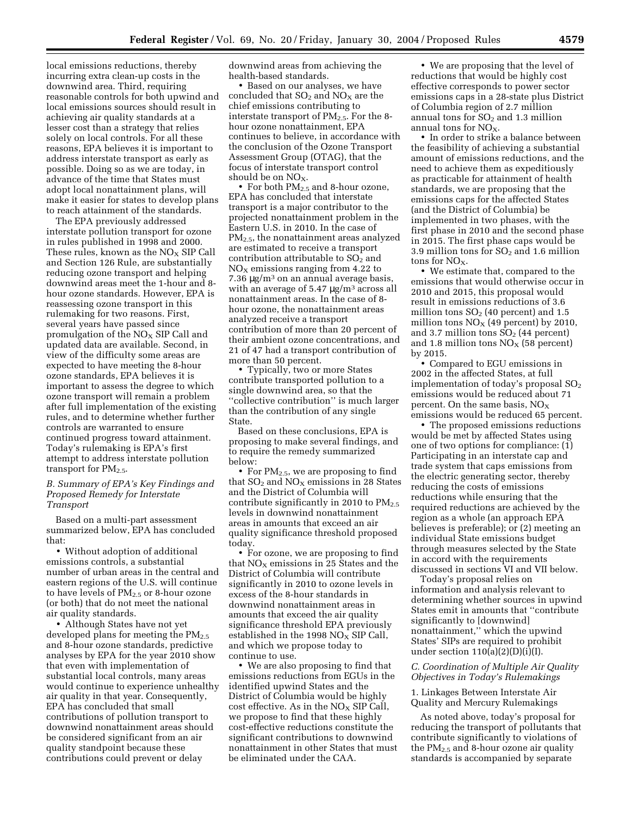local emissions reductions, thereby incurring extra clean-up costs in the downwind area. Third, requiring reasonable controls for both upwind and local emissions sources should result in achieving air quality standards at a lesser cost than a strategy that relies solely on local controls. For all these reasons, EPA believes it is important to address interstate transport as early as possible. Doing so as we are today, in advance of the time that States must adopt local nonattainment plans, will make it easier for states to develop plans to reach attainment of the standards.

The EPA previously addressed interstate pollution transport for ozone in rules published in 1998 and 2000. These rules, known as the  $NO<sub>X</sub>$  SIP Call and Section 126 Rule, are substantially reducing ozone transport and helping downwind areas meet the 1-hour and 8 hour ozone standards. However, EPA is reassessing ozone transport in this rulemaking for two reasons. First, several years have passed since promulgation of the  $NO<sub>X</sub>$  SIP Call and updated data are available. Second, in view of the difficulty some areas are expected to have meeting the 8-hour ozone standards, EPA believes it is important to assess the degree to which ozone transport will remain a problem after full implementation of the existing rules, and to determine whether further controls are warranted to ensure continued progress toward attainment. Today's rulemaking is EPA's first attempt to address interstate pollution transport for  $PM_{2.5}$ .

*B. Summary of EPA's Key Findings and Proposed Remedy for Interstate Transport* 

Based on a multi-part assessment summarized below, EPA has concluded that:

• Without adoption of additional emissions controls, a substantial number of urban areas in the central and eastern regions of the U.S. will continue to have levels of  $PM_{2.5}$  or 8-hour ozone (or both) that do not meet the national air quality standards.

• Although States have not yet developed plans for meeting the PM<sub>2.5</sub> and 8-hour ozone standards, predictive analyses by EPA for the year 2010 show that even with implementation of substantial local controls, many areas would continue to experience unhealthy air quality in that year. Consequently, EPA has concluded that small contributions of pollution transport to downwind nonattainment areas should be considered significant from an air quality standpoint because these contributions could prevent or delay

downwind areas from achieving the health-based standards.

• Based on our analyses, we have concluded that  $SO_2$  and  $NO_X$  are the chief emissions contributing to interstate transport of  $PM_{2.5}$ . For the 8hour ozone nonattainment, EPA continues to believe, in accordance with the conclusion of the Ozone Transport Assessment Group (OTAG), that the focus of interstate transport control should be on  $NO<sub>x</sub>$ .

• For both  $PM_{2.5}$  and 8-hour ozone, EPA has concluded that interstate transport is a major contributor to the projected nonattainment problem in the Eastern U.S. in 2010. In the case of PM2.5, the nonattainment areas analyzed are estimated to receive a transport contribution attributable to  $SO<sub>2</sub>$  and  $NO<sub>x</sub>$  emissions ranging from 4.22 to 7.36  $\mu$ g/m<sup>3</sup> on an annual average basis, with an average of  $5.47 \mu g/m^3$  across all nonattainment areas. In the case of 8 hour ozone, the nonattainment areas analyzed receive a transport contribution of more than 20 percent of their ambient ozone concentrations, and 21 of 47 had a transport contribution of more than 50 percent.

• Typically, two or more States contribute transported pollution to a single downwind area, so that the ''collective contribution'' is much larger than the contribution of any single State.

Based on these conclusions, EPA is proposing to make several findings, and to require the remedy summarized below:

• For  $PM_{2.5}$ , we are proposing to find that  $SO_2$  and  $NO_X$  emissions in 28 States and the District of Columbia will contribute significantly in 2010 to  $PM_{2.5}$ levels in downwind nonattainment areas in amounts that exceed an air quality significance threshold proposed today.

• For ozone, we are proposing to find that  $NO<sub>x</sub>$  emissions in 25 States and the District of Columbia will contribute significantly in 2010 to ozone levels in excess of the 8-hour standards in downwind nonattainment areas in amounts that exceed the air quality significance threshold EPA previously established in the 1998  $NO<sub>x</sub>$  SIP Call, and which we propose today to continue to use.

• We are also proposing to find that emissions reductions from EGUs in the identified upwind States and the District of Columbia would be highly cost effective. As in the  $NO<sub>x</sub>$  SIP Call, we propose to find that these highly cost-effective reductions constitute the significant contributions to downwind nonattainment in other States that must be eliminated under the CAA.

• We are proposing that the level of reductions that would be highly cost effective corresponds to power sector emissions caps in a 28-state plus District of Columbia region of 2.7 million annual tons for  $SO<sub>2</sub>$  and 1.3 million annual tons for  $NO<sub>x</sub>$ .

• In order to strike a balance between the feasibility of achieving a substantial amount of emissions reductions, and the need to achieve them as expeditiously as practicable for attainment of health standards, we are proposing that the emissions caps for the affected States (and the District of Columbia) be implemented in two phases, with the first phase in 2010 and the second phase in 2015. The first phase caps would be 3.9 million tons for  $SO<sub>2</sub>$  and 1.6 million tons for  $NO<sub>x</sub>$ .

• We estimate that, compared to the emissions that would otherwise occur in 2010 and 2015, this proposal would result in emissions reductions of 3.6 million tons  $SO<sub>2</sub>$  (40 percent) and 1.5 million tons  $NO<sub>x</sub>$  (49 percent) by 2010, and 3.7 million tons  $SO<sub>2</sub>$  (44 percent) and 1.8 million tons  $NO<sub>X</sub>$  (58 percent) by 2015.

• Compared to EGU emissions in 2002 in the affected States, at full implementation of today's proposal SO<sub>2</sub> emissions would be reduced about 71 percent. On the same basis,  $NO<sub>x</sub>$ emissions would be reduced 65 percent.

• The proposed emissions reductions would be met by affected States using one of two options for compliance: (1) Participating in an interstate cap and trade system that caps emissions from the electric generating sector, thereby reducing the costs of emissions reductions while ensuring that the required reductions are achieved by the region as a whole (an approach EPA believes is preferable); or (2) meeting an individual State emissions budget through measures selected by the State in accord with the requirements discussed in sections VI and VII below.

Today's proposal relies on information and analysis relevant to determining whether sources in upwind States emit in amounts that ''contribute significantly to [downwind] nonattainment,'' which the upwind States' SIPs are required to prohibit under section  $110(a)(2)(D)(i)(I)$ .

#### *C. Coordination of Multiple Air Quality Objectives in Today's Rulemakings*

1. Linkages Between Interstate Air Quality and Mercury Rulemakings

As noted above, today's proposal for reducing the transport of pollutants that contribute significantly to violations of the  $PM_{2.5}$  and 8-hour ozone air quality standards is accompanied by separate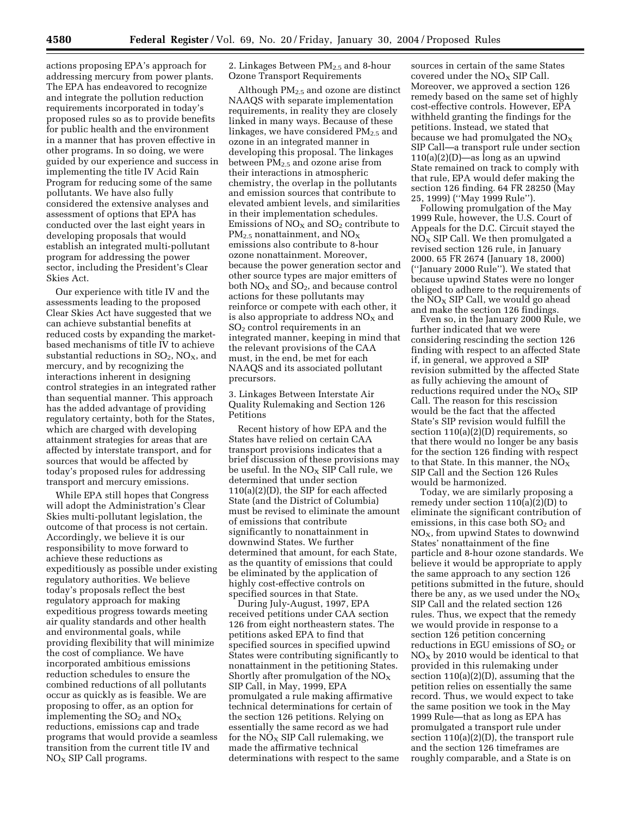actions proposing EPA's approach for addressing mercury from power plants. The EPA has endeavored to recognize and integrate the pollution reduction requirements incorporated in today's proposed rules so as to provide benefits for public health and the environment in a manner that has proven effective in other programs. In so doing, we were guided by our experience and success in implementing the title IV Acid Rain Program for reducing some of the same pollutants. We have also fully considered the extensive analyses and assessment of options that EPA has conducted over the last eight years in developing proposals that would establish an integrated multi-pollutant program for addressing the power sector, including the President's Clear Skies Act.

Our experience with title IV and the assessments leading to the proposed Clear Skies Act have suggested that we can achieve substantial benefits at reduced costs by expanding the marketbased mechanisms of title IV to achieve substantial reductions in  $SO_2$ ,  $NO_X$ , and mercury, and by recognizing the interactions inherent in designing control strategies in an integrated rather than sequential manner. This approach has the added advantage of providing regulatory certainty, both for the States, which are charged with developing attainment strategies for areas that are affected by interstate transport, and for sources that would be affected by today's proposed rules for addressing transport and mercury emissions.

While EPA still hopes that Congress will adopt the Administration's Clear Skies multi-pollutant legislation, the outcome of that process is not certain. Accordingly, we believe it is our responsibility to move forward to achieve these reductions as expeditiously as possible under existing regulatory authorities. We believe today's proposals reflect the best regulatory approach for making expeditious progress towards meeting air quality standards and other health and environmental goals, while providing flexibility that will minimize the cost of compliance. We have incorporated ambitious emissions reduction schedules to ensure the combined reductions of all pollutants occur as quickly as is feasible. We are proposing to offer, as an option for implementing the  $SO_2$  and  $NO_X$ reductions, emissions cap and trade programs that would provide a seamless transition from the current title IV and  $NO<sub>x</sub>$  SIP Call programs.

2. Linkages Between PM2.5 and 8-hour Ozone Transport Requirements

Although  $PM<sub>2.5</sub>$  and ozone are distinct NAAQS with separate implementation requirements, in reality they are closely linked in many ways. Because of these linkages, we have considered  $PM_{2.5}$  and ozone in an integrated manner in developing this proposal. The linkages between  $PM_{2.5}$  and ozone arise from their interactions in atmospheric chemistry, the overlap in the pollutants and emission sources that contribute to elevated ambient levels, and similarities in their implementation schedules. Emissions of  $NO<sub>x</sub>$  and  $SO<sub>2</sub>$  contribute to  $PM_{2.5}$  nonattainment, and  $NO_X$ emissions also contribute to 8-hour ozone nonattainment. Moreover, because the power generation sector and other source types are major emitters of both  $NO<sub>X</sub>$  and  $SO<sub>2</sub>$ , and because control actions for these pollutants may reinforce or compete with each other, it is also appropriate to address  $NO<sub>x</sub>$  and SO2 control requirements in an integrated manner, keeping in mind that the relevant provisions of the CAA must, in the end, be met for each NAAQS and its associated pollutant precursors.

3. Linkages Between Interstate Air Quality Rulemaking and Section 126 Petitions

Recent history of how EPA and the States have relied on certain CAA transport provisions indicates that a brief discussion of these provisions may be useful. In the  $NO<sub>X</sub>$  SIP Call rule, we determined that under section 110(a)(2)(D), the SIP for each affected State (and the District of Columbia) must be revised to eliminate the amount of emissions that contribute significantly to nonattainment in downwind States. We further determined that amount, for each State, as the quantity of emissions that could be eliminated by the application of highly cost-effective controls on specified sources in that State.

During July-August, 1997, EPA received petitions under CAA section 126 from eight northeastern states. The petitions asked EPA to find that specified sources in specified upwind States were contributing significantly to nonattainment in the petitioning States. Shortly after promulgation of the  $NO<sub>X</sub>$ SIP Call, in May, 1999, EPA promulgated a rule making affirmative technical determinations for certain of the section 126 petitions. Relying on essentially the same record as we had for the  $N\ddot{O}_X$  SIP Call rulemaking, we made the affirmative technical determinations with respect to the same sources in certain of the same States covered under the  $NO<sub>x</sub>$  SIP Call. Moreover, we approved a section 126 remedy based on the same set of highly cost-effective controls. However, EPA withheld granting the findings for the petitions. Instead, we stated that because we had promulgated the  $NO<sub>X</sub>$ SIP Call—a transport rule under section  $110(a)(2)(D)$ —as long as an upwind State remained on track to comply with that rule, EPA would defer making the section 126 finding. 64 FR 28250 (May 25, 1999) (''May 1999 Rule'').

Following promulgation of the May 1999 Rule, however, the U.S. Court of Appeals for the D.C. Circuit stayed the  $NO<sub>X</sub>$  SIP Call. We then promulgated a revised section 126 rule, in January 2000. 65 FR 2674 (January 18, 2000) (''January 2000 Rule''). We stated that because upwind States were no longer obliged to adhere to the requirements of the  $NO<sub>X</sub>$  SIP Call, we would go ahead and make the section 126 findings.

Even so, in the January 2000 Rule, we further indicated that we were considering rescinding the section 126 finding with respect to an affected State if, in general, we approved a SIP revision submitted by the affected State as fully achieving the amount of reductions required under the  $NO<sub>x</sub>$  SIP Call. The reason for this rescission would be the fact that the affected State's SIP revision would fulfill the section 110(a)(2)(D) requirements, so that there would no longer be any basis for the section 126 finding with respect to that State. In this manner, the  $NO<sub>x</sub>$ SIP Call and the Section 126 Rules would be harmonized.

Today, we are similarly proposing a remedy under section 110(a)(2)(D) to eliminate the significant contribution of emissions, in this case both  $SO<sub>2</sub>$  and  $NO<sub>X</sub>$ , from upwind States to downwind States' nonattainment of the fine particle and 8-hour ozone standards. We believe it would be appropriate to apply the same approach to any section 126 petitions submitted in the future, should there be any, as we used under the  $NO<sub>x</sub>$ SIP Call and the related section 126 rules. Thus, we expect that the remedy we would provide in response to a section 126 petition concerning reductions in EGU emissions of  $SO<sub>2</sub>$  or  $NO<sub>x</sub>$  by 2010 would be identical to that provided in this rulemaking under section 110(a)(2)(D), assuming that the petition relies on essentially the same record. Thus, we would expect to take the same position we took in the May 1999 Rule—that as long as EPA has promulgated a transport rule under section 110(a)(2)(D), the transport rule and the section 126 timeframes are roughly comparable, and a State is on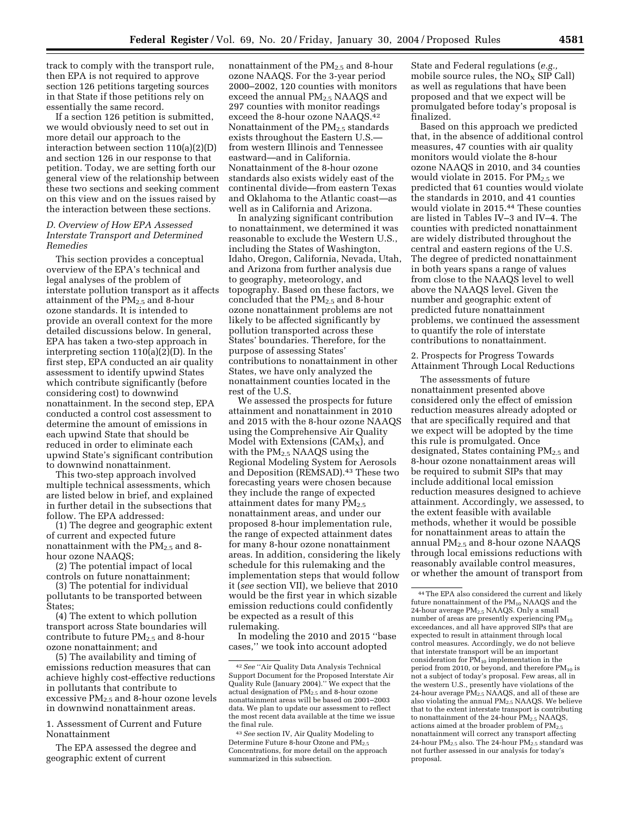track to comply with the transport rule, then EPA is not required to approve section 126 petitions targeting sources in that State if those petitions rely on essentially the same record.

If a section 126 petition is submitted, we would obviously need to set out in more detail our approach to the interaction between section 110(a)(2)(D) and section 126 in our response to that petition. Today, we are setting forth our general view of the relationship between these two sections and seeking comment on this view and on the issues raised by the interaction between these sections.

#### *D. Overview of How EPA Assessed Interstate Transport and Determined Remedies*

This section provides a conceptual overview of the EPA's technical and legal analyses of the problem of interstate pollution transport as it affects attainment of the PM2.5 and 8-hour ozone standards. It is intended to provide an overall context for the more detailed discussions below. In general, EPA has taken a two-step approach in interpreting section 110(a)(2)(D). In the first step, EPA conducted an air quality assessment to identify upwind States which contribute significantly (before considering cost) to downwind nonattainment. In the second step, EPA conducted a control cost assessment to determine the amount of emissions in each upwind State that should be reduced in order to eliminate each upwind State's significant contribution to downwind nonattainment.

This two-step approach involved multiple technical assessments, which are listed below in brief, and explained in further detail in the subsections that follow. The EPA addressed:

(1) The degree and geographic extent of current and expected future nonattainment with the  $PM_{2.5}$  and 8hour ozone NAAQS;

(2) The potential impact of local controls on future nonattainment;

(3) The potential for individual pollutants to be transported between States;

(4) The extent to which pollution transport across State boundaries will contribute to future  $PM_{2.5}$  and 8-hour ozone nonattainment; and

(5) The availability and timing of emissions reduction measures that can achieve highly cost-effective reductions in pollutants that contribute to excessive  $PM_{2.5}$  and 8-hour ozone levels in downwind nonattainment areas.

1. Assessment of Current and Future Nonattainment

The EPA assessed the degree and geographic extent of current

nonattainment of the PM2.5 and 8-hour ozone NAAQS. For the 3-year period 2000–2002, 120 counties with monitors exceed the annual PM<sub>2.5</sub> NAAQS and 297 counties with monitor readings exceed the 8-hour ozone NAAQS.42 Nonattainment of the  $PM_{2.5}$  standards exists throughout the Eastern U.S. from western Illinois and Tennessee eastward—and in California. Nonattainment of the 8-hour ozone standards also exists widely east of the continental divide—from eastern Texas and Oklahoma to the Atlantic coast—as well as in California and Arizona.

In analyzing significant contribution to nonattainment, we determined it was reasonable to exclude the Western U.S., including the States of Washington, Idaho, Oregon, California, Nevada, Utah, and Arizona from further analysis due to geography, meteorology, and topography. Based on these factors, we concluded that the  $PM_{2.5}$  and 8-hour ozone nonattainment problems are not likely to be affected significantly by pollution transported across these States' boundaries. Therefore, for the purpose of assessing States' contributions to nonattainment in other States, we have only analyzed the nonattainment counties located in the rest of the U.S.

We assessed the prospects for future attainment and nonattainment in 2010 and 2015 with the 8-hour ozone NAAQS using the Comprehensive Air Quality Model with Extensions  $(CAM_X)$ , and with the PM<sub>2.5</sub> NAAQS using the Regional Modeling System for Aerosols and Deposition (REMSAD).<sup>43</sup> These two forecasting years were chosen because they include the range of expected attainment dates for many  $PM_{2.5}$ nonattainment areas, and under our proposed 8-hour implementation rule, the range of expected attainment dates for many 8-hour ozone nonattainment areas. In addition, considering the likely schedule for this rulemaking and the implementation steps that would follow it (*see* section VII), we believe that 2010 would be the first year in which sizable emission reductions could confidently be expected as a result of this rulemaking.

In modeling the 2010 and 2015 ''base cases,'' we took into account adopted

State and Federal regulations (*e.g.,* mobile source rules, the  $NO<sub>X</sub>$  SIP Call) as well as regulations that have been proposed and that we expect will be promulgated before today's proposal is finalized.

Based on this approach we predicted that, in the absence of additional control measures, 47 counties with air quality monitors would violate the 8-hour ozone NAAQS in 2010, and 34 counties would violate in 2015. For  $PM_{2.5}$  we predicted that 61 counties would violate the standards in 2010, and 41 counties would violate in 2015.44 These counties are listed in Tables IV–3 and IV–4. The counties with predicted nonattainment are widely distributed throughout the central and eastern regions of the U.S. The degree of predicted nonattainment in both years spans a range of values from close to the NAAQS level to well above the NAAQS level. Given the number and geographic extent of predicted future nonattainment problems, we continued the assessment to quantify the role of interstate contributions to nonattainment.

2. Prospects for Progress Towards Attainment Through Local Reductions

The assessments of future nonattainment presented above considered only the effect of emission reduction measures already adopted or that are specifically required and that we expect will be adopted by the time this rule is promulgated. Once designated, States containing  $PM_{2.5}$  and 8-hour ozone nonattainment areas will be required to submit SIPs that may include additional local emission reduction measures designed to achieve attainment. Accordingly, we assessed, to the extent feasible with available methods, whether it would be possible for nonattainment areas to attain the annual PM2.5 and 8-hour ozone NAAQS through local emissions reductions with reasonably available control measures, or whether the amount of transport from

<sup>42</sup>*See* ''Air Quality Data Analysis Technical Support Document for the Proposed Interstate Air Quality Rule (January 2004).'' We expect that the actual designation of PM<sub>2.5</sub> and 8-hour ozone nonattainment areas will be based on 2001–2003 data. We plan to update our assessment to reflect the most recent data available at the time we issue the final rule.

<sup>43</sup>*See* section IV, Air Quality Modeling to Determine Future 8-hour Ozone and PM2.5 Concentrations, for more detail on the approach summarized in this subsection.

<sup>44</sup>The EPA also considered the current and likely future nonattainment of the  $PM_{10}$  NAAQS and the 24-hour average  $\text{PM}_{2.5}$  NAAQS. Only a small number of areas are presently experiencing  $PM_{10}$ exceedances, and all have approved SIPs that are expected to result in attainment through local control measures. Accordingly, we do not believe that interstate transport will be an important consideration for  $PM_{10}$  implementation in the period from 2010, or beyond, and therefore  $PM_{10}$  is not a subject of today's proposal. Few areas, all in the western U.S., presently have violations of the 24-hour average PM<sub>2.5</sub> NAAQS, and all of these are also violating the annual PM<sub>2.5</sub> NAAQS. We believe that to the extent interstate transport is contributing to nonattainment of the 24-hour  $PM_{2.5}$  NAAQS, actions aimed at the broader problem of  $PM_{2.5}$ nonattainment will correct any transport affecting 24-hour PM<sub>2.5</sub> also. The 24-hour PM<sub>2.5</sub> standard was not further assessed in our analysis for today's proposal.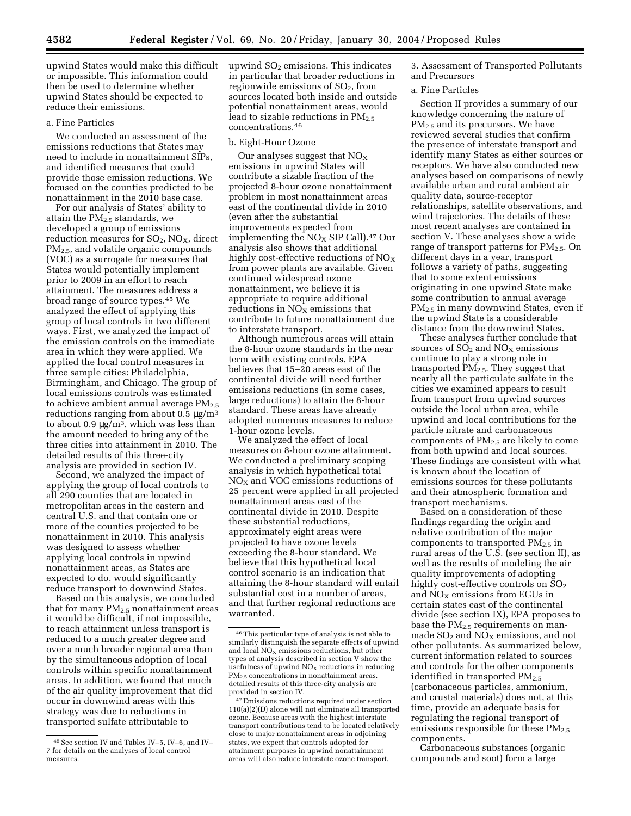upwind States would make this difficult or impossible. This information could then be used to determine whether upwind States should be expected to reduce their emissions.

#### a. Fine Particles

We conducted an assessment of the emissions reductions that States may need to include in nonattainment SIPs, and identified measures that could provide those emission reductions. We focused on the counties predicted to be nonattainment in the 2010 base case.

For our analysis of States' ability to attain the PM2.5 standards, we developed a group of emissions reduction measures for  $SO_2$ ,  $NO_X$ , direct PM2.5, and volatile organic compounds (VOC) as a surrogate for measures that States would potentially implement prior to 2009 in an effort to reach attainment. The measures address a broad range of source types.45 We analyzed the effect of applying this group of local controls in two different ways. First, we analyzed the impact of the emission controls on the immediate area in which they were applied. We applied the local control measures in three sample cities: Philadelphia, Birmingham, and Chicago. The group of local emissions controls was estimated to achieve ambient annual average  $PM_{2.5}$ reductions ranging from about  $0.5 \mu g/m^3$ to about  $0.9 \,\mathrm{\upmu g/m^3}$ , which was less than the amount needed to bring any of the three cities into attainment in 2010. The detailed results of this three-city analysis are provided in section IV.

Second, we analyzed the impact of applying the group of local controls to all 290 counties that are located in metropolitan areas in the eastern and central U.S. and that contain one or more of the counties projected to be nonattainment in 2010. This analysis was designed to assess whether applying local controls in upwind nonattainment areas, as States are expected to do, would significantly reduce transport to downwind States.

Based on this analysis, we concluded that for many  $PM_{2.5}$  nonattainment areas it would be difficult, if not impossible, to reach attainment unless transport is reduced to a much greater degree and over a much broader regional area than by the simultaneous adoption of local controls within specific nonattainment areas. In addition, we found that much of the air quality improvement that did occur in downwind areas with this strategy was due to reductions in transported sulfate attributable to

upwind  $SO<sub>2</sub>$  emissions. This indicates in particular that broader reductions in regionwide emissions of  $SO<sub>2</sub>$ , from sources located both inside and outside potential nonattainment areas, would lead to sizable reductions in  $PM_{2.5}$ concentrations.46

#### b. Eight-Hour Ozone

Our analyses suggest that  $NO<sub>x</sub>$ emissions in upwind States will contribute a sizable fraction of the projected 8-hour ozone nonattainment problem in most nonattainment areas east of the continental divide in 2010 (even after the substantial improvements expected from implementing the  $NO<sub>x</sub>$  SIP Call).<sup>47</sup> Our analysis also shows that additional highly cost-effective reductions of  $NO<sub>x</sub>$ from power plants are available. Given continued widespread ozone nonattainment, we believe it is appropriate to require additional reductions in  $NO<sub>x</sub>$  emissions that contribute to future nonattainment due to interstate transport.

Although numerous areas will attain the 8-hour ozone standards in the near term with existing controls, EPA believes that 15–20 areas east of the continental divide will need further emissions reductions (in some cases, large reductions) to attain the 8-hour standard. These areas have already adopted numerous measures to reduce 1-hour ozone levels.

We analyzed the effect of local measures on 8-hour ozone attainment. We conducted a preliminary scoping analysis in which hypothetical total  $NO<sub>X</sub>$  and VOC emissions reductions of 25 percent were applied in all projected nonattainment areas east of the continental divide in 2010. Despite these substantial reductions, approximately eight areas were projected to have ozone levels exceeding the 8-hour standard. We believe that this hypothetical local control scenario is an indication that attaining the 8-hour standard will entail substantial cost in a number of areas, and that further regional reductions are warranted.

3. Assessment of Transported Pollutants and Precursors

#### a. Fine Particles

Section II provides a summary of our knowledge concerning the nature of PM<sub>2.5</sub> and its precursors. We have reviewed several studies that confirm the presence of interstate transport and identify many States as either sources or receptors. We have also conducted new analyses based on comparisons of newly available urban and rural ambient air quality data, source-receptor relationships, satellite observations, and wind trajectories. The details of these most recent analyses are contained in section V. These analyses show a wide range of transport patterns for  $PM_{2.5}$ . On different days in a year, transport follows a variety of paths, suggesting that to some extent emissions originating in one upwind State make some contribution to annual average PM2.5 in many downwind States, even if the upwind State is a considerable distance from the downwind States.

These analyses further conclude that sources of  $SO<sub>2</sub>$  and  $NO<sub>X</sub>$  emissions continue to play a strong role in transported PM2.5. They suggest that nearly all the particulate sulfate in the cities we examined appears to result from transport from upwind sources outside the local urban area, while upwind and local contributions for the particle nitrate and carbonaceous components of  $PM<sub>2.5</sub>$  are likely to come from both upwind and local sources. These findings are consistent with what is known about the location of emissions sources for these pollutants and their atmospheric formation and transport mechanisms.

Based on a consideration of these findings regarding the origin and relative contribution of the major components to transported  $PM_{2.5}$  in rural areas of the U.S. (see section II), as well as the results of modeling the air quality improvements of adopting highly cost-effective controls on  $SO<sub>2</sub>$ and  $NO<sub>X</sub>$  emissions from EGUs in certain states east of the continental divide (see section IX), EPA proposes to base the  $PM_{2.5}$  requirements on manmade  $SO_2$  and  $NO<sub>X</sub>$  emissions, and not other pollutants. As summarized below, current information related to sources and controls for the other components identified in transported  $PM_{2.5}$ (carbonaceous particles, ammonium, and crustal materials) does not, at this time, provide an adequate basis for regulating the regional transport of emissions responsible for these  $PM_{2,5}$ components.

Carbonaceous substances (organic compounds and soot) form a large

<sup>45</sup>See section IV and Tables IV–5, IV–6, and IV– 7 for details on the analyses of local control measures.

<sup>46</sup>This particular type of analysis is not able to similarly distinguish the separate effects of upwind and local  $NO<sub>x</sub>$  emissions reductions, but other types of analysis described in section V show the usefulness of upwind  $NO<sub>x</sub>$  reductions in reducing  $PM<sub>2</sub>$ , concentrations in nonattainment areas. detailed results of this three-city analysis are provided in section IV.

<sup>47</sup>Emissions reductions required under section 110(a)(2)(D) alone will not eliminate all transported ozone. Because areas with the highest interstate transport contributions tend to be located relatively close to major nonattainment areas in adjoining states, we expect that controls adopted for attainment purposes in upwind nonattainment areas will also reduce interstate ozone transport.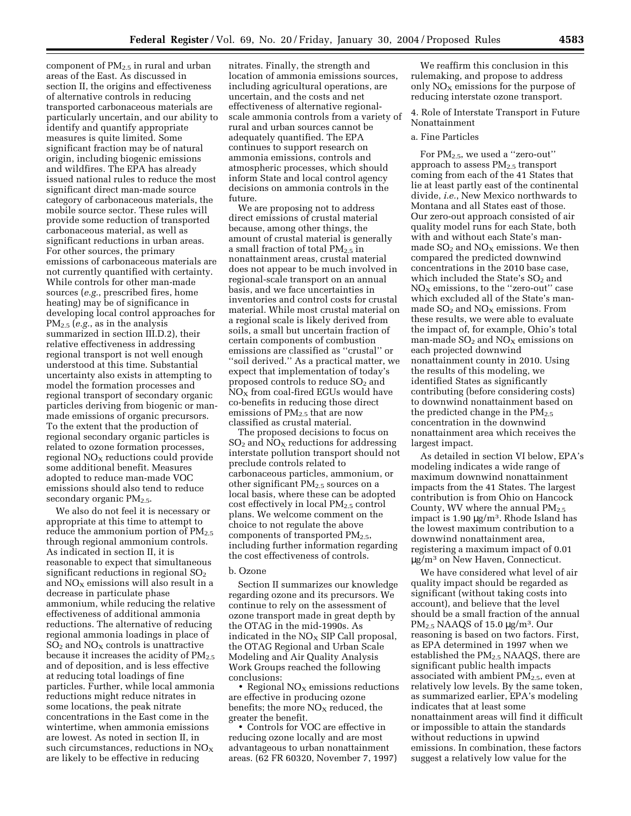component of PM2.5 in rural and urban areas of the East. As discussed in section II, the origins and effectiveness of alternative controls in reducing transported carbonaceous materials are particularly uncertain, and our ability to identify and quantify appropriate measures is quite limited. Some significant fraction may be of natural origin, including biogenic emissions and wildfires. The EPA has already issued national rules to reduce the most significant direct man-made source category of carbonaceous materials, the mobile source sector. These rules will provide some reduction of transported carbonaceous material, as well as significant reductions in urban areas. For other sources, the primary emissions of carbonaceous materials are not currently quantified with certainty. While controls for other man-made sources (*e.g.*, prescribed fires, home heating) may be of significance in developing local control approaches for PM2.5 (*e.g.*, as in the analysis summarized in section III.D.2), their relative effectiveness in addressing regional transport is not well enough understood at this time. Substantial uncertainty also exists in attempting to model the formation processes and regional transport of secondary organic particles deriving from biogenic or manmade emissions of organic precursors. To the extent that the production of regional secondary organic particles is related to ozone formation processes, regional  $NO<sub>x</sub>$  reductions could provide some additional benefit. Measures adopted to reduce man-made VOC emissions should also tend to reduce secondary organic  $PM<sub>2.5</sub>$ .

We also do not feel it is necessary or appropriate at this time to attempt to reduce the ammonium portion of  $PM_{2.5}$ through regional ammonium controls. As indicated in section II, it is reasonable to expect that simultaneous significant reductions in regional  $SO<sub>2</sub>$ and  $NO<sub>X</sub>$  emissions will also result in a decrease in particulate phase ammonium, while reducing the relative effectiveness of additional ammonia reductions. The alternative of reducing regional ammonia loadings in place of  $SO<sub>2</sub>$  and  $NO<sub>X</sub>$  controls is unattractive because it increases the acidity of  $PM_{2.5}$ and of deposition, and is less effective at reducing total loadings of fine particles. Further, while local ammonia reductions might reduce nitrates in some locations, the peak nitrate concentrations in the East come in the wintertime, when ammonia emissions are lowest. As noted in section II, in such circumstances, reductions in  $NO<sub>x</sub>$ are likely to be effective in reducing

nitrates. Finally, the strength and location of ammonia emissions sources, including agricultural operations, are uncertain, and the costs and net effectiveness of alternative regionalscale ammonia controls from a variety of rural and urban sources cannot be adequately quantified. The EPA continues to support research on ammonia emissions, controls and atmospheric processes, which should inform State and local control agency decisions on ammonia controls in the future.

We are proposing not to address direct emissions of crustal material because, among other things, the amount of crustal material is generally a small fraction of total  $PM_{2.5}$  in nonattainment areas, crustal material does not appear to be much involved in regional-scale transport on an annual basis, and we face uncertainties in inventories and control costs for crustal material. While most crustal material on a regional scale is likely derived from soils, a small but uncertain fraction of certain components of combustion emissions are classified as ''crustal'' or ''soil derived.'' As a practical matter, we expect that implementation of today's proposed controls to reduce  $SO<sub>2</sub>$  and  $NO<sub>X</sub>$  from coal-fired EGUs would have co-benefits in reducing those direct emissions of  $PM_{2.5}$  that are now classified as crustal material.

The proposed decisions to focus on  $SO<sub>2</sub>$  and  $NO<sub>X</sub>$  reductions for addressing interstate pollution transport should not preclude controls related to carbonaceous particles, ammonium, or other significant  $PM_{2,5}$  sources on a local basis, where these can be adopted cost effectively in local PM2.5 control plans. We welcome comment on the choice to not regulate the above components of transported  $PM_{2.5}$ , including further information regarding the cost effectiveness of controls.

#### b. Ozone

Section II summarizes our knowledge regarding ozone and its precursors. We continue to rely on the assessment of ozone transport made in great depth by the OTAG in the mid-1990s. As indicated in the  $NO<sub>x</sub>$  SIP Call proposal, the OTAG Regional and Urban Scale Modeling and Air Quality Analysis Work Groups reached the following conclusions:

• Regional  $NO<sub>x</sub>$  emissions reductions are effective in producing ozone benefits; the more  $NO<sub>X</sub>$  reduced, the greater the benefit.

• Controls for VOC are effective in reducing ozone locally and are most advantageous to urban nonattainment areas. (62 FR 60320, November 7, 1997)

We reaffirm this conclusion in this rulemaking, and propose to address only  $NO<sub>x</sub>$  emissions for the purpose of reducing interstate ozone transport.

4. Role of Interstate Transport in Future Nonattainment

#### a. Fine Particles

For  $PM_{2.5}$ , we used a "zero-out" approach to assess PM2.5 transport coming from each of the 41 States that lie at least partly east of the continental divide, *i.e.*, New Mexico northwards to Montana and all States east of those. Our zero-out approach consisted of air quality model runs for each State, both with and without each State's manmade  $SO<sub>2</sub>$  and  $NO<sub>X</sub>$  emissions. We then compared the predicted downwind concentrations in the 2010 base case, which included the State's  $SO<sub>2</sub>$  and  $NO<sub>x</sub>$  emissions, to the "zero-out" case which excluded all of the State's manmade  $SO_2$  and  $NO<sub>x</sub>$  emissions. From these results, we were able to evaluate the impact of, for example, Ohio's total man-made  $SO_2$  and  $NO<sub>X</sub>$  emissions on each projected downwind nonattainment county in 2010. Using the results of this modeling, we identified States as significantly contributing (before considering costs) to downwind nonattainment based on the predicted change in the  $PM_{2.5}$ concentration in the downwind nonattainment area which receives the largest impact.

As detailed in section VI below, EPA's modeling indicates a wide range of maximum downwind nonattainment impacts from the 41 States. The largest contribution is from Ohio on Hancock County, WV where the annual  $PM_{2.5}$ impact is 1.90 µg/m3. Rhode Island has the lowest maximum contribution to a downwind nonattainment area, registering a maximum impact of 0.01 µg/m3 on New Haven, Connecticut.

We have considered what level of air quality impact should be regarded as significant (without taking costs into account), and believe that the level should be a small fraction of the annual  $PM_{2.5}$  NAAQS of 15.0  $\mu$ g/m<sup>3</sup>. Our reasoning is based on two factors. First, as EPA determined in 1997 when we established the  $PM<sub>2.5</sub> NAAQS$ , there are significant public health impacts associated with ambient  $PM_{2.5}$ , even at relatively low levels. By the same token, as summarized earlier, EPA's modeling indicates that at least some nonattainment areas will find it difficult or impossible to attain the standards without reductions in upwind emissions. In combination, these factors suggest a relatively low value for the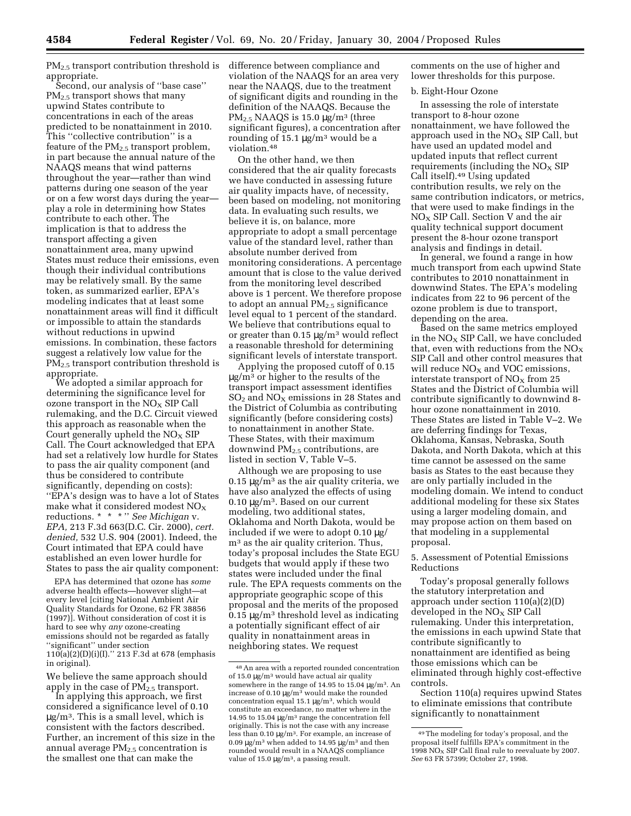PM2.5 transport contribution threshold is difference between compliance and appropriate.

Second, our analysis of ''base case'' PM<sub>2.5</sub> transport shows that many upwind States contribute to concentrations in each of the areas predicted to be nonattainment in 2010. This ''collective contribution'' is a feature of the  $PM<sub>2.5</sub>$  transport problem, in part because the annual nature of the NAAQS means that wind patterns throughout the year—rather than wind patterns during one season of the year or on a few worst days during the year play a role in determining how States contribute to each other. The implication is that to address the transport affecting a given nonattainment area, many upwind States must reduce their emissions, even though their individual contributions may be relatively small. By the same token, as summarized earlier, EPA's modeling indicates that at least some nonattainment areas will find it difficult or impossible to attain the standards without reductions in upwind emissions. In combination, these factors suggest a relatively low value for the PM2.5 transport contribution threshold is appropriate.

We adopted a similar approach for determining the significance level for ozone transport in the  $NO<sub>x</sub>$  SIP Call rulemaking, and the D.C. Circuit viewed this approach as reasonable when the Court generally upheld the  $NO<sub>x</sub>$  SIP Call. The Court acknowledged that EPA had set a relatively low hurdle for States to pass the air quality component (and thus be considered to contribute significantly, depending on costs): ''EPA's design was to have a lot of States make what it considered modest  $NO<sub>x</sub>$ reductions. \* \* \* '' *See Michigan* v. *EPA,* 213 F.3d 663(D.C. Cir. 2000), *cert. denied,* 532 U.S. 904 (2001). Indeed, the Court intimated that EPA could have established an even lower hurdle for States to pass the air quality component:

EPA has determined that ozone has *some* adverse health effects—however slight—at every level [citing National Ambient Air Quality Standards for Ozone, 62 FR 38856 (1997)]. Without consideration of cost it is hard to see why *any* ozone-creating emissions should not be regarded as fatally ''significant'' under section 110(a)(2)(D)(i)(I).'' 213 F.3d at 678 (emphasis in original).

We believe the same approach should apply in the case of  $PM_{2.5}$  transport.

In applying this approach, we first considered a significance level of 0.10  $\mu$ g/m<sup>3</sup>. This is a small level, which is consistent with the factors described. Further, an increment of this size in the annual average  $PM<sub>2.5</sub>$  concentration is the smallest one that can make the

violation of the NAAQS for an area very near the NAAQS, due to the treatment of significant digits and rounding in the definition of the NAAQS. Because the  $PM_{2.5}$  NAAQS is 15.0  $\mu$ g/m<sup>3</sup> (three significant figures), a concentration after rounding of  $15.1 \mu g/m^3$  would be a violation.48

On the other hand, we then considered that the air quality forecasts we have conducted in assessing future air quality impacts have, of necessity, been based on modeling, not monitoring data. In evaluating such results, we believe it is, on balance, more appropriate to adopt a small percentage value of the standard level, rather than absolute number derived from monitoring considerations. A percentage amount that is close to the value derived from the monitoring level described above is 1 percent. We therefore propose to adopt an annual  $PM<sub>2.5</sub>$  significance level equal to 1 percent of the standard. We believe that contributions equal to or greater than  $0.15 \mu g/m^3$  would reflect a reasonable threshold for determining significant levels of interstate transport.

Applying the proposed cutoff of 0.15  $\mu$ g/m<sup>3</sup> or higher to the results of the transport impact assessment identifies  $SO<sub>2</sub>$  and  $NO<sub>X</sub>$  emissions in 28 States and the District of Columbia as contributing significantly (before considering costs) to nonattainment in another State. These States, with their maximum downwind PM2.5 contributions, are listed in section V, Table V–5.

Although we are proposing to use  $0.15 \mu$ g/m<sup>3</sup> as the air quality criteria, we have also analyzed the effects of using  $0.10 \mu g/m<sup>3</sup>$ . Based on our current modeling, two additional states, Oklahoma and North Dakota, would be included if we were to adopt 0.10 µg/ m<sup>3</sup> as the air quality criterion. Thus, today's proposal includes the State EGU budgets that would apply if these two states were included under the final rule. The EPA requests comments on the appropriate geographic scope of this proposal and the merits of the proposed  $0.15 \mu$ g/m<sup>3</sup> threshold level as indicating a potentially significant effect of air quality in nonattainment areas in neighboring states. We request

comments on the use of higher and lower thresholds for this purpose.

#### b. Eight-Hour Ozone

In assessing the role of interstate transport to 8-hour ozone nonattainment, we have followed the approach used in the  $NO<sub>X</sub>$  SIP Call, but have used an updated model and updated inputs that reflect current requirements (including the  $NO<sub>x</sub>$  SIP Call itself).49 Using updated contribution results, we rely on the same contribution indicators, or metrics, that were used to make findings in the  $NO<sub>x</sub>$  SIP Call. Section V and the air quality technical support document present the 8-hour ozone transport analysis and findings in detail.

In general, we found a range in how much transport from each upwind State contributes to 2010 nonattainment in downwind States. The EPA's modeling indicates from 22 to 96 percent of the ozone problem is due to transport, depending on the area.

Based on the same metrics employed in the  $NO<sub>X</sub>$  SIP Call, we have concluded that, even with reductions from the  $NO<sub>x</sub>$ SIP Call and other control measures that will reduce  $NO<sub>X</sub>$  and VOC emissions, interstate transport of  $NO<sub>x</sub>$  from 25 States and the District of Columbia will contribute significantly to downwind 8 hour ozone nonattainment in 2010. These States are listed in Table V–2. We are deferring findings for Texas, Oklahoma, Kansas, Nebraska, South Dakota, and North Dakota, which at this time cannot be assessed on the same basis as States to the east because they are only partially included in the modeling domain. We intend to conduct additional modeling for these six States using a larger modeling domain, and may propose action on them based on that modeling in a supplemental proposal.

#### 5. Assessment of Potential Emissions Reductions

Today's proposal generally follows the statutory interpretation and approach under section 110(a)(2)(D) developed in the  $NO<sub>X</sub>$  SIP Call rulemaking. Under this interpretation, the emissions in each upwind State that contribute significantly to nonattainment are identified as being those emissions which can be eliminated through highly cost-effective controls.

Section 110(a) requires upwind States to eliminate emissions that contribute significantly to nonattainment

<sup>48</sup>An area with a reported rounded concentration of 15.0  $\mu$ g/m<sup>3</sup> would have actual air quality somewhere in the range of 14.95 to 15.04 µg/m3. An increase of 0.10  $\mu$ g/m<sup>3</sup> would make the rounded concentration equal 15.1 µg/m3, which would constitute an exceedance, no matter where in the 14.95 to 15.04  $\mu \text{g}/\text{m}^3$  range the concentration fell originally. This is not the case with any increase less than 0.10 µg/m3. For example, an increase of 0.09  $\mu$ g/m<sup>3</sup> when added to 14.95  $\mu$ g/m<sup>3</sup> and then rounded would result in a NAAQS compliance value of  $15.0 \text{ µg/m}^3$ , a passing result.

<sup>49</sup>The modeling for today's proposal, and the proposal itself fulfills EPA's commitment in the  $1998$  NO<sub>x</sub> SIP Call final rule to reevaluate by 2007. *See* 63 FR 57399; October 27, 1998.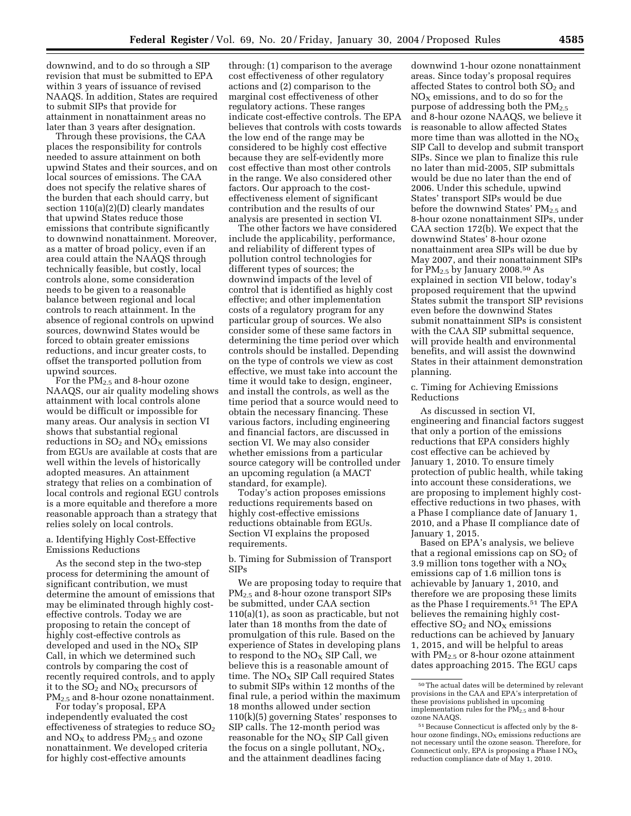downwind, and to do so through a SIP revision that must be submitted to EPA within 3 years of issuance of revised NAAQS. In addition, States are required to submit SIPs that provide for attainment in nonattainment areas no later than 3 years after designation.

Through these provisions, the CAA places the responsibility for controls needed to assure attainment on both upwind States and their sources, and on local sources of emissions. The CAA does not specify the relative shares of the burden that each should carry, but section 110(a)(2)(D) clearly mandates that upwind States reduce those emissions that contribute significantly to downwind nonattainment. Moreover, as a matter of broad policy, even if an area could attain the NAAQS through technically feasible, but costly, local controls alone, some consideration needs to be given to a reasonable balance between regional and local controls to reach attainment. In the absence of regional controls on upwind sources, downwind States would be forced to obtain greater emissions reductions, and incur greater costs, to offset the transported pollution from upwind sources.

For the  $PM_{2.5}$  and 8-hour ozone NAAQS, our air quality modeling shows attainment with local controls alone would be difficult or impossible for many areas. Our analysis in section VI shows that substantial regional reductions in  $SO_2$  and  $NO_X$  emissions from EGUs are available at costs that are well within the levels of historically adopted measures. An attainment strategy that relies on a combination of local controls and regional EGU controls is a more equitable and therefore a more reasonable approach than a strategy that relies solely on local controls.

#### a. Identifying Highly Cost-Effective Emissions Reductions

As the second step in the two-step process for determining the amount of significant contribution, we must determine the amount of emissions that may be eliminated through highly costeffective controls. Today we are proposing to retain the concept of highly cost-effective controls as developed and used in the  $NO<sub>x</sub>$  SIP Call, in which we determined such controls by comparing the cost of recently required controls, and to apply it to the  $SO_2$  and  $NO_X$  precursors of PM<sub>2.5</sub> and 8-hour ozone nonattainment.

For today's proposal, EPA independently evaluated the cost effectiveness of strategies to reduce  $SO<sub>2</sub>$ and  $NO<sub>X</sub>$  to address  $PM<sub>2.5</sub>$  and ozone nonattainment. We developed criteria for highly cost-effective amounts

through: (1) comparison to the average cost effectiveness of other regulatory actions and (2) comparison to the marginal cost effectiveness of other regulatory actions. These ranges indicate cost-effective controls. The EPA believes that controls with costs towards the low end of the range may be considered to be highly cost effective because they are self-evidently more cost effective than most other controls in the range. We also considered other factors. Our approach to the costeffectiveness element of significant contribution and the results of our analysis are presented in section VI.

The other factors we have considered include the applicability, performance, and reliability of different types of pollution control technologies for different types of sources; the downwind impacts of the level of control that is identified as highly cost effective; and other implementation costs of a regulatory program for any particular group of sources. We also consider some of these same factors in determining the time period over which controls should be installed. Depending on the type of controls we view as cost effective, we must take into account the time it would take to design, engineer, and install the controls, as well as the time period that a source would need to obtain the necessary financing. These various factors, including engineering and financial factors, are discussed in section VI. We may also consider whether emissions from a particular source category will be controlled under an upcoming regulation (a MACT standard, for example).

Today's action proposes emissions reductions requirements based on highly cost-effective emissions reductions obtainable from EGUs. Section VI explains the proposed requirements.

b. Timing for Submission of Transport SIPs

We are proposing today to require that PM<sub>2.5</sub> and 8-hour ozone transport SIPs be submitted, under CAA section 110(a)(1), as soon as practicable, but not later than 18 months from the date of promulgation of this rule. Based on the experience of States in developing plans to respond to the  $NO<sub>x</sub>$  SIP Call, we believe this is a reasonable amount of time. The  $NO<sub>X</sub>$  SIP Call required States to submit SIPs within 12 months of the final rule, a period within the maximum 18 months allowed under section 110(k)(5) governing States' responses to SIP calls. The 12-month period was reasonable for the  $NO<sub>X</sub>$  SIP Call given the focus on a single pollutant,  $NO<sub>X</sub>$ , and the attainment deadlines facing

downwind 1-hour ozone nonattainment areas. Since today's proposal requires affected States to control both  $SO<sub>2</sub>$  and  $NO<sub>x</sub>$  emissions, and to do so for the purpose of addressing both the  $PM_{2.5}$ and 8-hour ozone NAAQS, we believe it is reasonable to allow affected States more time than was allotted in the  $NO_X$ SIP Call to develop and submit transport SIPs. Since we plan to finalize this rule no later than mid-2005, SIP submittals would be due no later than the end of 2006. Under this schedule, upwind States' transport SIPs would be due before the downwind States'  $PM_{2.5}$  and 8-hour ozone nonattainment SIPs, under CAA section 172(b). We expect that the downwind States' 8-hour ozone nonattainment area SIPs will be due by May 2007, and their nonattainment SIPs for PM2.5 by January 2008.50 As explained in section VII below, today's proposed requirement that the upwind States submit the transport SIP revisions even before the downwind States submit nonattainment SIPs is consistent with the CAA SIP submittal sequence, will provide health and environmental benefits, and will assist the downwind States in their attainment demonstration planning.

c. Timing for Achieving Emissions Reductions

As discussed in section VI, engineering and financial factors suggest that only a portion of the emissions reductions that EPA considers highly cost effective can be achieved by January 1, 2010. To ensure timely protection of public health, while taking into account these considerations, we are proposing to implement highly costeffective reductions in two phases, with a Phase I compliance date of January 1, 2010, and a Phase II compliance date of January 1, 2015.

Based on EPA's analysis, we believe that a regional emissions cap on  $SO<sub>2</sub>$  of 3.9 million tons together with a  $NO<sub>x</sub>$ emissions cap of 1.6 million tons is achievable by January 1, 2010, and therefore we are proposing these limits as the Phase I requirements.51 The EPA believes the remaining highly costeffective  $SO_2$  and  $NO<sub>x</sub>$  emissions reductions can be achieved by January 1, 2015, and will be helpful to areas with  $PM_{2.5}$  or 8-hour ozone attainment dates approaching 2015. The EGU caps

<sup>50</sup>The actual dates will be determined by relevant provisions in the CAA and EPA's interpretation of these provisions published in upcoming implementation rules for the  $\overline{PM}_{2.5}$  and 8-hour ozone NAAQS.

<sup>51</sup>Because Connecticut is affected only by the 8 hour ozone findings,  $NO<sub>x</sub>$  emissions reductions are not necessary until the ozone season. Therefore, for Connecticut only, EPA is proposing a Phase  $I NO_X$ reduction compliance date of May 1, 2010.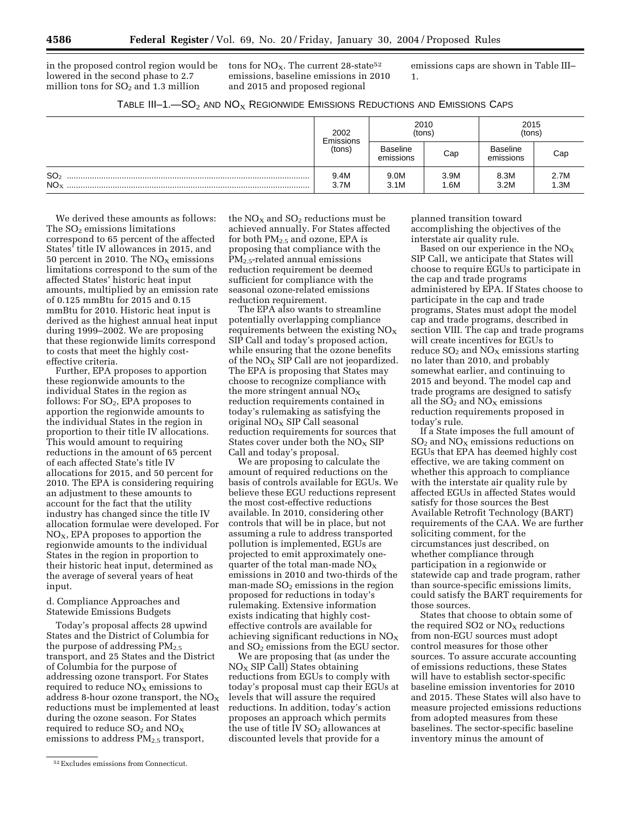in the proposed control region would be lowered in the second phase to 2.7 million tons for  $SO<sub>2</sub>$  and 1.3 million

tons for  $NO<sub>X</sub>$ . The current 28-state<sup>52</sup> emissions, baseline emissions in 2010 and 2015 and proposed regional

emissions caps are shown in Table III– 1.

|                                    | 2002<br>Emissions<br>(tons) | (tons)                       | 2010         | 2015<br>(tons)               |              |  |
|------------------------------------|-----------------------------|------------------------------|--------------|------------------------------|--------------|--|
|                                    |                             | <b>Baseline</b><br>emissions | Cap          | <b>Baseline</b><br>emissions | Cap          |  |
| SO <sub>2</sub><br>NO <sub>x</sub> | 9.4M<br>3.7M                | 9.0M<br>3.1M                 | 3.9M<br>1.6M | 8.3M<br>3.2M                 | 2.7M<br>1.3M |  |

We derived these amounts as follows: The  $SO<sub>2</sub>$  emissions limitations correspond to 65 percent of the affected States' title IV allowances in 2015, and 50 percent in 2010. The  $NO<sub>x</sub>$  emissions limitations correspond to the sum of the affected States' historic heat input amounts, multiplied by an emission rate of 0.125 mmBtu for 2015 and 0.15 mmBtu for 2010. Historic heat input is derived as the highest annual heat input during 1999–2002. We are proposing that these regionwide limits correspond to costs that meet the highly costeffective criteria.

Further, EPA proposes to apportion these regionwide amounts to the individual States in the region as follows: For  $SO<sub>2</sub>$ , EPA proposes to apportion the regionwide amounts to the individual States in the region in proportion to their title IV allocations. This would amount to requiring reductions in the amount of 65 percent of each affected State's title IV allocations for 2015, and 50 percent for 2010. The EPA is considering requiring an adjustment to these amounts to account for the fact that the utility industry has changed since the title IV allocation formulae were developed. For  $NO<sub>X</sub>$ , EPA proposes to apportion the regionwide amounts to the individual States in the region in proportion to their historic heat input, determined as the average of several years of heat input.

d. Compliance Approaches and Statewide Emissions Budgets

Today's proposal affects 28 upwind States and the District of Columbia for the purpose of addressing  $PM_{2.5}$ transport, and 25 States and the District of Columbia for the purpose of addressing ozone transport. For States required to reduce  $NO<sub>X</sub>$  emissions to address 8-hour ozone transport, the  $NO<sub>X</sub>$ reductions must be implemented at least during the ozone season. For States required to reduce  $SO_2$  and  $NO_X$ emissions to address  $PM_{2.5}$  transport,

the  $NO<sub>x</sub>$  and  $SO<sub>2</sub>$  reductions must be achieved annually. For States affected for both PM2.5 and ozone, EPA is proposing that compliance with the PM2.5-related annual emissions reduction requirement be deemed sufficient for compliance with the seasonal ozone-related emissions reduction requirement.

The EPA also wants to streamline potentially overlapping compliance requirements between the existing  $NO<sub>x</sub>$ SIP Call and today's proposed action, while ensuring that the ozone benefits of the  $NO<sub>X</sub>$  SIP Call are not jeopardized. The EPA is proposing that States may choose to recognize compliance with the more stringent annual  $NO<sub>X</sub>$ reduction requirements contained in today's rulemaking as satisfying the original  $NO<sub>x</sub>$  SIP Call seasonal reduction requirements for sources that States cover under both the  $NO<sub>x</sub>$  SIP Call and today's proposal.

We are proposing to calculate the amount of required reductions on the basis of controls available for EGUs. We believe these EGU reductions represent the most cost-effective reductions available. In 2010, considering other controls that will be in place, but not assuming a rule to address transported pollution is implemented, EGUs are projected to emit approximately onequarter of the total man-made  $NO<sub>X</sub>$ emissions in 2010 and two-thirds of the man-made  $SO<sub>2</sub>$  emissions in the region proposed for reductions in today's rulemaking. Extensive information exists indicating that highly costeffective controls are available for achieving significant reductions in  $NO<sub>x</sub>$ and  $SO<sub>2</sub>$  emissions from the EGU sector.

We are proposing that (as under the  $NO<sub>x</sub>$  SIP Call) States obtaining reductions from EGUs to comply with today's proposal must cap their EGUs at levels that will assure the required reductions. In addition, today's action proposes an approach which permits the use of title IV  $SO<sub>2</sub>$  allowances at discounted levels that provide for a

planned transition toward accomplishing the objectives of the interstate air quality rule.

Based on our experience in the  $NO_X$ SIP Call, we anticipate that States will choose to require EGUs to participate in the cap and trade programs administered by EPA. If States choose to participate in the cap and trade programs, States must adopt the model cap and trade programs, described in section VIII. The cap and trade programs will create incentives for EGUs to reduce  $SO<sub>2</sub>$  and  $NO<sub>X</sub>$  emissions starting no later than 2010, and probably somewhat earlier, and continuing to 2015 and beyond. The model cap and trade programs are designed to satisfy all the  $SO_2$  and  $NO<sub>X</sub>$  emissions reduction requirements proposed in today's rule.

If a State imposes the full amount of  $SO<sub>2</sub>$  and  $NO<sub>X</sub>$  emissions reductions on EGUs that EPA has deemed highly cost effective, we are taking comment on whether this approach to compliance with the interstate air quality rule by affected EGUs in affected States would satisfy for those sources the Best Available Retrofit Technology (BART) requirements of the CAA. We are further soliciting comment, for the circumstances just described, on whether compliance through participation in a regionwide or statewide cap and trade program, rather than source-specific emissions limits, could satisfy the BART requirements for those sources.

States that choose to obtain some of the required  $SO<sub>2</sub>$  or  $NO<sub>x</sub>$  reductions from non-EGU sources must adopt control measures for those other sources. To assure accurate accounting of emissions reductions, these States will have to establish sector-specific baseline emission inventories for 2010 and 2015. These States will also have to measure projected emissions reductions from adopted measures from these baselines. The sector-specific baseline inventory minus the amount of

<sup>52</sup>Excludes emissions from Connecticut.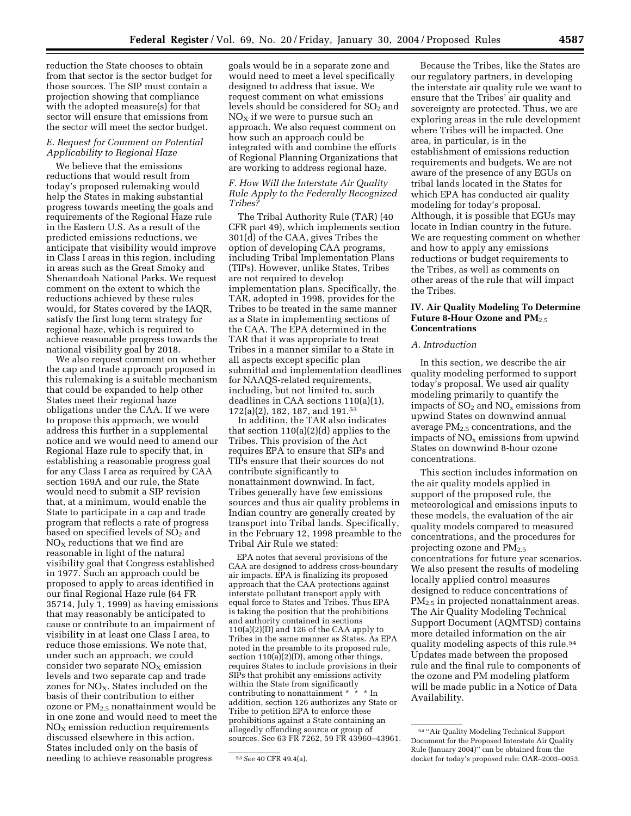reduction the State chooses to obtain from that sector is the sector budget for those sources. The SIP must contain a projection showing that compliance with the adopted measure(s) for that sector will ensure that emissions from the sector will meet the sector budget.

#### *E. Request for Comment on Potential Applicability to Regional Haze*

We believe that the emissions reductions that would result from today's proposed rulemaking would help the States in making substantial progress towards meeting the goals and requirements of the Regional Haze rule in the Eastern U.S. As a result of the predicted emissions reductions, we anticipate that visibility would improve in Class I areas in this region, including in areas such as the Great Smoky and Shenandoah National Parks. We request comment on the extent to which the reductions achieved by these rules would, for States covered by the IAQR, satisfy the first long term strategy for regional haze, which is required to achieve reasonable progress towards the national visibility goal by 2018.

We also request comment on whether the cap and trade approach proposed in this rulemaking is a suitable mechanism that could be expanded to help other States meet their regional haze obligations under the CAA. If we were to propose this approach, we would address this further in a supplemental notice and we would need to amend our Regional Haze rule to specify that, in establishing a reasonable progress goal for any Class I area as required by CAA section 169A and our rule, the State would need to submit a SIP revision that, at a minimum, would enable the State to participate in a cap and trade program that reflects a rate of progress based on specified levels of SO<sub>2</sub> and  $NO<sub>x</sub>$  reductions that we find are reasonable in light of the natural visibility goal that Congress established in 1977. Such an approach could be proposed to apply to areas identified in our final Regional Haze rule (64 FR 35714, July 1, 1999) as having emissions that may reasonably be anticipated to cause or contribute to an impairment of visibility in at least one Class I area, to reduce those emissions. We note that, under such an approach, we could consider two separate  $NO<sub>x</sub>$  emission levels and two separate cap and trade zones for  $NO<sub>X</sub>$ . States included on the basis of their contribution to either ozone or  $PM_{2.5}$  nonattainment would be in one zone and would need to meet the  $NO<sub>x</sub>$  emission reduction requirements discussed elsewhere in this action. States included only on the basis of needing to achieve reasonable progress

goals would be in a separate zone and would need to meet a level specifically designed to address that issue. We request comment on what emissions levels should be considered for  $SO<sub>2</sub>$  and  $NO<sub>x</sub>$  if we were to pursue such an approach. We also request comment on how such an approach could be integrated with and combine the efforts of Regional Planning Organizations that are working to address regional haze.

#### *F. How Will the Interstate Air Quality Rule Apply to the Federally Recognized Tribes?*

The Tribal Authority Rule (TAR) (40 CFR part 49), which implements section 301(d) of the CAA, gives Tribes the option of developing CAA programs, including Tribal Implementation Plans (TIPs). However, unlike States, Tribes are not required to develop implementation plans. Specifically, the TAR, adopted in 1998, provides for the Tribes to be treated in the same manner as a State in implementing sections of the CAA. The EPA determined in the TAR that it was appropriate to treat Tribes in a manner similar to a State in all aspects except specific plan submittal and implementation deadlines for NAAQS-related requirements, including, but not limited to, such deadlines in CAA sections 110(a)(1), 172(a)(2), 182, 187, and 191.53

In addition, the TAR also indicates that section 110(a)(2)(d) applies to the Tribes. This provision of the Act requires EPA to ensure that SIPs and TIPs ensure that their sources do not contribute significantly to nonattainment downwind. In fact, Tribes generally have few emissions sources and thus air quality problems in Indian country are generally created by transport into Tribal lands. Specifically, in the February 12, 1998 preamble to the Tribal Air Rule we stated:

EPA notes that several provisions of the CAA are designed to address cross-boundary air impacts. EPA is finalizing its proposed approach that the CAA protections against interstate pollutant transport apply with equal force to States and Tribes. Thus EPA is taking the position that the prohibitions and authority contained in sections 110(a)(2)(D) and 126 of the CAA apply to Tribes in the same manner as States. As EPA noted in the preamble to its proposed rule, section 110(a)(2)(D), among other things, requires States to include provisions in their SIPs that prohibit any emissions activity within the State from significantly contributing to nonattainment \* \* \* In addition, section 126 authorizes any State or Tribe to petition EPA to enforce these prohibitions against a State containing an allegedly offending source or group of sources. See 63 FR 7262, 59 FR 43960–43961.

Because the Tribes, like the States are our regulatory partners, in developing the interstate air quality rule we want to ensure that the Tribes' air quality and sovereignty are protected. Thus, we are exploring areas in the rule development where Tribes will be impacted. One area, in particular, is in the establishment of emissions reduction requirements and budgets. We are not aware of the presence of any EGUs on tribal lands located in the States for which EPA has conducted air quality modeling for today's proposal. Although, it is possible that EGUs may locate in Indian country in the future. We are requesting comment on whether and how to apply any emissions reductions or budget requirements to the Tribes, as well as comments on other areas of the rule that will impact the Tribes.

#### **IV. Air Quality Modeling To Determine**  Future 8-Hour Ozone and PM<sub>2.5</sub> **Concentrations**

#### *A. Introduction*

In this section, we describe the air quality modeling performed to support today's proposal. We used air quality modeling primarily to quantify the impacts of  $SO<sub>2</sub>$  and  $NO<sub>x</sub>$  emissions from upwind States on downwind annual average  $PM<sub>2.5</sub>$  concentrations, and the impacts of  $NO<sub>x</sub>$  emissions from upwind States on downwind 8-hour ozone concentrations.

This section includes information on the air quality models applied in support of the proposed rule, the meteorological and emissions inputs to these models, the evaluation of the air quality models compared to measured concentrations, and the procedures for projecting ozone and PM2.5 concentrations for future year scenarios. We also present the results of modeling locally applied control measures designed to reduce concentrations of PM<sub>2.5</sub> in projected nonattainment areas. The Air Quality Modeling Technical Support Document (AQMTSD) contains more detailed information on the air quality modeling aspects of this rule.54 Updates made between the proposed rule and the final rule to components of the ozone and PM modeling platform will be made public in a Notice of Data Availability.

<sup>53</sup>*See* 40 CFR 49.4(a).

<sup>54</sup> ''Air Quality Modeling Technical Support Document for the Proposed Interstate Air Quality Rule (January 2004)'' can be obtained from the docket for today's proposed rule: OAR–2003–0053.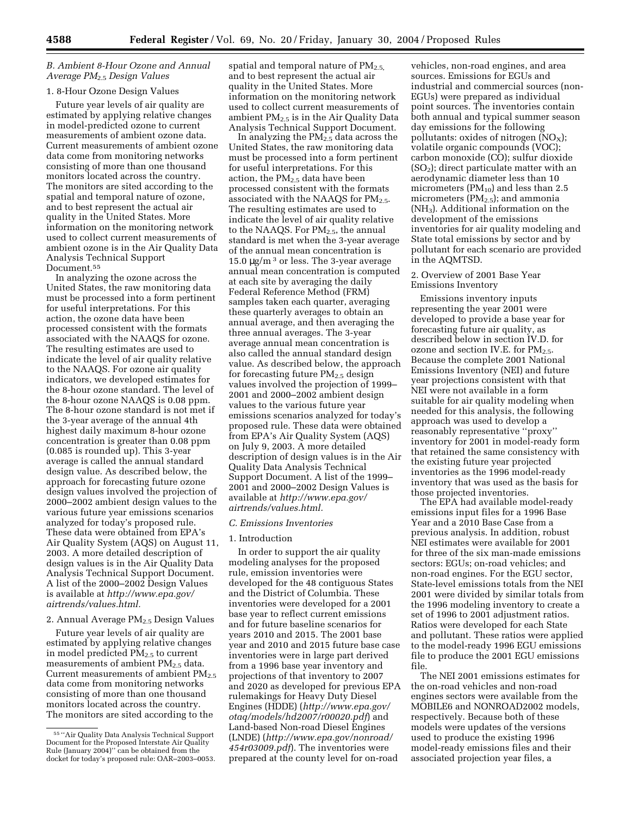#### *B. Ambient 8-Hour Ozone and Annual Average PM*2.5 *Design Values*

#### 1. 8-Hour Ozone Design Values

Future year levels of air quality are estimated by applying relative changes in model-predicted ozone to current measurements of ambient ozone data. Current measurements of ambient ozone data come from monitoring networks consisting of more than one thousand monitors located across the country. The monitors are sited according to the spatial and temporal nature of ozone, and to best represent the actual air quality in the United States. More information on the monitoring network used to collect current measurements of ambient ozone is in the Air Quality Data Analysis Technical Support Document.55

In analyzing the ozone across the United States, the raw monitoring data must be processed into a form pertinent for useful interpretations. For this action, the ozone data have been processed consistent with the formats associated with the NAAQS for ozone. The resulting estimates are used to indicate the level of air quality relative to the NAAQS. For ozone air quality indicators, we developed estimates for the 8-hour ozone standard. The level of the 8-hour ozone NAAQS is 0.08 ppm. The 8-hour ozone standard is not met if the 3-year average of the annual 4th highest daily maximum 8-hour ozone concentration is greater than 0.08 ppm (0.085 is rounded up). This 3-year average is called the annual standard design value. As described below, the approach for forecasting future ozone design values involved the projection of 2000–2002 ambient design values to the various future year emissions scenarios analyzed for today's proposed rule. These data were obtained from EPA's Air Quality System (AQS) on August 11, 2003. A more detailed description of design values is in the Air Quality Data Analysis Technical Support Document. A list of the 2000–2002 Design Values is available at *http://www.epa.gov/ airtrends/values.html.*

#### 2. Annual Average  $PM<sub>2</sub>$ , Design Values

Future year levels of air quality are estimated by applying relative changes in model predicted  $PM_{2.5}$  to current measurements of ambient  $PM_{2.5}$  data. Current measurements of ambient  $PM_{2.5}$ data come from monitoring networks consisting of more than one thousand monitors located across the country. The monitors are sited according to the

spatial and temporal nature of  $PM_{2.5}$ , and to best represent the actual air quality in the United States. More information on the monitoring network used to collect current measurements of ambient  $PM_{2.5}$  is in the Air Quality Data Analysis Technical Support Document.

In analyzing the  $PM_{2.5}$  data across the United States, the raw monitoring data must be processed into a form pertinent for useful interpretations. For this action, the  $PM_{2.5}$  data have been processed consistent with the formats associated with the NAAQS for  $PM_{2.5}$ . The resulting estimates are used to indicate the level of air quality relative to the NAAQS. For  $PM_{2.5}$ , the annual standard is met when the 3-year average of the annual mean concentration is 15.0  $\mu$ g/m<sup>3</sup> or less. The 3-year average annual mean concentration is computed at each site by averaging the daily Federal Reference Method (FRM) samples taken each quarter, averaging these quarterly averages to obtain an annual average, and then averaging the three annual averages. The 3-year average annual mean concentration is also called the annual standard design value. As described below, the approach for forecasting future  $PM_{2.5}$  design values involved the projection of 1999– 2001 and 2000–2002 ambient design values to the various future year emissions scenarios analyzed for today's proposed rule. These data were obtained from EPA's Air Quality System (AQS) on July 9, 2003. A more detailed description of design values is in the Air Quality Data Analysis Technical Support Document. A list of the 1999– 2001 and 2000–2002 Design Values is available at *http://www.epa.gov/ airtrends/values.html.*

#### *C. Emissions Inventories*

#### 1. Introduction

In order to support the air quality modeling analyses for the proposed rule, emission inventories were developed for the 48 contiguous States and the District of Columbia. These inventories were developed for a 2001 base year to reflect current emissions and for future baseline scenarios for years 2010 and 2015. The 2001 base year and 2010 and 2015 future base case inventories were in large part derived from a 1996 base year inventory and projections of that inventory to 2007 and 2020 as developed for previous EPA rulemakings for Heavy Duty Diesel Engines (HDDE) (*http://www.epa.gov/ otaq/models/hd2007/r00020.pdf*) and Land-based Non-road Diesel Engines (LNDE) (*http://www.epa.gov/nonroad/ 454r03009.pdf*). The inventories were prepared at the county level for on-road

vehicles, non-road engines, and area sources. Emissions for EGUs and industrial and commercial sources (non-EGUs) were prepared as individual point sources. The inventories contain both annual and typical summer season day emissions for the following pollutants: oxides of nitrogen  $(NO<sub>X</sub>)$ ; volatile organic compounds (VOC); carbon monoxide (CO); sulfur dioxide (SO2); direct particulate matter with an aerodynamic diameter less than 10 micrometers ( $PM_{10}$ ) and less than 2.5 micrometers  $(PM_{2.5})$ ; and ammonia (NH3). Additional information on the development of the emissions inventories for air quality modeling and State total emissions by sector and by pollutant for each scenario are provided in the AQMTSD.

#### 2. Overview of 2001 Base Year Emissions Inventory

Emissions inventory inputs representing the year 2001 were developed to provide a base year for forecasting future air quality, as described below in section IV.D. for ozone and section IV.E. for  $PM_{2.5}$ . Because the complete 2001 National Emissions Inventory (NEI) and future year projections consistent with that NEI were not available in a form suitable for air quality modeling when needed for this analysis, the following approach was used to develop a reasonably representative ''proxy'' inventory for 2001 in model-ready form that retained the same consistency with the existing future year projected inventories as the 1996 model-ready inventory that was used as the basis for those projected inventories.

The EPA had available model-ready emissions input files for a 1996 Base Year and a 2010 Base Case from a previous analysis. In addition, robust NEI estimates were available for 2001 for three of the six man-made emissions sectors: EGUs; on-road vehicles; and non-road engines. For the EGU sector, State-level emissions totals from the NEI 2001 were divided by similar totals from the 1996 modeling inventory to create a set of 1996 to 2001 adjustment ratios. Ratios were developed for each State and pollutant. These ratios were applied to the model-ready 1996 EGU emissions file to produce the 2001 EGU emissions file.

The NEI 2001 emissions estimates for the on-road vehicles and non-road engines sectors were available from the MOBILE6 and NONROAD2002 models, respectively. Because both of these models were updates of the versions used to produce the existing 1996 model-ready emissions files and their associated projection year files, a

<sup>55</sup> ''Air Quality Data Analysis Technical Support Document for the Proposed Interstate Air Quality Rule (January 2004)'' can be obtained from the docket for today's proposed rule: OAR–2003–0053.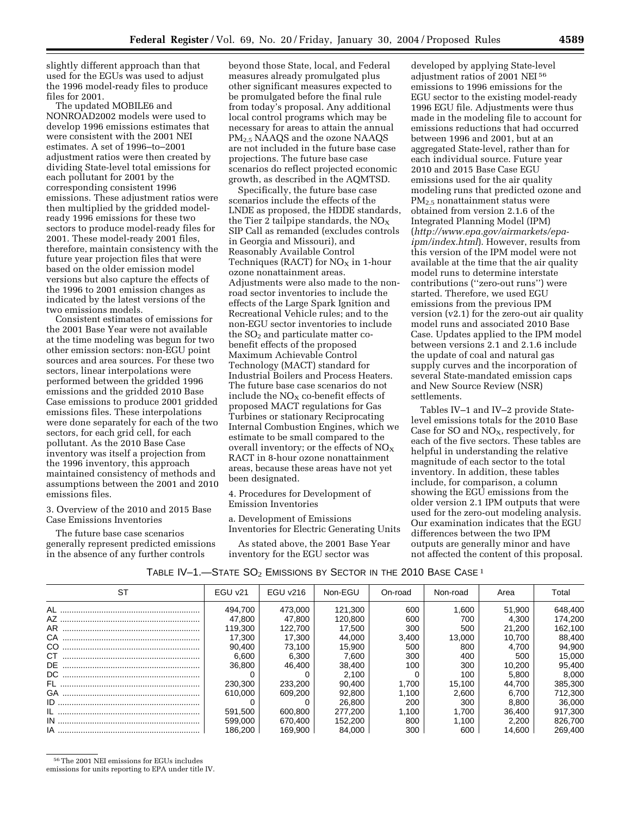slightly different approach than that used for the EGUs was used to adjust the 1996 model-ready files to produce files for 2001.

The updated MOBILE6 and NONROAD2002 models were used to develop 1996 emissions estimates that were consistent with the 2001 NEI estimates. A set of 1996–to–2001 adjustment ratios were then created by dividing State-level total emissions for each pollutant for 2001 by the corresponding consistent 1996 emissions. These adjustment ratios were then multiplied by the gridded modelready 1996 emissions for these two sectors to produce model-ready files for 2001. These model-ready 2001 files, therefore, maintain consistency with the future year projection files that were based on the older emission model versions but also capture the effects of the 1996 to 2001 emission changes as indicated by the latest versions of the two emissions models.

Consistent estimates of emissions for the 2001 Base Year were not available at the time modeling was begun for two other emission sectors: non-EGU point sources and area sources. For these two sectors, linear interpolations were performed between the gridded 1996 emissions and the gridded 2010 Base Case emissions to produce 2001 gridded emissions files. These interpolations were done separately for each of the two sectors, for each grid cell, for each pollutant. As the 2010 Base Case inventory was itself a projection from the 1996 inventory, this approach maintained consistency of methods and assumptions between the 2001 and 2010 emissions files.

3. Overview of the 2010 and 2015 Base Case Emissions Inventories

The future base case scenarios generally represent predicted emissions in the absence of any further controls

beyond those State, local, and Federal measures already promulgated plus other significant measures expected to be promulgated before the final rule from today's proposal. Any additional local control programs which may be necessary for areas to attain the annual PM2.5 NAAQS and the ozone NAAQS are not included in the future base case projections. The future base case scenarios do reflect projected economic growth, as described in the AQMTSD.

Specifically, the future base case scenarios include the effects of the LNDE as proposed, the HDDE standards, the Tier 2 tailpipe standards, the  $NO<sub>X</sub>$ SIP Call as remanded (excludes controls in Georgia and Missouri), and Reasonably Available Control Techniques (RACT) for  $NO<sub>X</sub>$  in 1-hour ozone nonattainment areas. Adjustments were also made to the nonroad sector inventories to include the effects of the Large Spark Ignition and Recreational Vehicle rules; and to the non-EGU sector inventories to include the  $SO<sub>2</sub>$  and particulate matter cobenefit effects of the proposed Maximum Achievable Control Technology (MACT) standard for Industrial Boilers and Process Heaters. The future base case scenarios do not include the  $NO<sub>X</sub>$  co-benefit effects of proposed MACT regulations for Gas Turbines or stationary Reciprocating Internal Combustion Engines, which we estimate to be small compared to the overall inventory; or the effects of  $NO<sub>X</sub>$ RACT in 8-hour ozone nonattainment areas, because these areas have not yet been designated.

4. Procedures for Development of Emission Inventories

a. Development of Emissions Inventories for Electric Generating Units

As stated above, the 2001 Base Year inventory for the EGU sector was

developed by applying State-level adjustment ratios of 2001 NEI<sup>56</sup> emissions to 1996 emissions for the EGU sector to the existing model-ready 1996 EGU file. Adjustments were thus made in the modeling file to account for emissions reductions that had occurred between 1996 and 2001, but at an aggregated State-level, rather than for each individual source. Future year 2010 and 2015 Base Case EGU emissions used for the air quality modeling runs that predicted ozone and PM2.5 nonattainment status were obtained from version 2.1.6 of the Integrated Planning Model (IPM) (*http://www.epa.gov/airmarkets/epaipm/index.html*). However, results from this version of the IPM model were not available at the time that the air quality model runs to determine interstate contributions (''zero-out runs'') were started. Therefore, we used EGU emissions from the previous IPM version (v2.1) for the zero-out air quality model runs and associated 2010 Base Case. Updates applied to the IPM model between versions 2.1 and 2.1.6 include the update of coal and natural gas supply curves and the incorporation of several State-mandated emission caps and New Source Review (NSR) settlements.

Tables IV–1 and IV–2 provide Statelevel emissions totals for the 2010 Base Case for SO and NOX, respectively, for each of the five sectors. These tables are helpful in understanding the relative magnitude of each sector to the total inventory. In addition, these tables include, for comparison, a column showing the EGU emissions from the older version 2.1 IPM outputs that were used for the zero-out modeling analysis. Our examination indicates that the EGU differences between the two IPM outputs are generally minor and have not affected the content of this proposal.

| ST  | EGU v21 | EGU v216 | Non-EGU | On-road | Non-road | Area   | Total   |
|-----|---------|----------|---------|---------|----------|--------|---------|
|     | 494.700 | 473.000  | 121.300 | 600     | 1.600    | 51.900 | 648,400 |
| AZ  | 47.800  | 47.800   | 120.800 | 600     | 700      | 4.300  | 174.200 |
| AR. | 119.300 | 122.700  | 17.500  | 300     | 500      | 21.200 | 162,100 |
| CA  | 17.300  | 17.300   | 44.000  | 3.400   | 13.000   | 10.700 | 88,400  |
| CO  | 90.400  | 73.100   | 15.900  | 500     | 800      | 4.700  | 94.900  |
| СT  | 6.600   | 6.300    | 7.600   | 300     | 400      | 500    | 15.000  |
| DE. | 36,800  | 46.400   | 38.400  | 100     | 300      | 10.200 | 95,400  |
| DC. |         |          | 2.100   |         | 100      | 5.800  | 8.000   |
| FL. | 230,300 | 233,200  | 90.400  | 1.700   | 15.100   | 44.700 | 385,300 |
| GA  | 610.000 | 609.200  | 92.800  | 1.100   | 2.600    | 6.700  | 712.300 |
| ID  |         |          | 26,800  | 200     | 300      | 8.800  | 36.000  |
| IL  | 591.500 | 600.800  | 277.200 | 1.100   | 1.700    | 36.400 | 917,300 |
|     | 599,000 | 670.400  | 152.200 | 800     | 1.100    | 2.200  | 826,700 |
|     | 186.200 | 169.900  | 84.000  | 300     | 600      | 14.600 | 269.400 |

56The 2001 NEI emissions for EGUs includes

emissions for units reporting to EPA under title IV.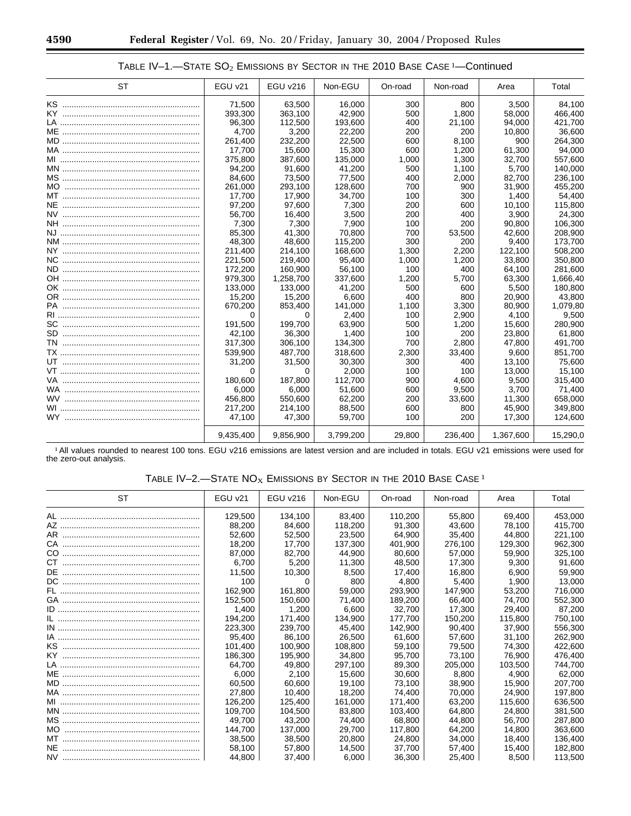| <b>ST</b> | EGU v21   | <b>EGU v216</b> | Non-EGU   | On-road | Non-road | Area      | Total    |
|-----------|-----------|-----------------|-----------|---------|----------|-----------|----------|
|           | 71.500    | 63,500          | 16,000    | 300     | 800      | 3.500     | 84,100   |
|           | 393,300   | 363,100         | 42,900    | 500     | 1,800    | 58,000    | 466,400  |
|           | 96,300    | 112,500         | 193,600   | 400     | 21,100   | 94,000    | 421,700  |
|           | 4.700     | 3,200           | 22,200    | 200     | 200      | 10.800    | 36,600   |
|           | 261,400   | 232,200         | 22,500    | 600     | 8,100    | 900       | 264,300  |
|           | 17,700    | 15,600          | 15,300    | 600     | 1,200    | 61,300    | 94,000   |
|           | 375,800   | 387,600         | 135,000   | 1,000   | 1,300    | 32,700    | 557,600  |
|           | 94.200    | 91.600          | 41.200    | 500     | 1.100    | 5.700     | 140.000  |
|           | 84,600    | 73,500          | 77,500    | 400     | 2,000    | 82,700    | 236,100  |
| MO.       | 261,000   | 293.100         | 128,600   | 700     | 900      | 31.900    | 455,200  |
|           | 17.700    | 17,900          | 34.700    | 100     | 300      | 1.400     | 54,400   |
|           | 97.200    | 97.600          | 7.300     | 200     | 600      | 10.100    | 115.800  |
|           | 56.700    | 16.400          | 3.500     | 200     | 400      | 3,900     | 24,300   |
|           | 7.300     | 7,300           | 7.900     | 100     | 200      | 90.800    | 106,300  |
|           | 85,300    | 41.300          | 70,800    | 700     | 53,500   | 42.600    | 208,900  |
|           | 48,300    | 48.600          | 115,200   | 300     | 200      | 9,400     | 173,700  |
|           | 211,400   | 214,100         | 168,600   | 1,300   | 2,200    | 122.100   | 508,200  |
|           | 221,500   | 219,400         | 95,400    | 1,000   | 1,200    | 33.800    | 350,800  |
|           | 172,200   | 160.900         | 56,100    | 100     | 400      | 64.100    | 281,600  |
|           | 979,300   | 1,258,700       | 337,600   | 1,200   | 5,700    | 63,300    | 1,666,40 |
|           | 133,000   | 133,000         | 41,200    | 500     | 600      | 5,500     | 180,800  |
|           | 15,200    | 15,200          | 6,600     | 400     | 800      | 20.900    | 43,800   |
|           | 670,200   | 853,400         | 141,000   | 1,100   | 3,300    | 80,900    | 1,079,80 |
|           | 0         | <sup>0</sup>    | 2,400     | 100     | 2,900    | 4,100     | 9,500    |
|           | 191,500   | 199,700         | 63,900    | 500     | 1,200    | 15,600    | 280,900  |
|           | 42.100    | 36,300          | 1.400     | 100     | 200      | 23.800    | 61,800   |
|           | 317.300   | 306.100         | 134.300   | 700     | 2.800    | 47.800    | 491.700  |
|           | 539.900   | 487.700         | 318,600   | 2,300   | 33,400   | 9.600     | 851.700  |
|           | 31.200    | 31,500          | 30,300    | 300     | 400      | 13.100    | 75,600   |
|           | $\Omega$  | 0               | 2.000     | 100     | 100      | 13.000    | 15,100   |
|           | 180,600   | 187,800         | 112,700   | 900     | 4,600    | 9,500     | 315,400  |
|           | 6,000     | 6,000           | 51,600    | 600     | 9,500    | 3,700     | 71,400   |
|           | 456,800   | 550,600         | 62,200    | 200     | 33,600   | 11,300    | 658,000  |
|           | 217.200   | 214.100         | 88.500    | 600     | 800      | 45.900    | 349.800  |
|           | 47.100    | 47.300          | 59.700    | 100     | 200      | 17.300    | 124.600  |
|           | 9,435,400 | 9,856,900       | 3,799,200 | 29,800  | 236,400  | 1,367,600 | 15,290,0 |

# TABLE IV-1.-STATE SO<sub>2</sub> EMISSIONS BY SECTOR IN THE 2010 BASE CASE <sup>1</sup>-Continued

1 All values rounded to nearest 100 tons. EGU v216 emissions are latest version and are included in totals. EGU v21 emissions were used for the zero-out analysis.

# TABLE IV-2.-STATE  $NO<sub>X</sub>$  Emissions by Sector in the 2010 Base Case  $^1$

| ST  | $EGU$ $v21$ | <b>EGU v216</b> | Non-EGU | On-road | Non-road | Area    | Total   |
|-----|-------------|-----------------|---------|---------|----------|---------|---------|
|     | 129.500     | 134.100         | 83.400  | 110,200 | 55.800   | 69.400  | 453.000 |
|     | 88.200      | 84.600          | 118,200 | 91.300  | 43.600   | 78.100  | 415,700 |
|     | 52.600      | 52,500          | 23.500  | 64.900  | 35.400   | 44.800  | 221.100 |
|     | 18,200      | 17.700          | 137.300 | 401.900 | 276.100  | 129.300 | 962,300 |
|     | 87.000      | 82.700          | 44.900  | 80.600  | 57.000   | 59,900  | 325,100 |
|     | 6.700       | 5,200           | 11,300  | 48.500  | 17.300   | 9.300   | 91,600  |
|     | 11.500      | 10.300          | 8.500   | 17.400  | 16.800   | 6.900   | 59.900  |
|     | 100         | 0               | 800     | 4.800   | 5,400    | 1.900   | 13,000  |
|     | 162.900     | 161.800         | 59,000  | 293.900 | 147.900  | 53.200  | 716,000 |
|     | 152,500     | 150,600         | 71,400  | 189.200 | 66,400   | 74.700  | 552,300 |
|     | 1.400       | 1.200           | 6.600   | 32.700  | 17.300   | 29.400  | 87.200  |
|     | 194.200     | 171,400         | 134.900 | 177.700 | 150.200  | 115.800 | 750,100 |
|     | 223.300     | 239.700         | 45.400  | 142.900 | 90.400   | 37.900  | 556,300 |
|     | 95.400      | 86,100          | 26,500  | 61.600  | 57,600   | 31.100  | 262,900 |
|     | 101.400     | 100.900         | 108.800 | 59.100  | 79.500   | 74.300  | 422,600 |
|     | 186.300     | 195,900         | 34.800  | 95,700  | 73.100   | 76.900  | 476,400 |
|     | 64.700      | 49.800          | 297.100 | 89.300  | 205.000  | 103.500 | 744.700 |
|     | 6.000       | 2,100           | 15.600  | 30,600  | 8.800    | 4.900   | 62,000  |
|     | 60.500      | 60.600          | 19.100  | 73.100  | 38.900   | 15.900  | 207.700 |
|     | 27,800      | 10.400          | 18.200  | 74.400  | 70.000   | 24.900  | 197,800 |
|     | 126.200     | 125.400         | 161.000 | 171.400 | 63.200   | 115.600 | 636,500 |
|     | 109.700     | 104.500         | 83.800  | 103.400 | 64.800   | 24.800  | 381,500 |
|     | 49.700      | 43.200          | 74.400  | 68.800  | 44.800   | 56.700  | 287.800 |
| MO. | 144.700     | 137,000         | 29,700  | 117.800 | 64.200   | 14.800  | 363,600 |
|     | 38,500      | 38,500          | 20,800  | 24.800  | 34.000   | 18.400  | 136,400 |
|     | 58.100      | 57.800          | 14.500  | 37,700  | 57,400   | 15.400  | 182,800 |
|     | 44.800      | 37,400          | 6,000   | 36,300  | 25.400   | 8.500   | 113,500 |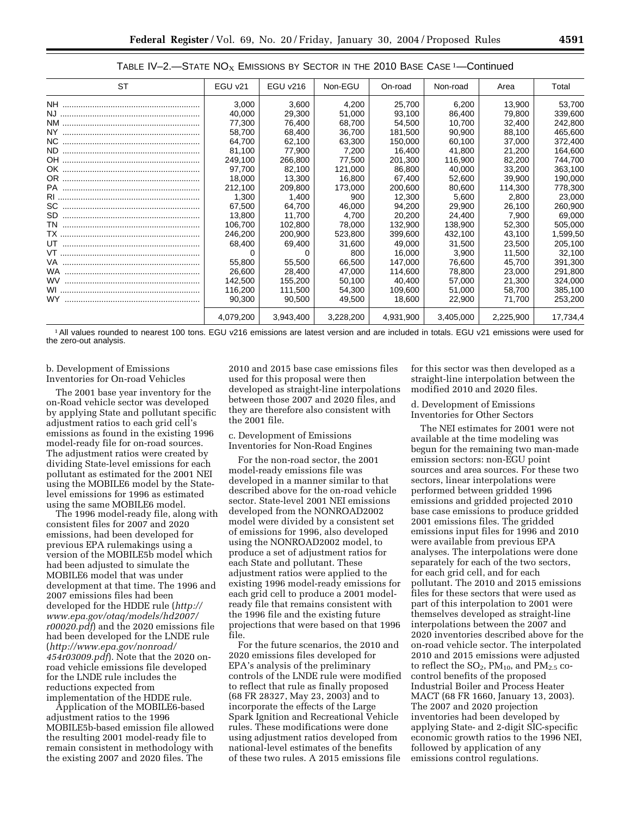| ST | EGU v21   | <b>EGU v216</b> | Non-EGU   | On-road   | Non-road  | Area      | Total    |
|----|-----------|-----------------|-----------|-----------|-----------|-----------|----------|
|    | 3,000     | 3,600           | 4,200     | 25,700    | 6,200     | 13,900    | 53,700   |
|    | 40.000    | 29,300          | 51.000    | 93.100    | 86.400    | 79.800    | 339,600  |
|    | 77,300    | 76,400          | 68,700    | 54.500    | 10.700    | 32.400    | 242,800  |
|    | 58.700    | 68,400          | 36,700    | 181.500   | 90.900    | 88.100    | 465,600  |
|    | 64.700    | 62,100          | 63,300    | 150,000   | 60,100    | 37,000    | 372,400  |
|    | 81.100    | 77,900          | 7,200     | 16,400    | 41,800    | 21.200    | 164,600  |
|    | 249.100   | 266,800         | 77.500    | 201.300   | 116.900   | 82.200    | 744.700  |
|    | 97,700    | 82.100          | 121.000   | 86,800    | 40.000    | 33.200    | 363,100  |
|    | 18,000    | 13,300          | 16,800    | 67,400    | 52,600    | 39,900    | 190,000  |
|    | 212.100   | 209,800         | 173,000   | 200,600   | 80,600    | 114,300   | 778,300  |
|    | 1.300     | 1.400           | 900       | 12.300    | 5.600     | 2.800     | 23,000   |
|    | 67,500    | 64.700          | 46,000    | 94,200    | 29,900    | 26,100    | 260,900  |
|    | 13,800    | 11,700          | 4,700     | 20,200    | 24,400    | 7,900     | 69,000   |
|    | 106.700   | 102,800         | 78,000    | 132.900   | 138.900   | 52,300    | 505,000  |
|    | 246.200   | 200.900         | 523,800   | 399.600   | 432.100   | 43.100    | 1,599,50 |
|    | 68.400    | 69,400          | 31,600    | 49,000    | 31,500    | 23.500    | 205,100  |
|    | 0         |                 | 800       | 16.000    | 3,900     | 11.500    | 32,100   |
|    | 55,800    | 55,500          | 66,500    | 147.000   | 76.600    | 45.700    | 391,300  |
|    | 26,600    | 28,400          | 47,000    | 114,600   | 78,800    | 23,000    | 291,800  |
|    | 142,500   | 155,200         | 50,100    | 40,400    | 57,000    | 21,300    | 324,000  |
|    | 116,200   | 111.500         | 54,300    | 109.600   | 51.000    | 58.700    | 385,100  |
|    | 90,300    | 90,500          | 49,500    | 18,600    | 22,900    | 71.700    | 253,200  |
|    | 4.079.200 | 3,943,400       | 3,228,200 | 4.931.900 | 3.405.000 | 2.225.900 | 17.734.4 |

TABLE IV-2.—STATE  $NO<sub>X</sub>$  EMISSIONS BY SECTOR IN THE 2010 BASE CASE  $1$ —Continued

1 All values rounded to nearest 100 tons. EGU v216 emissions are latest version and are included in totals. EGU v21 emissions were used for the zero-out analysis.

#### b. Development of Emissions Inventories for On-road Vehicles

The 2001 base year inventory for the on-Road vehicle sector was developed by applying State and pollutant specific adjustment ratios to each grid cell's emissions as found in the existing 1996 model-ready file for on-road sources. The adjustment ratios were created by dividing State-level emissions for each pollutant as estimated for the 2001 NEI using the MOBILE6 model by the Statelevel emissions for 1996 as estimated using the same MOBILE6 model.

The 1996 model-ready file, along with consistent files for 2007 and 2020 emissions, had been developed for previous EPA rulemakings using a version of the MOBILE5b model which had been adjusted to simulate the MOBILE6 model that was under development at that time. The 1996 and 2007 emissions files had been developed for the HDDE rule (*http:// www.epa.gov/otaq/models/hd2007/ r00020.pdf*) and the 2020 emissions file had been developed for the LNDE rule (*http://www.epa.gov/nonroad/ 454r03009.pdf*). Note that the 2020 onroad vehicle emissions file developed for the LNDE rule includes the reductions expected from implementation of the HDDE rule.

Application of the MOBILE6-based adjustment ratios to the 1996 MOBILE5b-based emission file allowed the resulting 2001 model-ready file to remain consistent in methodology with the existing 2007 and 2020 files. The

2010 and 2015 base case emissions files used for this proposal were then developed as straight-line interpolations between those 2007 and 2020 files, and they are therefore also consistent with the 2001 file.

c. Development of Emissions Inventories for Non-Road Engines

For the non-road sector, the 2001 model-ready emissions file was developed in a manner similar to that described above for the on-road vehicle sector. State-level 2001 NEI emissions developed from the NONROAD2002 model were divided by a consistent set of emissions for 1996, also developed using the NONROAD2002 model, to produce a set of adjustment ratios for each State and pollutant. These adjustment ratios were applied to the existing 1996 model-ready emissions for each grid cell to produce a 2001 modelready file that remains consistent with the 1996 file and the existing future projections that were based on that 1996 file.

For the future scenarios, the 2010 and 2020 emissions files developed for EPA's analysis of the preliminary controls of the LNDE rule were modified to reflect that rule as finally proposed (68 FR 28327, May 23, 2003) and to incorporate the effects of the Large Spark Ignition and Recreational Vehicle rules. These modifications were done using adjustment ratios developed from national-level estimates of the benefits of these two rules. A 2015 emissions file

for this sector was then developed as a straight-line interpolation between the modified 2010 and 2020 files.

#### d. Development of Emissions Inventories for Other Sectors

The NEI estimates for 2001 were not available at the time modeling was begun for the remaining two man-made emission sectors: non-EGU point sources and area sources. For these two sectors, linear interpolations were performed between gridded 1996 emissions and gridded projected 2010 base case emissions to produce gridded 2001 emissions files. The gridded emissions input files for 1996 and 2010 were available from previous EPA analyses. The interpolations were done separately for each of the two sectors, for each grid cell, and for each pollutant. The 2010 and 2015 emissions files for these sectors that were used as part of this interpolation to 2001 were themselves developed as straight-line interpolations between the 2007 and 2020 inventories described above for the on-road vehicle sector. The interpolated 2010 and 2015 emissions were adjusted to reflect the  $SO_2$ ,  $PM_{10}$ , and  $PM_{2.5}$  cocontrol benefits of the proposed Industrial Boiler and Process Heater MACT (68 FR 1660, January 13, 2003). The 2007 and 2020 projection inventories had been developed by applying State- and 2-digit SIC-specific economic growth ratios to the 1996 NEI, followed by application of any emissions control regulations.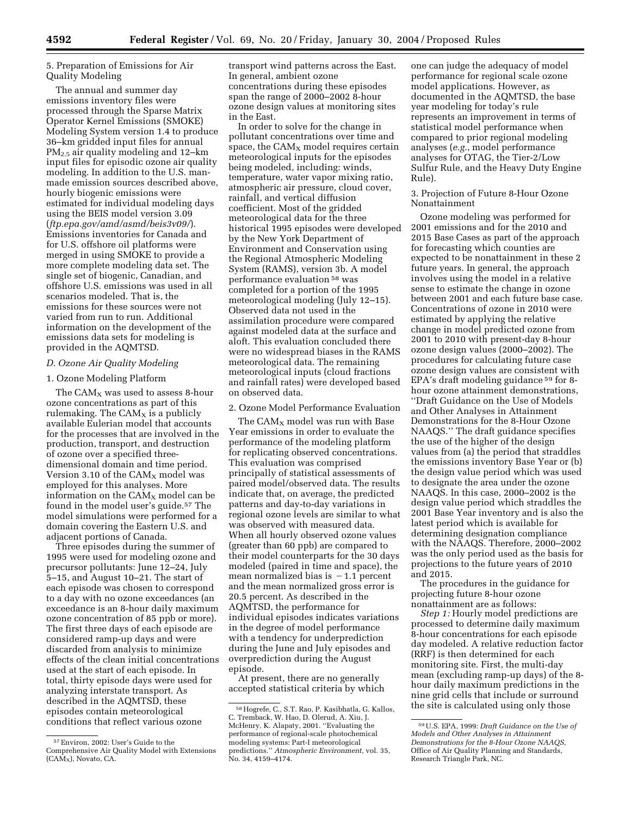5. Preparation of Emissions for Air Quality Modeling

The annual and summer day emissions inventory files were processed through the Sparse Matrix Operator Kernel Emissions (SMOKE) Modeling System version 1.4 to produce 36–km gridded input files for annual PM2.5 air quality modeling and 12–km input files for episodic ozone air quality modeling. In addition to the U.S. manmade emission sources described above, hourly biogenic emissions were estimated for individual modeling days using the BEIS model version 3.09 (*ftp.epa.gov/amd/asmd/beis3v09/*). Emissions inventories for Canada and for U.S. offshore oil platforms were merged in using SMOKE to provide a more complete modeling data set. The single set of biogenic, Canadian, and offshore U.S. emissions was used in all scenarios modeled. That is, the emissions for these sources were not varied from run to run. Additional information on the development of the emissions data sets for modeling is provided in the AQMTSD.

#### *D. Ozone Air Quality Modeling*

#### 1. Ozone Modeling Platform

The  $CAM_x$  was used to assess 8-hour ozone concentrations as part of this rulemaking. The  $CAM<sub>X</sub>$  is a publicly available Eulerian model that accounts for the processes that are involved in the production, transport, and destruction of ozone over a specified threedimensional domain and time period. Version 3.10 of the  $CAM<sub>x</sub>$  model was employed for this analyses. More information on the CAMX model can be found in the model user's guide.57 The model simulations were performed for a domain covering the Eastern U.S. and adjacent portions of Canada.

Three episodes during the summer of 1995 were used for modeling ozone and precursor pollutants: June 12–24, July 5–15, and August 10–21. The start of each episode was chosen to correspond to a day with no ozone exceedances (an exceedance is an 8-hour daily maximum ozone concentration of 85 ppb or more). The first three days of each episode are considered ramp-up days and were discarded from analysis to minimize effects of the clean initial concentrations used at the start of each episode. In total, thirty episode days were used for analyzing interstate transport. As described in the AQMTSD, these episodes contain meteorological conditions that reflect various ozone

transport wind patterns across the East. In general, ambient ozone concentrations during these episodes span the range of 2000–2002 8-hour ozone design values at monitoring sites in the East.

In order to solve for the change in pollutant concentrations over time and space, the  $CAM<sub>x</sub>$  model requires certain meteorological inputs for the episodes being modeled, including: winds, temperature, water vapor mixing ratio, atmospheric air pressure, cloud cover, rainfall, and vertical diffusion coefficient. Most of the gridded meteorological data for the three historical 1995 episodes were developed by the New York Department of Environment and Conservation using the Regional Atmospheric Modeling System (RAMS), version 3b. A model performance evaluation 58 was completed for a portion of the 1995 meteorological modeling (July 12–15). Observed data not used in the assimilation procedure were compared against modeled data at the surface and aloft. This evaluation concluded there were no widespread biases in the RAMS meteorological data. The remaining meteorological inputs (cloud fractions and rainfall rates) were developed based on observed data.

#### 2. Ozone Model Performance Evaluation

The  $CAM_x$  model was run with Base Year emissions in order to evaluate the performance of the modeling platform for replicating observed concentrations. This evaluation was comprised principally of statistical assessments of paired model/observed data. The results indicate that, on average, the predicted patterns and day-to-day variations in regional ozone levels are similar to what was observed with measured data. When all hourly observed ozone values (greater than 60 ppb) are compared to their model counterparts for the 30 days modeled (paired in time and space), the mean normalized bias is  $-1.1$  percent and the mean normalized gross error is 20.5 percent. As described in the AQMTSD, the performance for individual episodes indicates variations in the degree of model performance with a tendency for underprediction during the June and July episodes and overprediction during the August episode.

At present, there are no generally accepted statistical criteria by which one can judge the adequacy of model performance for regional scale ozone model applications. However, as documented in the AQMTSD, the base year modeling for today's rule represents an improvement in terms of statistical model performance when compared to prior regional modeling analyses (*e.g.*, model performance analyses for OTAG, the Tier-2/Low Sulfur Rule, and the Heavy Duty Engine Rule).

3. Projection of Future 8-Hour Ozone Nonattainment

Ozone modeling was performed for 2001 emissions and for the 2010 and 2015 Base Cases as part of the approach for forecasting which counties are expected to be nonattainment in these 2 future years. In general, the approach involves using the model in a relative sense to estimate the change in ozone between 2001 and each future base case. Concentrations of ozone in 2010 were estimated by applying the relative change in model predicted ozone from 2001 to 2010 with present-day 8-hour ozone design values (2000–2002). The procedures for calculating future case ozone design values are consistent with EPA's draft modeling guidance 59 for 8 hour ozone attainment demonstrations, ''Draft Guidance on the Use of Models and Other Analyses in Attainment Demonstrations for the 8-Hour Ozone NAAQS.'' The draft guidance specifies the use of the higher of the design values from (a) the period that straddles the emissions inventory Base Year or (b) the design value period which was used to designate the area under the ozone NAAQS. In this case, 2000–2002 is the design value period which straddles the 2001 Base Year inventory and is also the latest period which is available for determining designation compliance with the NAAQS. Therefore, 2000–2002 was the only period used as the basis for projections to the future years of 2010 and 2015.

The procedures in the guidance for projecting future 8-hour ozone nonattainment are as follows:

*Step 1:* Hourly model predictions are processed to determine daily maximum 8-hour concentrations for each episode day modeled. A relative reduction factor (RRF) is then determined for each monitoring site. First, the multi-day mean (excluding ramp-up days) of the 8 hour daily maximum predictions in the nine grid cells that include or surround the site is calculated using only those

<sup>57</sup>Environ, 2002: User's Guide to the Comprehensive Air Quality Model with Extensions  $(CA\overline{M}_X)$ , Novato, CA.

<sup>58</sup>Hogrefe, C., S.T. Rao, P. Kasibhatla, G. Kallos, C. Tremback, W. Hao, D. Olerud, A. Xiu, J. McHenry, K. Alapaty, 2001. ''Evaluating the performance of regional-scale photochemical modeling systems: Part-I meteorological predictions.'' *Atmospheric Environment,* vol. 35, No. 34, 4159–4174.

<sup>59</sup>U.S. EPA, 1999: *Draft Guidance on the Use of Models and Other Analyses in Attainment Demonstrations for the 8-Hour Ozone NAAQS,* Office of Air Quality Planning and Standards, Research Triangle Park, NC.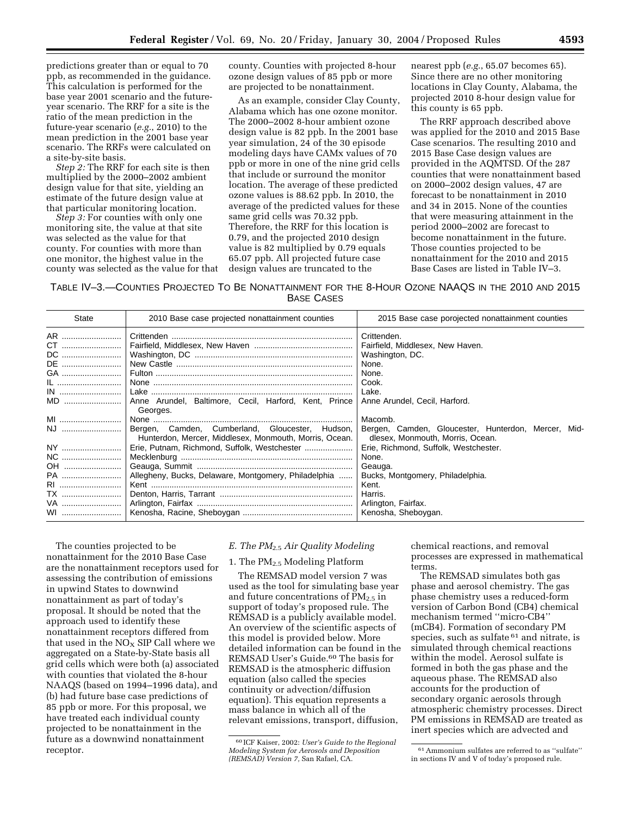predictions greater than or equal to 70 ppb, as recommended in the guidance. This calculation is performed for the base year 2001 scenario and the futureyear scenario. The RRF for a site is the ratio of the mean prediction in the future-year scenario (*e.g.*, 2010) to the mean prediction in the 2001 base year scenario. The RRFs were calculated on a site-by-site basis.

*Step 2:* The RRF for each site is then multiplied by the 2000–2002 ambient design value for that site, yielding an estimate of the future design value at that particular monitoring location.

*Step 3:* For counties with only one monitoring site, the value at that site was selected as the value for that county. For counties with more than one monitor, the highest value in the county was selected as the value for that county. Counties with projected 8-hour ozone design values of 85 ppb or more are projected to be nonattainment.

As an example, consider Clay County, Alabama which has one ozone monitor. The 2000–2002 8-hour ambient ozone design value is 82 ppb. In the 2001 base year simulation, 24 of the 30 episode modeling days have CAMx values of 70 ppb or more in one of the nine grid cells that include or surround the monitor location. The average of these predicted ozone values is 88.62 ppb. In 2010, the average of the predicted values for these same grid cells was 70.32 ppb. Therefore, the RRF for this location is 0.79, and the projected 2010 design value is 82 multiplied by 0.79 equals 65.07 ppb. All projected future case design values are truncated to the

nearest ppb (*e.g.*, 65.07 becomes 65). Since there are no other monitoring locations in Clay County, Alabama, the projected 2010 8-hour design value for this county is 65 ppb.

The RRF approach described above was applied for the 2010 and 2015 Base Case scenarios. The resulting 2010 and 2015 Base Case design values are provided in the AQMTSD. Of the 287 counties that were nonattainment based on 2000–2002 design values, 47 are forecast to be nonattainment in 2010 and 34 in 2015. None of the counties that were measuring attainment in the period 2000–2002 are forecast to become nonattainment in the future. Those counties projected to be nonattainment for the 2010 and 2015 Base Cases are listed in Table IV–3.

TABLE IV–3.—COUNTIES PROJECTED TO BE NONATTAINMENT FOR THE 8-HOUR OZONE NAAQS IN THE 2010 AND 2015 BASE CASES

| State                                               | 2010 Base case projected nonattainment counties                                                           | 2015 Base case porojected nonattainment counties                                                                                                                |
|-----------------------------------------------------|-----------------------------------------------------------------------------------------------------------|-----------------------------------------------------------------------------------------------------------------------------------------------------------------|
| AR<br>CT<br>DC<br>DE<br>GA                          |                                                                                                           | Crittenden.<br>Fairfield, Middlesex, New Haven.<br>Washington, DC.<br>None.<br>None.                                                                            |
| IL<br>MD<br>MI                                      | Anne Arundel, Baltimore, Cecil, Harford, Kent, Prince<br>Georges.                                         | Cook.<br>Lake.<br>Anne Arundel, Cecil, Harford.<br>Macomb.                                                                                                      |
| NJ                                                  | Bergen, Camden, Cumberland, Gloucester, Hudson,<br>Hunterdon, Mercer, Middlesex, Monmouth, Morris, Ocean. | Bergen, Camden, Gloucester, Hunterdon, Mercer, Mid-<br>dlesex, Monmouth, Morris, Ocean.                                                                         |
| NY<br>NC<br>OH<br>PA<br>RI<br><b>TX</b><br>VA<br>WI | Erie, Putnam, Richmond, Suffolk, Westchester<br>Allegheny, Bucks, Delaware, Montgomery, Philadelphia      | Erie, Richmond, Suffolk, Westchester.<br>None.<br>Geauga.<br>Bucks, Montgomery, Philadelphia.<br>Kent.<br>Harris.<br>Arlington, Fairfax.<br>Kenosha, Sheboygan. |

The counties projected to be nonattainment for the 2010 Base Case are the nonattainment receptors used for assessing the contribution of emissions in upwind States to downwind nonattainment as part of today's proposal. It should be noted that the approach used to identify these nonattainment receptors differed from that used in the  $NO<sub>x</sub>$  SIP Call where we aggregated on a State-by-State basis all grid cells which were both (a) associated with counties that violated the 8-hour NAAQS (based on 1994–1996 data), and (b) had future base case predictions of 85 ppb or more. For this proposal, we have treated each individual county projected to be nonattainment in the future as a downwind nonattainment receptor.

#### *E. The PM*2.5 *Air Quality Modeling*

#### 1. The PM2.5 Modeling Platform

The REMSAD model version 7 was used as the tool for simulating base year and future concentrations of  $PM_{2.5}$  in support of today's proposed rule. The REMSAD is a publicly available model. An overview of the scientific aspects of this model is provided below. More detailed information can be found in the REMSAD User's Guide.<sup>60</sup> The basis for REMSAD is the atmospheric diffusion equation (also called the species continuity or advection/diffusion equation). This equation represents a mass balance in which all of the relevant emissions, transport, diffusion,

chemical reactions, and removal processes are expressed in mathematical terms.

The REMSAD simulates both gas phase and aerosol chemistry. The gas phase chemistry uses a reduced-form version of Carbon Bond (CB4) chemical mechanism termed ''micro-CB4'' (mCB4). Formation of secondary PM species, such as sulfate <sup>61</sup> and nitrate, is simulated through chemical reactions within the model. Aerosol sulfate is formed in both the gas phase and the aqueous phase. The REMSAD also accounts for the production of secondary organic aerosols through atmospheric chemistry processes. Direct PM emissions in REMSAD are treated as inert species which are advected and

<sup>60</sup> ICF Kaiser, 2002: *User's Guide to the Regional Modeling System for Aerosols and Deposition (REMSAD) Version 7,* San Rafael, CA.

<sup>61</sup>Ammonium sulfates are referred to as ''sulfate'' in sections IV and V of today's proposed rule.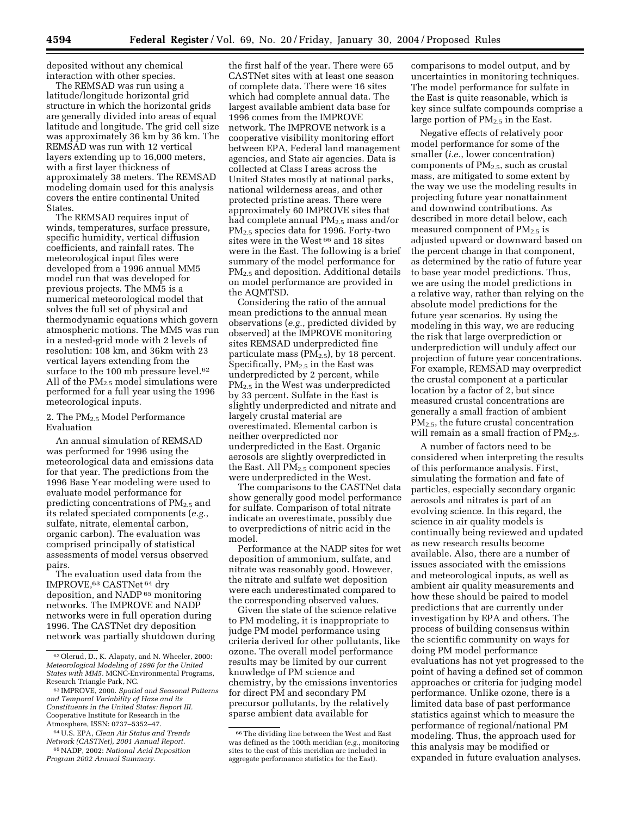deposited without any chemical interaction with other species.

The REMSAD was run using a latitude/longitude horizontal grid structure in which the horizontal grids are generally divided into areas of equal latitude and longitude. The grid cell size was approximately 36 km by 36 km. The REMSAD was run with 12 vertical layers extending up to 16,000 meters, with a first layer thickness of approximately 38 meters. The REMSAD modeling domain used for this analysis covers the entire continental United States.

The REMSAD requires input of winds, temperatures, surface pressure, specific humidity, vertical diffusion coefficients, and rainfall rates. The meteorological input files were developed from a 1996 annual MM5 model run that was developed for previous projects. The MM5 is a numerical meteorological model that solves the full set of physical and thermodynamic equations which govern atmospheric motions. The MM5 was run in a nested-grid mode with 2 levels of resolution: 108 km, and 36km with 23 vertical layers extending from the surface to the 100 mb pressure level.<sup>62</sup> All of the  $PM_{2.5}$  model simulations were performed for a full year using the 1996 meteorological inputs.

2. The PM<sub>2.5</sub> Model Performance Evaluation

An annual simulation of REMSAD was performed for 1996 using the meteorological data and emissions data for that year. The predictions from the 1996 Base Year modeling were used to evaluate model performance for predicting concentrations of  $PM_{2.5}$  and its related speciated components (*e.g.*, sulfate, nitrate, elemental carbon, organic carbon). The evaluation was comprised principally of statistical assessments of model versus observed pairs.

The evaluation used data from the IMPROVE,63 CASTNet 64 dry deposition, and NADP 65 monitoring networks. The IMPROVE and NADP networks were in full operation during 1996. The CASTNet dry deposition network was partially shutdown during

the first half of the year. There were 65 CASTNet sites with at least one season of complete data. There were 16 sites which had complete annual data. The largest available ambient data base for 1996 comes from the IMPROVE network. The IMPROVE network is a cooperative visibility monitoring effort between EPA, Federal land management agencies, and State air agencies. Data is collected at Class I areas across the United States mostly at national parks, national wilderness areas, and other protected pristine areas. There were approximately 60 IMPROVE sites that had complete annual PM2.5 mass and/or PM2.5 species data for 1996. Forty-two sites were in the West<sup>66</sup> and 18 sites were in the East. The following is a brief summary of the model performance for PM2.5 and deposition. Additional details on model performance are provided in the AQMTSD.

Considering the ratio of the annual mean predictions to the annual mean observations (*e.g.*, predicted divided by observed) at the IMPROVE monitoring sites REMSAD underpredicted fine particulate mass  $(PM_{2.5})$ , by 18 percent. Specifically,  $PM<sub>2.5</sub>$  in the East was underpredicted by 2 percent, while PM2.5 in the West was underpredicted by 33 percent. Sulfate in the East is slightly underpredicted and nitrate and largely crustal material are overestimated. Elemental carbon is neither overpredicted nor underpredicted in the East. Organic aerosols are slightly overpredicted in the East. All  $PM<sub>2.5</sub>$  component species were underpredicted in the West.

The comparisons to the CASTNet data show generally good model performance for sulfate. Comparison of total nitrate indicate an overestimate, possibly due to overpredictions of nitric acid in the model.

Performance at the NADP sites for wet deposition of ammonium, sulfate, and nitrate was reasonably good. However, the nitrate and sulfate wet deposition were each underestimated compared to the corresponding observed values.

Given the state of the science relative to PM modeling, it is inappropriate to judge PM model performance using criteria derived for other pollutants, like ozone. The overall model performance results may be limited by our current knowledge of PM science and chemistry, by the emissions inventories for direct PM and secondary PM precursor pollutants, by the relatively sparse ambient data available for

comparisons to model output, and by uncertainties in monitoring techniques. The model performance for sulfate in the East is quite reasonable, which is key since sulfate compounds comprise a large portion of  $PM_{2.5}$  in the East.

Negative effects of relatively poor model performance for some of the smaller (*i.e.*, lower concentration) components of  $PM<sub>2.5</sub>$ , such as crustal mass, are mitigated to some extent by the way we use the modeling results in projecting future year nonattainment and downwind contributions. As described in more detail below, each measured component of  $PM_{2.5}$  is adjusted upward or downward based on the percent change in that component, as determined by the ratio of future year to base year model predictions. Thus, we are using the model predictions in a relative way, rather than relying on the absolute model predictions for the future year scenarios. By using the modeling in this way, we are reducing the risk that large overprediction or underprediction will unduly affect our projection of future year concentrations. For example, REMSAD may overpredict the crustal component at a particular location by a factor of 2, but since measured crustal concentrations are generally a small fraction of ambient PM2.5, the future crustal concentration will remain as a small fraction of  $PM_{2.5}$ .

A number of factors need to be considered when interpreting the results of this performance analysis. First, simulating the formation and fate of particles, especially secondary organic aerosols and nitrates is part of an evolving science. In this regard, the science in air quality models is continually being reviewed and updated as new research results become available. Also, there are a number of issues associated with the emissions and meteorological inputs, as well as ambient air quality measurements and how these should be paired to model predictions that are currently under investigation by EPA and others. The process of building consensus within the scientific community on ways for doing PM model performance evaluations has not yet progressed to the point of having a defined set of common approaches or criteria for judging model performance. Unlike ozone, there is a limited data base of past performance statistics against which to measure the performance of regional/national PM modeling. Thus, the approach used for this analysis may be modified or expanded in future evaluation analyses.

<sup>62</sup>Olerud, D., K. Alapaty, and N. Wheeler, 2000: *Meteorological Modeling of 1996 for the United States with MM5.* MCNC-Environmental Programs, Research Triangle Park, NC.

<sup>63</sup> IMPROVE, 2000. *Spatial and Seasonal Patterns and Temporal Variability of Haze and its Constituents in the United States: Report III.* Cooperative Institute for Research in the Atmosphere, ISSN: 0737–5352–47.

<sup>64</sup>U.S. EPA, *Clean Air Status and Trends Network (CASTNet), 2001 Annual Report.* 65NADP, 2002: *National Acid Deposition Program 2002 Annual Summary.*

<sup>66</sup>The dividing line between the West and East was defined as the 100th meridian (*e.g.*, monitoring sites to the east of this meridian are included in aggregate performance statistics for the East).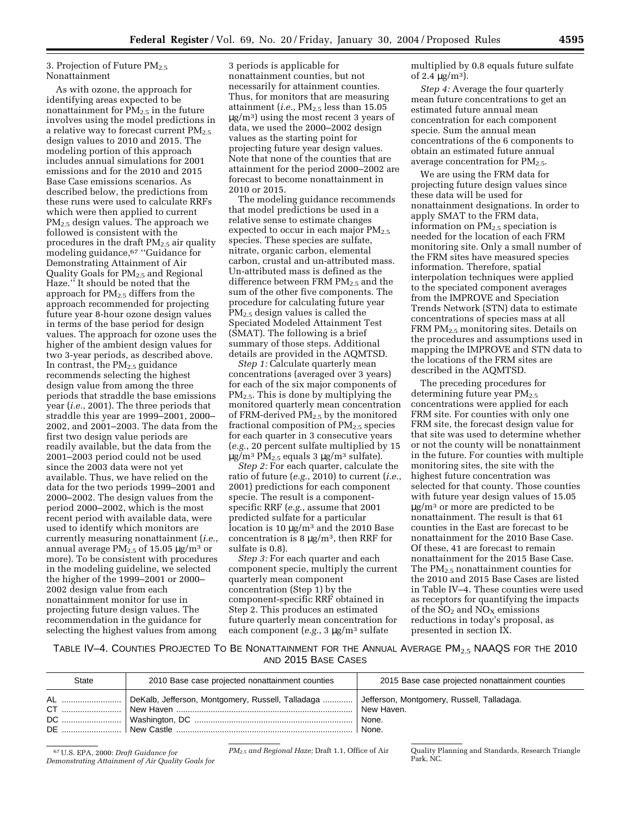#### 3. Projection of Future PM<sub>2.5</sub> Nonattainment

As with ozone, the approach for identifying areas expected to be nonattainment for  $PM_{2.5}$  in the future involves using the model predictions in a relative way to forecast current  $PM_{2.5}$ design values to 2010 and 2015. The modeling portion of this approach includes annual simulations for 2001 emissions and for the 2010 and 2015 Base Case emissions scenarios. As described below, the predictions from these runs were used to calculate RRFs which were then applied to current PM<sub>2.5</sub> design values. The approach we followed is consistent with the procedures in the draft  $PM_{2.5}$  air quality modeling guidance,67 ''Guidance for Demonstrating Attainment of Air Quality Goals for  $PM_{2,5}$  and Regional Haze.'' It should be noted that the approach for  $PM<sub>2.5</sub>$  differs from the approach recommended for projecting future year 8-hour ozone design values in terms of the base period for design values. The approach for ozone uses the higher of the ambient design values for two 3-year periods, as described above. In contrast, the  $PM_{2.5}$  guidance recommends selecting the highest design value from among the three periods that straddle the base emissions year (*i.e.*, 2001). The three periods that straddle this year are 1999–2001, 2000– 2002, and 2001–2003. The data from the first two design value periods are readily available, but the data from the 2001–2003 period could not be used since the 2003 data were not yet available. Thus, we have relied on the data for the two periods 1999–2001 and 2000–2002. The design values from the period 2000–2002, which is the most recent period with available data, were used to identify which monitors are currently measuring nonattainment (*i.e.*, annual average  $PM_{2.5}$  of 15.05  $\mu$ g/m<sup>3</sup> or more). To be consistent with procedures in the modeling guideline, we selected the higher of the 1999–2001 or 2000– 2002 design value from each nonattainment monitor for use in projecting future design values. The recommendation in the guidance for selecting the highest values from among

3 periods is applicable for nonattainment counties, but not necessarily for attainment counties. Thus, for monitors that are measuring attainment (*i.e.*,  $PM_{2.5}$  less than  $15.05$  $\mu$ g/m<sup>3</sup>) using the most recent 3 years of data, we used the 2000–2002 design values as the starting point for projecting future year design values. Note that none of the counties that are attainment for the period 2000–2002 are forecast to become nonattainment in 2010 or 2015.

The modeling guidance recommends that model predictions be used in a relative sense to estimate changes expected to occur in each major  $PM_{2.5}$ species. These species are sulfate, nitrate, organic carbon, elemental carbon, crustal and un-attributed mass. Un-attributed mass is defined as the difference between FRM  $PM_{2.5}$  and the sum of the other five components. The procedure for calculating future year PM2.5 design values is called the Speciated Modeled Attainment Test (SMAT). The following is a brief summary of those steps. Additional details are provided in the AQMTSD.

*Step 1:* Calculate quarterly mean concentrations (averaged over 3 years) for each of the six major components of PM2.5. This is done by multiplying the monitored quarterly mean concentration of FRM-derived PM2.5 by the monitored fractional composition of  $PM_{2.5}$  species for each quarter in 3 consecutive years (*e.g.*, 20 percent sulfate multiplied by 15 µg/m3 PM2.5 equals 3 µg/m3 sulfate).

*Step 2:* For each quarter, calculate the ratio of future (*e.g.*, 2010) to current (*i.e.*, 2001) predictions for each component specie. The result is a componentspecific RRF (*e.g.*, assume that 2001 predicted sulfate for a particular location is 10  $\mu$ g/m<sup>3</sup> and the 2010 Base concentration is 8  $\mu$ g/m<sup>3</sup>, then RRF for sulfate is 0.8).

*Step 3:* For each quarter and each component specie, multiply the current quarterly mean component concentration (Step 1) by the component-specific RRF obtained in Step 2. This produces an estimated future quarterly mean concentration for each component (*e.g.*, 3 µg/m3 sulfate

multiplied by 0.8 equals future sulfate of 2.4  $\mu$ g/m<sup>3</sup>).

*Step 4:* Average the four quarterly mean future concentrations to get an estimated future annual mean concentration for each component specie. Sum the annual mean concentrations of the 6 components to obtain an estimated future annual average concentration for  $PM_{2.5}$ .

We are using the FRM data for projecting future design values since these data will be used for nonattainment designations. In order to apply SMAT to the FRM data, information on PM2.5 speciation is needed for the location of each FRM monitoring site. Only a small number of the FRM sites have measured species information. Therefore, spatial interpolation techniques were applied to the speciated component averages from the IMPROVE and Speciation Trends Network (STN) data to estimate concentrations of species mass at all FRM PM2.5 monitoring sites. Details on the procedures and assumptions used in mapping the IMPROVE and STN data to the locations of the FRM sites are described in the AQMTSD.

The preceding procedures for determining future year PM<sub>2.5</sub> concentrations were applied for each FRM site. For counties with only one FRM site, the forecast design value for that site was used to determine whether or not the county will be nonattainment in the future. For counties with multiple monitoring sites, the site with the highest future concentration was selected for that county. Those counties with future year design values of 15.05 µg/m3 or more are predicted to be nonattainment. The result is that 61 counties in the East are forecast to be nonattainment for the 2010 Base Case. Of these, 41 are forecast to remain nonattainment for the 2015 Base Case. The  $PM_2$ , nonattainment counties for the 2010 and 2015 Base Cases are listed in Table IV–4. These counties were used as receptors for quantifying the impacts of the SO<sub>2</sub> and NO<sub>X</sub> emissions reductions in today's proposal, as presented in section IX.

TABLE IV–4. COUNTIES PROJECTED TO BE NONATTAINMENT FOR THE ANNUAL AVERAGE PM2.5 NAAQS FOR THE 2010 AND 2015 BASE CASES

| <b>State</b> | 2010 Base case projected nonattainment counties                                                       | 2015 Base case projected nonattainment counties |
|--------------|-------------------------------------------------------------------------------------------------------|-------------------------------------------------|
|              | AL    DeKalb, Jefferson, Montgomery, Russell, Talladaga    Jefferson, Montgomery, Russell, Talladaga. | New Haven.<br>None.<br>  None.                  |

67U.S. EPA, 2000: *Draft Guidance for Demonstrating Attainment of Air Quality Goals for* 

*PM2.5 and Regional Haze;* Draft 1.1, Office of Air Quality Planning and Standards, Research Triangle Park, NC.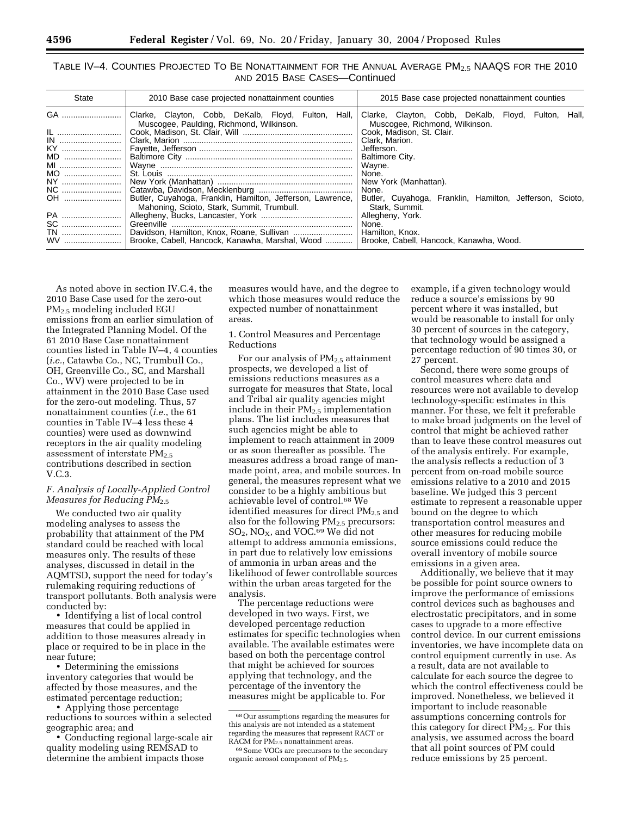| State | 2010 Base case projected nonattainment counties                                                          | 2015 Base case projected nonattainment counties                                          |  |  |  |  |  |  |
|-------|----------------------------------------------------------------------------------------------------------|------------------------------------------------------------------------------------------|--|--|--|--|--|--|
| GA    | Clarke, Clayton, Cobb, DeKalb, Floyd, Fulton, Hall,<br>Muscogee, Paulding, Richmond, Wilkinson.          | Clarke, Clayton, Cobb, DeKalb, Floyd, Fulton,<br>Hall.<br>Muscogee, Richmond, Wilkinson. |  |  |  |  |  |  |
| IL    |                                                                                                          | Cook, Madison, St. Clair.                                                                |  |  |  |  |  |  |
|       |                                                                                                          | Clark, Marion.                                                                           |  |  |  |  |  |  |
| KY    |                                                                                                          | Jefferson.                                                                               |  |  |  |  |  |  |
| MD    |                                                                                                          | Baltimore City.                                                                          |  |  |  |  |  |  |
| MI    |                                                                                                          | Wayne.                                                                                   |  |  |  |  |  |  |
| MO    |                                                                                                          | None.                                                                                    |  |  |  |  |  |  |
| NY    |                                                                                                          | New York (Manhattan).                                                                    |  |  |  |  |  |  |
| NC    |                                                                                                          | None.                                                                                    |  |  |  |  |  |  |
| OH    | Butler, Cuyahoga, Franklin, Hamilton, Jefferson, Lawrence,<br>Mahoning, Scioto, Stark, Summit, Trumbull. | Butler, Cuyahoga, Franklin, Hamilton, Jefferson, Scioto,<br>Stark, Summit.               |  |  |  |  |  |  |
| PA    |                                                                                                          | Allegheny, York.                                                                         |  |  |  |  |  |  |
|       |                                                                                                          | None.                                                                                    |  |  |  |  |  |  |
| TN    |                                                                                                          | Hamilton, Knox.                                                                          |  |  |  |  |  |  |
|       | Brooke, Cabell, Hancock, Kanawha, Marshal, Wood                                                          | Brooke, Cabell, Hancock, Kanawha, Wood.                                                  |  |  |  |  |  |  |

TABLE IV–4. COUNTIES PROJECTED TO BE NONATTAINMENT FOR THE ANNUAL AVERAGE PM2.5 NAAQS FOR THE 2010 AND 2015 BASE CASES—Continued

As noted above in section IV.C.4, the 2010 Base Case used for the zero-out PM2.5 modeling included EGU emissions from an earlier simulation of the Integrated Planning Model. Of the 61 2010 Base Case nonattainment counties listed in Table IV–4, 4 counties (*i.e.*, Catawba Co., NC, Trumbull Co., OH, Greenville Co., SC, and Marshall Co., WV) were projected to be in attainment in the 2010 Base Case used for the zero-out modeling. Thus, 57 nonattainment counties (*i.e.*, the 61 counties in Table IV–4 less these 4 counties) were used as downwind receptors in the air quality modeling assessment of interstate  $PM_{2.5}$ contributions described in section V.C.3.

#### *F. Analysis of Locally-Applied Control Measures for Reducing PM*2.5

We conducted two air quality modeling analyses to assess the probability that attainment of the PM standard could be reached with local measures only. The results of these analyses, discussed in detail in the AQMTSD, support the need for today's rulemaking requiring reductions of transport pollutants. Both analysis were conducted by:

• Identifying a list of local control measures that could be applied in addition to those measures already in place or required to be in place in the near future;

• Determining the emissions inventory categories that would be affected by those measures, and the estimated percentage reduction;

• Applying those percentage reductions to sources within a selected geographic area; and

• Conducting regional large-scale air quality modeling using REMSAD to determine the ambient impacts those

measures would have, and the degree to which those measures would reduce the expected number of nonattainment areas.

1. Control Measures and Percentage Reductions

For our analysis of  $PM_{2.5}$  attainment prospects, we developed a list of emissions reductions measures as a surrogate for measures that State, local and Tribal air quality agencies might include in their  $PM_{2.5}$  implementation plans. The list includes measures that such agencies might be able to implement to reach attainment in 2009 or as soon thereafter as possible. The measures address a broad range of manmade point, area, and mobile sources. In general, the measures represent what we consider to be a highly ambitious but achievable level of control.68 We identified measures for direct  $PM<sub>2.5</sub>$  and also for the following  $PM<sub>2.5</sub>$  precursors:  $SO_2$ , NO<sub>X</sub>, and VOC.<sup>69</sup> We did not attempt to address ammonia emissions, in part due to relatively low emissions of ammonia in urban areas and the likelihood of fewer controllable sources within the urban areas targeted for the analysis.

The percentage reductions were developed in two ways. First, we developed percentage reduction estimates for specific technologies when available. The available estimates were based on both the percentage control that might be achieved for sources applying that technology, and the percentage of the inventory the measures might be applicable to. For

example, if a given technology would reduce a source's emissions by 90 percent where it was installed, but would be reasonable to install for only 30 percent of sources in the category, that technology would be assigned a percentage reduction of 90 times 30, or 27 percent.

Second, there were some groups of control measures where data and resources were not available to develop technology-specific estimates in this manner. For these, we felt it preferable to make broad judgments on the level of control that might be achieved rather than to leave these control measures out of the analysis entirely. For example, the analysis reflects a reduction of 3 percent from on-road mobile source emissions relative to a 2010 and 2015 baseline. We judged this 3 percent estimate to represent a reasonable upper bound on the degree to which transportation control measures and other measures for reducing mobile source emissions could reduce the overall inventory of mobile source emissions in a given area.

Additionally, we believe that it may be possible for point source owners to improve the performance of emissions control devices such as baghouses and electrostatic precipitators, and in some cases to upgrade to a more effective control device. In our current emissions inventories, we have incomplete data on control equipment currently in use. As a result, data are not available to calculate for each source the degree to which the control effectiveness could be improved. Nonetheless, we believed it important to include reasonable assumptions concerning controls for this category for direct  $PM_{2.5}$ . For this analysis, we assumed across the board that all point sources of PM could reduce emissions by 25 percent.

 $^{68}\rm{Our}$  assumptions regarding the measures for this analysis are not intended as a statement regarding the measures that represent RACT or RACM for PM<sub>2.5</sub> nonattainment areas.

<sup>69</sup>Some VOCs are precursors to the secondary organic aerosol component of  $PM_{2.5}$ .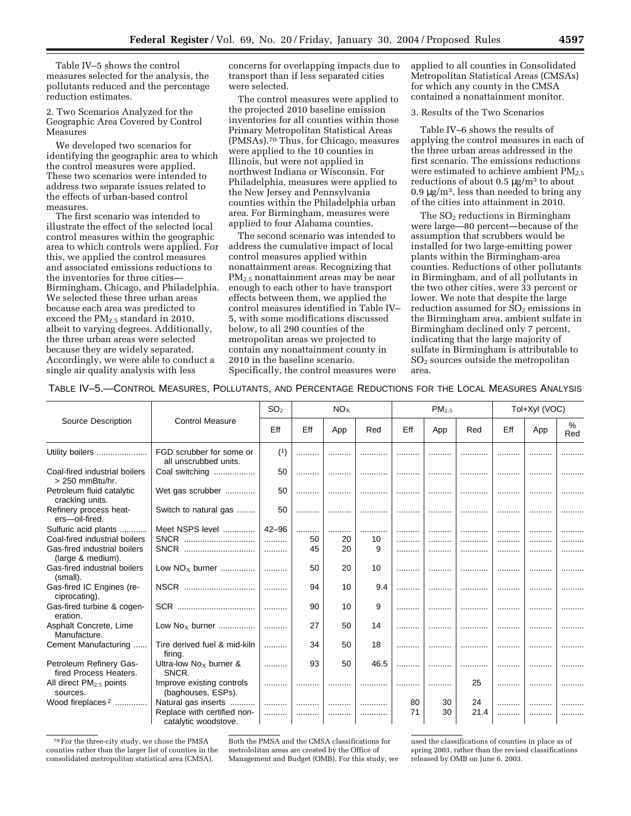Table IV–5 shows the control measures selected for the analysis, the pollutants reduced and the percentage reduction estimates.

2. Two Scenarios Analyzed for the Geographic Area Covered by Control Measures

We developed two scenarios for identifying the geographic area to which the control measures were applied. These two scenarios were intended to address two separate issues related to the effects of urban-based control measures.

The first scenario was intended to illustrate the effect of the selected local control measures within the geographic area to which controls were applied. For this, we applied the control measures and associated emissions reductions to the inventories for three cities— Birmingham, Chicago, and Philadelphia. We selected these three urban areas because each area was predicted to exceed the  $PM<sub>2.5</sub>$  standard in 2010, albeit to varying degrees. Additionally, the three urban areas were selected because they are widely separated. Accordingly, we were able to conduct a single air quality analysis with less

concerns for overlapping impacts due to transport than if less separated cities were selected.

The control measures were applied to the projected 2010 baseline emission inventories for all counties within those Primary Metropolitan Statistical Areas (PMSAs).70 Thus, for Chicago, measures were applied to the 10 counties in Illinois, but were not applied in northwest Indiana or Wisconsin. For Philadelphia, measures were applied to the New Jersey and Pennsylvania counties within the Philadelphia urban area. For Birmingham, measures were applied to four Alabama counties.

The second scenario was intended to address the cumulative impact of local control measures applied within nonattainment areas. Recognizing that PM2.5 nonattainment areas may be near enough to each other to have transport effects between them, we applied the control measures identified in Table IV– 5, with some modifications discussed below, to all 290 counties of the metropolitan areas we projected to contain any nonattainment county in 2010 in the baseline scenario. Specifically, the control measures were

applied to all counties in Consolidated Metropolitan Statistical Areas (CMSAs) for which any county in the CMSA contained a nonattainment monitor.

3. Results of the Two Scenarios

Table IV–6 shows the results of applying the control measures in each of the three urban areas addressed in the first scenario. The emissions reductions were estimated to achieve ambient  $PM_{2.5}$ reductions of about  $0.5 \mu g/m^3$  to about  $0.9 \,\mathrm{\upmu g/m^3}$ , less than needed to bring any of the cities into attainment in 2010.

The  $SO<sub>2</sub>$  reductions in Birmingham were large—80 percent—because of the assumption that scrubbers would be installed for two large-emitting power plants within the Birmingham-area counties. Reductions of other pollutants in Birmingham, and of all pollutants in the two other cities, were 33 percent or lower. We note that despite the large reduction assumed for  $SO<sub>2</sub>$  emissions in the Birmingham area, ambient sulfate in Birmingham declined only 7 percent, indicating that the large majority of sulfate in Birmingham is attributable to  $SO<sub>2</sub>$  sources outside the metropolitan area.

|                                                    |                                                     | SO <sub>2</sub> |     | NO <sub>x</sub> |      |     | PM <sub>2.5</sub> |      |     | Tol+Xyl (VOC) |          |
|----------------------------------------------------|-----------------------------------------------------|-----------------|-----|-----------------|------|-----|-------------------|------|-----|---------------|----------|
| Source Description                                 | <b>Control Measure</b>                              | Eff             | Eff | App             | Red  | Eff | App               | Red  | Eff | App           | %<br>Red |
| Utility boilers                                    | FGD scrubber for some or<br>all unscrubbed units.   | (1)             |     |                 |      |     |                   |      |     |               |          |
| Coal-fired industrial boilers<br>$> 250$ mmBtu/hr. | Coal switching                                      | 50              |     |                 |      |     |                   |      |     |               |          |
| Petroleum fluid catalytic<br>cracking units.       | Wet gas scrubber                                    | 50              |     |                 |      |     |                   | .    | .   |               |          |
| Refinery process heat-<br>ers-oil-fired.           | Switch to natural gas                               | 50              |     |                 |      |     |                   |      |     |               |          |
| Sulfuric acid plants                               | Meet NSPS level                                     | $42 - 96$       | .   | .               |      | .   | .                 | .    | .   |               |          |
| Coal-fired industrial boilers                      | SNCR                                                | .               | 50  | 20              | 10   |     | .                 | .    | .   |               |          |
| Gas-fired industrial boilers<br>(large & medium).  | SNCR                                                | .               | 45  | 20              | 9    |     |                   | .    |     |               | .        |
| Gas-fired industrial boilers<br>(small).           | Low $NOx$ burner                                    | .               | 50  | 20              | 10   |     | .                 |      | .   |               |          |
| Gas-fired IC Engines (re-<br>ciprocating).         | NSCR                                                | .               | 94  | 10              | 9.4  |     |                   | .    | .   |               |          |
| Gas-fired turbine & cogen-<br>eration.             |                                                     |                 | 90  | 10              | 9    |     | .                 |      |     |               |          |
| Asphalt Concrete, Lime<br>Manufacture.             | Low $Nox$ burner                                    | .               | 27  | 50              | 14   | .   |                   |      |     |               |          |
| Cement Manufacturing                               | Tire derived fuel & mid-kiln<br>firing.             |                 | 34  | 50              | 18   | .   | .                 | .    | .   |               |          |
| Petroleum Refinery Gas-<br>fired Process Heaters.  | Ultra-low $Nox$ burner &<br>SNCR.                   |                 | 93  | 50              | 46.5 | .   |                   |      |     |               |          |
| All direct PM <sub>2.5</sub> points<br>sources.    | Improve existing controls<br>(baghouses, ESPs).     |                 |     |                 |      |     |                   | 25   | .   |               |          |
| Wood fireplaces <sup>2</sup>                       | Natural gas inserts                                 |                 |     |                 |      | 80  | 30                | 24   | .   |               |          |
|                                                    | Replace with certified non-<br>catalytic woodstove. | .               |     |                 | .    | 71  | 30                | 21.4 |     |               |          |

<sup>70</sup>For the three-city study, we chose the PMSA counties rather than the larger list of counties in the consolidated metropolitan statistical area (CMSA).

Both the PMSA and the CMSA classifications for metrololitan areas are created by the Office of Management and Budget (OMB). For this study, we

used the classifications of counties in place as of spring 2003, rather than the revised classifications released by OMB on June 6, 2003.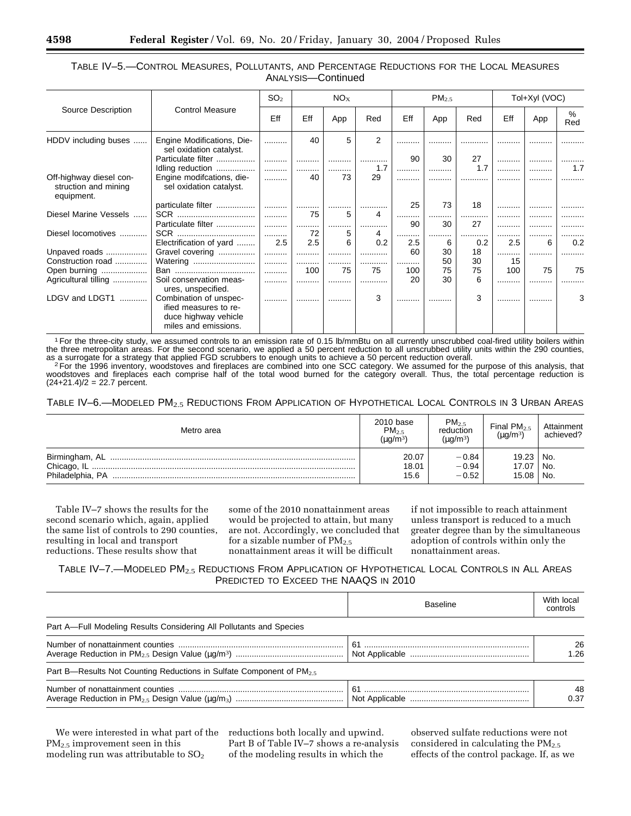|                                                               | <b>Control Measure</b>                                                                          | SO <sub>2</sub> | $NO_{X}$ |     | PM <sub>2.5</sub> |     |     | Tol+Xyl (VOC) |     |     |          |
|---------------------------------------------------------------|-------------------------------------------------------------------------------------------------|-----------------|----------|-----|-------------------|-----|-----|---------------|-----|-----|----------|
| Source Description                                            |                                                                                                 | Eff             | Eff      | App | Red               | Eff | App | Red           | Eff | App | %<br>Red |
| HDDV including buses                                          | Engine Modifications, Die-<br>sel oxidation catalyst.                                           |                 | 40       | 5   | $\overline{2}$    |     | .   | .             | .   |     |          |
|                                                               | Particulate filter                                                                              |                 |          |     |                   | 90  | 30  | 27            |     |     |          |
|                                                               | Idling reduction                                                                                |                 | .        |     | 1.7               |     |     | 1.7           | .   |     | 1.7      |
| Off-highway diesel con-<br>struction and mining<br>equipment. | Engine modifcations, die-<br>sel oxidation catalyst.                                            |                 | 40       | 73  | 29                |     |     | .             | .   | .   |          |
|                                                               | particulate filter                                                                              |                 |          |     |                   | 25  | 73  | 18            |     |     |          |
| Diesel Marine Vessels                                         |                                                                                                 |                 | 75       | 5   | 4                 |     |     | .             | .   | .   | .        |
|                                                               | Particulate filter                                                                              |                 |          |     |                   | 90  | 30  | 27            |     |     |          |
| Diesel locomotives                                            |                                                                                                 |                 | 72       | 5   | 4                 |     |     | .             | .   |     |          |
|                                                               | Electrification of yard                                                                         | 2.5             | 2.5      | 6   | 0.2               | 2.5 | 6   | 0.2           | 2.5 | 6   | 0.2      |
| Unpaved roads                                                 | Gravel covering                                                                                 |                 | .        |     | .                 | 60  | 30  | 18            |     | .   |          |
| Construction road                                             | Watering                                                                                        |                 |          |     |                   |     | 50  | 30            | 15  |     |          |
| Open burning                                                  |                                                                                                 |                 | 100      | 75  | 75                | 100 | 75  | 75            | 100 | 75  | 75       |
| Agricultural tilling                                          | Soil conservation meas-<br>ures, unspecified.                                                   |                 | .        |     |                   | 20  | 30  | 6             | .   |     |          |
| LDGV and LDGT1                                                | Combination of unspec-<br>ified measures to re-<br>duce highway vehicle<br>miles and emissions. |                 |          |     | 3                 |     |     | 3             | .   |     | 3        |

#### TABLE IV–5.—CONTROL MEASURES, POLLUTANTS, AND PERCENTAGE REDUCTIONS FOR THE LOCAL MEASURES ANALYSIS—Continued

1For the three-city study, we assumed controls to an emission rate of 0.15 lb/mmBtu on all currently unscrubbed coal-fired utility boilers within the three metropolitan areas. For the second scenario, we applied a 50 percent reduction to all unscrubbed utility units within the 290 counties,

as a surrogate for a strategy that applied FGD scrubbers to enough units to achieve a 50 percent reduction overall.<br><sup>2</sup> For the 1996 inventory, woodstoves and fireplaces are combined into one SCC category. We assumed for t woodstoves and fireplaces each comprise half of the total wood burned for the category overall. Thus, the total percentage reduction is  $(24+21.4)/2 = 22.7$  percent.

TABLE IV-6.-MODELED PM<sub>2.5</sub> REDUCTIONS FROM APPLICATION OF HYPOTHETICAL LOCAL CONTROLS IN 3 URBAN AREAS

| Metro area                      | 2010 base<br>$PM_{2.5}$<br>(µg/m $^3$ | PM <sub>2.5</sub><br>reduction<br>$(\mu q/m^3)$ | Final $PM_{2.5}$<br>$(\mu g/m^3)$ | Attainment<br>achieved? |
|---------------------------------|---------------------------------------|-------------------------------------------------|-----------------------------------|-------------------------|
| Chicago, IL<br>Philadelphia, PA | 20.07<br>18.01<br>15.6                | $-0.84$<br>$-0.94$<br>$-0.52$                   | 19.23<br>17.07<br>15.08           | No.<br>No.<br>No.       |

Table IV–7 shows the results for the second scenario which, again, applied the same list of controls to 290 counties, resulting in local and transport reductions. These results show that

some of the 2010 nonattainment areas would be projected to attain, but many are not. Accordingly, we concluded that for a sizable number of  $PM_{2.5}$ nonattainment areas it will be difficult

if not impossible to reach attainment unless transport is reduced to a much greater degree than by the simultaneous adoption of controls within only the nonattainment areas.

# TABLE IV-7.—MODELED PM<sub>2.5</sub> REDUCTIONS FROM APPLICATION OF HYPOTHETICAL LOCAL CONTROLS IN ALL AREAS PREDICTED TO EXCEED THE NAAQS IN 2010

|                                                                                  | <b>Baseline</b> | With local<br>controls |
|----------------------------------------------------------------------------------|-----------------|------------------------|
| Part A—Full Modeling Results Considering All Pollutants and Species              |                 |                        |
|                                                                                  | 61              | 26<br>1.26             |
| Part B—Results Not Counting Reductions in Sulfate Component of PM <sub>2.5</sub> |                 |                        |
|                                                                                  | 61              | 48<br>0.37             |

We were interested in what part of the PM2.5 improvement seen in this modeling run was attributable to  $SO<sub>2</sub>$ 

reductions both locally and upwind. Part B of Table IV–7 shows a re-analysis of the modeling results in which the

observed sulfate reductions were not considered in calculating the PM2.5 effects of the control package. If, as we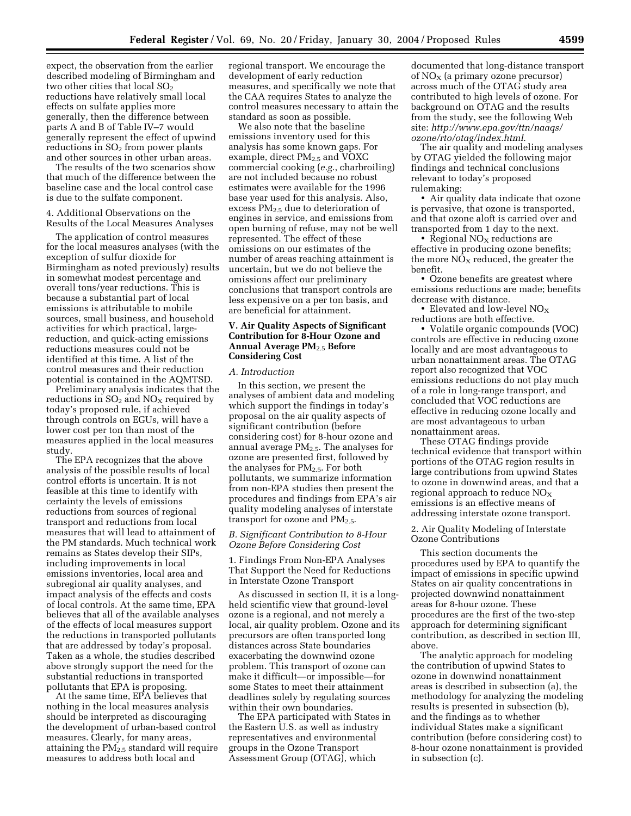expect, the observation from the earlier described modeling of Birmingham and two other cities that local  $SO_2$ reductions have relatively small local effects on sulfate applies more generally, then the difference between parts A and B of Table IV–7 would generally represent the effect of upwind reductions in  $SO<sub>2</sub>$  from power plants and other sources in other urban areas.

The results of the two scenarios show that much of the difference between the baseline case and the local control case is due to the sulfate component.

#### 4. Additional Observations on the Results of the Local Measures Analyses

The application of control measures for the local measures analyses (with the exception of sulfur dioxide for Birmingham as noted previously) results in somewhat modest percentage and overall tons/year reductions. This is because a substantial part of local emissions is attributable to mobile sources, small business, and household activities for which practical, largereduction, and quick-acting emissions reductions measures could not be identified at this time. A list of the control measures and their reduction potential is contained in the AQMTSD.

Preliminary analysis indicates that the reductions in  $SO<sub>2</sub>$  and  $NO<sub>X</sub>$  required by today's proposed rule, if achieved through controls on EGUs, will have a lower cost per ton than most of the measures applied in the local measures study.

The EPA recognizes that the above analysis of the possible results of local control efforts is uncertain. It is not feasible at this time to identify with certainty the levels of emissions reductions from sources of regional transport and reductions from local measures that will lead to attainment of the PM standards. Much technical work remains as States develop their SIPs, including improvements in local emissions inventories, local area and subregional air quality analyses, and impact analysis of the effects and costs of local controls. At the same time, EPA believes that all of the available analyses of the effects of local measures support the reductions in transported pollutants that are addressed by today's proposal. Taken as a whole, the studies described above strongly support the need for the substantial reductions in transported pollutants that EPA is proposing.

At the same time, EPA believes that nothing in the local measures analysis should be interpreted as discouraging the development of urban-based control measures. Clearly, for many areas, attaining the  $PM<sub>2.5</sub>$  standard will require measures to address both local and

regional transport. We encourage the development of early reduction measures, and specifically we note that the CAA requires States to analyze the control measures necessary to attain the standard as soon as possible.

We also note that the baseline emissions inventory used for this analysis has some known gaps. For example, direct PM<sub>2.5</sub> and VOXC commercial cooking (*e.g.*, charbroiling) are not included because no robust estimates were available for the 1996 base year used for this analysis. Also, excess  $PM_{2.5}$  due to deterioration of engines in service, and emissions from open burning of refuse, may not be well represented. The effect of these omissions on our estimates of the number of areas reaching attainment is uncertain, but we do not believe the omissions affect our preliminary conclusions that transport controls are less expensive on a per ton basis, and are beneficial for attainment.

#### **V. Air Quality Aspects of Significant Contribution for 8-Hour Ozone and Annual Average PM**2.5 **Before Considering Cost**

#### *A. Introduction*

In this section, we present the analyses of ambient data and modeling which support the findings in today's proposal on the air quality aspects of significant contribution (before considering cost) for 8-hour ozone and annual average  $PM_{2.5}$ . The analyses for ozone are presented first, followed by the analyses for PM2.5. For both pollutants, we summarize information from non-EPA studies then present the procedures and findings from EPA's air quality modeling analyses of interstate transport for ozone and  $PM_{2.5}$ .

#### *B. Significant Contribution to 8-Hour Ozone Before Considering Cost*

1. Findings From Non-EPA Analyses That Support the Need for Reductions in Interstate Ozone Transport

As discussed in section II, it is a longheld scientific view that ground-level ozone is a regional, and not merely a local, air quality problem. Ozone and its precursors are often transported long distances across State boundaries exacerbating the downwind ozone problem. This transport of ozone can make it difficult—or impossible—for some States to meet their attainment deadlines solely by regulating sources within their own boundaries.

The EPA participated with States in the Eastern U.S. as well as industry representatives and environmental groups in the Ozone Transport Assessment Group (OTAG), which

documented that long-distance transport of  $NO<sub>X</sub>$  (a primary ozone precursor) across much of the OTAG study area contributed to high levels of ozone. For background on OTAG and the results from the study, see the following Web site: *http://www.epa.gov/ttn/naaqs/ ozone/rto/otag/index.html*.

The air quality and modeling analyses by OTAG yielded the following major findings and technical conclusions relevant to today's proposed rulemaking:

• Air quality data indicate that ozone is pervasive, that ozone is transported, and that ozone aloft is carried over and transported from 1 day to the next.

• Regional  $NO<sub>X</sub>$  reductions are effective in producing ozone benefits; the more  $NO<sub>X</sub>$  reduced, the greater the benefit.

• Ozone benefits are greatest where emissions reductions are made; benefits decrease with distance.

• Elevated and low-level  $NO<sub>x</sub>$ reductions are both effective.

• Volatile organic compounds (VOC) controls are effective in reducing ozone locally and are most advantageous to urban nonattainment areas. The OTAG report also recognized that VOC emissions reductions do not play much of a role in long-range transport, and concluded that VOC reductions are effective in reducing ozone locally and are most advantageous to urban nonattainment areas.

These OTAG findings provide technical evidence that transport within portions of the OTAG region results in large contributions from upwind States to ozone in downwind areas, and that a regional approach to reduce NO<sub>X</sub> emissions is an effective means of addressing interstate ozone transport.

2. Air Quality Modeling of Interstate Ozone Contributions

This section documents the procedures used by EPA to quantify the impact of emissions in specific upwind States on air quality concentrations in projected downwind nonattainment areas for 8-hour ozone. These procedures are the first of the two-step approach for determining significant contribution, as described in section III, above.

The analytic approach for modeling the contribution of upwind States to ozone in downwind nonattainment areas is described in subsection (a), the methodology for analyzing the modeling results is presented in subsection (b), and the findings as to whether individual States make a significant contribution (before considering cost) to 8-hour ozone nonattainment is provided in subsection (c).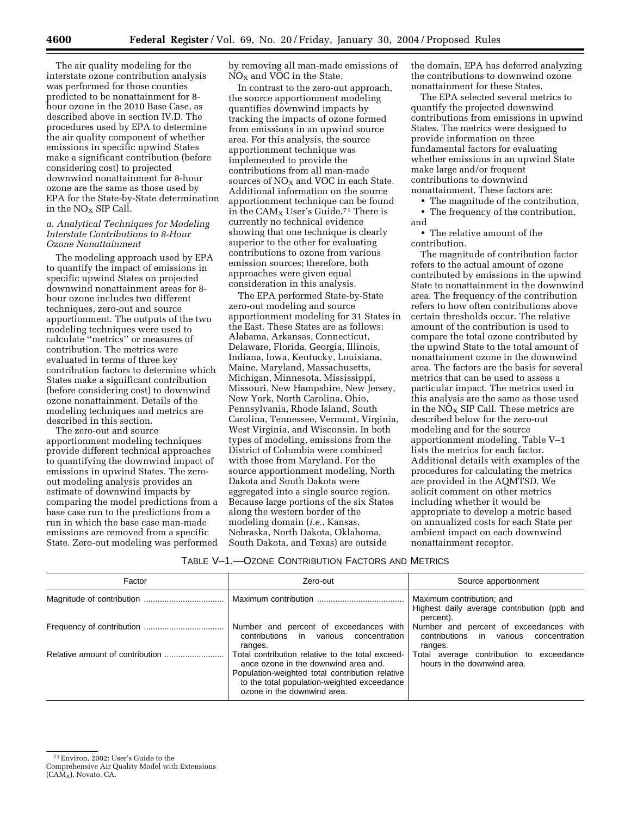The air quality modeling for the interstate ozone contribution analysis was performed for those counties predicted to be nonattainment for 8 hour ozone in the 2010 Base Case, as described above in section IV.D. The procedures used by EPA to determine the air quality component of whether emissions in specific upwind States make a significant contribution (before considering cost) to projected downwind nonattainment for 8-hour ozone are the same as those used by EPA for the State-by-State determination in the  $NO<sub>x</sub>$  SIP Call.

#### *a. Analytical Techniques for Modeling Interstate Contributions to 8-Hour Ozone Nonattainment*

The modeling approach used by EPA to quantify the impact of emissions in specific upwind States on projected downwind nonattainment areas for 8 hour ozone includes two different techniques, zero-out and source apportionment. The outputs of the two modeling techniques were used to calculate ''metrics'' or measures of contribution. The metrics were evaluated in terms of three key contribution factors to determine which States make a significant contribution (before considering cost) to downwind ozone nonattainment. Details of the modeling techniques and metrics are described in this section.

The zero-out and source apportionment modeling techniques provide different technical approaches to quantifying the downwind impact of emissions in upwind States. The zeroout modeling analysis provides an estimate of downwind impacts by comparing the model predictions from a base case run to the predictions from a run in which the base case man-made emissions are removed from a specific State. Zero-out modeling was performed by removing all man-made emissions of  $NO<sub>x</sub>$  and VOC in the State.

In contrast to the zero-out approach, the source apportionment modeling quantifies downwind impacts by tracking the impacts of ozone formed from emissions in an upwind source area. For this analysis, the source apportionment technique was implemented to provide the contributions from all man-made sources of  $NO<sub>x</sub>$  and VOC in each State. Additional information on the source apportionment technique can be found in the  $CAM_x$  User's Guide.<sup>71</sup> There is currently no technical evidence showing that one technique is clearly superior to the other for evaluating contributions to ozone from various emission sources; therefore, both approaches were given equal consideration in this analysis.

The EPA performed State-by-State zero-out modeling and source apportionment modeling for 31 States in the East. These States are as follows: Alabama, Arkansas, Connecticut, Delaware, Florida, Georgia, Illinois, Indiana, Iowa, Kentucky, Louisiana, Maine, Maryland, Massachusetts, Michigan, Minnesota, Mississippi, Missouri, New Hampshire, New Jersey, New York, North Carolina, Ohio, Pennsylvania, Rhode Island, South Carolina, Tennessee, Vermont, Virginia, West Virginia, and Wisconsin. In both types of modeling, emissions from the District of Columbia were combined with those from Maryland. For the source apportionment modeling, North Dakota and South Dakota were aggregated into a single source region. Because large portions of the six States along the western border of the modeling domain (*i.e.*, Kansas, Nebraska, North Dakota, Oklahoma, South Dakota, and Texas) are outside

the domain, EPA has deferred analyzing the contributions to downwind ozone nonattainment for these States.

The EPA selected several metrics to quantify the projected downwind contributions from emissions in upwind States. The metrics were designed to provide information on three fundamental factors for evaluating whether emissions in an upwind State make large and/or frequent contributions to downwind nonattainment. These factors are:

• The magnitude of the contribution,

• The frequency of the contribution, and

• The relative amount of the contribution.

The magnitude of contribution factor refers to the actual amount of ozone contributed by emissions in the upwind State to nonattainment in the downwind area. The frequency of the contribution refers to how often contributions above certain thresholds occur. The relative amount of the contribution is used to compare the total ozone contributed by the upwind State to the total amount of nonattainment ozone in the downwind area. The factors are the basis for several metrics that can be used to assess a particular impact. The metrics used in this analysis are the same as those used in the  $N\overline{O}_X$  SIP Call. These metrics are described below for the zero-out modeling and for the source apportionment modeling. Table V–1 lists the metrics for each factor. Additional details with examples of the procedures for calculating the metrics are provided in the AQMTSD. We solicit comment on other metrics including whether it would be appropriate to develop a metric based on annualized costs for each State per ambient impact on each downwind nonattainment receptor.

#### TABLE V–1.—OZONE CONTRIBUTION FACTORS AND METRICS

| Factor | Zero-out                                                                                                                                                                                                                  | Source apportionment                                                                        |  |  |  |
|--------|---------------------------------------------------------------------------------------------------------------------------------------------------------------------------------------------------------------------------|---------------------------------------------------------------------------------------------|--|--|--|
|        |                                                                                                                                                                                                                           | Maximum contribution; and<br>Highest daily average contribution (ppb and<br>percent).       |  |  |  |
|        | Number and percent of exceedances with<br>various<br>contributions in<br>concentration<br>ranges.                                                                                                                         | Number and percent of exceedances with<br>contributions in various concentration<br>ranges. |  |  |  |
|        | Total contribution relative to the total exceed-<br>ance ozone in the downwind area and.<br>Population-weighted total contribution relative<br>to the total population-weighted exceedance<br>ozone in the downwind area. | Total average contribution to exceedance<br>hours in the downwind area.                     |  |  |  |

<sup>71</sup>Environ, 2002: User's Guide to the

Comprehensive Air Quality Model with Extensions  $(CAM_x)$ , Novato, CA.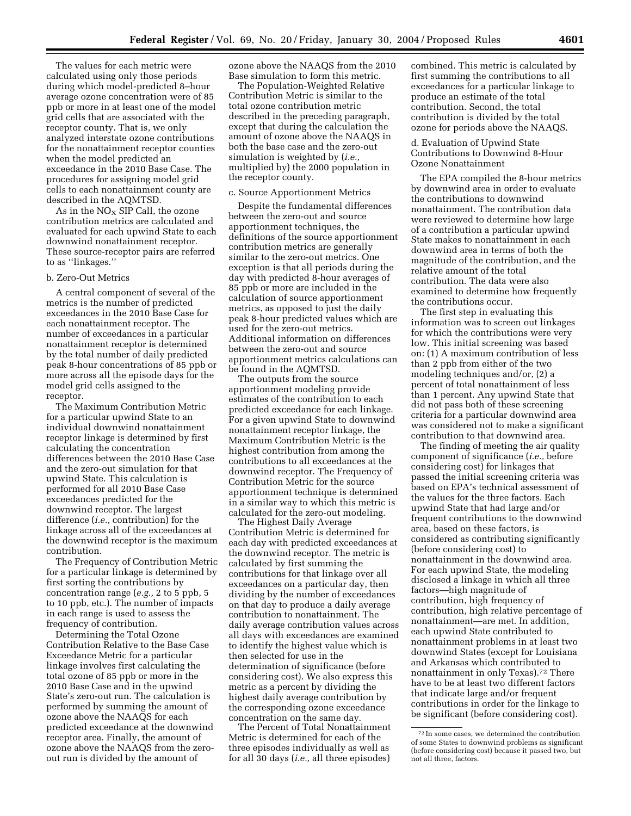The values for each metric were calculated using only those periods during which model-predicted 8–hour average ozone concentration were of 85 ppb or more in at least one of the model grid cells that are associated with the receptor county. That is, we only analyzed interstate ozone contributions for the nonattainment receptor counties when the model predicted an exceedance in the 2010 Base Case. The procedures for assigning model grid cells to each nonattainment county are described in the AQMTSD.

As in the  $NO<sub>X</sub>$  SIP Call, the ozone contribution metrics are calculated and evaluated for each upwind State to each downwind nonattainment receptor. These source-receptor pairs are referred to as ''linkages.''

#### b. Zero-Out Metrics

A central component of several of the metrics is the number of predicted exceedances in the 2010 Base Case for each nonattainment receptor. The number of exceedances in a particular nonattainment receptor is determined by the total number of daily predicted peak 8-hour concentrations of 85 ppb or more across all the episode days for the model grid cells assigned to the receptor.

The Maximum Contribution Metric for a particular upwind State to an individual downwind nonattainment receptor linkage is determined by first calculating the concentration differences between the 2010 Base Case and the zero-out simulation for that upwind State. This calculation is performed for all 2010 Base Case exceedances predicted for the downwind receptor. The largest difference (*i.e.,* contribution) for the linkage across all of the exceedances at the downwind receptor is the maximum contribution.

The Frequency of Contribution Metric for a particular linkage is determined by first sorting the contributions by concentration range (*e.g.,* 2 to 5 ppb, 5 to 10 ppb, etc.). The number of impacts in each range is used to assess the frequency of contribution.

Determining the Total Ozone Contribution Relative to the Base Case Exceedance Metric for a particular linkage involves first calculating the total ozone of 85 ppb or more in the 2010 Base Case and in the upwind State's zero-out run. The calculation is performed by summing the amount of ozone above the NAAQS for each predicted exceedance at the downwind receptor area. Finally, the amount of ozone above the NAAQS from the zeroout run is divided by the amount of

ozone above the NAAQS from the 2010 Base simulation to form this metric.

The Population-Weighted Relative Contribution Metric is similar to the total ozone contribution metric described in the preceding paragraph, except that during the calculation the amount of ozone above the NAAQS in both the base case and the zero-out simulation is weighted by (*i.e.,* multiplied by) the 2000 population in the receptor county.

#### c. Source Apportionment Metrics

Despite the fundamental differences between the zero-out and source apportionment techniques, the definitions of the source apportionment contribution metrics are generally similar to the zero-out metrics. One exception is that all periods during the day with predicted 8-hour averages of 85 ppb or more are included in the calculation of source apportionment metrics, as opposed to just the daily peak 8-hour predicted values which are used for the zero-out metrics. Additional information on differences between the zero-out and source apportionment metrics calculations can be found in the AQMTSD.

The outputs from the source apportionment modeling provide estimates of the contribution to each predicted exceedance for each linkage. For a given upwind State to downwind nonattainment receptor linkage, the Maximum Contribution Metric is the highest contribution from among the contributions to all exceedances at the downwind receptor. The Frequency of Contribution Metric for the source apportionment technique is determined in a similar way to which this metric is calculated for the zero-out modeling.

The Highest Daily Average Contribution Metric is determined for each day with predicted exceedances at the downwind receptor. The metric is calculated by first summing the contributions for that linkage over all exceedances on a particular day, then dividing by the number of exceedances on that day to produce a daily average contribution to nonattainment. The daily average contribution values across all days with exceedances are examined to identify the highest value which is then selected for use in the determination of significance (before considering cost). We also express this metric as a percent by dividing the highest daily average contribution by the corresponding ozone exceedance concentration on the same day.

The Percent of Total Nonattainment Metric is determined for each of the three episodes individually as well as for all 30 days (*i.e.,* all three episodes)

combined. This metric is calculated by first summing the contributions to all exceedances for a particular linkage to produce an estimate of the total contribution. Second, the total contribution is divided by the total ozone for periods above the NAAQS.

## d. Evaluation of Upwind State Contributions to Downwind 8-Hour Ozone Nonattainment

The EPA compiled the 8-hour metrics by downwind area in order to evaluate the contributions to downwind nonattainment. The contribution data were reviewed to determine how large of a contribution a particular upwind State makes to nonattainment in each downwind area in terms of both the magnitude of the contribution, and the relative amount of the total contribution. The data were also examined to determine how frequently the contributions occur.

The first step in evaluating this information was to screen out linkages for which the contributions were very low. This initial screening was based on: (1) A maximum contribution of less than 2 ppb from either of the two modeling techniques and/or, (2) a percent of total nonattainment of less than 1 percent. Any upwind State that did not pass both of these screening criteria for a particular downwind area was considered not to make a significant contribution to that downwind area.

The finding of meeting the air quality component of significance (*i.e.,* before considering cost) for linkages that passed the initial screening criteria was based on EPA's technical assessment of the values for the three factors. Each upwind State that had large and/or frequent contributions to the downwind area, based on these factors, is considered as contributing significantly (before considering cost) to nonattainment in the downwind area. For each upwind State, the modeling disclosed a linkage in which all three factors—high magnitude of contribution, high frequency of contribution, high relative percentage of nonattainment—are met. In addition, each upwind State contributed to nonattainment problems in at least two downwind States (except for Louisiana and Arkansas which contributed to nonattainment in only Texas).72 There have to be at least two different factors that indicate large and/or frequent contributions in order for the linkage to be significant (before considering cost).

<sup>72</sup> In some cases, we determined the contribution of some States to downwind problems as significant (before considering cost) because it passed two, but not all three, factors.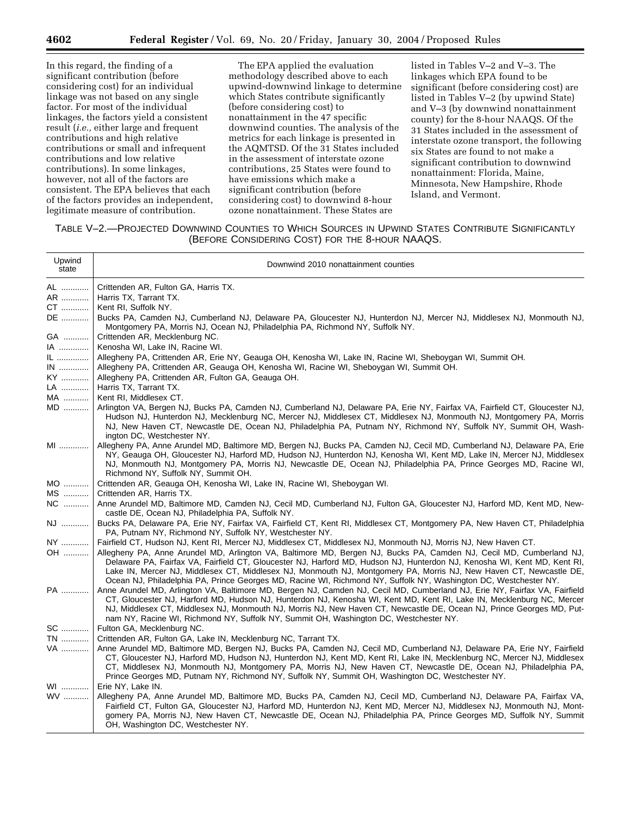In this regard, the finding of a significant contribution (before considering cost) for an individual linkage was not based on any single factor. For most of the individual linkages, the factors yield a consistent result (*i.e.,* either large and frequent contributions and high relative contributions or small and infrequent contributions and low relative contributions). In some linkages, however, not all of the factors are consistent. The EPA believes that each of the factors provides an independent, legitimate measure of contribution.

The EPA applied the evaluation methodology described above to each upwind-downwind linkage to determine which States contribute significantly (before considering cost) to nonattainment in the 47 specific downwind counties. The analysis of the metrics for each linkage is presented in the AQMTSD. Of the 31 States included in the assessment of interstate ozone contributions, 25 States were found to have emissions which make a significant contribution (before considering cost) to downwind 8-hour ozone nonattainment. These States are

listed in Tables V–2 and V–3. The linkages which EPA found to be significant (before considering cost) are listed in Tables V–2 (by upwind State) and V–3 (by downwind nonattainment county) for the 8-hour NAAQS. Of the 31 States included in the assessment of interstate ozone transport, the following six States are found to not make a significant contribution to downwind nonattainment: Florida, Maine, Minnesota, New Hampshire, Rhode Island, and Vermont.

# TABLE V–2.—PROJECTED DOWNWIND COUNTIES TO WHICH SOURCES IN UPWIND STATES CONTRIBUTE SIGNIFICANTLY (BEFORE CONSIDERING COST) FOR THE 8-HOUR NAAQS.

| Upwind<br>state | Downwind 2010 nonattainment counties                                                                                                                                                                                                                                                                                                                                                                                                                                                      |
|-----------------|-------------------------------------------------------------------------------------------------------------------------------------------------------------------------------------------------------------------------------------------------------------------------------------------------------------------------------------------------------------------------------------------------------------------------------------------------------------------------------------------|
| AL              | Crittenden AR, Fulton GA, Harris TX.                                                                                                                                                                                                                                                                                                                                                                                                                                                      |
| AR              | Harris TX, Tarrant TX.                                                                                                                                                                                                                                                                                                                                                                                                                                                                    |
| CT              | Kent RI, Suffolk NY.                                                                                                                                                                                                                                                                                                                                                                                                                                                                      |
| DE              | Bucks PA, Camden NJ, Cumberland NJ, Delaware PA, Gloucester NJ, Hunterdon NJ, Mercer NJ, Middlesex NJ, Monmouth NJ,<br>Montgomery PA, Morris NJ, Ocean NJ, Philadelphia PA, Richmond NY, Suffolk NY.                                                                                                                                                                                                                                                                                      |
| GA              | Crittenden AR, Mecklenburg NC.                                                                                                                                                                                                                                                                                                                                                                                                                                                            |
| IA              | Kenosha WI, Lake IN, Racine WI.                                                                                                                                                                                                                                                                                                                                                                                                                                                           |
| IL              | Allegheny PA, Crittenden AR, Erie NY, Geauga OH, Kenosha WI, Lake IN, Racine WI, Sheboygan WI, Summit OH.                                                                                                                                                                                                                                                                                                                                                                                 |
| $IN$            | Allegheny PA, Crittenden AR, Geauga OH, Kenosha WI, Racine WI, Sheboygan WI, Summit OH.                                                                                                                                                                                                                                                                                                                                                                                                   |
| KY              | Allegheny PA, Crittenden AR, Fulton GA, Geauga OH.                                                                                                                                                                                                                                                                                                                                                                                                                                        |
| LA              | Harris TX, Tarrant TX.                                                                                                                                                                                                                                                                                                                                                                                                                                                                    |
| MA              | Kent RI, Middlesex CT.                                                                                                                                                                                                                                                                                                                                                                                                                                                                    |
| MD              | Arlington VA, Bergen NJ, Bucks PA, Camden NJ, Cumberland NJ, Delaware PA, Erie NY, Fairfax VA, Fairfield CT, Gloucester NJ,<br>Hudson NJ, Hunterdon NJ, Mecklenburg NC, Mercer NJ, Middlesex CT, Middlesex NJ, Monmouth NJ, Montgomery PA, Morris<br>NJ, New Haven CT, Newcastle DE, Ocean NJ, Philadelphia PA, Putnam NY, Richmond NY, Suffolk NY, Summit OH, Wash-<br>ington DC, Westchester NY.                                                                                        |
| MI              | Allegheny PA, Anne Arundel MD, Baltimore MD, Bergen NJ, Bucks PA, Camden NJ, Cecil MD, Cumberland NJ, Delaware PA, Erie<br>NY, Geauga OH, Gloucester NJ, Harford MD, Hudson NJ, Hunterdon NJ, Kenosha WI, Kent MD, Lake IN, Mercer NJ, Middlesex<br>NJ, Monmouth NJ, Montgomery PA, Morris NJ, Newcastle DE, Ocean NJ, Philadelphia PA, Prince Georges MD, Racine WI,<br>Richmond NY, Suffolk NY, Summit OH.                                                                              |
| MO              | Crittenden AR, Geauga OH, Kenosha WI, Lake IN, Racine WI, Sheboygan WI.                                                                                                                                                                                                                                                                                                                                                                                                                   |
| MS              | Crittenden AR, Harris TX.                                                                                                                                                                                                                                                                                                                                                                                                                                                                 |
| NC              | Anne Arundel MD, Baltimore MD, Camden NJ, Cecil MD, Cumberland NJ, Fulton GA, Gloucester NJ, Harford MD, Kent MD, New-<br>castle DE, Ocean NJ, Philadelphia PA, Suffolk NY.                                                                                                                                                                                                                                                                                                               |
| NJ              | Bucks PA, Delaware PA, Erie NY, Fairfax VA, Fairfield CT, Kent RI, Middlesex CT, Montgomery PA, New Haven CT, Philadelphia<br>PA, Putnam NY, Richmond NY, Suffolk NY, Westchester NY.                                                                                                                                                                                                                                                                                                     |
| NY              | Fairfield CT, Hudson NJ, Kent RI, Mercer NJ, Middlesex CT, Middlesex NJ, Monmouth NJ, Morris NJ, New Haven CT.                                                                                                                                                                                                                                                                                                                                                                            |
| OH              | Allegheny PA, Anne Arundel MD, Arlington VA, Baltimore MD, Bergen NJ, Bucks PA, Camden NJ, Cecil MD, Cumberland NJ,<br>Delaware PA, Fairfax VA, Fairfield CT, Gloucester NJ, Harford MD, Hudson NJ, Hunterdon NJ, Kenosha WI, Kent MD, Kent RI,<br>Lake IN, Mercer NJ, Middlesex CT, Middlesex NJ, Monmouth NJ, Montgomery PA, Morris NJ, New Haven CT, Newcastle DE,<br>Ocean NJ, Philadelphia PA, Prince Georges MD, Racine WI, Richmond NY, Suffolk NY, Washington DC, Westchester NY. |
| PA              | Anne Arundel MD, Arlington VA, Baltimore MD, Bergen NJ, Camden NJ, Cecil MD, Cumberland NJ, Erie NY, Fairfax VA, Fairfield<br>CT, Gloucester NJ, Harford MD, Hudson NJ, Hunterdon NJ, Kenosha WI, Kent MD, Kent RI, Lake IN, Mecklenburg NC, Mercer<br>NJ, Middlesex CT, Middlesex NJ, Monmouth NJ, Morris NJ, New Haven CT, Newcastle DE, Ocean NJ, Prince Georges MD, Put-<br>nam NY, Racine WI, Richmond NY, Suffolk NY, Summit OH, Washington DC, Westchester NY.                     |
| SC              | Fulton GA, Mecklenburg NC.                                                                                                                                                                                                                                                                                                                                                                                                                                                                |
| TN              | Crittenden AR, Fulton GA, Lake IN, Mecklenburg NC, Tarrant TX.                                                                                                                                                                                                                                                                                                                                                                                                                            |
| VA              | Anne Arundel MD, Baltimore MD, Bergen NJ, Bucks PA, Camden NJ, Cecil MD, Cumberland NJ, Delaware PA, Erie NY, Fairfield<br>CT, Gloucester NJ, Harford MD, Hudson NJ, Hunterdon NJ, Kent MD, Kent RI, Lake IN, Mecklenburg NC, Mercer NJ, Middlesex<br>CT, Middlesex NJ, Monmouth NJ, Montgomery PA, Morris NJ, New Haven CT, Newcastle DE, Ocean NJ, Philadelphia PA,<br>Prince Georges MD, Putnam NY, Richmond NY, Suffolk NY, Summit OH, Washington DC, Westchester NY.                 |
| WI              | Erie NY, Lake IN.                                                                                                                                                                                                                                                                                                                                                                                                                                                                         |
| <b>WV</b>       | Allegheny PA, Anne Arundel MD, Baltimore MD, Bucks PA, Camden NJ, Cecil MD, Cumberland NJ, Delaware PA, Fairfax VA,<br>Fairfield CT, Fulton GA, Gloucester NJ, Harford MD, Hunterdon NJ, Kent MD, Mercer NJ, Middlesex NJ, Monmouth NJ, Mont-<br>gomery PA, Morris NJ, New Haven CT, Newcastle DE, Ocean NJ, Philadelphia PA, Prince Georges MD, Suffolk NY, Summit<br>OH, Washington DC, Westchester NY.                                                                                 |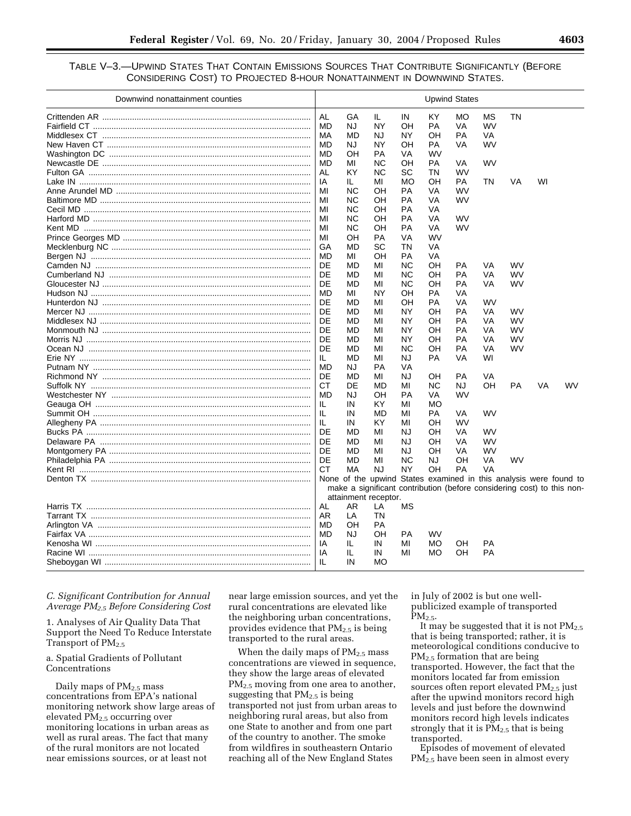# TABLE V–3.—UPWIND STATES THAT CONTAIN EMISSIONS SOURCES THAT CONTRIBUTE SIGNIFICANTLY (BEFORE CONSIDERING COST) TO PROJECTED 8-HOUR NONATTAINMENT IN DOWNWIND STATES.

| Downwind nonattainment counties            |           |                                                                        |           |    |           | <b>Upwind States</b> |           |           |    |           |
|--------------------------------------------|-----------|------------------------------------------------------------------------|-----------|----|-----------|----------------------|-----------|-----------|----|-----------|
|                                            | AL        | GA                                                                     | IL.       | IN | KY        | МO                   | <b>MS</b> | <b>TN</b> |    |           |
|                                            | MD        | NJ                                                                     | NY        | OH | PA        | VA                   | WV        |           |    |           |
|                                            | МA        | MD                                                                     | NJ        | NY | OН        | PA                   | VA        |           |    |           |
|                                            | <b>MD</b> | NJ.                                                                    | NY        | OH | PA        | VA                   | <b>WV</b> |           |    |           |
|                                            | <b>MD</b> | OH                                                                     | <b>PA</b> | VA | <b>WV</b> |                      |           |           |    |           |
|                                            | <b>MD</b> | MI                                                                     | <b>NC</b> | OH | <b>PA</b> | VA                   | <b>WV</b> |           |    |           |
|                                            | AL        | KY                                                                     | <b>NC</b> | SC | ΤN        | WV                   |           |           |    |           |
|                                            | IA        | IL.                                                                    | MI        | МO | OН        | <b>PA</b>            | <b>TN</b> | <b>VA</b> | WI |           |
|                                            | MI        | ΝC                                                                     | OH        | РA | VA        | <b>WV</b>            |           |           |    |           |
|                                            | MI        | ΝC                                                                     | OН        | РA | VA        | <b>WV</b>            |           |           |    |           |
|                                            | MI        | <b>NC</b>                                                              | OН        | PA | VA        |                      |           |           |    |           |
|                                            | MI        | <b>NC</b>                                                              | OH        | PA | VA        | <b>WV</b>            |           |           |    |           |
|                                            | MI        | <b>NC</b>                                                              | OН        | PA | VA        | WV                   |           |           |    |           |
|                                            | MI        | OН                                                                     | PA        | VA | <b>WV</b> |                      |           |           |    |           |
|                                            | GA        | <b>MD</b>                                                              | SC        | ΤN | VA        |                      |           |           |    |           |
|                                            | <b>MD</b> | MI                                                                     | OH        | PA | VA        |                      |           |           |    |           |
|                                            | DE        | <b>MD</b>                                                              | MI        | ΝC | <b>OH</b> | PA                   | VA        | WV        |    |           |
|                                            | DE        | <b>MD</b>                                                              | MI        | ΝC | OH        | PA                   | VA        | <b>WV</b> |    |           |
|                                            | DE        | <b>MD</b>                                                              | MI        | ΝC | OН        | PA                   | <b>VA</b> | WV        |    |           |
|                                            | <b>MD</b> | MI                                                                     | NY        | OΗ | <b>PA</b> | VA                   |           |           |    |           |
|                                            | DE        | MD                                                                     | MI        | OН | PA        | VA                   | WV        |           |    |           |
| Mercer NJ …………………………………………………………………………………… | DE        | MD                                                                     | MI        | NY | OН        | <b>PA</b>            | <b>VA</b> | <b>WV</b> |    |           |
|                                            | DE        | MD                                                                     | MI        | NY | OН        | PA                   | VA        | WV        |    |           |
|                                            | DE        | MD                                                                     | MI        | NY | OН        | <b>PA</b>            | VA        | WV        |    |           |
|                                            | DE        | MD                                                                     | MI        | NY | OН        | PA                   | VA        | WV        |    |           |
|                                            | DE        | <b>MD</b>                                                              | MI        | ΝC | OH        | PA                   | VA        | WV        |    |           |
|                                            | IL.       | <b>MD</b>                                                              | MI        | NJ | PA        | VA                   | WI        |           |    |           |
|                                            | <b>MD</b> | NJ.                                                                    | <b>PA</b> | VA |           |                      |           |           |    |           |
|                                            | DE        | <b>MD</b>                                                              | MI        | NJ | OH.       | <b>PA</b>            | <b>VA</b> |           |    |           |
|                                            | <b>CT</b> | DE                                                                     | MD        | МI | <b>NC</b> | NJ                   | OH        | PA        | VA | <b>WV</b> |
|                                            | MD        | NJ.                                                                    | OΗ        | РA | VA        | WV                   |           |           |    |           |
|                                            | IL.       | IN                                                                     | KY        | MI | MO        |                      |           |           |    |           |
|                                            | IL.       | IN                                                                     | MD        | MI | PA        | VA                   | WV        |           |    |           |
|                                            | IL        | IN                                                                     | KY        | MI | OН        | <b>WV</b>            |           |           |    |           |
|                                            | DE        | MD                                                                     | MI        | NJ | OН        | VA                   | WV        |           |    |           |
|                                            | DE        | MD                                                                     | MI        | NJ | OН        | <b>VA</b>            | WV        |           |    |           |
|                                            | DE        | MD                                                                     | MI        | NJ | OН        | VA                   | WV        |           |    |           |
|                                            | DE        | <b>MD</b>                                                              | MI        | ΝC | <b>NJ</b> | OΗ                   | VA        | WV        |    |           |
|                                            | CT.       | MA                                                                     | <b>NJ</b> | NY | OH        | PA                   | VA        |           |    |           |
|                                            |           | None of the upwind States examined in this analysis were found to      |           |    |           |                      |           |           |    |           |
|                                            |           | make a significant contribution (before considering cost) to this non- |           |    |           |                      |           |           |    |           |
|                                            |           | attainment receptor.                                                   |           |    |           |                      |           |           |    |           |
|                                            | <b>AL</b> | AR.                                                                    | LA        | МS |           |                      |           |           |    |           |
|                                            | AR.       | LA                                                                     | TN        |    |           |                      |           |           |    |           |
|                                            | MD        | OН                                                                     | PA        |    |           |                      |           |           |    |           |
|                                            | MD        | <b>NJ</b>                                                              | OH        | PA | <b>WV</b> |                      |           |           |    |           |
|                                            | IA        | IL                                                                     | IN        | MI | МO        | OН                   | PA        |           |    |           |
|                                            | IA        | IL                                                                     | IN        | MI | <b>MO</b> | OH                   | PA        |           |    |           |
|                                            | IL        | IN                                                                     | <b>MO</b> |    |           |                      |           |           |    |           |
|                                            |           |                                                                        |           |    |           |                      |           |           |    |           |

## *C. Significant Contribution for Annual Average PM2.5 Before Considering Cost*

1. Analyses of Air Quality Data That Support the Need To Reduce Interstate Transport of PM<sub>2.5</sub>

## a. Spatial Gradients of Pollutant Concentrations

Daily maps of PM<sub>2.5</sub> mass concentrations from EPA's national monitoring network show large areas of elevated PM2.5 occurring over monitoring locations in urban areas as well as rural areas. The fact that many of the rural monitors are not located near emissions sources, or at least not

near large emission sources, and yet the rural concentrations are elevated like the neighboring urban concentrations, provides evidence that  $PM_{2.5}$  is being transported to the rural areas.

When the daily maps of  $PM<sub>2.5</sub>$  mass concentrations are viewed in sequence, they show the large areas of elevated PM<sub>2.5</sub> moving from one area to another, suggesting that  $PM<sub>2.5</sub>$  is being transported not just from urban areas to neighboring rural areas, but also from one State to another and from one part of the country to another. The smoke from wildfires in southeastern Ontario reaching all of the New England States

in July of 2002 is but one wellpublicized example of transported  $PM<sub>2.5</sub>$ .

It may be suggested that it is not  $PM_{2.5}$ that is being transported; rather, it is meteorological conditions conducive to PM<sub>2.5</sub> formation that are being transported. However, the fact that the monitors located far from emission sources often report elevated  $PM_{2.5}$  just after the upwind monitors record high levels and just before the downwind monitors record high levels indicates strongly that it is  $PM_{2.5}$  that is being transported.

Episodes of movement of elevated PM<sub>2.5</sub> have been seen in almost every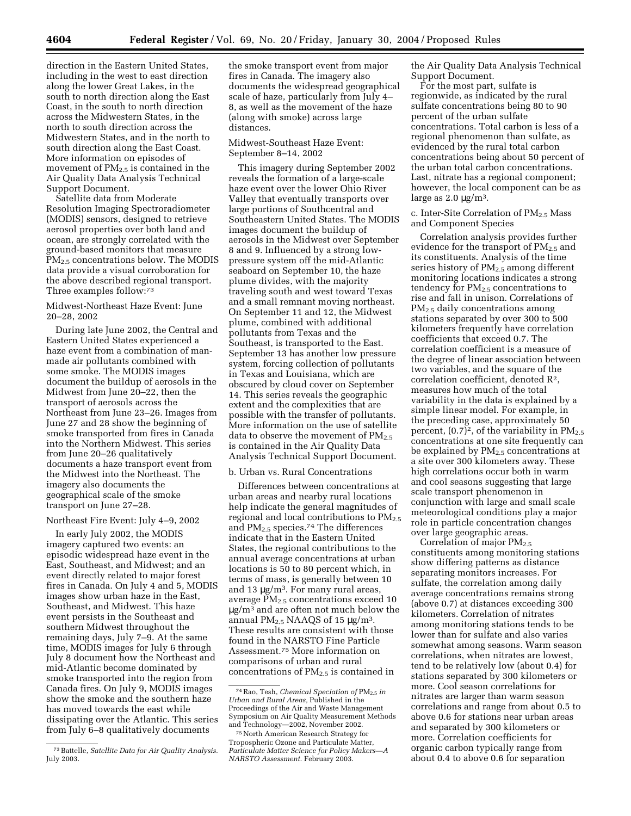direction in the Eastern United States, including in the west to east direction along the lower Great Lakes, in the south to north direction along the East Coast, in the south to north direction across the Midwestern States, in the north to south direction across the Midwestern States, and in the north to south direction along the East Coast. More information on episodes of movement of  $PM<sub>2.5</sub>$  is contained in the Air Quality Data Analysis Technical Support Document.

Satellite data from Moderate Resolution Imaging Spectroradiometer (MODIS) sensors, designed to retrieve aerosol properties over both land and ocean, are strongly correlated with the ground-based monitors that measure PM<sub>2.5</sub> concentrations below. The MODIS data provide a visual corroboration for the above described regional transport. Three examples follow:73

## Midwest-Northeast Haze Event: June 20–28, 2002

During late June 2002, the Central and Eastern United States experienced a haze event from a combination of manmade air pollutants combined with some smoke. The MODIS images document the buildup of aerosols in the Midwest from June 20–22, then the transport of aerosols across the Northeast from June 23–26. Images from June 27 and 28 show the beginning of smoke transported from fires in Canada into the Northern Midwest. This series from June 20–26 qualitatively documents a haze transport event from the Midwest into the Northeast. The imagery also documents the geographical scale of the smoke transport on June 27–28.

### Northeast Fire Event: July 4–9, 2002

In early July 2002, the MODIS imagery captured two events: an episodic widespread haze event in the East, Southeast, and Midwest; and an event directly related to major forest fires in Canada. On July 4 and 5, MODIS images show urban haze in the East, Southeast, and Midwest. This haze event persists in the Southeast and southern Midwest throughout the remaining days, July 7–9. At the same time, MODIS images for July 6 through July 8 document how the Northeast and mid-Atlantic become dominated by smoke transported into the region from Canada fires. On July 9, MODIS images show the smoke and the southern haze has moved towards the east while dissipating over the Atlantic. This series from July 6–8 qualitatively documents

the smoke transport event from major fires in Canada. The imagery also documents the widespread geographical scale of haze, particularly from July 4– 8, as well as the movement of the haze (along with smoke) across large distances.

## Midwest-Southeast Haze Event: September 8–14, 2002

This imagery during September 2002 reveals the formation of a large-scale haze event over the lower Ohio River Valley that eventually transports over large portions of Southcentral and Southeastern United States. The MODIS images document the buildup of aerosols in the Midwest over September 8 and 9. Influenced by a strong lowpressure system off the mid-Atlantic seaboard on September 10, the haze plume divides, with the majority traveling south and west toward Texas and a small remnant moving northeast. On September 11 and 12, the Midwest plume, combined with additional pollutants from Texas and the Southeast, is transported to the East. September 13 has another low pressure system, forcing collection of pollutants in Texas and Louisiana, which are obscured by cloud cover on September 14. This series reveals the geographic extent and the complexities that are possible with the transfer of pollutants. More information on the use of satellite data to observe the movement of  $PM_{2.5}$ is contained in the Air Quality Data Analysis Technical Support Document.

### b. Urban vs. Rural Concentrations

Differences between concentrations at urban areas and nearby rural locations help indicate the general magnitudes of regional and local contributions to PM2.5 and  $PM<sub>2.5</sub>$  species.<sup>74</sup> The differences indicate that in the Eastern United States, the regional contributions to the annual average concentrations at urban locations is 50 to 80 percent which, in terms of mass, is generally between 10 and 13  $\mu$ g/m<sup>3</sup>. For many rural areas, average PM<sub>2.5</sub> concentrations exceed 10  $\mu$ g/m<sup>3</sup> and are often not much below the annual  $PM<sub>2.5</sub>$  NAAQS of 15  $\mu$ g/m<sup>3</sup>. These results are consistent with those found in the NARSTO Fine Particle Assessment.75 More information on comparisons of urban and rural concentrations of PM2.5 is contained in

the Air Quality Data Analysis Technical Support Document.

For the most part, sulfate is regionwide, as indicated by the rural sulfate concentrations being 80 to 90 percent of the urban sulfate concentrations. Total carbon is less of a regional phenomenon than sulfate, as evidenced by the rural total carbon concentrations being about 50 percent of the urban total carbon concentrations. Last, nitrate has a regional component; however, the local component can be as large as  $2.0 \mu g/m^3$ .

c. Inter-Site Correlation of PM<sub>2.5</sub> Mass and Component Species

Correlation analysis provides further evidence for the transport of  $PM_{2.5}$  and its constituents. Analysis of the time series history of  $PM_{2.5}$  among different monitoring locations indicates a strong tendency for  $PM_{2.5}$  concentrations to rise and fall in unison. Correlations of PM2.5 daily concentrations among stations separated by over 300 to 500 kilometers frequently have correlation coefficients that exceed 0.7. The correlation coefficient is a measure of the degree of linear association between two variables, and the square of the correlation coefficient, denoted R2, measures how much of the total variability in the data is explained by a simple linear model. For example, in the preceding case, approximately 50 percent,  $(0.7)^2$ , of the variability in  $PM_{2.5}$ concentrations at one site frequently can be explained by  $PM_{2.5}$  concentrations at a site over 300 kilometers away. These high correlations occur both in warm and cool seasons suggesting that large scale transport phenomenon in conjunction with large and small scale meteorological conditions play a major role in particle concentration changes over large geographic areas.

Correlation of major  $PM_{2.5}$ constituents among monitoring stations show differing patterns as distance separating monitors increases. For sulfate, the correlation among daily average concentrations remains strong (above 0.7) at distances exceeding 300 kilometers. Correlation of nitrates among monitoring stations tends to be lower than for sulfate and also varies somewhat among seasons. Warm season correlations, when nitrates are lowest, tend to be relatively low (about 0.4) for stations separated by 300 kilometers or more. Cool season correlations for nitrates are larger than warm season correlations and range from about 0.5 to above 0.6 for stations near urban areas and separated by 300 kilometers or more. Correlation coefficients for organic carbon typically range from about 0.4 to above 0.6 for separation

<sup>73</sup>Battelle, *Satellite Data for Air Quality Analysis.* July 2003.

<sup>74</sup>Rao, Tesh, *Chemical Speciation of* PM2.5 *in Urban and Rural Areas,* Published in the Proceedings of the Air and Waste Management Symposium on Air Quality Measurement Methods and Technology—2002, November 2002.

<sup>75</sup>North American Research Strategy for Tropospheric Ozone and Particulate Matter, *Particulate Matter Science for Policy Makers—A NARSTO Assessment.* February 2003.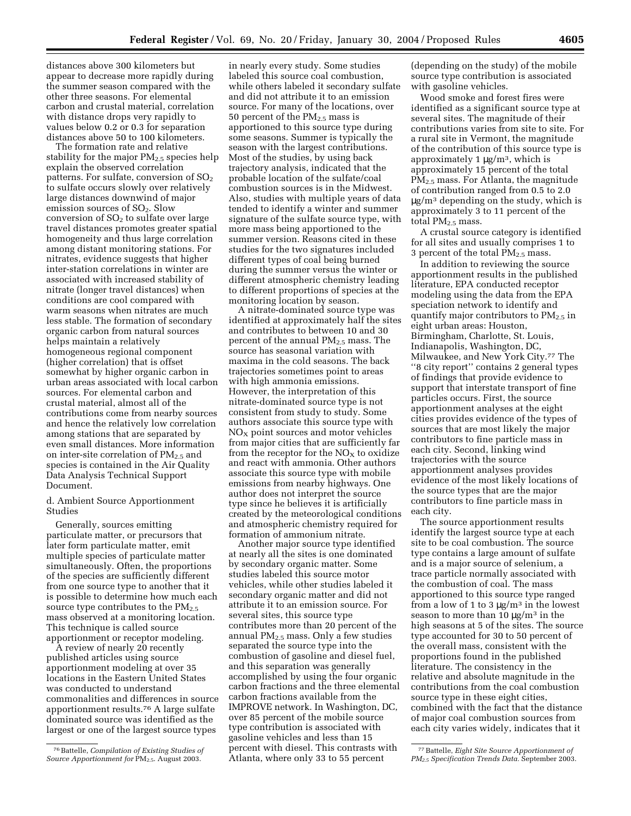distances above 300 kilometers but appear to decrease more rapidly during the summer season compared with the other three seasons. For elemental carbon and crustal material, correlation with distance drops very rapidly to values below 0.2 or 0.3 for separation distances above 50 to 100 kilometers.

The formation rate and relative stability for the major  $PM_{2.5}$  species help explain the observed correlation patterns. For sulfate, conversion of  $SO<sub>2</sub>$ to sulfate occurs slowly over relatively large distances downwind of major emission sources of  $SO<sub>2</sub>$ . Slow conversion of  $SO<sub>2</sub>$  to sulfate over large travel distances promotes greater spatial homogeneity and thus large correlation among distant monitoring stations. For nitrates, evidence suggests that higher inter-station correlations in winter are associated with increased stability of nitrate (longer travel distances) when conditions are cool compared with warm seasons when nitrates are much less stable. The formation of secondary organic carbon from natural sources helps maintain a relatively homogeneous regional component (higher correlation) that is offset somewhat by higher organic carbon in urban areas associated with local carbon sources. For elemental carbon and crustal material, almost all of the contributions come from nearby sources and hence the relatively low correlation among stations that are separated by even small distances. More information on inter-site correlation of  $PM_{2.5}$  and species is contained in the Air Quality Data Analysis Technical Support Document.

d. Ambient Source Apportionment Studies

Generally, sources emitting particulate matter, or precursors that later form particulate matter, emit multiple species of particulate matter simultaneously. Often, the proportions of the species are sufficiently different from one source type to another that it is possible to determine how much each source type contributes to the  $PM_{2.5}$ mass observed at a monitoring location. This technique is called source apportionment or receptor modeling.

A review of nearly 20 recently published articles using source apportionment modeling at over 35 locations in the Eastern United States was conducted to understand commonalities and differences in source apportionment results.76 A large sulfate dominated source was identified as the largest or one of the largest source types

in nearly every study. Some studies labeled this source coal combustion, while others labeled it secondary sulfate and did not attribute it to an emission source. For many of the locations, over 50 percent of the  $PM_{2.5}$  mass is apportioned to this source type during some seasons. Summer is typically the season with the largest contributions. Most of the studies, by using back trajectory analysis, indicated that the probable location of the sulfate/coal combustion sources is in the Midwest. Also, studies with multiple years of data tended to identify a winter and summer signature of the sulfate source type, with more mass being apportioned to the summer version. Reasons cited in these studies for the two signatures included different types of coal being burned during the summer versus the winter or different atmospheric chemistry leading to different proportions of species at the monitoring location by season.

A nitrate-dominated source type was identified at approximately half the sites and contributes to between 10 and 30 percent of the annual PM2.5 mass. The source has seasonal variation with maxima in the cold seasons. The back trajectories sometimes point to areas with high ammonia emissions. However, the interpretation of this nitrate-dominated source type is not consistent from study to study. Some authors associate this source type with  $NO<sub>x</sub>$  point sources and motor vehicles from major cities that are sufficiently far from the receptor for the  $NO<sub>x</sub>$  to oxidize and react with ammonia. Other authors associate this source type with mobile emissions from nearby highways. One author does not interpret the source type since he believes it is artificially created by the meteorological conditions and atmospheric chemistry required for formation of ammonium nitrate.

Another major source type identified at nearly all the sites is one dominated by secondary organic matter. Some studies labeled this source motor vehicles, while other studies labeled it secondary organic matter and did not attribute it to an emission source. For several sites, this source type contributes more than 20 percent of the annual  $PM_{2.5}$  mass. Only a few studies separated the source type into the combustion of gasoline and diesel fuel, and this separation was generally accomplished by using the four organic carbon fractions and the three elemental carbon fractions available from the IMPROVE network. In Washington, DC, over 85 percent of the mobile source type contribution is associated with gasoline vehicles and less than 15 percent with diesel. This contrasts with Atlanta, where only 33 to 55 percent

(depending on the study) of the mobile source type contribution is associated with gasoline vehicles.

Wood smoke and forest fires were identified as a significant source type at several sites. The magnitude of their contributions varies from site to site. For a rural site in Vermont, the magnitude of the contribution of this source type is approximately 1  $\mu$ g/m<sup>3</sup>, which is approximately 15 percent of the total PM2.5 mass. For Atlanta, the magnitude of contribution ranged from 0.5 to 2.0  $\mu$ g/m<sup>3</sup> depending on the study, which is approximately 3 to 11 percent of the total  $PM<sub>2.5</sub>$  mass.

A crustal source category is identified for all sites and usually comprises 1 to 3 percent of the total  $PM<sub>2.5</sub>$  mass.

In addition to reviewing the source apportionment results in the published literature, EPA conducted receptor modeling using the data from the EPA speciation network to identify and quantify major contributors to  $PM_{2.5}$  in eight urban areas: Houston, Birmingham, Charlotte, St. Louis, Indianapolis, Washington, DC, Milwaukee, and New York City.77 The ''8 city report'' contains 2 general types of findings that provide evidence to support that interstate transport of fine particles occurs. First, the source apportionment analyses at the eight cities provides evidence of the types of sources that are most likely the major contributors to fine particle mass in each city. Second, linking wind trajectories with the source apportionment analyses provides evidence of the most likely locations of the source types that are the major contributors to fine particle mass in each city.

The source apportionment results identify the largest source type at each site to be coal combustion. The source type contains a large amount of sulfate and is a major source of selenium, a trace particle normally associated with the combustion of coal. The mass apportioned to this source type ranged from a low of 1 to 3  $\mu$ g/m<sup>3</sup> in the lowest season to more than 10  $\mu$ g/m<sup>3</sup> in the high seasons at 5 of the sites. The source type accounted for 30 to 50 percent of the overall mass, consistent with the proportions found in the published literature. The consistency in the relative and absolute magnitude in the contributions from the coal combustion source type in these eight cities, combined with the fact that the distance of major coal combustion sources from each city varies widely, indicates that it

<sup>76</sup>Battelle, *Compilation of Existing Studies of Source Apportionment for* PM2.5. August 2003.

<sup>77</sup>Battelle, *Eight Site Source Apportionment of PM2.5 Specification Trends Data.* September 2003.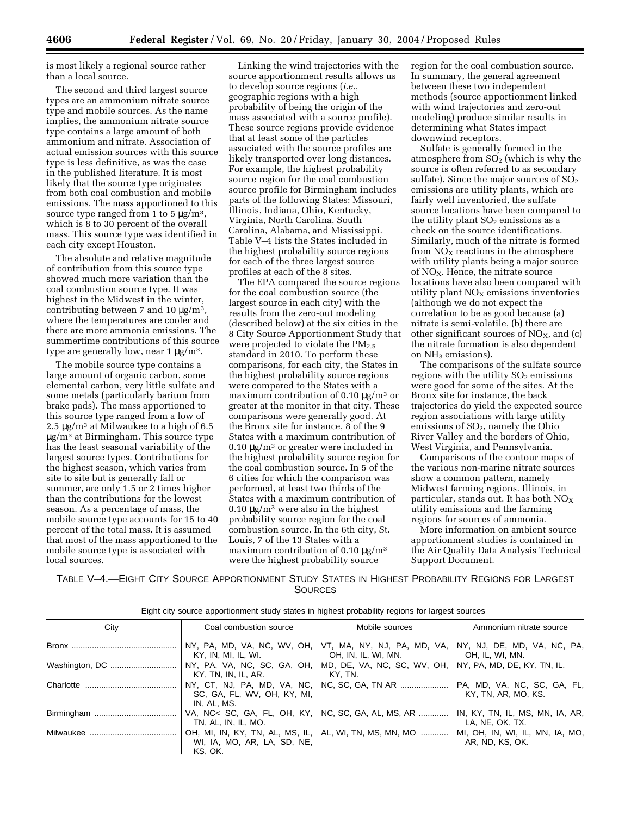is most likely a regional source rather than a local source.

The second and third largest source types are an ammonium nitrate source type and mobile sources. As the name implies, the ammonium nitrate source type contains a large amount of both ammonium and nitrate. Association of actual emission sources with this source type is less definitive, as was the case in the published literature. It is most likely that the source type originates from both coal combustion and mobile emissions. The mass apportioned to this source type ranged from 1 to 5  $\mu$ g/m<sup>3</sup>, which is 8 to 30 percent of the overall mass. This source type was identified in each city except Houston.

The absolute and relative magnitude of contribution from this source type showed much more variation than the coal combustion source type. It was highest in the Midwest in the winter, contributing between 7 and 10  $\mu$ g/m<sup>3</sup>, where the temperatures are cooler and there are more ammonia emissions. The summertime contributions of this source type are generally low, near  $1 \mu g/m^3$ .

The mobile source type contains a large amount of organic carbon, some elemental carbon, very little sulfate and some metals (particularly barium from brake pads). The mass apportioned to this source type ranged from a low of 2.5  $\mu$ g/m<sup>3</sup> at Milwaukee to a high of 6.5 µg/m3 at Birmingham. This source type has the least seasonal variability of the largest source types. Contributions for the highest season, which varies from site to site but is generally fall or summer, are only 1.5 or 2 times higher than the contributions for the lowest season. As a percentage of mass, the mobile source type accounts for 15 to 40 percent of the total mass. It is assumed that most of the mass apportioned to the mobile source type is associated with local sources.

Linking the wind trajectories with the source apportionment results allows us to develop source regions (*i.e.*, geographic regions with a high probability of being the origin of the mass associated with a source profile). These source regions provide evidence that at least some of the particles associated with the source profiles are likely transported over long distances. For example, the highest probability source region for the coal combustion source profile for Birmingham includes parts of the following States: Missouri, Illinois, Indiana, Ohio, Kentucky, Virginia, North Carolina, South Carolina, Alabama, and Mississippi. Table V–4 lists the States included in the highest probability source regions for each of the three largest source profiles at each of the 8 sites.

The EPA compared the source regions for the coal combustion source (the largest source in each city) with the results from the zero-out modeling (described below) at the six cities in the 8 City Source Apportionment Study that were projected to violate the  $PM_{2.5}$ standard in 2010. To perform these comparisons, for each city, the States in the highest probability source regions were compared to the States with a maximum contribution of 0.10  $\mu$ g/m<sup>3</sup> or greater at the monitor in that city. These comparisons were generally good. At the Bronx site for instance, 8 of the 9 States with a maximum contribution of  $0.10 \mu g/m^3$  or greater were included in the highest probability source region for the coal combustion source. In 5 of the 6 cities for which the comparison was performed, at least two thirds of the States with a maximum contribution of  $0.10 \mu g/m^3$  were also in the highest probability source region for the coal combustion source. In the 6th city, St. Louis, 7 of the 13 States with a maximum contribution of  $0.10 \mu g/m^3$ were the highest probability source

region for the coal combustion source. In summary, the general agreement between these two independent methods (source apportionment linked with wind trajectories and zero-out modeling) produce similar results in determining what States impact downwind receptors.

Sulfate is generally formed in the atmosphere from  $SO<sub>2</sub>$  (which is why the source is often referred to as secondary sulfate). Since the major sources of  $SO<sub>2</sub>$ emissions are utility plants, which are fairly well inventoried, the sulfate source locations have been compared to the utility plant  $SO<sub>2</sub>$  emissions as a check on the source identifications. Similarly, much of the nitrate is formed from  $NO<sub>X</sub>$  reactions in the atmosphere with utility plants being a major source of  $NO<sub>x</sub>$ . Hence, the nitrate source locations have also been compared with utility plant  $NO<sub>x</sub>$  emissions inventories (although we do not expect the correlation to be as good because (a) nitrate is semi-volatile, (b) there are other significant sources of  $NO<sub>X</sub>$ , and (c) the nitrate formation is also dependent on  $NH<sub>3</sub>$  emissions).

The comparisons of the sulfate source regions with the utility  $SO<sub>2</sub>$  emissions were good for some of the sites. At the Bronx site for instance, the back trajectories do yield the expected source region associations with large utility emissions of  $SO<sub>2</sub>$ , namely the Ohio River Valley and the borders of Ohio, West Virginia, and Pennsylvania.

Comparisons of the contour maps of the various non-marine nitrate sources show a common pattern, namely Midwest farming regions. Illinois, in particular, stands out. It has both NOX utility emissions and the farming regions for sources of ammonia.

More information on ambient source apportionment studies is contained in the Air Quality Data Analysis Technical Support Document.

TABLE V–4.—EIGHT CITY SOURCE APPORTIONMENT STUDY STATES IN HIGHEST PROBABILITY REGIONS FOR LARGEST **SOURCES** 

| Eight city source apportionment study states in highest probability regions for largest sources |                                                                           |                                                                                |                                                    |  |  |
|-------------------------------------------------------------------------------------------------|---------------------------------------------------------------------------|--------------------------------------------------------------------------------|----------------------------------------------------|--|--|
| City                                                                                            | Coal combustion source                                                    | Mobile sources                                                                 | Ammonium nitrate source                            |  |  |
|                                                                                                 | KY, IN, MI, IL, WI.                                                       | NY, PA, MD, VA, NC, WV, OH, VT, MA, NY, NJ, PA, MD, VA,<br>OH, IN, IL, WI, MN. | NY, NJ, DE, MD, VA, NC, PA,<br>OH, IL, WI, MN.     |  |  |
| Washington, DC                                                                                  | NY, PA, VA, NC, SC, GA, OH,<br>KY, TN, IN, IL, AR.                        | MD, DE, VA, NC, SC, WV, OH,<br>KY. TN.                                         | NY, PA, MD, DE, KY, TN, IL.                        |  |  |
|                                                                                                 | NY, CT, NJ, PA, MD, VA, NC,<br>SC, GA, FL, WV, OH, KY, MI,<br>IN, AL, MS. | NC, SC, GA, TN AR                                                              | PA, MD, VA, NC, SC, GA, FL,<br>KY, TN, AR, MO, KS. |  |  |
|                                                                                                 | TN, AL, IN, IL, MO.                                                       | VA, NC< SC, GA, FL, OH, KY,   NC, SC, GA, AL, MS, AR                           | IN, KY, TN, IL, MS, MN, IA, AR,<br>LA, NE, OK, TX. |  |  |
|                                                                                                 | WI, IA, MO, AR, LA, SD, NE,<br>KS. OK.                                    | OH, MI, IN, KY, TN, AL, MS, IL, AL, WI, TN, MS, MN, MO                         | MI, OH, IN, WI, IL, MN, IA, MO,<br>AR, ND, KS, OK. |  |  |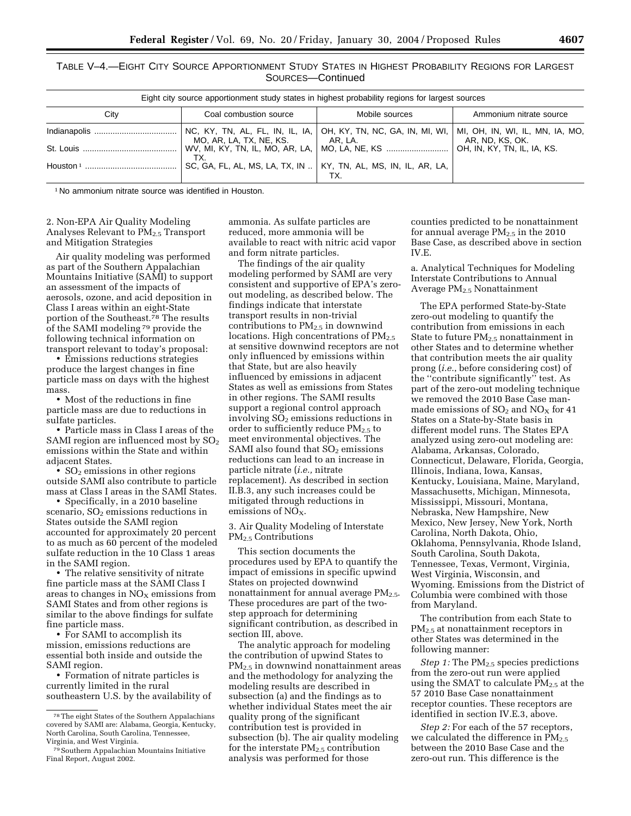TABLE V–4.—EIGHT CITY SOURCE APPORTIONMENT STUDY STATES IN HIGHEST PROBABILITY REGIONS FOR LARGEST SOURCES—Continued

| Eight city source apportionment study states in highest probability regions for largest sources |                                                                   |                                                                      |                                                    |  |  |  |
|-------------------------------------------------------------------------------------------------|-------------------------------------------------------------------|----------------------------------------------------------------------|----------------------------------------------------|--|--|--|
| City                                                                                            | Coal combustion source                                            | Mobile sources                                                       | Ammonium nitrate source                            |  |  |  |
|                                                                                                 | MO, AR, LA, TX, NE, KS. $ AR, LA$ .                               | NC, KY, TN, AL, FL, IN, IL, IA, $ OH, KY, TN, NC, GA, IN, MI, WI,  $ | MI, OH, IN, WI, IL, MN, IA, MO,<br>AR, ND, KS, OK. |  |  |  |
| St. Louis                                                                                       | TX.                                                               | WV, MI, KY, TN, IL, MO, AR, LA,   MO, LA, NE, KS                     | OH, IN, KY, TN, IL, IA, KS.                        |  |  |  |
| Houston $1$                                                                                     | SC, GA, FL, AL, MS, LA, TX, IN    KY, TN, AL, MS, IN, IL, AR, LA, |                                                                      |                                                    |  |  |  |

1 No ammonium nitrate source was identified in Houston.

2. Non-EPA Air Quality Modeling Analyses Relevant to PM<sub>2.5</sub> Transport and Mitigation Strategies

Air quality modeling was performed as part of the Southern Appalachian Mountains Initiative (SAMI) to support an assessment of the impacts of aerosols, ozone, and acid deposition in Class I areas within an eight-State portion of the Southeast.78 The results of the SAMI modeling 79 provide the following technical information on transport relevant to today's proposal:

• Emissions reductions strategies produce the largest changes in fine particle mass on days with the highest mass.

• Most of the reductions in fine particle mass are due to reductions in sulfate particles.

• Particle mass in Class I areas of the SAMI region are influenced most by  $SO<sub>2</sub>$ emissions within the State and within adjacent States.

•  $SO<sub>2</sub>$  emissions in other regions outside SAMI also contribute to particle mass at Class I areas in the SAMI States.

• Specifically, in a 2010 baseline scenario,  $SO<sub>2</sub>$  emissions reductions in States outside the SAMI region accounted for approximately 20 percent to as much as 60 percent of the modeled sulfate reduction in the 10 Class 1 areas in the SAMI region.

• The relative sensitivity of nitrate fine particle mass at the SAMI Class I areas to changes in  $NO<sub>X</sub>$  emissions from SAMI States and from other regions is similar to the above findings for sulfate fine particle mass.

• For SAMI to accomplish its mission, emissions reductions are essential both inside and outside the SAMI region.

• Formation of nitrate particles is currently limited in the rural southeastern U.S. by the availability of

ammonia. As sulfate particles are reduced, more ammonia will be available to react with nitric acid vapor and form nitrate particles.

The findings of the air quality modeling performed by SAMI are very consistent and supportive of EPA's zeroout modeling, as described below. The findings indicate that interstate transport results in non-trivial contributions to  $PM_{2.5}$  in downwind locations. High concentrations of  $PM_{2.5}$ at sensitive downwind receptors are not only influenced by emissions within that State, but are also heavily influenced by emissions in adjacent States as well as emissions from States in other regions. The SAMI results support a regional control approach involving  $SO<sub>2</sub>$  emissions reductions in order to sufficiently reduce  $PM_{2.5}$  to meet environmental objectives. The SAMI also found that  $SO<sub>2</sub>$  emissions reductions can lead to an increase in particle nitrate (*i.e.,* nitrate replacement). As described in section II.B.3, any such increases could be mitigated through reductions in emissions of  $NO<sub>X</sub>$ .

3. Air Quality Modeling of Interstate PM2.5 Contributions

This section documents the procedures used by EPA to quantify the impact of emissions in specific upwind States on projected downwind nonattainment for annual average PM<sub>2.5</sub>. These procedures are part of the twostep approach for determining significant contribution, as described in section III, above.

The analytic approach for modeling the contribution of upwind States to PM2.5 in downwind nonattainment areas and the methodology for analyzing the modeling results are described in subsection (a) and the findings as to whether individual States meet the air quality prong of the significant contribution test is provided in subsection (b). The air quality modeling for the interstate  $PM_{2.5}$  contribution analysis was performed for those

counties predicted to be nonattainment for annual average  $PM_{2.5}$  in the 2010 Base Case, as described above in section IV.E.

a. Analytical Techniques for Modeling Interstate Contributions to Annual Average PM2.5 Nonattainment

The EPA performed State-by-State zero-out modeling to quantify the contribution from emissions in each State to future  $PM_2$ , nonattainment in other States and to determine whether that contribution meets the air quality prong (*i.e.*, before considering cost) of the ''contribute significantly'' test. As part of the zero-out modeling technique we removed the 2010 Base Case manmade emissions of  $SO_2$  and  $NO_X$  for 41 States on a State-by-State basis in different model runs. The States EPA analyzed using zero-out modeling are: Alabama, Arkansas, Colorado, Connecticut, Delaware, Florida, Georgia, Illinois, Indiana, Iowa, Kansas, Kentucky, Louisiana, Maine, Maryland, Massachusetts, Michigan, Minnesota, Mississippi, Missouri, Montana, Nebraska, New Hampshire, New Mexico, New Jersey, New York, North Carolina, North Dakota, Ohio, Oklahoma, Pennsylvania, Rhode Island, South Carolina, South Dakota, Tennessee, Texas, Vermont, Virginia, West Virginia, Wisconsin, and Wyoming. Emissions from the District of Columbia were combined with those from Maryland.

The contribution from each State to PM2.5 at nonattainment receptors in other States was determined in the following manner:

*Step 1:* The PM<sub>2.5</sub> species predictions from the zero-out run were applied using the SMAT to calculate  $\overline{PM}_{2.5}$  at the 57 2010 Base Case nonattainment receptor counties. These receptors are identified in section IV.E.3, above.

*Step 2:* For each of the 57 receptors, we calculated the difference in  $PM_{2.5}$ between the 2010 Base Case and the zero-out run. This difference is the

<sup>78</sup>The eight States of the Southern Appalachians covered by SAMI are: Alabama, Georgia, Kentucky, North Carolina, South Carolina, Tennessee, Virginia, and West Virginia.

<sup>79</sup>Southern Appalachian Mountains Initiative Final Report, August 2002.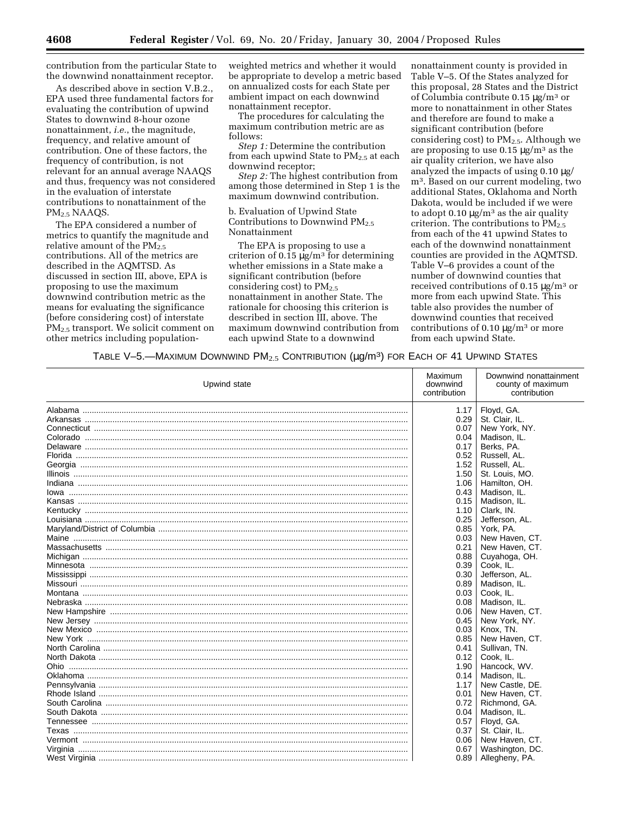contribution from the particular State to the downwind nonattainment receptor.

As described above in section V.B.2., EPA used three fundamental factors for evaluating the contribution of upwind States to downwind 8-hour ozone nonattainment, *i.e.*, the magnitude, frequency, and relative amount of contribution. One of these factors, the frequency of contribution, is not relevant for an annual average NAAQS and thus, frequency was not considered in the evaluation of interstate contributions to nonattainment of the PM2.5 NAAQS.

The EPA considered a number of metrics to quantify the magnitude and relative amount of the  $PM_{2.5}$ contributions. All of the metrics are described in the AQMTSD. As discussed in section III, above, EPA is proposing to use the maximum downwind contribution metric as the means for evaluating the significance (before considering cost) of interstate PM<sub>2.5</sub> transport. We solicit comment on other metrics including population-

weighted metrics and whether it would be appropriate to develop a metric based on annualized costs for each State per ambient impact on each downwind nonattainment receptor.

The procedures for calculating the maximum contribution metric are as follows:

*Step 1:* Determine the contribution from each upwind State to PM<sub>2.5</sub> at each downwind receptor;

*Step 2:* The highest contribution from among those determined in Step 1 is the maximum downwind contribution.

b. Evaluation of Upwind State Contributions to Downwind  $PM_{2.5}$ Nonattainment

The EPA is proposing to use a criterion of  $0.15 \mu g/m^3$  for determining whether emissions in a State make a significant contribution (before considering cost) to  $PM_{2.5}$ nonattainment in another State. The rationale for choosing this criterion is described in section III, above. The maximum downwind contribution from each upwind State to a downwind

nonattainment county is provided in Table V–5. Of the States analyzed for this proposal, 28 States and the District of Columbia contribute 0.15  $\mu$ g/m<sup>3</sup> or more to nonattainment in other States and therefore are found to make a significant contribution (before considering cost) to  $PM_{2.5}$ . Although we are proposing to use  $0.15 \mu g/m^3$  as the air quality criterion, we have also analyzed the impacts of using 0.10 µg/ m3. Based on our current modeling, two additional States, Oklahoma and North Dakota, would be included if we were to adopt  $0.10 \mu g/m^3$  as the air quality criterion. The contributions to PM2.5 from each of the 41 upwind States to each of the downwind nonattainment counties are provided in the AQMTSD. Table V–6 provides a count of the number of downwind counties that received contributions of 0.15 µg/m3 or more from each upwind State. This table also provides the number of downwind counties that received contributions of 0.10  $\mu$ g/m<sup>3</sup> or more from each upwind State.

TABLE V-5.—MAXIMUM DOWNWIND  $PM_{2.5}$  CONTRIBUTION ( $\mu$ g/m<sup>3</sup>) FOR EACH OF 41 UPWIND STATES

| Upwind state | Maximum<br>downwind<br>contribution | Downwind nonattainment<br>county of maximum<br>contribution |
|--------------|-------------------------------------|-------------------------------------------------------------|
|              | 1.17                                | Floyd, GA.                                                  |
|              | 0.29                                | St. Clair, IL.                                              |
|              | 0.07                                | New York, NY.                                               |
|              | 0.04                                | Madison, IL.                                                |
|              | 0.17                                | Berks, PA.                                                  |
|              | 0.52                                | Russell, AL.                                                |
|              | 1.52                                | Russell, AL.                                                |
|              | 1.50                                | St. Louis, MO.                                              |
|              | 1.06                                | Hamilton, OH.                                               |
|              | 0.43                                | Madison, IL.                                                |
|              | 0.15                                | Madison, IL.                                                |
|              | 1.10                                | Clark, IN.                                                  |
|              | 0.25                                | Jefferson, AL.                                              |
|              | 0.85                                | York, PA.                                                   |
|              | 0.03                                | New Haven, CT.                                              |
|              | 0.21                                | New Haven, CT.                                              |
|              | 0.88                                | Cuyahoga, OH.                                               |
|              | 0.39                                | Cook, IL.                                                   |
|              | 0.30                                | Jefferson, AL.                                              |
|              | 0.89                                | Madison, IL.                                                |
|              | 0.03                                | Cook, IL.                                                   |
|              | 0.08                                | Madison, IL.                                                |
|              | 0.06                                | New Haven, CT.                                              |
|              | 0.45                                | New York, NY.                                               |
|              | 0.03                                | Knox, TN.                                                   |
|              | 0.85                                | New Haven, CT.                                              |
|              | 0.41                                | Sullivan, TN.                                               |
|              | 0.12                                | Cook, IL.                                                   |
|              | 1.90                                | Hancock, WV.                                                |
|              | 0.14                                | Madison, IL.                                                |
|              | 1.17                                | New Castle, DE.                                             |
|              | 0.01                                | New Haven, CT.                                              |
|              | 0.72                                | Richmond, GA.                                               |
|              | 0.04                                | Madison, IL.                                                |
|              | 0.57                                | Floyd, GA.                                                  |
|              | 0.37                                | St. Clair, IL.                                              |
|              | 0.06                                | New Haven, CT.                                              |
|              | 0.67                                | Washington, DC.                                             |
|              |                                     |                                                             |
|              | 0.89                                | Allegheny, PA.                                              |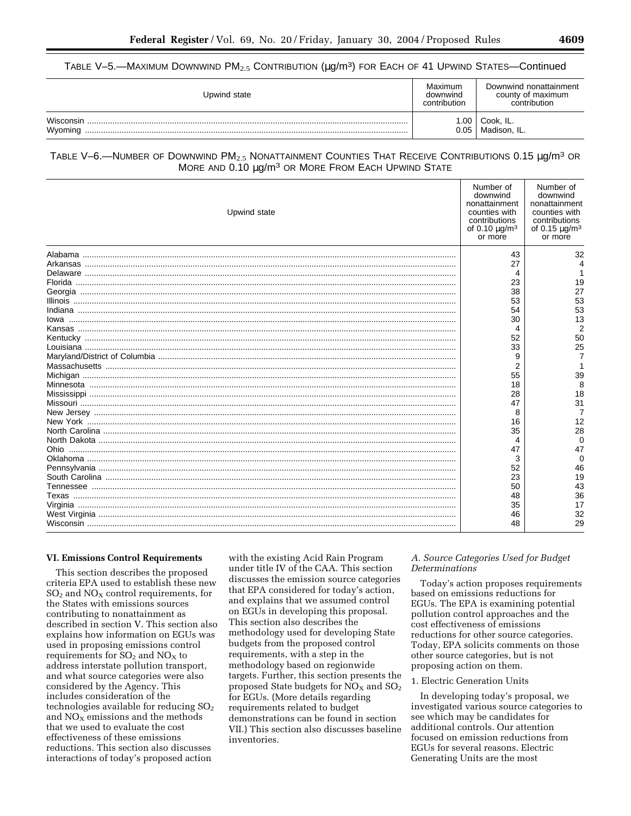# TABLE V-5.—MAXIMUM DOWNWIND  $PM_{2.5}$  CONTRIBUTION ( $\mu$ g/m<sup>3</sup>) FOR EACH OF 41 UPWIND STATES—Continued

| Upwind state         | Maximum<br>downwind<br>contribution | Downwind nonattainment<br>county of maximum<br>contribution |
|----------------------|-------------------------------------|-------------------------------------------------------------|
| Wisconsin<br>Wyoming | .00<br>0.05                         | ` Cook, IL.<br>Madison, IL.                                 |

# TABLE V-6.—NUMBER OF DOWNWIND PM<sub>2.5</sub> NONATTAINMENT COUNTIES THAT RECEIVE CONTRIBUTIONS 0.15 µg/m<sup>3</sup> OR MORE AND 0.10 µg/m<sup>3</sup> OR MORE FROM EACH UPWIND STATE

| Upwind state | Number of<br>downwind<br>nonattainment<br>counties with<br>contributions<br>of 0.10 $\mu$ g/m <sup>3</sup><br>or more | Number of<br>downwind<br>nonattainment<br>counties with<br>contributions<br>of 0.15 $\mu$ g/m <sup>3</sup><br>or more |
|--------------|-----------------------------------------------------------------------------------------------------------------------|-----------------------------------------------------------------------------------------------------------------------|
|              | 43                                                                                                                    | 32                                                                                                                    |
|              | 27                                                                                                                    |                                                                                                                       |
|              | 4                                                                                                                     |                                                                                                                       |
|              | 23                                                                                                                    | 19                                                                                                                    |
|              | 38                                                                                                                    | 27                                                                                                                    |
|              | 53                                                                                                                    | 53                                                                                                                    |
|              | 54                                                                                                                    | 53                                                                                                                    |
| lowa         | 30                                                                                                                    | 13                                                                                                                    |
|              | 4                                                                                                                     | 2                                                                                                                     |
|              | 52                                                                                                                    | 50                                                                                                                    |
|              | 33                                                                                                                    | 25                                                                                                                    |
|              | 9                                                                                                                     |                                                                                                                       |
|              | 2                                                                                                                     |                                                                                                                       |
|              | 55                                                                                                                    | 39                                                                                                                    |
|              | 18                                                                                                                    | 8                                                                                                                     |
|              | 28                                                                                                                    | 18                                                                                                                    |
|              | 47                                                                                                                    | 31                                                                                                                    |
|              | 8                                                                                                                     | 7                                                                                                                     |
|              | 16                                                                                                                    | 12                                                                                                                    |
|              | 35                                                                                                                    | 28                                                                                                                    |
|              | 4                                                                                                                     | 0                                                                                                                     |
|              | 47                                                                                                                    | 47                                                                                                                    |
|              | 3                                                                                                                     | ∩                                                                                                                     |
|              | 52                                                                                                                    | 46                                                                                                                    |
|              | 23                                                                                                                    | 19                                                                                                                    |
|              | 50                                                                                                                    | 43                                                                                                                    |
|              | 48                                                                                                                    | 36                                                                                                                    |
|              | 35                                                                                                                    | 17                                                                                                                    |
|              | 46                                                                                                                    | 32                                                                                                                    |
|              | 48                                                                                                                    | 29                                                                                                                    |

#### **VI. Emissions Control Requirements**

This section describes the proposed criteria EPA used to establish these new  $SO<sub>2</sub>$  and  $NO<sub>X</sub>$  control requirements, for the States with emissions sources contributing to nonattainment as described in section V. This section also explains how information on EGUs was used in proposing emissions control requirements for  $SO_2$  and  $NO<sub>x</sub>$  to address interstate pollution transport, and what source categories were also considered by the Agency. This includes consideration of the technologies available for reducing  $SO<sub>2</sub>$ and  $NO<sub>X</sub>$  emissions and the methods that we used to evaluate the cost effectiveness of these emissions reductions. This section also discusses interactions of today's proposed action

with the existing Acid Rain Program under title IV of the CAA. This section discusses the emission source categories that EPA considered for today's action, and explains that we assumed control on EGUs in developing this proposal. This section also describes the methodology used for developing State budgets from the proposed control requirements, with a step in the methodology based on regionwide targets. Further, this section presents the proposed State budgets for  $NO<sub>X</sub>$  and  $SO<sub>2</sub>$ for EGUs. (More details regarding requirements related to budget demonstrations can be found in section VII.) This section also discusses baseline inventories.

## *A. Source Categories Used for Budget Determinations*

Today's action proposes requirements based on emissions reductions for EGUs. The EPA is examining potential pollution control approaches and the cost effectiveness of emissions reductions for other source categories. Today, EPA solicits comments on those other source categories, but is not proposing action on them.

## 1. Electric Generation Units

In developing today's proposal, we investigated various source categories to see which may be candidates for additional controls. Our attention focused on emission reductions from EGUs for several reasons. Electric Generating Units are the most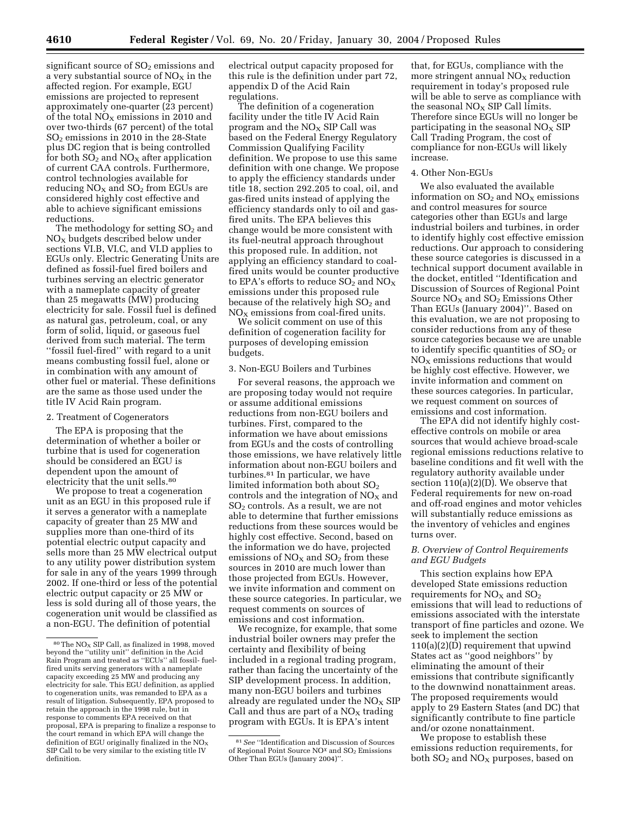significant source of  $SO<sub>2</sub>$  emissions and a very substantial source of  $NO<sub>X</sub>$  in the affected region. For example, EGU emissions are projected to represent approximately one-quarter (23 percent) of the total  $NO<sub>x</sub>$  emissions in 2010 and over two-thirds (67 percent) of the total SO2 emissions in 2010 in the 28-State plus DC region that is being controlled for both  $SO_2$  and  $NO_X$  after application of current CAA controls. Furthermore, control technologies available for reducing  $NO<sub>X</sub>$  and  $SO<sub>2</sub>$  from EGUs are considered highly cost effective and able to achieve significant emissions reductions.

The methodology for setting  $SO<sub>2</sub>$  and NOX budgets described below under sections VI.B, VI.C, and VI.D applies to EGUs only. Electric Generating Units are defined as fossil-fuel fired boilers and turbines serving an electric generator with a nameplate capacity of greater than 25 megawatts (MW) producing electricity for sale. Fossil fuel is defined as natural gas, petroleum, coal, or any form of solid, liquid, or gaseous fuel derived from such material. The term ''fossil fuel-fired'' with regard to a unit means combusting fossil fuel, alone or in combination with any amount of other fuel or material. These definitions are the same as those used under the title IV Acid Rain program.

### 2. Treatment of Cogenerators

The EPA is proposing that the determination of whether a boiler or turbine that is used for cogeneration should be considered an EGU is dependent upon the amount of electricity that the unit sells.<sup>80</sup>

We propose to treat a cogeneration unit as an EGU in this proposed rule if it serves a generator with a nameplate capacity of greater than 25 MW and supplies more than one-third of its potential electric output capacity and sells more than 25 MW electrical output to any utility power distribution system for sale in any of the years 1999 through 2002. If one-third or less of the potential electric output capacity or 25 MW or less is sold during all of those years, the cogeneration unit would be classified as a non-EGU. The definition of potential

electrical output capacity proposed for this rule is the definition under part 72, appendix D of the Acid Rain regulations.

The definition of a cogeneration facility under the title IV Acid Rain program and the  $NO<sub>X</sub>$  SIP Call was based on the Federal Energy Regulatory Commission Qualifying Facility definition. We propose to use this same definition with one change. We propose to apply the efficiency standards under title 18, section 292.205 to coal, oil, and gas-fired units instead of applying the efficiency standards only to oil and gasfired units. The EPA believes this change would be more consistent with its fuel-neutral approach throughout this proposed rule. In addition, not applying an efficiency standard to coalfired units would be counter productive to EPA's efforts to reduce  $SO_2$  and  $NO_X$ emissions under this proposed rule because of the relatively high  $SO<sub>2</sub>$  and  $NO<sub>X</sub>$  emissions from coal-fired units.

We solicit comment on use of this definition of cogeneration facility for purposes of developing emission budgets.

#### 3. Non-EGU Boilers and Turbines

For several reasons, the approach we are proposing today would not require or assume additional emissions reductions from non-EGU boilers and turbines. First, compared to the information we have about emissions from EGUs and the costs of controlling those emissions, we have relatively little information about non-EGU boilers and turbines.81 In particular, we have limited information both about  $SO<sub>2</sub>$ controls and the integration of  $NO<sub>x</sub>$  and SO2 controls. As a result, we are not able to determine that further emissions reductions from these sources would be highly cost effective. Second, based on the information we do have, projected emissions of  $NO<sub>x</sub>$  and  $SO<sub>2</sub>$  from these sources in 2010 are much lower than those projected from EGUs. However, we invite information and comment on these source categories. In particular, we request comments on sources of emissions and cost information.

We recognize, for example, that some industrial boiler owners may prefer the certainty and flexibility of being included in a regional trading program, rather than facing the uncertainty of the SIP development process. In addition, many non-EGU boilers and turbines already are regulated under the  $NO<sub>x</sub>$  SIP Call and thus are part of a  $NO<sub>X</sub>$  trading program with EGUs. It is EPA's intent

that, for EGUs, compliance with the more stringent annual  $NO<sub>x</sub>$  reduction requirement in today's proposed rule will be able to serve as compliance with the seasonal  $NO<sub>x</sub>$  SIP Call limits. Therefore since EGUs will no longer be participating in the seasonal  $NO<sub>x</sub>$  SIP Call Trading Program, the cost of compliance for non-EGUs will likely increase.

#### 4. Other Non-EGUs

We also evaluated the available information on  $SO_2$  and  $NO<sub>X</sub>$  emissions and control measures for source categories other than EGUs and large industrial boilers and turbines, in order to identify highly cost effective emission reductions. Our approach to considering these source categories is discussed in a technical support document available in the docket, entitled ''Identification and Discussion of Sources of Regional Point Source  $NO<sub>X</sub>$  and  $SO<sub>2</sub>$  Emissions Other Than EGUs (January 2004)''. Based on this evaluation, we are not proposing to consider reductions from any of these source categories because we are unable to identify specific quantities of  $SO<sub>2</sub>$  or  $NO<sub>x</sub>$  emissions reductions that would be highly cost effective. However, we invite information and comment on these sources categories. In particular, we request comment on sources of emissions and cost information.

The EPA did not identify highly costeffective controls on mobile or area sources that would achieve broad-scale regional emissions reductions relative to baseline conditions and fit well with the regulatory authority available under section 110(a)(2)(D). We observe that Federal requirements for new on-road and off-road engines and motor vehicles will substantially reduce emissions as the inventory of vehicles and engines turns over.

## *B. Overview of Control Requirements and EGU Budgets*

This section explains how EPA developed State emissions reduction requirements for  $NO<sub>x</sub>$  and  $SO<sub>2</sub>$ emissions that will lead to reductions of emissions associated with the interstate transport of fine particles and ozone. We seek to implement the section 110(a)(2)(D) requirement that upwind States act as ''good neighbors'' by eliminating the amount of their emissions that contribute significantly to the downwind nonattainment areas. The proposed requirements would apply to 29 Eastern States (and DC) that significantly contribute to fine particle and/or ozone nonattainment.

We propose to establish these emissions reduction requirements, for both  $SO<sub>2</sub>$  and  $NO<sub>X</sub>$  purposes, based on

<sup>&</sup>lt;sup>80</sup>The NO<sub>X</sub> SIP Call, as finalized in 1998, moved beyond the ''utility unit'' definition in the Acid Rain Program and treated as ''ECUs'' all fossil- fuelfired units serving generators with a nameplate capacity exceeding 25 MW and producing any electricity for sale. This EGU definition, as applied to cogeneration units, was remanded to EPA as a result of litigation. Subsequently, EPA proposed to retain the approach in the 1998 rule, but in response to comments EPA received on that proposal, EPA is preparing to finalize a response to the court remand in which EPA will change the definition of EGU originally finalized in the  $NO<sub>x</sub>$ SIP Call to be very similar to the existing title IV definition.

<sup>81</sup>*See* ''Identification and Discussion of Sources of Regional Point Source NO<sup>x</sup> and SO<sub>2</sub> Emissions Other Than EGUs (January 2004)''.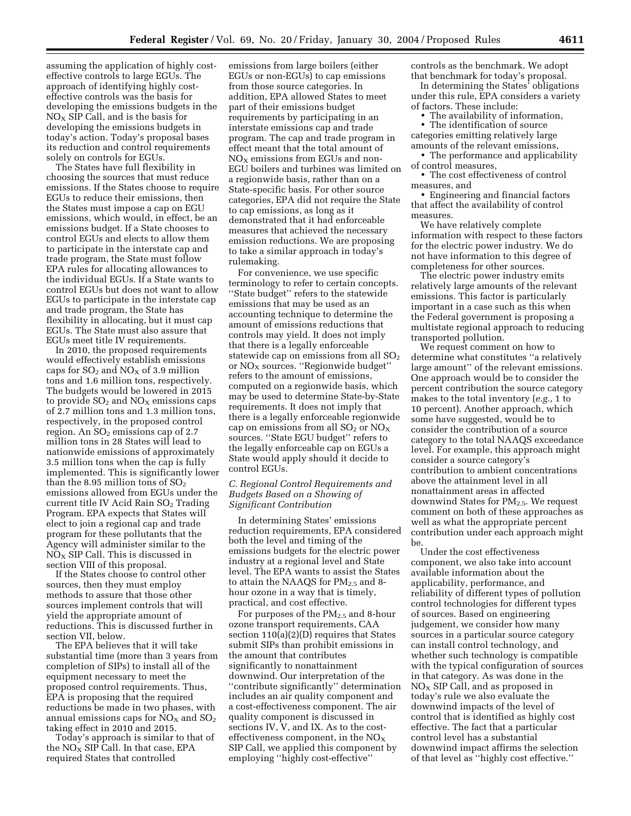assuming the application of highly costeffective controls to large EGUs. The approach of identifying highly costeffective controls was the basis for developing the emissions budgets in the  $NO<sub>x</sub>$  SIP Call, and is the basis for developing the emissions budgets in today's action. Today's proposal bases its reduction and control requirements solely on controls for EGUs.

The States have full flexibility in choosing the sources that must reduce emissions. If the States choose to require EGUs to reduce their emissions, then the States must impose a cap on EGU emissions, which would, in effect, be an emissions budget. If a State chooses to control EGUs and elects to allow them to participate in the interstate cap and trade program, the State must follow EPA rules for allocating allowances to the individual EGUs. If a State wants to control EGUs but does not want to allow EGUs to participate in the interstate cap and trade program, the State has flexibility in allocating, but it must cap EGUs. The State must also assure that EGUs meet title IV requirements.

In 2010, the proposed requirements would effectively establish emissions caps for  $SO_2$  and  $NO_X$  of 3.9 million tons and 1.6 million tons, respectively. The budgets would be lowered in 2015 to provide  $SO_2$  and  $NO_X$  emissions caps of 2.7 million tons and 1.3 million tons, respectively, in the proposed control region. An  $SO<sub>2</sub>$  emissions cap of 2.7 million tons in 28 States will lead to nationwide emissions of approximately 3.5 million tons when the cap is fully implemented. This is significantly lower than the 8.95 million tons of  $SO_2$ emissions allowed from EGUs under the current title IV Acid Rain SO<sub>2</sub> Trading Program. EPA expects that States will elect to join a regional cap and trade program for these pollutants that the Agency will administer similar to the  $NO<sub>x</sub>$  SIP Call. This is discussed in section VIII of this proposal.

If the States choose to control other sources, then they must employ methods to assure that those other sources implement controls that will yield the appropriate amount of reductions. This is discussed further in section VII, below.

The EPA believes that it will take substantial time (more than 3 years from completion of SIPs) to install all of the equipment necessary to meet the proposed control requirements. Thus, EPA is proposing that the required reductions be made in two phases, with annual emissions caps for  $NO<sub>X</sub>$  and  $SO<sub>2</sub>$ taking effect in 2010 and 2015.

Today's approach is similar to that of the  $NO<sub>x</sub>$  SIP Call. In that case, EPA required States that controlled

emissions from large boilers (either EGUs or non-EGUs) to cap emissions from those source categories. In addition, EPA allowed States to meet part of their emissions budget requirements by participating in an interstate emissions cap and trade program. The cap and trade program in effect meant that the total amount of NO<sub>X</sub> emissions from EGUs and non-EGU boilers and turbines was limited on a regionwide basis, rather than on a State-specific basis. For other source categories, EPA did not require the State to cap emissions, as long as it demonstrated that it had enforceable measures that achieved the necessary emission reductions. We are proposing to take a similar approach in today's rulemaking.

For convenience, we use specific terminology to refer to certain concepts. ''State budget'' refers to the statewide emissions that may be used as an accounting technique to determine the amount of emissions reductions that controls may yield. It does not imply that there is a legally enforceable statewide cap on emissions from all  $SO<sub>2</sub>$ or  $NO<sub>X</sub>$  sources. "Regionwide budget" refers to the amount of emissions, computed on a regionwide basis, which may be used to determine State-by-State requirements. It does not imply that there is a legally enforceable regionwide cap on emissions from all  $SO_2$  or  $NO_X$ sources. ''State EGU budget'' refers to the legally enforceable cap on EGUs a State would apply should it decide to control EGUs.

## *C. Regional Control Requirements and Budgets Based on a Showing of Significant Contribution*

In determining States' emissions reduction requirements, EPA considered both the level and timing of the emissions budgets for the electric power industry at a regional level and State level. The EPA wants to assist the States to attain the NAAQS for PM<sub>2.5</sub> and 8hour ozone in a way that is timely, practical, and cost effective.

For purposes of the  $PM_{2,5}$  and 8-hour ozone transport requirements, CAA section 110(a)(2)(D) requires that States submit SIPs than prohibit emissions in the amount that contributes significantly to nonattainment downwind. Our interpretation of the ''contribute significantly'' determination includes an air quality component and a cost-effectiveness component. The air quality component is discussed in sections IV, V, and IX. As to the costeffectiveness component, in the  $NO<sub>x</sub>$ SIP Call, we applied this component by employing ''highly cost-effective''

controls as the benchmark. We adopt that benchmark for today's proposal. In determining the States' obligations under this rule, EPA considers a variety

of factors. These include:

• The availability of information, • The identification of source categories emitting relatively large amounts of the relevant emissions,

• The performance and applicability of control measures,

• The cost effectiveness of control measures, and

• Engineering and financial factors that affect the availability of control measures.

We have relatively complete information with respect to these factors for the electric power industry. We do not have information to this degree of completeness for other sources.

The electric power industry emits relatively large amounts of the relevant emissions. This factor is particularly important in a case such as this when the Federal government is proposing a multistate regional approach to reducing transported pollution.

We request comment on how to determine what constitutes ''a relatively large amount'' of the relevant emissions. One approach would be to consider the percent contribution the source category makes to the total inventory (*e.g.*, 1 to 10 percent). Another approach, which some have suggested, would be to consider the contribution of a source category to the total NAAQS exceedance level. For example, this approach might consider a source category's contribution to ambient concentrations above the attainment level in all nonattainment areas in affected downwind States for PM2.5. We request comment on both of these approaches as well as what the appropriate percent contribution under each approach might be.

Under the cost effectiveness component, we also take into account available information about the applicability, performance, and reliability of different types of pollution control technologies for different types of sources. Based on engineering judgement, we consider how many sources in a particular source category can install control technology, and whether such technology is compatible with the typical configuration of sources in that category. As was done in the  $NO<sub>X</sub>$  SIP Call, and as proposed in today's rule we also evaluate the downwind impacts of the level of control that is identified as highly cost effective. The fact that a particular control level has a substantial downwind impact affirms the selection of that level as ''highly cost effective.''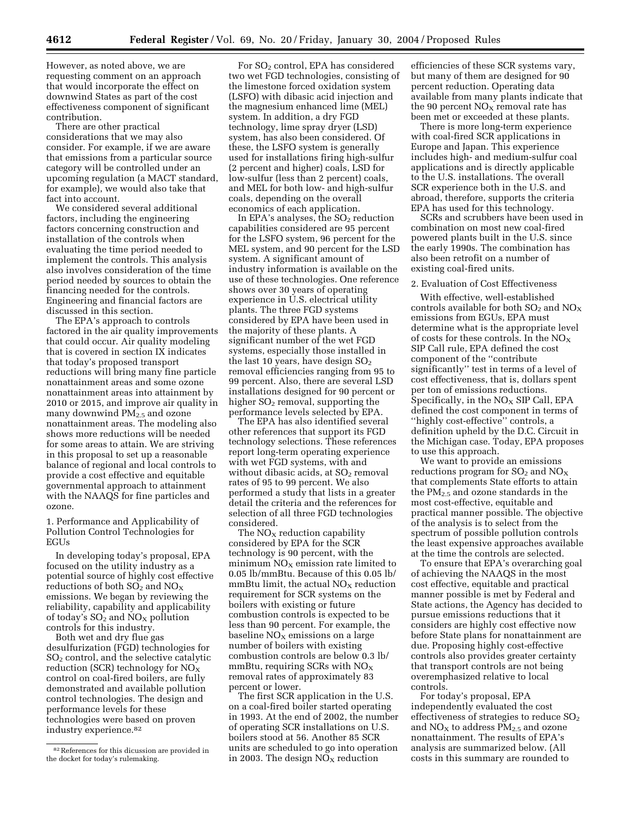However, as noted above, we are requesting comment on an approach that would incorporate the effect on downwind States as part of the cost effectiveness component of significant contribution.

There are other practical considerations that we may also consider. For example, if we are aware that emissions from a particular source category will be controlled under an upcoming regulation (a MACT standard, for example), we would also take that fact into account.

We considered several additional factors, including the engineering factors concerning construction and installation of the controls when evaluating the time period needed to implement the controls. This analysis also involves consideration of the time period needed by sources to obtain the financing needed for the controls. Engineering and financial factors are discussed in this section.

The EPA's approach to controls factored in the air quality improvements that could occur. Air quality modeling that is covered in section IX indicates that today's proposed transport reductions will bring many fine particle nonattainment areas and some ozone nonattainment areas into attainment by 2010 or 2015, and improve air quality in many downwind PM<sub>2.5</sub> and ozone nonattainment areas. The modeling also shows more reductions will be needed for some areas to attain. We are striving in this proposal to set up a reasonable balance of regional and local controls to provide a cost effective and equitable governmental approach to attainment with the NAAQS for fine particles and ozone.

1. Performance and Applicability of Pollution Control Technologies for EGUs

In developing today's proposal, EPA focused on the utility industry as a potential source of highly cost effective reductions of both  $SO_2$  and  $NO_X$ emissions. We began by reviewing the reliability, capability and applicability of today's  $SO_2$  and  $NO_X$  pollution controls for this industry.

Both wet and dry flue gas desulfurization (FGD) technologies for SO2 control, and the selective catalytic reduction (SCR) technology for  $NO<sub>x</sub>$ control on coal-fired boilers, are fully demonstrated and available pollution control technologies. The design and performance levels for these technologies were based on proven industry experience.82

For SO<sub>2</sub> control, EPA has considered two wet FGD technologies, consisting of the limestone forced oxidation system (LSFO) with dibasic acid injection and the magnesium enhanced lime (MEL) system. In addition, a dry FGD technology, lime spray dryer (LSD) system, has also been considered. Of these, the LSFO system is generally used for installations firing high-sulfur (2 percent and higher) coals, LSD for low-sulfur (less than 2 percent) coals, and MEL for both low- and high-sulfur coals, depending on the overall economics of each application.

In EPA's analyses, the  $SO<sub>2</sub>$  reduction capabilities considered are 95 percent for the LSFO system, 96 percent for the MEL system, and 90 percent for the LSD system. A significant amount of industry information is available on the use of these technologies. One reference shows over 30 years of operating experience in U.S. electrical utility plants. The three FGD systems considered by EPA have been used in the majority of these plants. A significant number of the wet FGD systems, especially those installed in the last 10 years, have design  $SO<sub>2</sub>$ removal efficiencies ranging from 95 to 99 percent. Also, there are several LSD installations designed for 90 percent or higher  $SO<sub>2</sub>$  removal, supporting the performance levels selected by EPA.

The EPA has also identified several other references that support its FGD technology selections. These references report long-term operating experience with wet FGD systems, with and without dibasic acids, at  $SO<sub>2</sub>$  removal rates of 95 to 99 percent. We also performed a study that lists in a greater detail the criteria and the references for selection of all three FGD technologies considered.

The  $NO<sub>X</sub>$  reduction capability considered by EPA for the SCR technology is 90 percent, with the minimum  $NO<sub>x</sub>$  emission rate limited to 0.05 lb/mmBtu. Because of this 0.05 lb/  $mmBtu$  limit, the actual  $NO<sub>X</sub>$  reduction requirement for SCR systems on the boilers with existing or future combustion controls is expected to be less than 90 percent. For example, the baseline  $NO<sub>x</sub>$  emissions on a large number of boilers with existing combustion controls are below 0.3 lb/ mmBtu, requiring SCRs with  $NO<sub>x</sub>$ removal rates of approximately 83 percent or lower.

The first SCR application in the U.S. on a coal-fired boiler started operating in 1993. At the end of 2002, the number of operating SCR installations on U.S. boilers stood at 56. Another 85 SCR units are scheduled to go into operation in 2003. The design  $NO<sub>X</sub>$  reduction

efficiencies of these SCR systems vary, but many of them are designed for 90 percent reduction. Operating data available from many plants indicate that the 90 percent  $\mathrm{NO}_\mathrm{X}$  removal rate has been met or exceeded at these plants.

There is more long-term experience with coal-fired SCR applications in Europe and Japan. This experience includes high- and medium-sulfur coal applications and is directly applicable to the U.S. installations. The overall SCR experience both in the U.S. and abroad, therefore, supports the criteria EPA has used for this technology.

SCRs and scrubbers have been used in combination on most new coal-fired powered plants built in the U.S. since the early 1990s. The combination has also been retrofit on a number of existing coal-fired units.

#### 2. Evaluation of Cost Effectiveness

With effective, well-established controls available for both  $SO_2$  and  $NO_X$ emissions from EGUs, EPA must determine what is the appropriate level of costs for these controls. In the  $NO_X$ SIP Call rule, EPA defined the cost component of the ''contribute significantly'' test in terms of a level of cost effectiveness, that is, dollars spent per ton of emissions reductions. Specifically, in the  $NO<sub>x</sub>$  SIP Call, EPA defined the cost component in terms of ''highly cost-effective'' controls, a definition upheld by the D.C. Circuit in the Michigan case. Today, EPA proposes to use this approach.

We want to provide an emissions reductions program for  $SO_2$  and  $NO_X$ that complements State efforts to attain the  $PM_{2.5}$  and ozone standards in the most cost-effective, equitable and practical manner possible. The objective of the analysis is to select from the spectrum of possible pollution controls the least expensive approaches available at the time the controls are selected.

To ensure that EPA's overarching goal of achieving the NAAQS in the most cost effective, equitable and practical manner possible is met by Federal and State actions, the Agency has decided to pursue emissions reductions that it considers are highly cost effective now before State plans for nonattainment are due. Proposing highly cost-effective controls also provides greater certainty that transport controls are not being overemphasized relative to local controls.

For today's proposal, EPA independently evaluated the cost effectiveness of strategies to reduce  $SO<sub>2</sub>$ and  $NO<sub>X</sub>$  to address  $PM<sub>2.5</sub>$  and ozone nonattainment. The results of EPA's analysis are summarized below. (All costs in this summary are rounded to

<sup>82</sup>References for this dicussion are provided in the docket for today's rulemaking.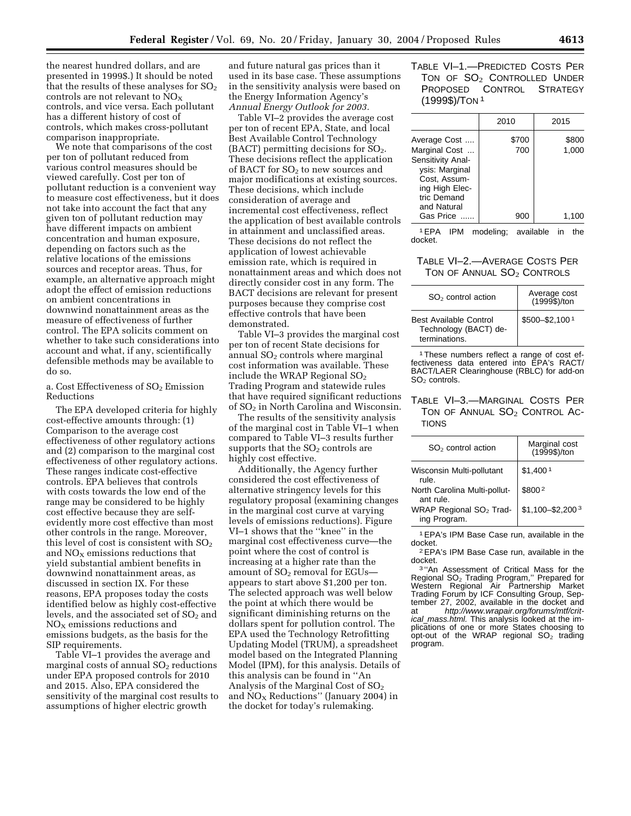the nearest hundred dollars, and are presented in 1999\$.) It should be noted that the results of these analyses for  $SO<sub>2</sub>$ controls are not relevant to  $NO<sub>x</sub>$ controls, and vice versa. Each pollutant has a different history of cost of controls, which makes cross-pollutant comparison inappropriate.

We note that comparisons of the cost per ton of pollutant reduced from various control measures should be viewed carefully. Cost per ton of pollutant reduction is a convenient way to measure cost effectiveness, but it does not take into account the fact that any given ton of pollutant reduction may have different impacts on ambient concentration and human exposure, depending on factors such as the relative locations of the emissions sources and receptor areas. Thus, for example, an alternative approach might adopt the effect of emission reductions on ambient concentrations in downwind nonattainment areas as the measure of effectiveness of further control. The EPA solicits comment on whether to take such considerations into account and what, if any, scientifically defensible methods may be available to do so.

a. Cost Effectiveness of  $SO<sub>2</sub>$  Emission Reductions

The EPA developed criteria for highly cost-effective amounts through: (1) Comparison to the average cost effectiveness of other regulatory actions and (2) comparison to the marginal cost effectiveness of other regulatory actions. These ranges indicate cost-effective controls. EPA believes that controls with costs towards the low end of the range may be considered to be highly cost effective because they are selfevidently more cost effective than most other controls in the range. Moreover, this level of cost is consistent with  $SO<sub>2</sub>$ and  $NO<sub>X</sub>$  emissions reductions that yield substantial ambient benefits in downwind nonattainment areas, as discussed in section IX. For these reasons, EPA proposes today the costs identified below as highly cost-effective levels, and the associated set of  $SO<sub>2</sub>$  and  $NO<sub>x</sub>$  emissions reductions and emissions budgets, as the basis for the SIP requirements.

Table VI–1 provides the average and marginal costs of annual  $SO<sub>2</sub>$  reductions under EPA proposed controls for 2010 and 2015. Also, EPA considered the sensitivity of the marginal cost results to assumptions of higher electric growth

and future natural gas prices than it used in its base case. These assumptions in the sensitivity analysis were based on the Energy Information Agency's *Annual Energy Outlook for 2003.*

Table VI–2 provides the average cost per ton of recent EPA, State, and local Best Available Control Technology  $(BACT)$  permitting decisions for  $SO<sub>2</sub>$ . These decisions reflect the application of BACT for  $SO<sub>2</sub>$  to new sources and major modifications at existing sources. These decisions, which include consideration of average and incremental cost effectiveness, reflect the application of best available controls in attainment and unclassified areas. These decisions do not reflect the application of lowest achievable emission rate, which is required in nonattainment areas and which does not directly consider cost in any form. The BACT decisions are relevant for present purposes because they comprise cost effective controls that have been demonstrated.

Table VI–3 provides the marginal cost per ton of recent State decisions for annual  $SO<sub>2</sub>$  controls where marginal cost information was available. These include the WRAP Regional  $SO<sub>2</sub>$ Trading Program and statewide rules that have required significant reductions of SO2 in North Carolina and Wisconsin.

The results of the sensitivity analysis of the marginal cost in Table VI–1 when compared to Table VI–3 results further supports that the  $SO<sub>2</sub>$  controls are highly cost effective.

Additionally, the Agency further considered the cost effectiveness of alternative stringency levels for this regulatory proposal (examining changes in the marginal cost curve at varying levels of emissions reductions). Figure VI–1 shows that the ''knee'' in the marginal cost effectiveness curve—the point where the cost of control is increasing at a higher rate than the amount of  $SO<sub>2</sub>$  removal for EGUs appears to start above \$1,200 per ton. The selected approach was well below the point at which there would be significant diminishing returns on the dollars spent for pollution control. The EPA used the Technology Retrofitting Updating Model (TRUM), a spreadsheet model based on the Integrated Planning Model (IPM), for this analysis. Details of this analysis can be found in ''An Analysis of the Marginal Cost of SO2 and  $\overline{NO_X}$  Reductions" (January 2004) in the docket for today's rulemaking.

# TABLE VI–1.—PREDICTED COSTS PER TON OF SO<sub>2</sub> CONTROLLED UNDER PROPOSED CONTROL STRATEGY (1999\$)/TON 1

|                                                                                                                                      | 2010         | 2015           |
|--------------------------------------------------------------------------------------------------------------------------------------|--------------|----------------|
| Average Cost<br>Marginal Cost<br>Sensitivity Anal-<br>ysis: Marginal<br>Cost, Assum-<br>ing High Elec-<br>tric Demand<br>and Natural | \$700<br>700 | \$800<br>1,000 |
| Gas Price                                                                                                                            | 900          | 1,100          |

1EPA IPM modeling; available in the docket.

# TABLE VI–2.—AVERAGE COSTS PER TON OF ANNUAL SO<sub>2</sub> CONTROLS

| $SO2$ control action                                                    | Average cost<br>(1999\$)/ton |
|-------------------------------------------------------------------------|------------------------------|
| <b>Best Available Control</b><br>Technology (BACT) de-<br>terminations. | \$500-\$2,1001               |

<sup>1</sup>These numbers reflect a range of cost effectiveness data entered into EPA's RACT/ BACT/LAER Clearinghouse (RBLC) for add-on SO<sub>2</sub> controls.

# TABLE VI–3.—MARGINAL COSTS PER TON OF ANNUAL  $SO_2$  CONTROL AC-TIONS

| $SO2$ control action                                | Marginal cost<br>(1999\$)/ton  |
|-----------------------------------------------------|--------------------------------|
| Wisconsin Multi-pollutant<br>rule.                  | \$1,400 <sup>1</sup>           |
| North Carolina Multi-pollut-<br>ant rule.           | \$8002                         |
| WRAP Regional SO <sub>2</sub> Trad-<br>ing Program. | $$1,100 - $2,200$ <sup>3</sup> |

<sup>1</sup> EPA's IPM Base Case run, available in the docket.

 $2$  EPA's IPM Base Case run, available in the docket.

docket.<br><sup>3 "</sup>An Assessment of Critical Mass for the Regional SO<sub>2</sub> Trading Program," Prepared for<br>Western Regional Air Partnership Market Trading Forum by ICF Consulting Group, September 27, 2002, available in the docket and at http://www.wrapair.org/forums/mtf/critical mass.html. This analysis looked at the implications of one or more States choosing to opt-out of the WRAP regional  $SO<sub>2</sub>$  trading program.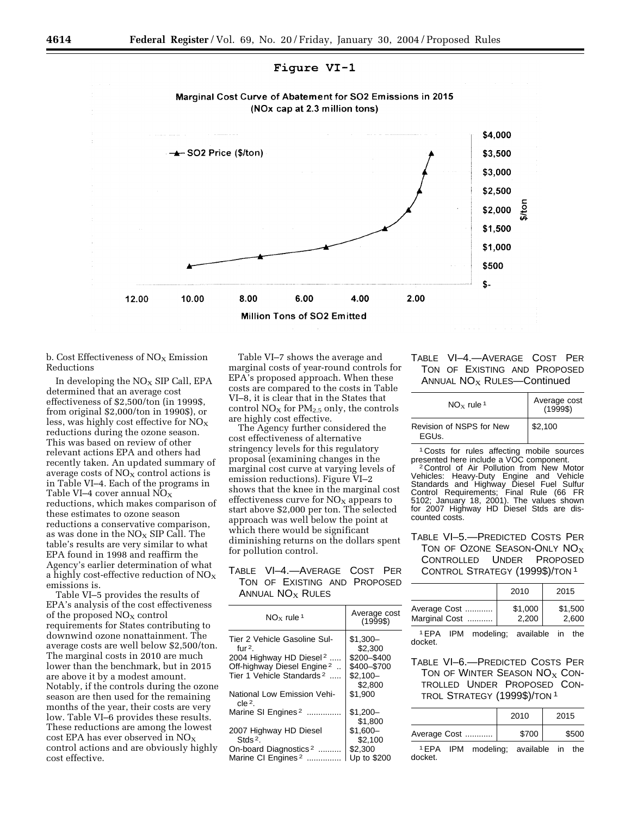



b. Cost Effectiveness of  $NO<sub>x</sub>$  Emission Reductions

In developing the  $NO<sub>X</sub>$  SIP Call, EPA determined that an average cost effectiveness of \$2,500/ton (in 1999\$, from original \$2,000/ton in 1990\$), or less, was highly cost effective for  $NO<sub>x</sub>$ reductions during the ozone season. This was based on review of other relevant actions EPA and others had recently taken. An updated summary of average costs of  $NO<sub>x</sub>$  control actions is in Table VI–4. Each of the programs in Table VI–4 cover annual  $NO<sub>X</sub>$ reductions, which makes comparison of these estimates to ozone season reductions a conservative comparison, as was done in the  $NO<sub>X</sub>$  SIP Call. The table's results are very similar to what EPA found in 1998 and reaffirm the Agency's earlier determination of what a highly cost-effective reduction of  $NO<sub>X</sub>$ emissions is.

Table VI–5 provides the results of EPA's analysis of the cost effectiveness of the proposed  $NO<sub>X</sub>$  control requirements for States contributing to downwind ozone nonattainment. The average costs are well below \$2,500/ton. The marginal costs in 2010 are much lower than the benchmark, but in 2015 are above it by a modest amount. Notably, if the controls during the ozone season are then used for the remaining months of the year, their costs are very low. Table VI–6 provides these results. These reductions are among the lowest cost EPA has ever observed in  $NO<sub>X</sub>$ control actions and are obviously highly cost effective.

Table VI–7 shows the average and marginal costs of year-round controls for EPA's proposed approach. When these costs are compared to the costs in Table VI–8, it is clear that in the States that control  $NO<sub>X</sub>$  for  $PM<sub>2.5</sub>$  only, the controls are highly cost effective.

The Agency further considered the cost effectiveness of alternative stringency levels for this regulatory proposal (examining changes in the marginal cost curve at varying levels of emission reductions). Figure VI–2 shows that the knee in the marginal cost effectiveness curve for  $NO<sub>x</sub>$  appears to start above \$2,000 per ton. The selected approach was well below the point at which there would be significant diminishing returns on the dollars spent for pollution control.

# TABLE VI–4.—AVERAGE COST PER TON OF EXISTING AND PROPOSED ANNUAL  $NO<sub>X</sub>$  Rules

| $\mathsf{NO}_\mathbf{x}$ rule 1                                                                                                                                     | Average cost<br>(1999\$)                                                   |
|---------------------------------------------------------------------------------------------------------------------------------------------------------------------|----------------------------------------------------------------------------|
| Tier 2 Vehicle Gasoline Sul-<br>fur $2$ .<br>2004 Highway HD Diesel <sup>2</sup><br>Off-highway Diesel Engine <sup>2</sup><br>Tier 1 Vehicle Standards <sup>2</sup> | $$1,300-$<br>\$2,300<br>\$200-\$400<br>\$400-\$700<br>$$2,100-$<br>\$2,800 |
| National Low Emission Vehi-<br>cle <sup>2</sup> .                                                                                                                   | \$1.900                                                                    |
| Marine SI Engines <sup>2</sup>                                                                                                                                      | $$1.200-$<br>\$1,800                                                       |
| 2007 Highway HD Diesel<br>Stds $2$ .                                                                                                                                | $$1.600-$<br>\$2.100                                                       |
| On-board Diagnostics <sup>2</sup>                                                                                                                                   | \$2,300                                                                    |
| Marine CI Engines <sup>2</sup><br>.                                                                                                                                 | Up to \$200                                                                |

# TABLE VI–4.—AVERAGE COST PER TON OF EXISTING AND PROPOSED ANNUAL  $NO<sub>x</sub>$  RULES-Continued

| $NO_x$ rule <sup>1</sup>           | Average cost<br>(1999\$) |
|------------------------------------|--------------------------|
| Revision of NSPS for New<br>FGL(s) | \$2,100                  |

1 Costs for rules affecting mobile sources

presented here include a VOC component. 2 Control of Air Pollution from New Motor Vehicles: Heavy-Duty Engine and Vehicle Standards and Highway Diesel Fuel Sulfur Control Requirements; Final Rule (66 FR 5102; January 18, 2001). The values shown for 2007 Highway HD Diesel Stds are discounted costs.

# TABLE VI–5.—PREDICTED COSTS PER TON OF OZONE SEASON-ONLY  $NO<sub>x</sub>$ CONTROLLED UNDER PROPOSED CONTROL STRATEGY (1999\$)/TON 1

|               | 2010    | 2015    |
|---------------|---------|---------|
| Average Cost  | \$1,000 | \$1,500 |
| Marginal Cost | 2.200   | 2.600   |

1EPA IPM modeling; available in the docket.

TABLE VI–6.—PREDICTED COSTS PER TON OF WINTER SEASON  $NO<sub>x</sub>$  Con-TROLLED UNDER PROPOSED CON-TROL STRATEGY (1999\$)/TON 1

| 2010  | 2015  |
|-------|-------|
| \$700 | \$500 |
|       |       |

1EPA IPM modeling; available in the docket.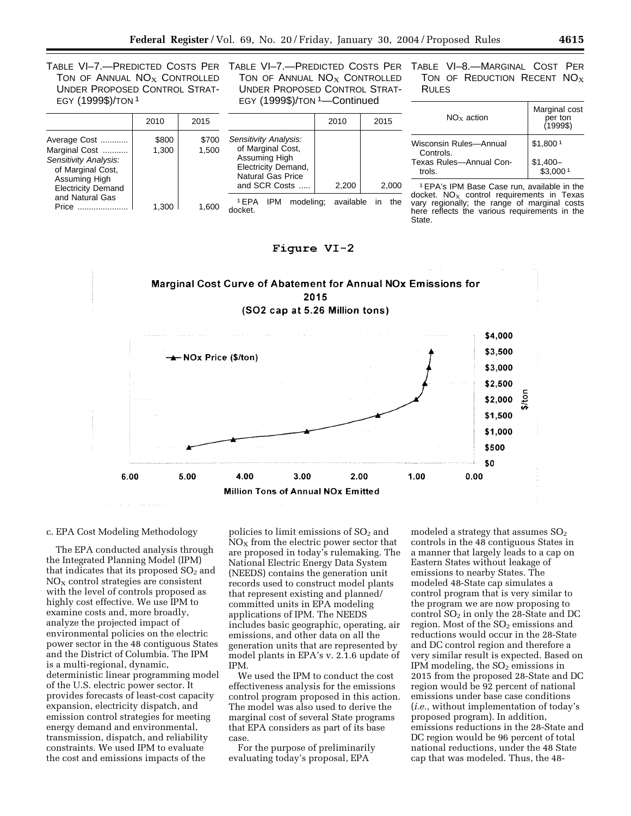TABLE VI–7.—PREDICTED COSTS PER TON OF ANNUAL  $NO<sub>X</sub>$  CONTROLLED UNDER PROPOSED CONTROL STRAT-EGY (1999\$)/TON 1

Average Cost ............. | \$800 | \$700 Marginal Cost ............ | 1,300 | 1,500

Price ...................... 1,300 1,600

Sensitivity Analysis: of Marginal Cost, Assuming High Electricity Demand and Natural Gas

2010 2015

TABLE VI–7.—PREDICTED COSTS PER TON OF ANNUAL  $NO<sub>X</sub>$  CONTROLLED UNDER PROPOSED CONTROL STRAT-EGY (1999\$)/TON 1—Continued

Sensitivity Analysis: of Marginal Cost, Assuming High Electricity Demand, Natural Gas Price

docket.

2010 2015

TABLE VI–8.—MARGINAL COST PER TON OF REDUCTION RECENT  $NO<sub>x</sub>$ RULES

| $NO_x$ action                       | Marginal cost<br>per ton<br>$(1999\$ |
|-------------------------------------|--------------------------------------|
| Wisconsin Rules-Annual<br>Controls. | \$1,8001                             |
| Texas Rules-Annual Con-<br>trols.   | $$1,400-$<br>\$3.000 <sup>1</sup>    |

and SCR Costs ..... 2.200 2.000 1EPA IPM modeling; available in the 1EPA's IPM Base Case run, available in the docket.  $NO<sub>X</sub>$  control requirements in Texas vary regionally; the range of marginal costs here reflects the various requirements in the State.





c. EPA Cost Modeling Methodology

The EPA conducted analysis through the Integrated Planning Model (IPM) that indicates that its proposed  $SO<sub>2</sub>$  and  $NO<sub>X</sub>$  control strategies are consistent with the level of controls proposed as highly cost effective. We use IPM to examine costs and, more broadly, analyze the projected impact of environmental policies on the electric power sector in the 48 contiguous States and the District of Columbia. The IPM is a multi-regional, dynamic, deterministic linear programming model of the U.S. electric power sector. It provides forecasts of least-cost capacity expansion, electricity dispatch, and emission control strategies for meeting energy demand and environmental, transmission, dispatch, and reliability constraints. We used IPM to evaluate the cost and emissions impacts of the

policies to limit emissions of  $SO<sub>2</sub>$  and  $NO<sub>x</sub>$  from the electric power sector that are proposed in today's rulemaking. The National Electric Energy Data System (NEEDS) contains the generation unit records used to construct model plants that represent existing and planned/ committed units in EPA modeling applications of IPM. The NEEDS includes basic geographic, operating, air emissions, and other data on all the generation units that are represented by model plants in EPA's v. 2.1.6 update of IPM.

We used the IPM to conduct the cost effectiveness analysis for the emissions control program proposed in this action. The model was also used to derive the marginal cost of several State programs that EPA considers as part of its base case.

For the purpose of preliminarily evaluating today's proposal, EPA

modeled a strategy that assumes  $SO<sub>2</sub>$ controls in the 48 contiguous States in a manner that largely leads to a cap on Eastern States without leakage of emissions to nearby States. The modeled 48-State cap simulates a control program that is very similar to the program we are now proposing to control  $SO<sub>2</sub>$  in only the 28-State and DC region. Most of the  $SO<sub>2</sub>$  emissions and reductions would occur in the 28-State and DC control region and therefore a very similar result is expected. Based on IPM modeling, the  $SO<sub>2</sub>$  emissions in 2015 from the proposed 28-State and DC region would be 92 percent of national emissions under base case conditions (*i.e.*, without implementation of today's proposed program). In addition, emissions reductions in the 28-State and DC region would be 96 percent of total national reductions, under the 48 State cap that was modeled. Thus, the 48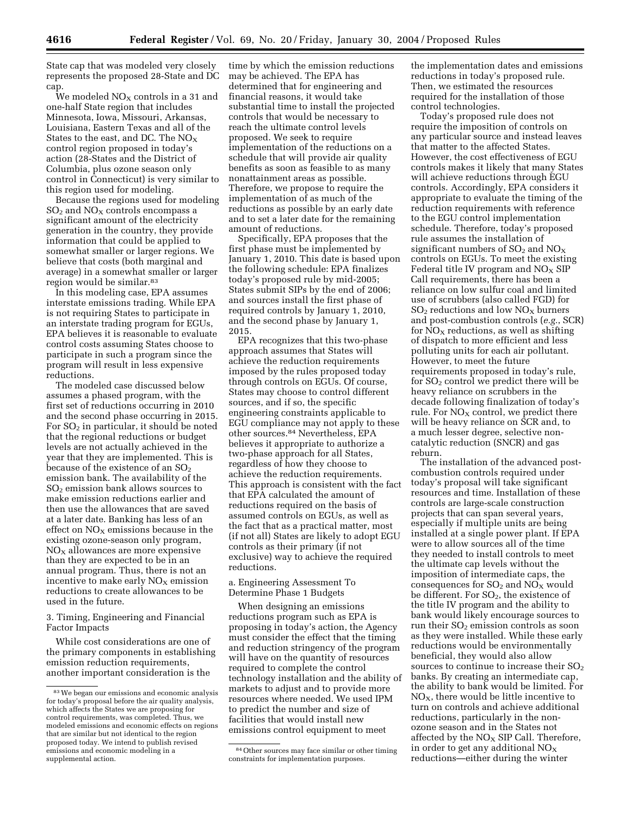State cap that was modeled very closely represents the proposed 28-State and DC cap.

We modeled  $NO<sub>X</sub>$  controls in a 31 and one-half State region that includes Minnesota, Iowa, Missouri, Arkansas, Louisiana, Eastern Texas and all of the States to the east, and DC. The  $NO<sub>x</sub>$ control region proposed in today's action (28-States and the District of Columbia, plus ozone season only control in Connecticut) is very similar to this region used for modeling.

Because the regions used for modeling  $SO<sub>2</sub>$  and  $NO<sub>X</sub>$  controls encompass a significant amount of the electricity generation in the country, they provide information that could be applied to somewhat smaller or larger regions. We believe that costs (both marginal and average) in a somewhat smaller or larger region would be similar.83

In this modeling case, EPA assumes interstate emissions trading. While EPA is not requiring States to participate in an interstate trading program for EGUs, EPA believes it is reasonable to evaluate control costs assuming States choose to participate in such a program since the program will result in less expensive reductions.

The modeled case discussed below assumes a phased program, with the first set of reductions occurring in 2010 and the second phase occurring in 2015. For  $SO<sub>2</sub>$  in particular, it should be noted that the regional reductions or budget levels are not actually achieved in the year that they are implemented. This is because of the existence of an  $SO_2$ emission bank. The availability of the SO2 emission bank allows sources to make emission reductions earlier and then use the allowances that are saved at a later date. Banking has less of an effect on  $NO<sub>x</sub>$  emissions because in the existing ozone-season only program,  $NO<sub>x</sub>$  allowances are more expensive than they are expected to be in an annual program. Thus, there is not an incentive to make early  $NO<sub>x</sub>$  emission reductions to create allowances to be used in the future.

3. Timing, Engineering and Financial Factor Impacts

While cost considerations are one of the primary components in establishing emission reduction requirements, another important consideration is the

time by which the emission reductions may be achieved. The EPA has determined that for engineering and financial reasons, it would take substantial time to install the projected controls that would be necessary to reach the ultimate control levels proposed. We seek to require implementation of the reductions on a schedule that will provide air quality benefits as soon as feasible to as many nonattainment areas as possible. Therefore, we propose to require the implementation of as much of the reductions as possible by an early date and to set a later date for the remaining amount of reductions.

Specifically, EPA proposes that the first phase must be implemented by January 1, 2010. This date is based upon the following schedule: EPA finalizes today's proposed rule by mid-2005; States submit SIPs by the end of 2006; and sources install the first phase of required controls by January 1, 2010, and the second phase by January 1, 2015.

EPA recognizes that this two-phase approach assumes that States will achieve the reduction requirements imposed by the rules proposed today through controls on EGUs. Of course, States may choose to control different sources, and if so, the specific engineering constraints applicable to EGU compliance may not apply to these other sources.84 Nevertheless, EPA believes it appropriate to authorize a two-phase approach for all States, regardless of how they choose to achieve the reduction requirements. This approach is consistent with the fact that EPA calculated the amount of reductions required on the basis of assumed controls on EGUs, as well as the fact that as a practical matter, most (if not all) States are likely to adopt EGU controls as their primary (if not exclusive) way to achieve the required reductions.

a. Engineering Assessment To Determine Phase 1 Budgets

When designing an emissions reductions program such as EPA is proposing in today's action, the Agency must consider the effect that the timing and reduction stringency of the program will have on the quantity of resources required to complete the control technology installation and the ability of markets to adjust and to provide more resources where needed. We used IPM to predict the number and size of facilities that would install new emissions control equipment to meet

the implementation dates and emissions reductions in today's proposed rule. Then, we estimated the resources required for the installation of those control technologies.

Today's proposed rule does not require the imposition of controls on any particular source and instead leaves that matter to the affected States. However, the cost effectiveness of EGU controls makes it likely that many States will achieve reductions through EGU controls. Accordingly, EPA considers it appropriate to evaluate the timing of the reduction requirements with reference to the EGU control implementation schedule. Therefore, today's proposed rule assumes the installation of significant numbers of  $SO_2$  and  $NO_X$ controls on EGUs. To meet the existing Federal title IV program and  $NO<sub>x</sub>$  SIP Call requirements, there has been a reliance on low sulfur coal and limited use of scrubbers (also called FGD) for  $SO<sub>2</sub>$  reductions and low  $NO<sub>x</sub>$  burners and post-combustion controls (*e.g.*, SCR) for  $NO<sub>x</sub>$  reductions, as well as shifting of dispatch to more efficient and less polluting units for each air pollutant. However, to meet the future requirements proposed in today's rule, for  $SO<sub>2</sub>$  control we predict there will be heavy reliance on scrubbers in the decade following finalization of today's rule. For  $NO<sub>X</sub>$  control, we predict there will be heavy reliance on SCR and, to a much lesser degree, selective noncatalytic reduction (SNCR) and gas reburn.

The installation of the advanced postcombustion controls required under today's proposal will take significant resources and time. Installation of these controls are large-scale construction projects that can span several years, especially if multiple units are being installed at a single power plant. If EPA were to allow sources all of the time they needed to install controls to meet the ultimate cap levels without the imposition of intermediate caps, the consequences for  $SO_2$  and  $NO<sub>X</sub>$  would be different. For  $SO_2$ , the existence of the title IV program and the ability to bank would likely encourage sources to run their  $SO<sub>2</sub>$  emission controls as soon as they were installed. While these early reductions would be environmentally beneficial, they would also allow sources to continue to increase their  $SO<sub>2</sub>$ banks. By creating an intermediate cap, the ability to bank would be limited. For  $NO<sub>x</sub>$ , there would be little incentive to turn on controls and achieve additional reductions, particularly in the nonozone season and in the States not affected by the  $NO<sub>X</sub>$  SIP Call. Therefore, in order to get any additional  $NO<sub>x</sub>$ reductions—either during the winter

<sup>83</sup>We began our emissions and economic analysis for today's proposal before the air quality analysis, which affects the States we are proposing for control requirements, was completed. Thus, we modeled emissions and economic effects on regions that are similar but not identical to the region proposed today. We intend to publish revised emissions and economic modeling in a supplemental action.

<sup>84</sup>Other sources may face similar or other timing constraints for implementation purposes.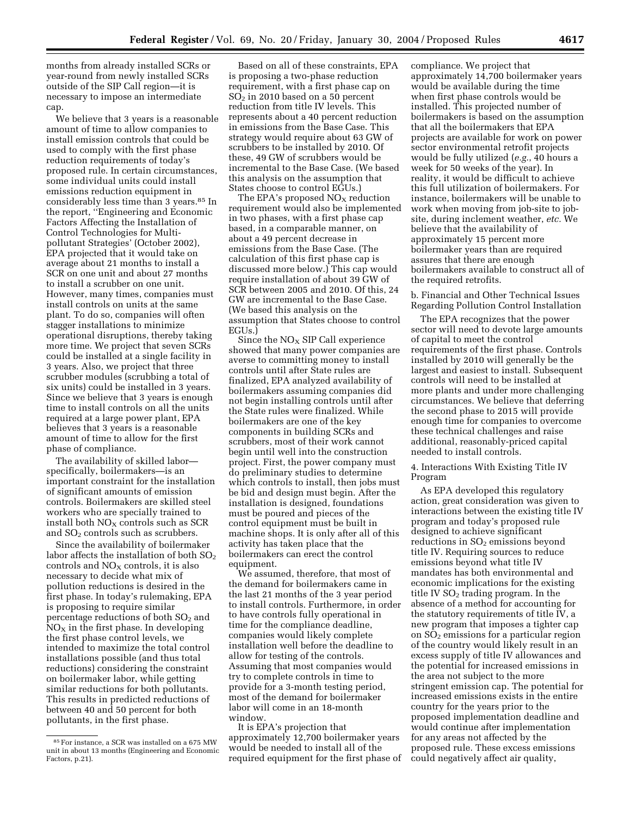months from already installed SCRs or year-round from newly installed SCRs outside of the SIP Call region—it is necessary to impose an intermediate cap.

We believe that 3 years is a reasonable amount of time to allow companies to install emission controls that could be used to comply with the first phase reduction requirements of today's proposed rule. In certain circumstances, some individual units could install emissions reduction equipment in considerably less time than 3 years.85 In the report, ''Engineering and Economic Factors Affecting the Installation of Control Technologies for Multipollutant Strategies' (October 2002), EPA projected that it would take on average about 21 months to install a SCR on one unit and about 27 months to install a scrubber on one unit. However, many times, companies must install controls on units at the same plant. To do so, companies will often stagger installations to minimize operational disruptions, thereby taking more time. We project that seven SCRs could be installed at a single facility in 3 years. Also, we project that three scrubber modules (scrubbing a total of six units) could be installed in 3 years. Since we believe that 3 years is enough time to install controls on all the units required at a large power plant, EPA believes that 3 years is a reasonable amount of time to allow for the first phase of compliance.

The availability of skilled labor specifically, boilermakers—is an important constraint for the installation of significant amounts of emission controls. Boilermakers are skilled steel workers who are specially trained to install both  $NO<sub>X</sub>$  controls such as SCR and  $SO<sub>2</sub>$  controls such as scrubbers.

Since the availability of boilermaker labor affects the installation of both  $SO<sub>2</sub>$ controls and  $NO<sub>x</sub>$  controls, it is also necessary to decide what mix of pollution reductions is desired in the first phase. In today's rulemaking, EPA is proposing to require similar percentage reductions of both  $SO<sub>2</sub>$  and  $NO<sub>X</sub>$  in the first phase. In developing the first phase control levels, we intended to maximize the total control installations possible (and thus total reductions) considering the constraint on boilermaker labor, while getting similar reductions for both pollutants. This results in predicted reductions of between 40 and 50 percent for both pollutants, in the first phase.

Based on all of these constraints, EPA is proposing a two-phase reduction requirement, with a first phase cap on  $SO<sub>2</sub>$  in 2010 based on a 50 percent reduction from title IV levels. This represents about a 40 percent reduction in emissions from the Base Case. This strategy would require about 63 GW of scrubbers to be installed by 2010. Of these, 49 GW of scrubbers would be incremental to the Base Case. (We based this analysis on the assumption that States choose to control EGUs.)

The EPA's proposed  $NO<sub>X</sub>$  reduction requirement would also be implemented in two phases, with a first phase cap based, in a comparable manner, on about a 49 percent decrease in emissions from the Base Case. (The calculation of this first phase cap is discussed more below.) This cap would require installation of about 39 GW of SCR between 2005 and 2010. Of this, 24 GW are incremental to the Base Case. (We based this analysis on the assumption that States choose to control EGUs.)

Since the  $NO<sub>x</sub>$  SIP Call experience showed that many power companies are averse to committing money to install controls until after State rules are finalized, EPA analyzed availability of boilermakers assuming companies did not begin installing controls until after the State rules were finalized. While boilermakers are one of the key components in building SCRs and scrubbers, most of their work cannot begin until well into the construction project. First, the power company must do preliminary studies to determine which controls to install, then jobs must be bid and design must begin. After the installation is designed, foundations must be poured and pieces of the control equipment must be built in machine shops. It is only after all of this activity has taken place that the boilermakers can erect the control equipment.

We assumed, therefore, that most of the demand for boilermakers came in the last 21 months of the 3 year period to install controls. Furthermore, in order to have controls fully operational in time for the compliance deadline, companies would likely complete installation well before the deadline to allow for testing of the controls. Assuming that most companies would try to complete controls in time to provide for a 3-month testing period, most of the demand for boilermaker labor will come in an 18-month window.

It is EPA's projection that approximately 12,700 boilermaker years would be needed to install all of the required equipment for the first phase of

compliance. We project that approximately 14,700 boilermaker years would be available during the time when first phase controls would be installed. This projected number of boilermakers is based on the assumption that all the boilermakers that EPA projects are available for work on power sector environmental retrofit projects would be fully utilized (*e.g.*, 40 hours a week for 50 weeks of the year). In reality, it would be difficult to achieve this full utilization of boilermakers. For instance, boilermakers will be unable to work when moving from job-site to jobsite, during inclement weather, *etc.* We believe that the availability of approximately 15 percent more boilermaker years than are required assures that there are enough boilermakers available to construct all of the required retrofits.

b. Financial and Other Technical Issues Regarding Pollution Control Installation

The EPA recognizes that the power sector will need to devote large amounts of capital to meet the control requirements of the first phase. Controls installed by 2010 will generally be the largest and easiest to install. Subsequent controls will need to be installed at more plants and under more challenging circumstances. We believe that deferring the second phase to 2015 will provide enough time for companies to overcome these technical challenges and raise additional, reasonably-priced capital needed to install controls.

4. Interactions With Existing Title IV Program

As EPA developed this regulatory action, great consideration was given to interactions between the existing title IV program and today's proposed rule designed to achieve significant reductions in SO<sub>2</sub> emissions beyond title IV. Requiring sources to reduce emissions beyond what title IV mandates has both environmental and economic implications for the existing title IV  $SO<sub>2</sub>$  trading program. In the absence of a method for accounting for the statutory requirements of title IV, a new program that imposes a tighter cap on SO2 emissions for a particular region of the country would likely result in an excess supply of title IV allowances and the potential for increased emissions in the area not subject to the more stringent emission cap. The potential for increased emissions exists in the entire country for the years prior to the proposed implementation deadline and would continue after implementation for any areas not affected by the proposed rule. These excess emissions could negatively affect air quality,

<sup>85</sup>For instance, a SCR was installed on a 675 MW unit in about 13 months (Engineering and Economic Factors, p.21).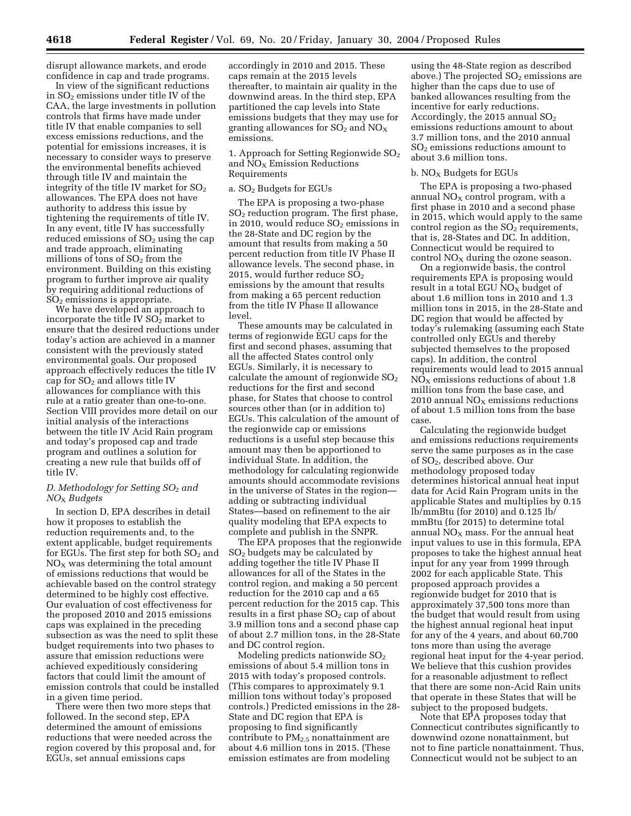disrupt allowance markets, and erode confidence in cap and trade programs.

In view of the significant reductions in  $SO<sub>2</sub>$  emissions under title IV of the CAA, the large investments in pollution controls that firms have made under title IV that enable companies to sell excess emissions reductions, and the potential for emissions increases, it is necessary to consider ways to preserve the environmental benefits achieved through title IV and maintain the integrity of the title IV market for  $SO<sub>2</sub>$ allowances. The EPA does not have authority to address this issue by tightening the requirements of title IV. In any event, title IV has successfully reduced emissions of  $SO<sub>2</sub>$  using the cap and trade approach, eliminating millions of tons of  $SO<sub>2</sub>$  from the environment. Building on this existing program to further improve air quality by requiring additional reductions of  $SO<sub>2</sub>$  emissions is appropriate.

We have developed an approach to incorporate the title IV  $SO<sub>2</sub>$  market to ensure that the desired reductions under today's action are achieved in a manner consistent with the previously stated environmental goals. Our proposed approach effectively reduces the title IV cap for  $SO<sub>2</sub>$  and allows title IV allowances for compliance with this rule at a ratio greater than one-to-one. Section VIII provides more detail on our initial analysis of the interactions between the title IV Acid Rain program and today's proposed cap and trade program and outlines a solution for creating a new rule that builds off of title IV.

## *D. Methodology for Setting SO*2 *and NO*X *Budgets*

In section D, EPA describes in detail how it proposes to establish the reduction requirements and, to the extent applicable, budget requirements for EGUs. The first step for both  $SO<sub>2</sub>$  and  $NO<sub>x</sub>$  was determining the total amount of emissions reductions that would be achievable based on the control strategy determined to be highly cost effective. Our evaluation of cost effectiveness for the proposed 2010 and 2015 emissions caps was explained in the preceding subsection as was the need to split these budget requirements into two phases to assure that emission reductions were achieved expeditiously considering factors that could limit the amount of emission controls that could be installed in a given time period.

There were then two more steps that followed. In the second step, EPA determined the amount of emissions reductions that were needed across the region covered by this proposal and, for EGUs, set annual emissions caps

accordingly in 2010 and 2015. These caps remain at the 2015 levels thereafter, to maintain air quality in the downwind areas. In the third step, EPA partitioned the cap levels into State emissions budgets that they may use for granting allowances for  $SO_2$  and  $NO_X$ emissions.

### 1. Approach for Setting Regionwide  $SO<sub>2</sub>$ and  $NO<sub>x</sub>$  Emission Reductions Requirements

#### a.  $SO<sub>2</sub>$  Budgets for EGUs

The EPA is proposing a two-phase  $SO<sub>2</sub>$  reduction program. The first phase, in 2010, would reduce  $SO<sub>2</sub>$  emissions in the 28-State and DC region by the amount that results from making a 50 percent reduction from title IV Phase II allowance levels. The second phase, in 2015, would further reduce  $SO<sub>2</sub>$ emissions by the amount that results from making a 65 percent reduction from the title IV Phase II allowance level.

These amounts may be calculated in terms of regionwide EGU caps for the first and second phases, assuming that all the affected States control only EGUs. Similarly, it is necessary to calculate the amount of regionwide  $SO<sub>2</sub>$ reductions for the first and second phase, for States that choose to control sources other than (or in addition to) EGUs. This calculation of the amount of the regionwide cap or emissions reductions is a useful step because this amount may then be apportioned to individual State. In addition, the methodology for calculating regionwide amounts should accommodate revisions in the universe of States in the region adding or subtracting individual States—based on refinement to the air quality modeling that EPA expects to complete and publish in the SNPR.

The EPA proposes that the regionwide SO2 budgets may be calculated by adding together the title IV Phase II allowances for all of the States in the control region, and making a 50 percent reduction for the 2010 cap and a 65 percent reduction for the 2015 cap. This results in a first phase  $SO<sub>2</sub>$  cap of about 3.9 million tons and a second phase cap of about 2.7 million tons, in the 28-State and DC control region.

Modeling predicts nationwide  $SO<sub>2</sub>$ emissions of about 5.4 million tons in 2015 with today's proposed controls. (This compares to approximately 9.1 million tons without today's proposed controls.) Predicted emissions in the 28- State and DC region that EPA is proposing to find significantly contribute to  $PM_{2.5}$  nonattainment are about 4.6 million tons in 2015. (These emission estimates are from modeling

using the 48-State region as described above.) The projected  $SO<sub>2</sub>$  emissions are higher than the caps due to use of banked allowances resulting from the incentive for early reductions. Accordingly, the 2015 annual  $SO<sub>2</sub>$ emissions reductions amount to about 3.7 million tons, and the 2010 annual SO2 emissions reductions amount to about 3.6 million tons.

#### b.  $NO<sub>x</sub>$  Budgets for EGUs

The EPA is proposing a two-phased annual  $NO<sub>x</sub>$  control program, with a first phase in 2010 and a second phase in 2015, which would apply to the same control region as the  $SO<sub>2</sub>$  requirements, that is, 28-States and DC. In addition, Connecticut would be required to control  $NO<sub>x</sub>$  during the ozone season.

On a regionwide basis, the control requirements EPA is proposing would result in a total EGU  $\overline{NO_X}$  budget of about 1.6 million tons in 2010 and 1.3 million tons in 2015, in the 28-State and DC region that would be affected by today's rulemaking (assuming each State controlled only EGUs and thereby subjected themselves to the proposed caps). In addition, the control requirements would lead to 2015 annual  $NO<sub>X</sub>$  emissions reductions of about 1.8 million tons from the base case, and 2010 annual  $NO<sub>x</sub>$  emissions reductions of about 1.5 million tons from the base case.

Calculating the regionwide budget and emissions reductions requirements serve the same purposes as in the case of SO2, described above. Our methodology proposed today determines historical annual heat input data for Acid Rain Program units in the applicable States and multiplies by 0.15 lb/mmBtu (for 2010) and 0.125 lb/ mmBtu (for 2015) to determine total annual  $NO<sub>x</sub>$  mass. For the annual heat input values to use in this formula, EPA proposes to take the highest annual heat input for any year from 1999 through 2002 for each applicable State. This proposed approach provides a regionwide budget for 2010 that is approximately 37,500 tons more than the budget that would result from using the highest annual regional heat input for any of the 4 years, and about 60,700 tons more than using the average regional heat input for the 4-year period. We believe that this cushion provides for a reasonable adjustment to reflect that there are some non-Acid Rain units that operate in these States that will be subject to the proposed budgets.

Note that EPA proposes today that Connecticut contributes significantly to downwind ozone nonattainment, but not to fine particle nonattainment. Thus, Connecticut would not be subject to an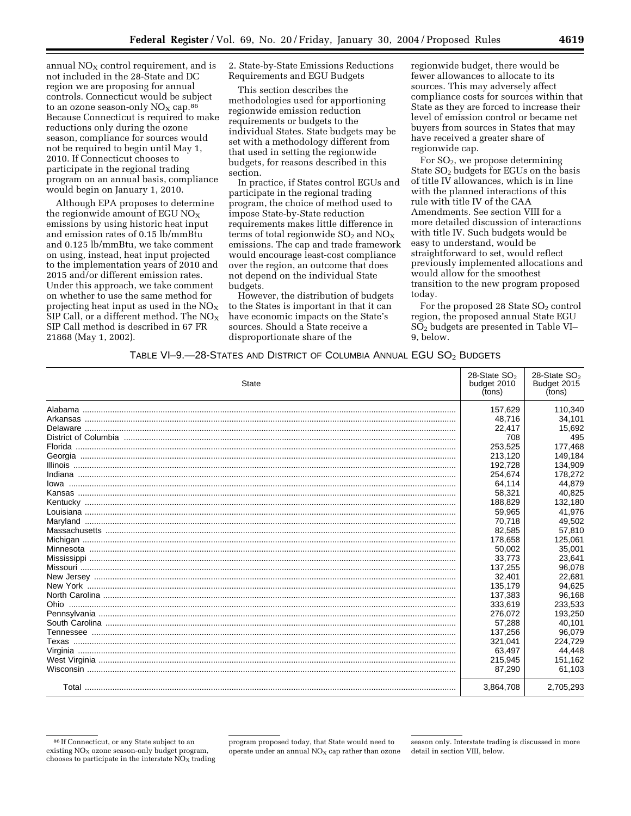annual  $NO<sub>X</sub>$  control requirement, and is not included in the 28-State and DC region we are proposing for annual controls. Connecticut would be subject to an ozone season-only  $NO<sub>x</sub>$  cap.<sup>86</sup> Because Connecticut is required to make reductions only during the ozone season, compliance for sources would not be required to begin until May 1, 2010. If Connecticut chooses to participate in the regional trading program on an annual basis, compliance would begin on January 1, 2010.

Although EPA proposes to determine the regionwide amount of EGU  $NO_X$ emissions by using historic heat input and emission rates of 0.15 lb/mmBtu and 0.125 lb/mmBtu, we take comment on using, instead, heat input projected to the implementation years of 2010 and 2015 and/or different emission rates. Under this approach, we take comment on whether to use the same method for projecting heat input as used in the  $NO<sub>X</sub>$ SIP Call, or a different method. The  $NO<sub>X</sub>$ SIP Call method is described in 67 FR 21868 (May 1, 2002).

2. State-by-State Emissions Reductions Requirements and EGU Budgets

This section describes the methodologies used for apportioning regionwide emission reduction requirements or budgets to the individual States. State budgets may be set with a methodology different from that used in setting the regionwide budgets, for reasons described in this section.

In practice, if States control EGUs and participate in the regional trading program, the choice of method used to impose State-by-State reduction requirements makes little difference in terms of total regionwide  $SO<sub>2</sub>$  and  $NO<sub>X</sub>$ emissions. The cap and trade framework would encourage least-cost compliance over the region, an outcome that does not depend on the individual State budgets.

However, the distribution of budgets to the States is important in that it can have economic impacts on the State's sources. Should a State receive a disproportionate share of the

regionwide budget, there would be fewer allowances to allocate to its sources. This may adversely affect compliance costs for sources within that State as they are forced to increase their level of emission control or became net buyers from sources in States that may have received a greater share of regionwide cap.

For  $SO<sub>2</sub>$ , we propose determining State  $SO<sub>2</sub>$  budgets for EGUs on the basis of title IV allowances, which is in line with the planned interactions of this rule with title IV of the CAA Amendments. See section VIII for a more detailed discussion of interactions with title IV. Such budgets would be easy to understand, would be straightforward to set, would reflect previously implemented allocations and would allow for the smoothest transition to the new program proposed today.

For the proposed 28 State  $SO<sub>2</sub>$  control region, the proposed annual State EGU SO2 budgets are presented in Table VI– 9, below.

# TABLE VI–9.—28-STATES AND DISTRICT OF COLUMBIA ANNUAL EGU SO2 BUDGETS

| <b>State</b> | 28-State $SO2$<br>budget 2010<br>(tons) | 28-State $SO2$<br>Budget 2015<br>(tons) |
|--------------|-----------------------------------------|-----------------------------------------|
|              | 157,629                                 | 110,340                                 |
|              | 48,716                                  | 34,101                                  |
|              | 22,417                                  | 15,692                                  |
|              | 708                                     | 495                                     |
|              | 253,525                                 | 177,468                                 |
|              | 213,120                                 | 149.184                                 |
|              | 192,728                                 | 134.909                                 |
|              | 254,674                                 | 178,272                                 |
|              | 64,114                                  | 44,879                                  |
|              | 58,321                                  | 40,825                                  |
|              | 188,829                                 | 132,180                                 |
|              | 59,965                                  | 41,976                                  |
|              | 70,718                                  | 49,502                                  |
|              | 82.585                                  | 57,810                                  |
|              | 178,658                                 | 125,061                                 |
|              | 50,002                                  | 35,001                                  |
|              | 33,773                                  | 23,641                                  |
|              | 137,255                                 | 96,078                                  |
|              | 32,401                                  | 22,681                                  |
|              | 135,179                                 | 94,625                                  |
|              | 137,383                                 | 96,168                                  |
|              | 333,619                                 | 233,533                                 |
|              | 276,072                                 | 193,250                                 |
|              | 57.288                                  | 40.101                                  |
|              | 137,256                                 | 96,079                                  |
|              | 321,041                                 | 224.729                                 |
|              | 63,497                                  | 44,448                                  |
|              | 215,945                                 | 151,162                                 |
|              | 87,290                                  | 61,103                                  |
|              | 3,864,708                               | 2,705,293                               |

<sup>86</sup> If Connecticut, or any State subject to an existing  $NO<sub>x</sub>$  ozone season-only budget program, chooses to participate in the interstate  $\overline{NO_{X}}$  trading

program proposed today, that State would need to operate under an annual  $NO<sub>x</sub>$  cap rather than ozone

season only. Interstate trading is discussed in more detail in section VIII, below.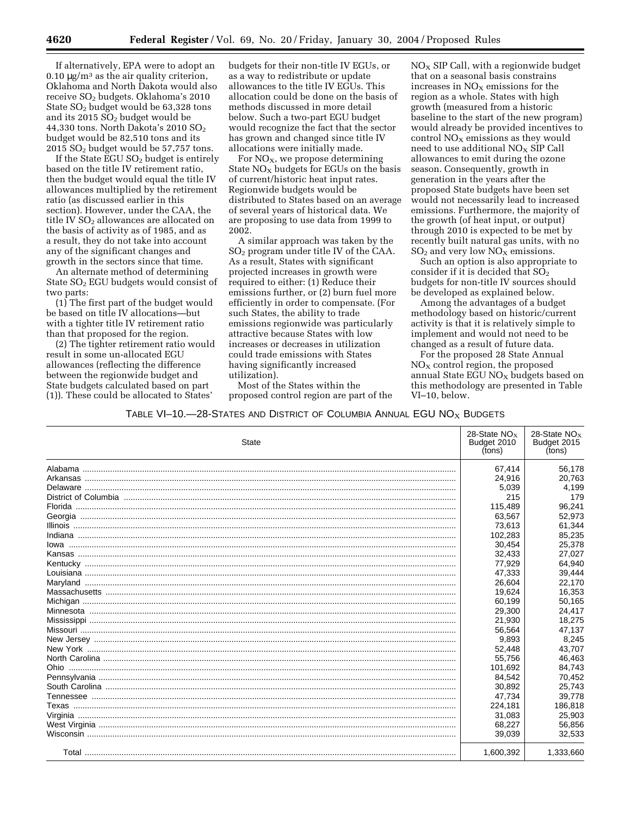If alternatively, EPA were to adopt an  $0.10 \mu$ g/m<sup>3</sup> as the air quality criterion, Oklahoma and North Dakota would also receive SO2 budgets. Oklahoma's 2010 State  $SO<sub>2</sub>$  budget would be 63,328 tons and its 2015  $SO<sub>2</sub>$  budget would be 44,330 tons. North Dakota's 2010 SO2 budget would be 82,510 tons and its  $2015$  SO<sub>2</sub> budget would be 57,757 tons.

If the State  $EGU SO<sub>2</sub>$  budget is entirely based on the title IV retirement ratio, then the budget would equal the title IV allowances multiplied by the retirement ratio (as discussed earlier in this section). However, under the CAA, the title IV SO<sub>2</sub> allowances are allocated on the basis of activity as of 1985, and as a result, they do not take into account any of the significant changes and growth in the sectors since that time.

An alternate method of determining State SO2 EGU budgets would consist of two parts:

(1) The first part of the budget would be based on title IV allocations—but with a tighter title IV retirement ratio than that proposed for the region.

(2) The tighter retirement ratio would result in some un-allocated EGU allowances (reflecting the difference between the regionwide budget and State budgets calculated based on part (1)). These could be allocated to States'

budgets for their non-title IV EGUs, or as a way to redistribute or update allowances to the title IV EGUs. This allocation could be done on the basis of methods discussed in more detail below. Such a two-part EGU budget would recognize the fact that the sector has grown and changed since title IV allocations were initially made.

For NO<sub>x</sub>, we propose determining State  $NO<sub>X</sub>$  budgets for EGUs on the basis of current/historic heat input rates. Regionwide budgets would be distributed to States based on an average of several years of historical data. We are proposing to use data from 1999 to 2002.

A similar approach was taken by the SO2 program under title IV of the CAA. As a result, States with significant projected increases in growth were required to either: (1) Reduce their emissions further, or (2) burn fuel more efficiently in order to compensate. (For such States, the ability to trade emissions regionwide was particularly attractive because States with low increases or decreases in utilization could trade emissions with States having significantly increased utilization).

Most of the States within the proposed control region are part of the

 $NO<sub>x</sub>$  SIP Call, with a regionwide budget that on a seasonal basis constrains increases in  $NO<sub>x</sub>$  emissions for the region as a whole. States with high growth (measured from a historic baseline to the start of the new program) would already be provided incentives to control  $NO<sub>X</sub>$  emissions as they would need to use additional  $NO<sub>x</sub>$  SIP Call allowances to emit during the ozone season. Consequently, growth in generation in the years after the proposed State budgets have been set would not necessarily lead to increased emissions. Furthermore, the majority of the growth (of heat input, or output) through 2010 is expected to be met by recently built natural gas units, with no  $SO<sub>2</sub>$  and very low  $NO<sub>X</sub>$  emissions.

Such an option is also appropriate to consider if it is decided that  $SO<sub>2</sub>$ budgets for non-title IV sources should be developed as explained below.

Among the advantages of a budget methodology based on historic/current activity is that it is relatively simple to implement and would not need to be changed as a result of future data.

For the proposed 28 State Annual  $NO<sub>x</sub>$  control region, the proposed annual State EGU  $NO<sub>X</sub>$  budgets based on this methodology are presented in Table VI–10, below.

TABLE VI-10. $-28$ -States and District of Columbia Annual EGU  $NO<sub>x</sub>$  Budgets

| State | 28-State $NOx$<br>Budget 2010<br>(tons) | 28-State $NOx$<br>Budget 2015<br>(tons) |
|-------|-----------------------------------------|-----------------------------------------|
|       | 67,414                                  | 56,178                                  |
|       | 24,916                                  | 20,763                                  |
|       | 5,039                                   | 4,199                                   |
|       | 215                                     | 179                                     |
|       | 115,489                                 | 96,241                                  |
|       | 63,567                                  | 52,973                                  |
|       | 73,613                                  | 61,344                                  |
|       | 102.283                                 | 85,235                                  |
|       | 30,454                                  | 25,378                                  |
|       | 32.433                                  | 27.027                                  |
|       | 77,929                                  | 64,940                                  |
|       | 47,333                                  | 39,444                                  |
|       | 26,604                                  | 22,170                                  |
|       | 19,624                                  | 16,353                                  |
|       | 60,199                                  | 50,165                                  |
|       | 29,300                                  | 24.417                                  |
|       | 21,930                                  | 18,275                                  |
|       | 56.564                                  | 47.137                                  |
|       | 9.893                                   | 8.245                                   |
|       | 52,448                                  | 43.707                                  |
|       | 55,756                                  | 46,463                                  |
|       | 101,692                                 | 84,743                                  |
|       | 84,542                                  | 70,452                                  |
|       | 30,892                                  | 25,743                                  |
|       | 47,734                                  | 39.778                                  |
|       | 224,181                                 | 186,818                                 |
|       | 31,083                                  | 25,903                                  |
|       | 68,227                                  | 56,856                                  |
|       | 39,039                                  | 32,533                                  |
|       | 1,600,392                               | 1,333,660                               |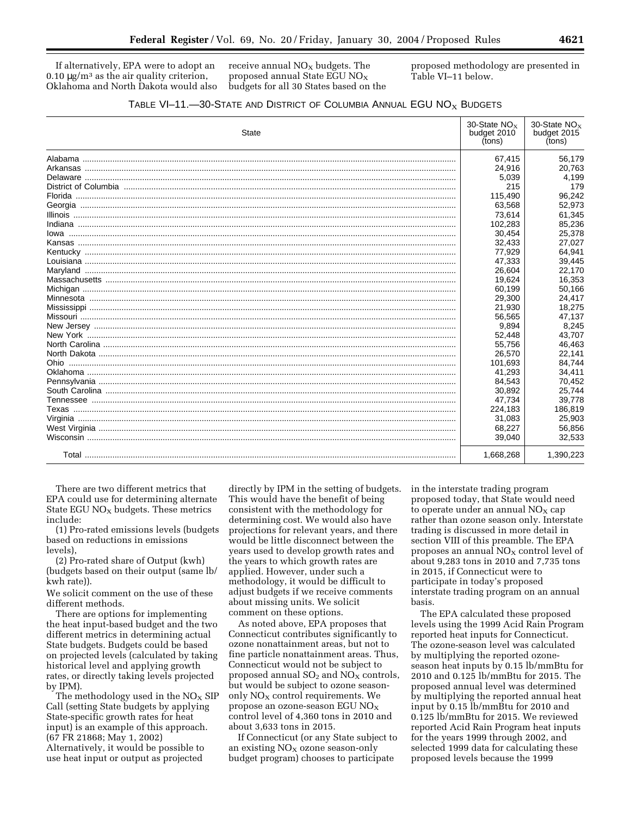If alternatively, EPA were to adopt an  $0.10 \mu$ g/m<sup>3</sup> as the air quality criterion, Oklahoma and North Dakota would also receive annual  $NO<sub>x</sub>$  budgets. The proposed annual State EGU  $NO<sub>X</sub>$ budgets for all 30 States based on the proposed methodology are presented in Table VI–11 below.

|  |  | TABLE VI-11.-30-STATE AND DISTRICT OF COLUMBIA ANNUAL EGU $NOx$ BUDGETS |
|--|--|-------------------------------------------------------------------------|
|--|--|-------------------------------------------------------------------------|

| State | 30-State $NOx$<br>budget 2010<br>(tons) | 30-State $NO_X$<br>budget 2015<br>(tons) |
|-------|-----------------------------------------|------------------------------------------|
|       | 67,415                                  | 56,179                                   |
|       | 24,916                                  | 20,763                                   |
|       | 5,039                                   | 4,199                                    |
|       | 215                                     | 179                                      |
|       | 115,490                                 | 96,242                                   |
|       | 63,568                                  | 52,973                                   |
|       | 73,614                                  | 61,345                                   |
|       | 102,283                                 | 85,236                                   |
|       | 30,454                                  | 25,378                                   |
|       | 32,433                                  | 27,027                                   |
|       | 77,929                                  | 64,941                                   |
|       | 47,333                                  | 39,445                                   |
|       | 26,604                                  | 22,170                                   |
|       | 19,624                                  | 16,353                                   |
|       | 60,199                                  | 50,166                                   |
|       | 29,300                                  | 24.417                                   |
|       | 21,930                                  | 18,275                                   |
|       | 56,565                                  | 47,137                                   |
|       | 9,894                                   | 8,245                                    |
|       | 52,448                                  | 43,707                                   |
|       | 55,756                                  | 46,463                                   |
|       | 26,570                                  | 22,141                                   |
|       | 101,693                                 | 84,744                                   |
|       | 41,293                                  | 34,411                                   |
|       | 84.543                                  | 70,452                                   |
|       | 30,892                                  | 25.744                                   |
|       | 47,734                                  | 39,778                                   |
|       | 224,183                                 | 186,819                                  |
|       | 31,083                                  | 25,903                                   |
|       | 68,227                                  | 56,856                                   |
|       | 39,040                                  | 32,533                                   |
|       | 1,668,268                               | 1,390,223                                |

There are two different metrics that EPA could use for determining alternate State EGU  $NO<sub>x</sub>$  budgets. These metrics include:

(1) Pro-rated emissions levels (budgets based on reductions in emissions levels),

(2) Pro-rated share of Output (kwh) (budgets based on their output (same lb/ kwh rate)).

We solicit comment on the use of these different methods.

There are options for implementing the heat input-based budget and the two different metrics in determining actual State budgets. Budgets could be based on projected levels (calculated by taking historical level and applying growth rates, or directly taking levels projected by IPM).

The methodology used in the  $NO<sub>X</sub>$  SIP Call (setting State budgets by applying State-specific growth rates for heat input) is an example of this approach. (67 FR 21868; May 1, 2002) Alternatively, it would be possible to use heat input or output as projected

directly by IPM in the setting of budgets. This would have the benefit of being consistent with the methodology for determining cost. We would also have projections for relevant years, and there would be little disconnect between the years used to develop growth rates and the years to which growth rates are applied. However, under such a methodology, it would be difficult to adjust budgets if we receive comments about missing units. We solicit comment on these options.

As noted above, EPA proposes that Connecticut contributes significantly to ozone nonattainment areas, but not to fine particle nonattainment areas. Thus, Connecticut would not be subject to proposed annual  $SO<sub>2</sub>$  and  $NO<sub>X</sub>$  controls, but would be subject to ozone seasononly  $NO<sub>X</sub>$  control requirements. We propose an ozone-season EGU  $NO_X$ control level of 4,360 tons in 2010 and about 3,633 tons in 2015.

If Connecticut (or any State subject to an existing  $NO<sub>x</sub>$  ozone season-only budget program) chooses to participate

in the interstate trading program proposed today, that State would need to operate under an annual  $NO<sub>X</sub>$  cap rather than ozone season only. Interstate trading is discussed in more detail in section VIII of this preamble. The EPA proposes an annual  $NO<sub>X</sub>$  control level of about 9,283 tons in 2010 and 7,735 tons in 2015, if Connecticut were to participate in today's proposed interstate trading program on an annual basis.

The EPA calculated these proposed levels using the 1999 Acid Rain Program reported heat inputs for Connecticut. The ozone-season level was calculated by multiplying the reported ozoneseason heat inputs by 0.15 lb/mmBtu for 2010 and 0.125 lb/mmBtu for 2015. The proposed annual level was determined by multiplying the reported annual heat input by 0.15 lb/mmBtu for 2010 and 0.125 lb/mmBtu for 2015. We reviewed reported Acid Rain Program heat inputs for the years 1999 through 2002, and selected 1999 data for calculating these proposed levels because the 1999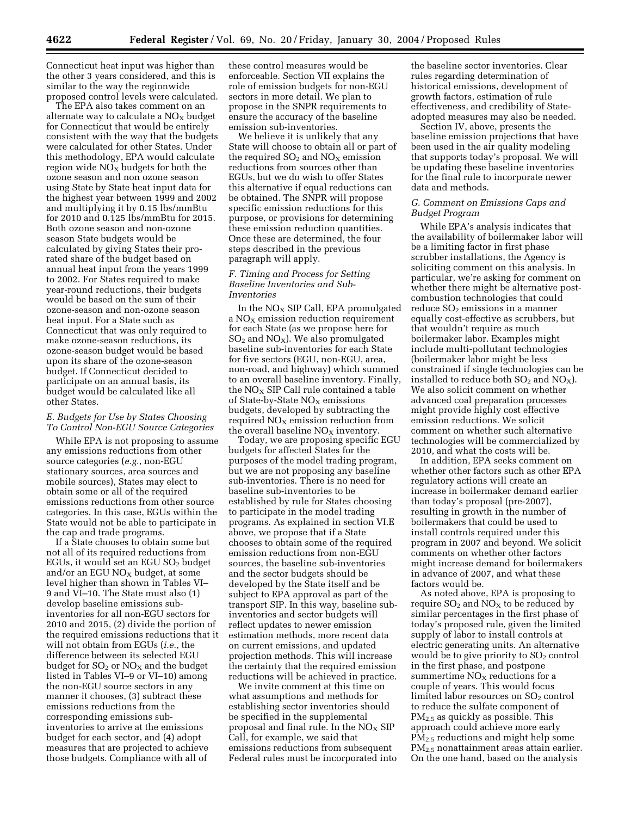Connecticut heat input was higher than the other 3 years considered, and this is similar to the way the regionwide proposed control levels were calculated.

The EPA also takes comment on an alternate way to calculate a  $NO<sub>x</sub>$  budget for Connecticut that would be entirely consistent with the way that the budgets were calculated for other States. Under this methodology, EPA would calculate region wide  $NO<sub>X</sub>$  budgets for both the ozone season and non ozone season using State by State heat input data for the highest year between 1999 and 2002 and multiplying it by 0.15 lbs/mmBtu for 2010 and 0.125 lbs/mmBtu for 2015. Both ozone season and non-ozone season State budgets would be calculated by giving States their prorated share of the budget based on annual heat input from the years 1999 to 2002. For States required to make year-round reductions, their budgets would be based on the sum of their ozone-season and non-ozone season heat input. For a State such as Connecticut that was only required to make ozone-season reductions, its ozone-season budget would be based upon its share of the ozone-season budget. If Connecticut decided to participate on an annual basis, its budget would be calculated like all other States.

## *E. Budgets for Use by States Choosing To Control Non-EGU Source Categories*

While EPA is not proposing to assume any emissions reductions from other source categories (*e.g.*, non-EGU stationary sources, area sources and mobile sources), States may elect to obtain some or all of the required emissions reductions from other source categories. In this case, EGUs within the State would not be able to participate in the cap and trade programs.

If a State chooses to obtain some but not all of its required reductions from EGUs, it would set an EGU  $SO<sub>2</sub>$  budget and/or an EGU  $NO<sub>x</sub>$  budget, at some level higher than shown in Tables VI– 9 and VI–10. The State must also (1) develop baseline emissions subinventories for all non-EGU sectors for 2010 and 2015, (2) divide the portion of the required emissions reductions that it will not obtain from EGUs (*i.e.*, the difference between its selected EGU budget for  $SO<sub>2</sub>$  or  $NO<sub>X</sub>$  and the budget listed in Tables VI–9 or VI–10) among the non-EGU source sectors in any manner it chooses, (3) subtract these emissions reductions from the corresponding emissions subinventories to arrive at the emissions budget for each sector, and (4) adopt measures that are projected to achieve those budgets. Compliance with all of

these control measures would be enforceable. Section VII explains the role of emission budgets for non-EGU sectors in more detail. We plan to propose in the SNPR requirements to ensure the accuracy of the baseline emission sub-inventories.

We believe it is unlikely that any State will choose to obtain all or part of the required  $SO_2$  and  $NO_X$  emission reductions from sources other than EGUs, but we do wish to offer States this alternative if equal reductions can be obtained. The SNPR will propose specific emission reductions for this purpose, or provisions for determining these emission reduction quantities. Once these are determined, the four steps described in the previous paragraph will apply.

## *F. Timing and Process for Setting Baseline Inventories and Sub-Inventories*

In the  $NO<sub>X</sub>$  SIP Call, EPA promulgated a  $NO<sub>x</sub>$  emission reduction requirement for each State (as we propose here for  $SO<sub>2</sub>$  and NO<sub>X</sub>). We also promulgated baseline sub-inventories for each State for five sectors (EGU, non-EGU, area, non-road, and highway) which summed to an overall baseline inventory. Finally, the  $NO<sub>X</sub>$  SIP Call rule contained a table of State-by-State  $NO<sub>x</sub>$  emissions budgets, developed by subtracting the required  $NO<sub>x</sub>$  emission reduction from the overall baseline  $NO<sub>X</sub>$  inventory.

Today, we are proposing specific EGU budgets for affected States for the purposes of the model trading program, but we are not proposing any baseline sub-inventories. There is no need for baseline sub-inventories to be established by rule for States choosing to participate in the model trading programs. As explained in section VI.E above, we propose that if a State chooses to obtain some of the required emission reductions from non-EGU sources, the baseline sub-inventories and the sector budgets should be developed by the State itself and be subject to EPA approval as part of the transport SIP. In this way, baseline subinventories and sector budgets will reflect updates to newer emission estimation methods, more recent data on current emissions, and updated projection methods. This will increase the certainty that the required emission reductions will be achieved in practice.

We invite comment at this time on what assumptions and methods for establishing sector inventories should be specified in the supplemental proposal and final rule. In the  $NO<sub>X</sub>$  SIP Call, for example, we said that emissions reductions from subsequent Federal rules must be incorporated into

the baseline sector inventories. Clear rules regarding determination of historical emissions, development of growth factors, estimation of rule effectiveness, and credibility of Stateadopted measures may also be needed.

Section IV, above, presents the baseline emission projections that have been used in the air quality modeling that supports today's proposal. We will be updating these baseline inventories for the final rule to incorporate newer data and methods.

## *G. Comment on Emissions Caps and Budget Program*

While EPA's analysis indicates that the availability of boilermaker labor will be a limiting factor in first phase scrubber installations, the Agency is soliciting comment on this analysis. In particular, we're asking for comment on whether there might be alternative postcombustion technologies that could reduce  $SO<sub>2</sub>$  emissions in a manner equally cost-effective as scrubbers, but that wouldn't require as much boilermaker labor. Examples might include multi-pollutant technologies (boilermaker labor might be less constrained if single technologies can be installed to reduce both  $SO_2$  and  $NO_X$ ). We also solicit comment on whether advanced coal preparation processes might provide highly cost effective emission reductions. We solicit comment on whether such alternative technologies will be commercialized by 2010, and what the costs will be.

In addition, EPA seeks comment on whether other factors such as other EPA regulatory actions will create an increase in boilermaker demand earlier than today's proposal (pre-2007), resulting in growth in the number of boilermakers that could be used to install controls required under this program in 2007 and beyond. We solicit comments on whether other factors might increase demand for boilermakers in advance of 2007, and what these factors would be.

As noted above, EPA is proposing to require  $SO_2$  and  $NO<sub>X</sub>$  to be reduced by similar percentages in the first phase of today's proposed rule, given the limited supply of labor to install controls at electric generating units. An alternative would be to give priority to  $SO<sub>2</sub>$  control in the first phase, and postpone summertime  $NO<sub>x</sub>$  reductions for a couple of years. This would focus limited labor resources on SO<sub>2</sub> control to reduce the sulfate component of PM2.5 as quickly as possible. This approach could achieve more early PM2.5 reductions and might help some PM2.5 nonattainment areas attain earlier. On the one hand, based on the analysis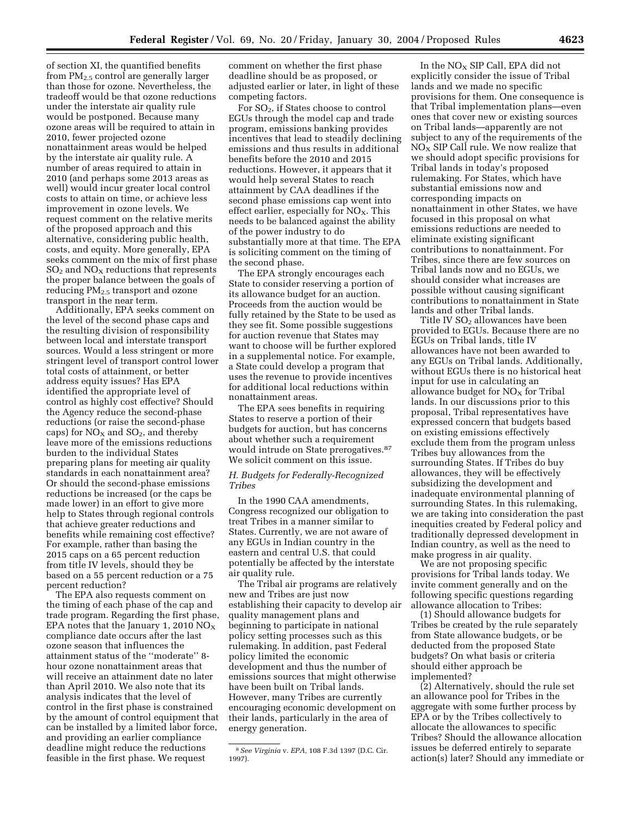of section XI, the quantified benefits from PM2.5 control are generally larger than those for ozone. Nevertheless, the tradeoff would be that ozone reductions under the interstate air quality rule would be postponed. Because many ozone areas will be required to attain in 2010, fewer projected ozone nonattainment areas would be helped by the interstate air quality rule. A number of areas required to attain in 2010 (and perhaps some 2013 areas as well) would incur greater local control costs to attain on time, or achieve less improvement in ozone levels. We request comment on the relative merits of the proposed approach and this alternative, considering public health, costs, and equity. More generally, EPA seeks comment on the mix of first phase  $SO<sub>2</sub>$  and  $NO<sub>X</sub>$  reductions that represents the proper balance between the goals of reducing  $PM_{2.5}$  transport and ozone transport in the near term.

Additionally, EPA seeks comment on the level of the second phase caps and the resulting division of responsibility between local and interstate transport sources. Would a less stringent or more stringent level of transport control lower total costs of attainment, or better address equity issues? Has EPA identified the appropriate level of control as highly cost effective? Should the Agency reduce the second-phase reductions (or raise the second-phase caps) for  $NO<sub>X</sub>$  and  $SO<sub>2</sub>$ , and thereby leave more of the emissions reductions burden to the individual States preparing plans for meeting air quality standards in each nonattainment area? Or should the second-phase emissions reductions be increased (or the caps be made lower) in an effort to give more help to States through regional controls that achieve greater reductions and benefits while remaining cost effective? For example, rather than basing the 2015 caps on a 65 percent reduction from title IV levels, should they be based on a 55 percent reduction or a 75 percent reduction?

The EPA also requests comment on the timing of each phase of the cap and trade program. Regarding the first phase, EPA notes that the January 1, 2010  $NO_X$ compliance date occurs after the last ozone season that influences the attainment status of the ''moderate'' 8 hour ozone nonattainment areas that will receive an attainment date no later than April 2010. We also note that its analysis indicates that the level of control in the first phase is constrained by the amount of control equipment that can be installed by a limited labor force, and providing an earlier compliance deadline might reduce the reductions feasible in the first phase. We request

comment on whether the first phase deadline should be as proposed, or adjusted earlier or later, in light of these competing factors.

For SO2, if States choose to control EGUs through the model cap and trade program, emissions banking provides incentives that lead to steadily declining emissions and thus results in additional benefits before the 2010 and 2015 reductions. However, it appears that it would help several States to reach attainment by CAA deadlines if the second phase emissions cap went into effect earlier, especially for  $NO<sub>x</sub>$ . This needs to be balanced against the ability of the power industry to do substantially more at that time. The EPA is soliciting comment on the timing of the second phase.

The EPA strongly encourages each State to consider reserving a portion of its allowance budget for an auction. Proceeds from the auction would be fully retained by the State to be used as they see fit. Some possible suggestions for auction revenue that States may want to choose will be further explored in a supplemental notice. For example, a State could develop a program that uses the revenue to provide incentives for additional local reductions within nonattainment areas.

The EPA sees benefits in requiring States to reserve a portion of their budgets for auction, but has concerns about whether such a requirement would intrude on State prerogatives.87 We solicit comment on this issue.

## *H. Budgets for Federally-Recognized Tribes*

In the 1990 CAA amendments, Congress recognized our obligation to treat Tribes in a manner similar to States. Currently, we are not aware of any EGUs in Indian country in the eastern and central U.S. that could potentially be affected by the interstate air quality rule.

The Tribal air programs are relatively new and Tribes are just now establishing their capacity to develop air quality management plans and beginning to participate in national policy setting processes such as this rulemaking. In addition, past Federal policy limited the economic development and thus the number of emissions sources that might otherwise have been built on Tribal lands. However, many Tribes are currently encouraging economic development on their lands, particularly in the area of energy generation.

In the  $NO<sub>x</sub>$  SIP Call, EPA did not explicitly consider the issue of Tribal lands and we made no specific provisions for them. One consequence is that Tribal implementation plans—even ones that cover new or existing sources on Tribal lands—apparently are not subject to any of the requirements of the  $NO<sub>x</sub>$  SIP Call rule. We now realize that we should adopt specific provisions for Tribal lands in today's proposed rulemaking. For States, which have substantial emissions now and corresponding impacts on nonattainment in other States, we have focused in this proposal on what emissions reductions are needed to eliminate existing significant contributions to nonattainment. For Tribes, since there are few sources on Tribal lands now and no EGUs, we should consider what increases are possible without causing significant contributions to nonattainment in State lands and other Tribal lands.

Title IV  $SO<sub>2</sub>$  allowances have been provided to EGUs. Because there are no EGUs on Tribal lands, title IV allowances have not been awarded to any EGUs on Tribal lands. Additionally, without EGUs there is no historical heat input for use in calculating an allowance budget for  $NO<sub>X</sub>$  for Tribal lands. In our discussions prior to this proposal, Tribal representatives have expressed concern that budgets based on existing emissions effectively exclude them from the program unless Tribes buy allowances from the surrounding States. If Tribes do buy allowances, they will be effectively subsidizing the development and inadequate environmental planning of surrounding States. In this rulemaking, we are taking into consideration the past inequities created by Federal policy and traditionally depressed development in Indian country, as well as the need to make progress in air quality.

We are not proposing specific provisions for Tribal lands today. We invite comment generally and on the following specific questions regarding allowance allocation to Tribes:

(1) Should allowance budgets for Tribes be created by the rule separately from State allowance budgets, or be deducted from the proposed State budgets? On what basis or criteria should either approach be implemented?

(2) Alternatively, should the rule set an allowance pool for Tribes in the aggregate with some further process by EPA or by the Tribes collectively to allocate the allowances to specific Tribes? Should the allowance allocation issues be deferred entirely to separate action(s) later? Should any immediate or

<sup>8</sup>*See Virginia* v. *EPA,* 108 F.3d 1397 (D.C. Cir. 1997).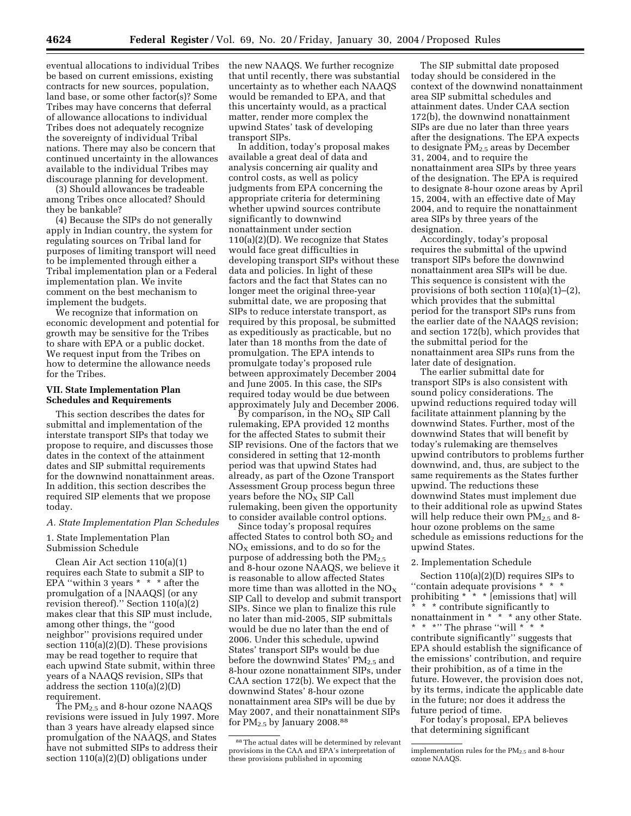eventual allocations to individual Tribes be based on current emissions, existing contracts for new sources, population, land base, or some other factor(s)? Some Tribes may have concerns that deferral of allowance allocations to individual Tribes does not adequately recognize the sovereignty of individual Tribal nations. There may also be concern that continued uncertainty in the allowances available to the individual Tribes may discourage planning for development.

(3) Should allowances be tradeable among Tribes once allocated? Should they be bankable?

(4) Because the SIPs do not generally apply in Indian country, the system for regulating sources on Tribal land for purposes of limiting transport will need to be implemented through either a Tribal implementation plan or a Federal implementation plan. We invite comment on the best mechanism to implement the budgets.

We recognize that information on economic development and potential for growth may be sensitive for the Tribes to share with EPA or a public docket. We request input from the Tribes on how to determine the allowance needs for the Tribes.

### **VII. State Implementation Plan Schedules and Requirements**

This section describes the dates for submittal and implementation of the interstate transport SIPs that today we propose to require, and discusses those dates in the context of the attainment dates and SIP submittal requirements for the downwind nonattainment areas. In addition, this section describes the required SIP elements that we propose today.

#### *A. State Implementation Plan Schedules*

### 1. State Implementation Plan Submission Schedule

Clean Air Act section 110(a)(1) requires each State to submit a SIP to EPA "within 3 years  $* * *$  after the promulgation of a [NAAQS] (or any revision thereof).'' Section 110(a)(2) makes clear that this SIP must include, among other things, the ''good neighbor'' provisions required under section 110(a)(2)(D). These provisions may be read together to require that each upwind State submit, within three years of a NAAQS revision, SIPs that address the section 110(a)(2)(D) requirement.

The  $PM_{2.5}$  and 8-hour ozone NAAQS revisions were issued in July 1997. More than 3 years have already elapsed since promulgation of the NAAQS, and States have not submitted SIPs to address their section 110(a)(2)(D) obligations under

the new NAAQS. We further recognize that until recently, there was substantial uncertainty as to whether each NAAQS would be remanded to EPA, and that this uncertainty would, as a practical matter, render more complex the upwind States' task of developing transport SIPs.

In addition, today's proposal makes available a great deal of data and analysis concerning air quality and control costs, as well as policy judgments from EPA concerning the appropriate criteria for determining whether upwind sources contribute significantly to downwind nonattainment under section 110(a)(2)(D). We recognize that States would face great difficulties in developing transport SIPs without these data and policies. In light of these factors and the fact that States can no longer meet the original three-year submittal date, we are proposing that SIPs to reduce interstate transport, as required by this proposal, be submitted as expeditiously as practicable, but no later than 18 months from the date of promulgation. The EPA intends to promulgate today's proposed rule between approximately December 2004 and June 2005. In this case, the SIPs required today would be due between approximately July and December 2006.

By comparison, in the  $NO<sub>X</sub>$  SIP Call rulemaking, EPA provided 12 months for the affected States to submit their SIP revisions. One of the factors that we considered in setting that 12-month period was that upwind States had already, as part of the Ozone Transport Assessment Group process begun three years before the  $NO<sub>x</sub>$  SIP Call rulemaking, been given the opportunity to consider available control options.

Since today's proposal requires affected States to control both  $SO<sub>2</sub>$  and  $NO<sub>x</sub>$  emissions, and to do so for the purpose of addressing both the  $PM_{2.5}$ and 8-hour ozone NAAQS, we believe it is reasonable to allow affected States more time than was allotted in the  $NO<sub>X</sub>$ SIP Call to develop and submit transport SIPs. Since we plan to finalize this rule no later than mid-2005, SIP submittals would be due no later than the end of 2006. Under this schedule, upwind States' transport SIPs would be due before the downwind States'  $PM_{2.5}$  and 8-hour ozone nonattainment SIPs, under CAA section 172(b). We expect that the downwind States' 8-hour ozone nonattainment area SIPs will be due by May 2007, and their nonattainment SIPs for PM<sub>2.5</sub> by January 2008.<sup>88</sup>

The SIP submittal date proposed today should be considered in the context of the downwind nonattainment area SIP submittal schedules and attainment dates. Under CAA section 172(b), the downwind nonattainment SIPs are due no later than three years after the designations. The EPA expects to designate  $PM<sub>2.5</sub>$  areas by December 31, 2004, and to require the nonattainment area SIPs by three years of the designation. The EPA is required to designate 8-hour ozone areas by April 15, 2004, with an effective date of May 2004, and to require the nonattainment area SIPs by three years of the designation.

Accordingly, today's proposal requires the submittal of the upwind transport SIPs before the downwind nonattainment area SIPs will be due. This sequence is consistent with the provisions of both section 110(a)(1)–(2), which provides that the submittal period for the transport SIPs runs from the earlier date of the NAAQS revision; and section 172(b), which provides that the submittal period for the nonattainment area SIPs runs from the later date of designation.

The earlier submittal date for transport SIPs is also consistent with sound policy considerations. The upwind reductions required today will facilitate attainment planning by the downwind States. Further, most of the downwind States that will benefit by today's rulemaking are themselves upwind contributors to problems further downwind, and, thus, are subject to the same requirements as the States further upwind. The reductions these downwind States must implement due to their additional role as upwind States will help reduce their own  $PM_{2.5}$  and 8hour ozone problems on the same schedule as emissions reductions for the upwind States.

#### 2. Implementation Schedule

Section 110(a)(2)(D) requires SIPs to ''contain adequate provisions \* \* \* prohibiting \* \* \* [emissions that] will \* \* \* contribute significantly to nonattainment in \* \* \* \* any other State. \*\*\*'' The phrase ''will \* \* \* contribute significantly'' suggests that EPA should establish the significance of the emissions' contribution, and require their prohibition, as of a time in the future. However, the provision does not, by its terms, indicate the applicable date in the future; nor does it address the future period of time.

For today's proposal, EPA believes that determining significant

<sup>88</sup>The actual dates will be determined by relevant provisions in the CAA and EPA's interpretation of these provisions published in upcoming

implementation rules for the PM2.5 and 8-hour ozone NAAQS.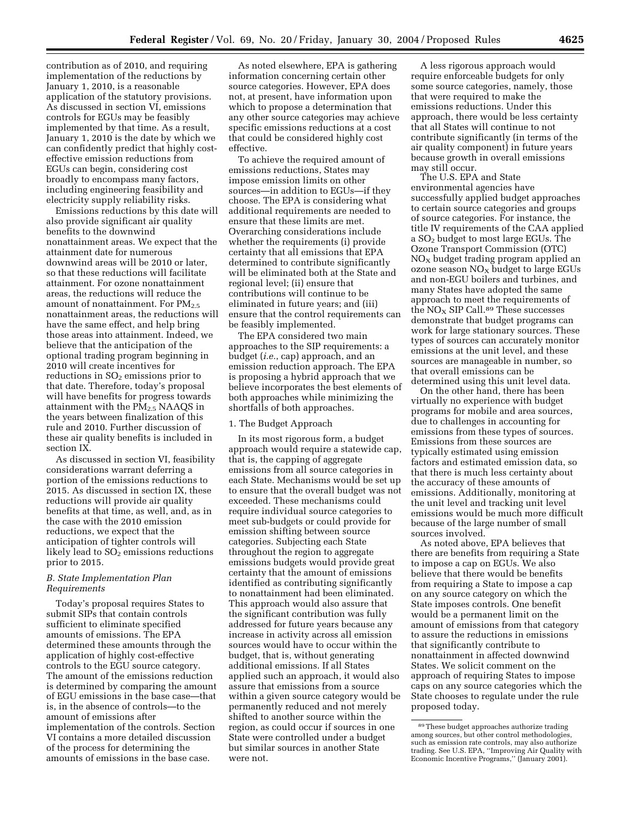contribution as of 2010, and requiring implementation of the reductions by January 1, 2010, is a reasonable application of the statutory provisions. As discussed in section VI, emissions controls for EGUs may be feasibly implemented by that time. As a result, January 1, 2010 is the date by which we can confidently predict that highly costeffective emission reductions from EGUs can begin, considering cost broadly to encompass many factors, including engineering feasibility and electricity supply reliability risks.

Emissions reductions by this date will also provide significant air quality benefits to the downwind nonattainment areas. We expect that the attainment date for numerous downwind areas will be 2010 or later, so that these reductions will facilitate attainment. For ozone nonattainment areas, the reductions will reduce the amount of nonattainment. For  $PM_{2.5}$ nonattainment areas, the reductions will have the same effect, and help bring those areas into attainment. Indeed, we believe that the anticipation of the optional trading program beginning in 2010 will create incentives for reductions in  $SO<sub>2</sub>$  emissions prior to that date. Therefore, today's proposal will have benefits for progress towards attainment with the  $PM<sub>2.5</sub> NAAQS$  in the years between finalization of this rule and 2010. Further discussion of these air quality benefits is included in section IX.

As discussed in section VI, feasibility considerations warrant deferring a portion of the emissions reductions to 2015. As discussed in section IX, these reductions will provide air quality benefits at that time, as well, and, as in the case with the 2010 emission reductions, we expect that the anticipation of tighter controls will likely lead to  $SO<sub>2</sub>$  emissions reductions prior to 2015.

## *B. State Implementation Plan Requirements*

Today's proposal requires States to submit SIPs that contain controls sufficient to eliminate specified amounts of emissions. The EPA determined these amounts through the application of highly cost-effective controls to the EGU source category. The amount of the emissions reduction is determined by comparing the amount of EGU emissions in the base case—that is, in the absence of controls—to the amount of emissions after implementation of the controls. Section VI contains a more detailed discussion of the process for determining the amounts of emissions in the base case.

As noted elsewhere, EPA is gathering information concerning certain other source categories. However, EPA does not, at present, have information upon which to propose a determination that any other source categories may achieve specific emissions reductions at a cost that could be considered highly cost effective.

To achieve the required amount of emissions reductions, States may impose emission limits on other sources—in addition to EGUs—if they choose. The EPA is considering what additional requirements are needed to ensure that these limits are met. Overarching considerations include whether the requirements (i) provide certainty that all emissions that EPA determined to contribute significantly will be eliminated both at the State and regional level; (ii) ensure that contributions will continue to be eliminated in future years; and (iii) ensure that the control requirements can be feasibly implemented.

The EPA considered two main approaches to the SIP requirements: a budget (*i.e.*, cap) approach, and an emission reduction approach. The EPA is proposing a hybrid approach that we believe incorporates the best elements of both approaches while minimizing the shortfalls of both approaches.

## 1. The Budget Approach

In its most rigorous form, a budget approach would require a statewide cap, that is, the capping of aggregate emissions from all source categories in each State. Mechanisms would be set up to ensure that the overall budget was not exceeded. These mechanisms could require individual source categories to meet sub-budgets or could provide for emission shifting between source categories. Subjecting each State throughout the region to aggregate emissions budgets would provide great certainty that the amount of emissions identified as contributing significantly to nonattainment had been eliminated. This approach would also assure that the significant contribution was fully addressed for future years because any increase in activity across all emission sources would have to occur within the budget, that is, without generating additional emissions. If all States applied such an approach, it would also assure that emissions from a source within a given source category would be permanently reduced and not merely shifted to another source within the region, as could occur if sources in one State were controlled under a budget but similar sources in another State were not.

A less rigorous approach would require enforceable budgets for only some source categories, namely, those that were required to make the emissions reductions. Under this approach, there would be less certainty that all States will continue to not contribute significantly (in terms of the air quality component) in future years because growth in overall emissions may still occur.

The U.S. EPA and State environmental agencies have successfully applied budget approaches to certain source categories and groups of source categories. For instance, the title IV requirements of the CAA applied a SO2 budget to most large EGUs. The Ozone Transport Commission (OTC)  $NO<sub>x</sub>$  budget trading program applied an ozone season  $NO<sub>x</sub>$  budget to large EGUs and non-EGU boilers and turbines, and many States have adopted the same approach to meet the requirements of the  $NO<sub>X</sub>$  SIP Call.<sup>89</sup> These successes demonstrate that budget programs can work for large stationary sources. These types of sources can accurately monitor emissions at the unit level, and these sources are manageable in number, so that overall emissions can be determined using this unit level data.

On the other hand, there has been virtually no experience with budget programs for mobile and area sources, due to challenges in accounting for emissions from these types of sources. Emissions from these sources are typically estimated using emission factors and estimated emission data, so that there is much less certainty about the accuracy of these amounts of emissions. Additionally, monitoring at the unit level and tracking unit level emissions would be much more difficult because of the large number of small sources involved.

As noted above, EPA believes that there are benefits from requiring a State to impose a cap on EGUs. We also believe that there would be benefits from requiring a State to impose a cap on any source category on which the State imposes controls. One benefit would be a permanent limit on the amount of emissions from that category to assure the reductions in emissions that significantly contribute to nonattainment in affected downwind States. We solicit comment on the approach of requiring States to impose caps on any source categories which the State chooses to regulate under the rule proposed today.

<sup>89</sup>These budget approaches authorize trading among sources, but other control methodologies, such as emission rate controls, may also authorize trading. See U.S. EPA, ''Improving Air Quality with Economic Incentive Programs,'' (January 2001).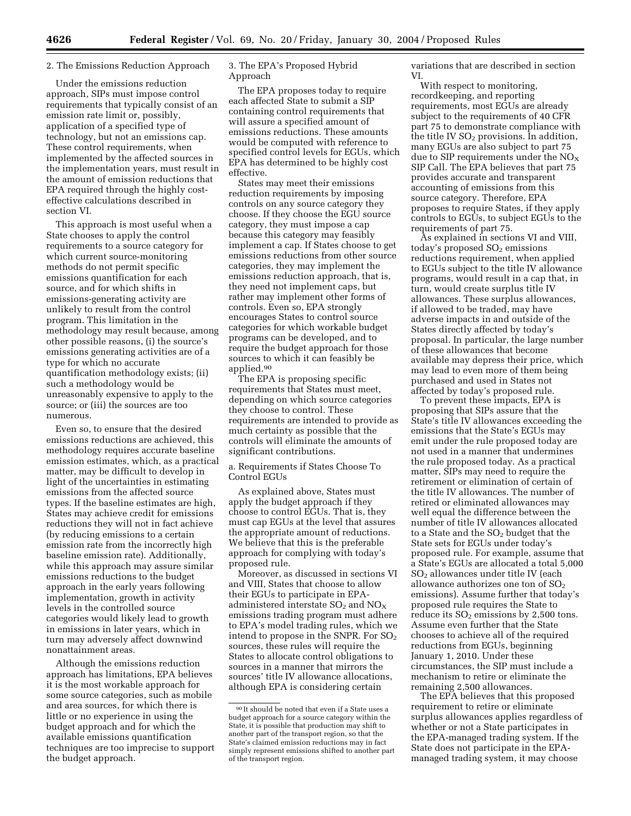### 2. The Emissions Reduction Approach

Under the emissions reduction approach, SIPs must impose control requirements that typically consist of an emission rate limit or, possibly, application of a specified type of technology, but not an emissions cap. These control requirements, when implemented by the affected sources in the implementation years, must result in the amount of emission reductions that EPA required through the highly costeffective calculations described in section VI.

This approach is most useful when a State chooses to apply the control requirements to a source category for which current source-monitoring methods do not permit specific emissions quantification for each source, and for which shifts in emissions-generating activity are unlikely to result from the control program. This limitation in the methodology may result because, among other possible reasons, (i) the source's emissions generating activities are of a type for which no accurate quantification methodology exists; (ii) such a methodology would be unreasonably expensive to apply to the source; or (iii) the sources are too numerous.

Even so, to ensure that the desired emissions reductions are achieved, this methodology requires accurate baseline emission estimates, which, as a practical matter, may be difficult to develop in light of the uncertainties in estimating emissions from the affected source types. If the baseline estimates are high, States may achieve credit for emissions reductions they will not in fact achieve (by reducing emissions to a certain emission rate from the incorrectly high baseline emission rate). Additionally, while this approach may assure similar emissions reductions to the budget approach in the early years following implementation, growth in activity levels in the controlled source categories would likely lead to growth in emissions in later years, which in turn may adversely affect downwind nonattainment areas.

Although the emissions reduction approach has limitations, EPA believes it is the most workable approach for some source categories, such as mobile and area sources, for which there is little or no experience in using the budget approach and for which the available emissions quantification techniques are too imprecise to support the budget approach.

3. The EPA's Proposed Hybrid Approach

The EPA proposes today to require each affected State to submit a SIP containing control requirements that will assure a specified amount of emissions reductions. These amounts would be computed with reference to specified control levels for EGUs, which EPA has determined to be highly cost effective.

States may meet their emissions reduction requirements by imposing controls on any source category they choose. If they choose the EGU source category, they must impose a cap because this category may feasibly implement a cap. If States choose to get emissions reductions from other source categories, they may implement the emissions reduction approach, that is, they need not implement caps, but rather may implement other forms of controls. Even so, EPA strongly encourages States to control source categories for which workable budget programs can be developed, and to require the budget approach for those sources to which it can feasibly be applied.90

The EPA is proposing specific requirements that States must meet, depending on which source categories they choose to control. These requirements are intended to provide as much certainty as possible that the controls will eliminate the amounts of significant contributions.

a. Requirements if States Choose To Control EGUs

As explained above, States must apply the budget approach if they choose to control EGUs. That is, they must cap EGUs at the level that assures the appropriate amount of reductions. We believe that this is the preferable approach for complying with today's proposed rule.

Moreover, as discussed in sections VI and VIII, States that choose to allow their EGUs to participate in EPAadministered interstate  $SO_2$  and  $NO_X$ emissions trading program must adhere to EPA's model trading rules, which we intend to propose in the SNPR. For  $SO<sub>2</sub>$ sources, these rules will require the States to allocate control obligations to sources in a manner that mirrors the sources' title IV allowance allocations, although EPA is considering certain

variations that are described in section VI.

With respect to monitoring, recordkeeping, and reporting requirements, most EGUs are already subject to the requirements of 40 CFR part 75 to demonstrate compliance with the title IV  $SO<sub>2</sub>$  provisions. In addition, many EGUs are also subject to part 75 due to SIP requirements under the  $NO<sub>x</sub>$ SIP Call. The EPA believes that part 75 provides accurate and transparent accounting of emissions from this source category. Therefore, EPA proposes to require States, if they apply controls to EGUs, to subject EGUs to the requirements of part 75.

As explained in sections VI and VIII, today's proposed  $SO<sub>2</sub>$  emissions reductions requirement, when applied to EGUs subject to the title IV allowance programs, would result in a cap that, in turn, would create surplus title IV allowances. These surplus allowances, if allowed to be traded, may have adverse impacts in and outside of the States directly affected by today's proposal. In particular, the large number of these allowances that become available may depress their price, which may lead to even more of them being purchased and used in States not affected by today's proposed rule.

To prevent these impacts, EPA is proposing that SIPs assure that the State's title IV allowances exceeding the emissions that the State's EGUs may emit under the rule proposed today are not used in a manner that undermines the rule proposed today. As a practical matter, SIPs may need to require the retirement or elimination of certain of the title IV allowances. The number of retired or eliminated allowances may well equal the difference between the number of title IV allowances allocated to a State and the  $SO<sub>2</sub>$  budget that the State sets for EGUs under today's proposed rule. For example, assume that a State's EGUs are allocated a total 5,000 SO2 allowances under title IV (each allowance authorizes one ton of  $SO<sub>2</sub>$ emissions). Assume further that today's proposed rule requires the State to reduce its  $SO<sub>2</sub>$  emissions by 2,500 tons. Assume even further that the State chooses to achieve all of the required reductions from EGUs, beginning January 1, 2010. Under these circumstances, the SIP must include a mechanism to retire or eliminate the remaining 2,500 allowances.

The EPA believes that this proposed requirement to retire or eliminate surplus allowances applies regardless of whether or not a State participates in the EPA-managed trading system. If the State does not participate in the EPAmanaged trading system, it may choose

<sup>90</sup> It should be noted that even if a State uses a budget approach for a source category within the State, it is possible that production may shift to another part of the transport region, so that the State's claimed emission reductions may in fact simply represent emissions shifted to another part of the transport region.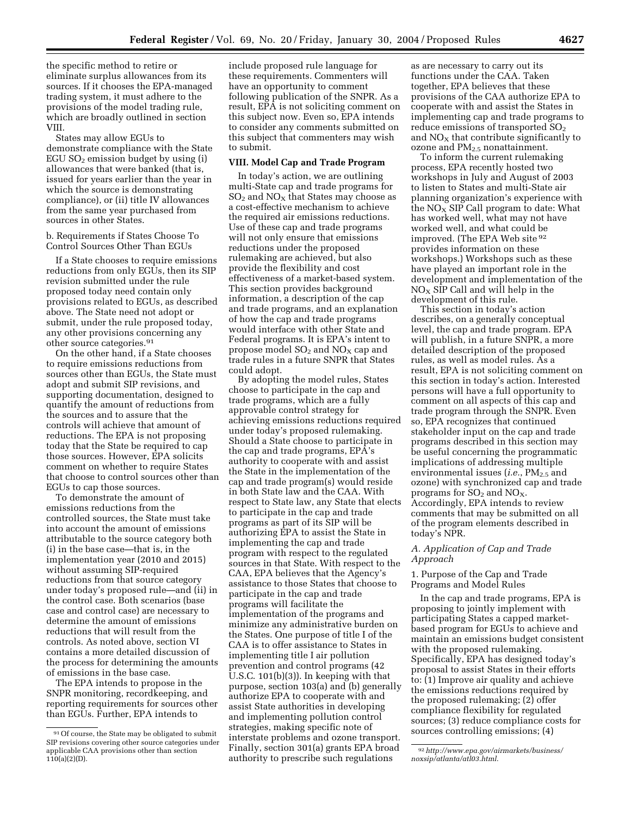the specific method to retire or eliminate surplus allowances from its sources. If it chooses the EPA-managed trading system, it must adhere to the provisions of the model trading rule, which are broadly outlined in section VIII.

States may allow EGUs to demonstrate compliance with the State EGU  $SO<sub>2</sub>$  emission budget by using (i) allowances that were banked (that is, issued for years earlier than the year in which the source is demonstrating compliance), or (ii) title IV allowances from the same year purchased from sources in other States.

b. Requirements if States Choose To Control Sources Other Than EGUs

If a State chooses to require emissions reductions from only EGUs, then its SIP revision submitted under the rule proposed today need contain only provisions related to EGUs, as described above. The State need not adopt or submit, under the rule proposed today, any other provisions concerning any other source categories.91

On the other hand, if a State chooses to require emissions reductions from sources other than EGUs, the State must adopt and submit SIP revisions, and supporting documentation, designed to quantify the amount of reductions from the sources and to assure that the controls will achieve that amount of reductions. The EPA is not proposing today that the State be required to cap those sources. However, EPA solicits comment on whether to require States that choose to control sources other than EGUs to cap those sources.

To demonstrate the amount of emissions reductions from the controlled sources, the State must take into account the amount of emissions attributable to the source category both (i) in the base case—that is, in the implementation year (2010 and 2015) without assuming SIP-required reductions from that source category under today's proposed rule—and (ii) in the control case. Both scenarios (base case and control case) are necessary to determine the amount of emissions reductions that will result from the controls. As noted above, section VI contains a more detailed discussion of the process for determining the amounts of emissions in the base case.

The EPA intends to propose in the SNPR monitoring, recordkeeping, and reporting requirements for sources other than EGUs. Further, EPA intends to

include proposed rule language for these requirements. Commenters will have an opportunity to comment following publication of the SNPR. As a result, EPA is not soliciting comment on this subject now. Even so, EPA intends to consider any comments submitted on this subject that commenters may wish to submit.

## **VIII. Model Cap and Trade Program**

In today's action, we are outlining multi-State cap and trade programs for  $SO<sub>2</sub>$  and  $NO<sub>X</sub>$  that States may choose as a cost-effective mechanism to achieve the required air emissions reductions. Use of these cap and trade programs will not only ensure that emissions reductions under the proposed rulemaking are achieved, but also provide the flexibility and cost effectiveness of a market-based system. This section provides background information, a description of the cap and trade programs, and an explanation of how the cap and trade programs would interface with other State and Federal programs. It is EPA's intent to propose model  $SO_2$  and  $NO_X$  cap and trade rules in a future SNPR that States could adopt.

By adopting the model rules, States choose to participate in the cap and trade programs, which are a fully approvable control strategy for achieving emissions reductions required under today's proposed rulemaking. Should a State choose to participate in the cap and trade programs, EPA's authority to cooperate with and assist the State in the implementation of the cap and trade program(s) would reside in both State law and the CAA. With respect to State law, any State that elects to participate in the cap and trade programs as part of its SIP will be authorizing EPA to assist the State in implementing the cap and trade program with respect to the regulated sources in that State. With respect to the CAA, EPA believes that the Agency's assistance to those States that choose to participate in the cap and trade programs will facilitate the implementation of the programs and minimize any administrative burden on the States. One purpose of title I of the CAA is to offer assistance to States in implementing title I air pollution prevention and control programs (42 U.S.C. 101(b)(3)). In keeping with that purpose, section 103(a) and (b) generally authorize EPA to cooperate with and assist State authorities in developing and implementing pollution control strategies, making specific note of interstate problems and ozone transport. Finally, section 301(a) grants EPA broad authority to prescribe such regulations

as are necessary to carry out its functions under the CAA. Taken together, EPA believes that these provisions of the CAA authorize EPA to cooperate with and assist the States in implementing cap and trade programs to reduce emissions of transported  $SO<sub>2</sub>$ and  $NO<sub>X</sub>$  that contribute significantly to ozone and PM<sub>2.5</sub> nonattainment.

To inform the current rulemaking process, EPA recently hosted two workshops in July and August of 2003 to listen to States and multi-State air planning organization's experience with the  $NO<sub>X</sub>$  SIP Call program to date: What has worked well, what may not have worked well, and what could be improved. (The EPA Web site 92 provides information on these workshops.) Workshops such as these have played an important role in the development and implementation of the  $NO<sub>X</sub>$  SIP Call and will help in the development of this rule.

This section in today's action describes, on a generally conceptual level, the cap and trade program. EPA will publish, in a future SNPR, a more detailed description of the proposed rules, as well as model rules. As a result, EPA is not soliciting comment on this section in today's action. Interested persons will have a full opportunity to comment on all aspects of this cap and trade program through the SNPR. Even so, EPA recognizes that continued stakeholder input on the cap and trade programs described in this section may be useful concerning the programmatic implications of addressing multiple environmental issues (*i.e.*, PM<sub>2.5</sub> and ozone) with synchronized cap and trade programs for  $SO_2$  and  $NO_X$ . Accordingly, EPA intends to review comments that may be submitted on all of the program elements described in today's NPR.

## *A. Application of Cap and Trade Approach*

1. Purpose of the Cap and Trade Programs and Model Rules

In the cap and trade programs, EPA is proposing to jointly implement with participating States a capped marketbased program for EGUs to achieve and maintain an emissions budget consistent with the proposed rulemaking. Specifically, EPA has designed today's proposal to assist States in their efforts to: (1) Improve air quality and achieve the emissions reductions required by the proposed rulemaking; (2) offer compliance flexibility for regulated sources; (3) reduce compliance costs for sources controlling emissions; (4)

<sup>91</sup>Of course, the State may be obligated to submit SIP revisions covering other source categories under applicable CAA provisions other than section  $110(a)(2)(D)$ .

<sup>92</sup>*http://www.epa.gov/airmarkets/business/ noxsip/atlanta/atl03.html*.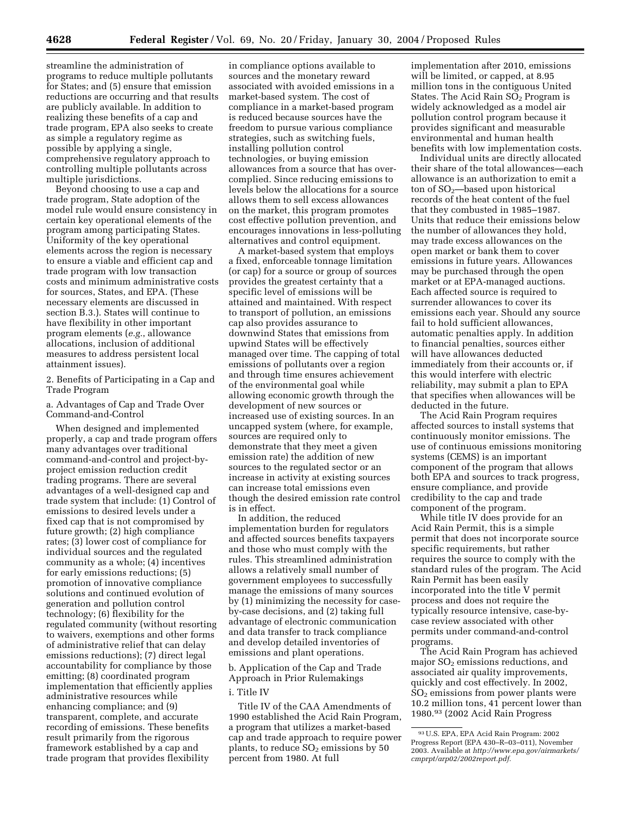streamline the administration of programs to reduce multiple pollutants for States; and (5) ensure that emission reductions are occurring and that results are publicly available. In addition to realizing these benefits of a cap and trade program, EPA also seeks to create as simple a regulatory regime as possible by applying a single, comprehensive regulatory approach to controlling multiple pollutants across multiple jurisdictions.

Beyond choosing to use a cap and trade program, State adoption of the model rule would ensure consistency in certain key operational elements of the program among participating States. Uniformity of the key operational elements across the region is necessary to ensure a viable and efficient cap and trade program with low transaction costs and minimum administrative costs for sources, States, and EPA. (These necessary elements are discussed in section B.3.). States will continue to have flexibility in other important program elements (*e.g.*, allowance allocations, inclusion of additional measures to address persistent local attainment issues).

# 2. Benefits of Participating in a Cap and Trade Program

a. Advantages of Cap and Trade Over Command-and-Control

When designed and implemented properly, a cap and trade program offers many advantages over traditional command-and-control and project-byproject emission reduction credit trading programs. There are several advantages of a well-designed cap and trade system that include: (1) Control of emissions to desired levels under a fixed cap that is not compromised by future growth; (2) high compliance rates; (3) lower cost of compliance for individual sources and the regulated community as a whole; (4) incentives for early emissions reductions; (5) promotion of innovative compliance solutions and continued evolution of generation and pollution control technology; (6) flexibility for the regulated community (without resorting to waivers, exemptions and other forms of administrative relief that can delay emissions reductions); (7) direct legal accountability for compliance by those emitting; (8) coordinated program implementation that efficiently applies administrative resources while enhancing compliance; and (9) transparent, complete, and accurate recording of emissions. These benefits result primarily from the rigorous framework established by a cap and trade program that provides flexibility

in compliance options available to sources and the monetary reward associated with avoided emissions in a market-based system. The cost of compliance in a market-based program is reduced because sources have the freedom to pursue various compliance strategies, such as switching fuels, installing pollution control technologies, or buying emission allowances from a source that has overcomplied. Since reducing emissions to levels below the allocations for a source allows them to sell excess allowances on the market, this program promotes cost effective pollution prevention, and encourages innovations in less-polluting alternatives and control equipment.

A market-based system that employs a fixed, enforceable tonnage limitation (or cap) for a source or group of sources provides the greatest certainty that a specific level of emissions will be attained and maintained. With respect to transport of pollution, an emissions cap also provides assurance to downwind States that emissions from upwind States will be effectively managed over time. The capping of total emissions of pollutants over a region and through time ensures achievement of the environmental goal while allowing economic growth through the development of new sources or increased use of existing sources. In an uncapped system (where, for example, sources are required only to demonstrate that they meet a given emission rate) the addition of new sources to the regulated sector or an increase in activity at existing sources can increase total emissions even though the desired emission rate control is in effect.

In addition, the reduced implementation burden for regulators and affected sources benefits taxpayers and those who must comply with the rules. This streamlined administration allows a relatively small number of government employees to successfully manage the emissions of many sources by (1) minimizing the necessity for caseby-case decisions, and (2) taking full advantage of electronic communication and data transfer to track compliance and develop detailed inventories of emissions and plant operations.

b. Application of the Cap and Trade Approach in Prior Rulemakings

### i. Title IV

Title IV of the CAA Amendments of 1990 established the Acid Rain Program, a program that utilizes a market-based cap and trade approach to require power plants, to reduce  $SO<sub>2</sub>$  emissions by 50 percent from 1980. At full

implementation after 2010, emissions will be limited, or capped, at 8.95 million tons in the contiguous United States. The Acid Rain SO<sub>2</sub> Program is widely acknowledged as a model air pollution control program because it provides significant and measurable environmental and human health benefits with low implementation costs.

Individual units are directly allocated their share of the total allowances—each allowance is an authorization to emit a ton of  $SO<sub>2</sub>$ —based upon historical records of the heat content of the fuel that they combusted in 1985–1987. Units that reduce their emissions below the number of allowances they hold, may trade excess allowances on the open market or bank them to cover emissions in future years. Allowances may be purchased through the open market or at EPA-managed auctions. Each affected source is required to surrender allowances to cover its emissions each year. Should any source fail to hold sufficient allowances, automatic penalties apply. In addition to financial penalties, sources either will have allowances deducted immediately from their accounts or, if this would interfere with electric reliability, may submit a plan to EPA that specifies when allowances will be deducted in the future.

The Acid Rain Program requires affected sources to install systems that continuously monitor emissions. The use of continuous emissions monitoring systems (CEMS) is an important component of the program that allows both EPA and sources to track progress, ensure compliance, and provide credibility to the cap and trade component of the program.

While title IV does provide for an Acid Rain Permit, this is a simple permit that does not incorporate source specific requirements, but rather requires the source to comply with the standard rules of the program. The Acid Rain Permit has been easily incorporated into the title V permit process and does not require the typically resource intensive, case-bycase review associated with other permits under command-and-control programs.

The Acid Rain Program has achieved major  $SO<sub>2</sub>$  emissions reductions, and associated air quality improvements, quickly and cost effectively. In 2002,  $SO<sub>2</sub>$  emissions from power plants were 10.2 million tons, 41 percent lower than 1980.93 (2002 Acid Rain Progress

<sup>93</sup>U.S. EPA, EPA Acid Rain Program: 2002 Progress Report (EPA 430–R–03–011), November 2003. Available at *http://www.epa.gov/airmarkets/ cmprpt/arp02/2002report.pdf.*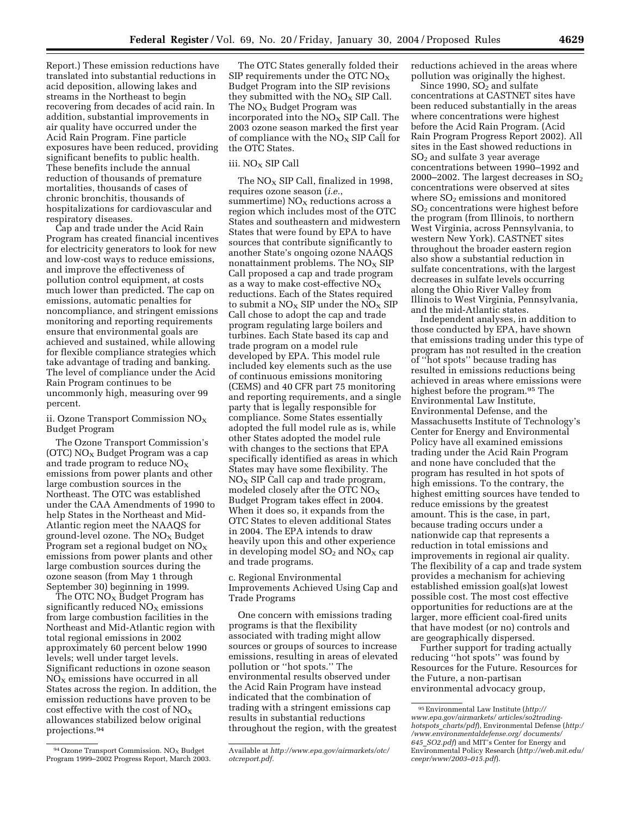The OTC States generally folded their SIP requirements under the OTC  $NO<sub>x</sub>$ Budget Program into the SIP revisions

they submitted with the  $NO<sub>x</sub>$  SIP Call. The  $NO<sub>x</sub>$  Budget Program was incorporated into the  $NO<sub>x</sub>$  SIP Call. The 2003 ozone season marked the first year of compliance with the  $NO<sub>X</sub>$  SIP Call for the OTC States.

## iii. NO<sub>X</sub> SIP Call

The  $NO<sub>X</sub>$  SIP Call, finalized in 1998, requires ozone season (*i.e.*, summertime)  $NO<sub>X</sub>$  reductions across a region which includes most of the OTC States and southeastern and midwestern States that were found by EPA to have sources that contribute significantly to another State's ongoing ozone NAAQS nonattainment problems. The  $NO<sub>X</sub>$  SIP Call proposed a cap and trade program as a way to make cost-effective  $NO<sub>x</sub>$ reductions. Each of the States required to submit a  $NO<sub>x</sub>$  SIP under the  $NO<sub>x</sub>$  SIP Call chose to adopt the cap and trade program regulating large boilers and turbines. Each State based its cap and trade program on a model rule developed by EPA. This model rule included key elements such as the use of continuous emissions monitoring (CEMS) and 40 CFR part 75 monitoring and reporting requirements, and a single party that is legally responsible for compliance. Some States essentially adopted the full model rule as is, while other States adopted the model rule with changes to the sections that EPA specifically identified as areas in which States may have some flexibility. The  $NO<sub>x</sub>$  SIP Call cap and trade program, modeled closely after the OTC  $NO_X$ Budget Program takes effect in 2004. When it does so, it expands from the OTC States to eleven additional States in 2004. The EPA intends to draw heavily upon this and other experience in developing model  $SO_2$  and  $NO<sub>x</sub>$  cap and trade programs.

c. Regional Environmental Improvements Achieved Using Cap and Trade Programs

One concern with emissions trading programs is that the flexibility associated with trading might allow sources or groups of sources to increase emissions, resulting in areas of elevated pollution or ''hot spots.'' The environmental results observed under the Acid Rain Program have instead indicated that the combination of trading with a stringent emissions cap results in substantial reductions throughout the region, with the greatest

reductions achieved in the areas where pollution was originally the highest.

Since 1990,  $SO<sub>2</sub>$  and sulfate concentrations at CASTNET sites have been reduced substantially in the areas where concentrations were highest before the Acid Rain Program. (Acid Rain Program Progress Report 2002). All sites in the East showed reductions in SO2 and sulfate 3 year average concentrations between 1990–1992 and 2000–2002. The largest decreases in  $SO<sub>2</sub>$ concentrations were observed at sites where  $SO<sub>2</sub>$  emissions and monitored SO2 concentrations were highest before the program (from Illinois, to northern West Virginia, across Pennsylvania, to western New York). CASTNET sites throughout the broader eastern region also show a substantial reduction in sulfate concentrations, with the largest decreases in sulfate levels occurring along the Ohio River Valley from Illinois to West Virginia, Pennsylvania, and the mid-Atlantic states.

Independent analyses, in addition to those conducted by EPA, have shown that emissions trading under this type of program has not resulted in the creation of ''hot spots'' because trading has resulted in emissions reductions being achieved in areas where emissions were highest before the program.95 The Environmental Law Institute, Environmental Defense, and the Massachusetts Institute of Technology's Center for Energy and Environmental Policy have all examined emissions trading under the Acid Rain Program and none have concluded that the program has resulted in hot spots of high emissions. To the contrary, the highest emitting sources have tended to reduce emissions by the greatest amount. This is the case, in part, because trading occurs under a nationwide cap that represents a reduction in total emissions and improvements in regional air quality. The flexibility of a cap and trade system provides a mechanism for achieving established emission goal(s)at lowest possible cost. The most cost effective opportunities for reductions are at the larger, more efficient coal-fired units that have modest (or no) controls and are geographically dispersed.

Further support for trading actually reducing ''hot spots'' was found by Resources for the Future. Resources for the Future, a non-partisan environmental advocacy group,

Report.) These emission reductions have translated into substantial reductions in acid deposition, allowing lakes and streams in the Northeast to begin recovering from decades of acid rain. In addition, substantial improvements in air quality have occurred under the Acid Rain Program. Fine particle exposures have been reduced, providing significant benefits to public health. These benefits include the annual reduction of thousands of premature mortalities, thousands of cases of chronic bronchitis, thousands of hospitalizations for cardiovascular and respiratory diseases.

Cap and trade under the Acid Rain Program has created financial incentives for electricity generators to look for new and low-cost ways to reduce emissions, and improve the effectiveness of pollution control equipment, at costs much lower than predicted. The cap on emissions, automatic penalties for noncompliance, and stringent emissions monitoring and reporting requirements ensure that environmental goals are achieved and sustained, while allowing for flexible compliance strategies which take advantage of trading and banking. The level of compliance under the Acid Rain Program continues to be uncommonly high, measuring over 99 percent.

ii. Ozone Transport Commission  $NO<sub>x</sub>$ Budget Program

The Ozone Transport Commission's (OTC)  $NO<sub>X</sub>$  Budget Program was a cap and trade program to reduce  $NO<sub>X</sub>$ emissions from power plants and other large combustion sources in the Northeast. The OTC was established under the CAA Amendments of 1990 to help States in the Northeast and Mid-Atlantic region meet the NAAQS for ground-level ozone. The  $NO<sub>x</sub>$  Budget Program set a regional budget on  $NO<sub>X</sub>$ emissions from power plants and other large combustion sources during the ozone season (from May 1 through September 30) beginning in 1999.

The OTC  $NO<sub>X</sub>$  Budget Program has significantly reduced  $NO<sub>x</sub>$  emissions from large combustion facilities in the Northeast and Mid-Atlantic region with total regional emissions in 2002 approximately 60 percent below 1990 levels; well under target levels. Significant reductions in ozone season  $NO<sub>x</sub>$  emissions have occurred in all States across the region. In addition, the emission reductions have proven to be cost effective with the cost of  $NO_X$ allowances stabilized below original projections.94

Available at *http://www.epa.gov/airmarkets/otc/ otcreport.pdf.*

<sup>95</sup>Environmental Law Institute (*http:// www.epa.gov/airmarkets/ articles/so2tradinghotspots*\_*charts/pdf*), Environmental Defense (*http:/ /www.environmentaldefense.org/ documents/ 645*\_*SO2.pdf*) and MIT's Center for Energy and Environmental Policy Research (*http://web.mit.edu/ ceepr/www/2003–015.pdf*).

<sup>94</sup> Ozone Transport Commission. NO<sub>X</sub> Budget Program 1999–2002 Progress Report, March 2003.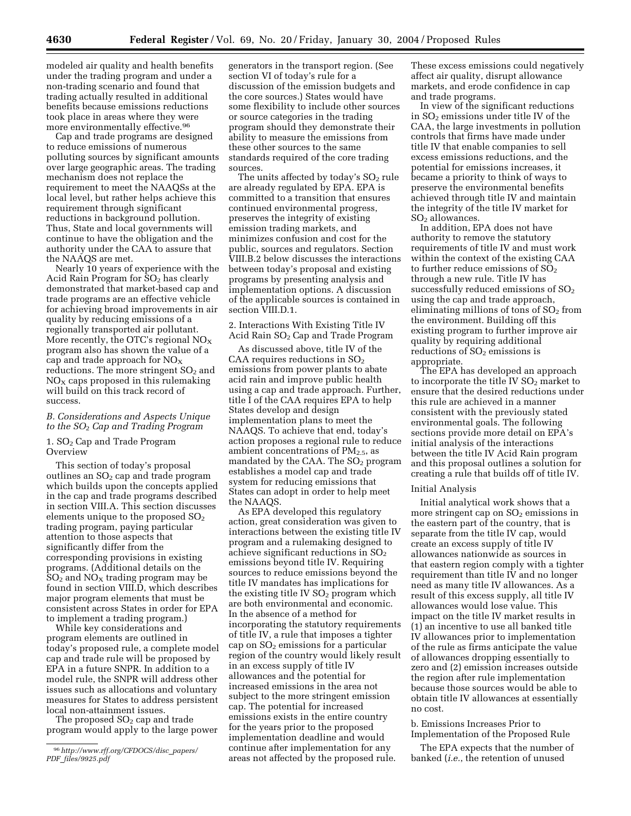modeled air quality and health benefits under the trading program and under a non-trading scenario and found that trading actually resulted in additional benefits because emissions reductions took place in areas where they were more environmentally effective.<sup>96</sup>

Cap and trade programs are designed to reduce emissions of numerous polluting sources by significant amounts over large geographic areas. The trading mechanism does not replace the requirement to meet the NAAQSs at the local level, but rather helps achieve this requirement through significant reductions in background pollution. Thus, State and local governments will continue to have the obligation and the authority under the CAA to assure that the NAAQS are met.

Nearly 10 years of experience with the Acid Rain Program for  $SO<sub>2</sub>$  has clearly demonstrated that market-based cap and trade programs are an effective vehicle for achieving broad improvements in air quality by reducing emissions of a regionally transported air pollutant. More recently, the OTC's regional  $NO<sub>x</sub>$ program also has shown the value of a cap and trade approach for  $NO<sub>x</sub>$ reductions. The more stringent  $SO<sub>2</sub>$  and  $NO<sub>x</sub>$  caps proposed in this rulemaking will build on this track record of success.

## *B. Considerations and Aspects Unique to the SO*2 *Cap and Trading Program*

## 1. SO<sub>2</sub> Cap and Trade Program **Overview**

This section of today's proposal outlines an  $SO<sub>2</sub>$  cap and trade program which builds upon the concepts applied in the cap and trade programs described in section VIII.A. This section discusses elements unique to the proposed  $SO<sub>2</sub>$ trading program, paying particular attention to those aspects that significantly differ from the corresponding provisions in existing programs. (Additional details on the  $SO<sub>2</sub>$  and  $NO<sub>X</sub>$  trading program may be found in section VIII.D, which describes major program elements that must be consistent across States in order for EPA to implement a trading program.)

While key considerations and program elements are outlined in today's proposed rule, a complete model cap and trade rule will be proposed by EPA in a future SNPR. In addition to a model rule, the SNPR will address other issues such as allocations and voluntary measures for States to address persistent local non-attainment issues.

The proposed  $SO<sub>2</sub>$  cap and trade program would apply to the large power

96*http://www.rff.org/CFDOCS/disc*\_*papers/ PDF*\_*files/9925.pdf*

generators in the transport region. (See section VI of today's rule for a discussion of the emission budgets and the core sources.) States would have some flexibility to include other sources or source categories in the trading program should they demonstrate their ability to measure the emissions from these other sources to the same standards required of the core trading sources.

The units affected by today's  $SO<sub>2</sub>$  rule are already regulated by EPA. EPA is committed to a transition that ensures continued environmental progress, preserves the integrity of existing emission trading markets, and minimizes confusion and cost for the public, sources and regulators. Section VIII.B.2 below discusses the interactions between today's proposal and existing programs by presenting analysis and implementation options. A discussion of the applicable sources is contained in section VIII.D.1.

2. Interactions With Existing Title IV Acid Rain  $SO<sub>2</sub>$  Cap and Trade Program

As discussed above, title IV of the CAA requires reductions in  $SO<sub>2</sub>$ emissions from power plants to abate acid rain and improve public health using a cap and trade approach. Further, title I of the CAA requires EPA to help States develop and design implementation plans to meet the NAAQS. To achieve that end, today's action proposes a regional rule to reduce ambient concentrations of  $PM_{2.5}$ , as mandated by the CAA. The  $SO<sub>2</sub>$  program establishes a model cap and trade system for reducing emissions that States can adopt in order to help meet the NAAQS.

As EPA developed this regulatory action, great consideration was given to interactions between the existing title IV program and a rulemaking designed to achieve significant reductions in SO<sub>2</sub> emissions beyond title IV. Requiring sources to reduce emissions beyond the title IV mandates has implications for the existing title IV  $SO<sub>2</sub>$  program which are both environmental and economic. In the absence of a method for incorporating the statutory requirements of title IV, a rule that imposes a tighter cap on  $SO<sub>2</sub>$  emissions for a particular region of the country would likely result in an excess supply of title IV allowances and the potential for increased emissions in the area not subject to the more stringent emission cap. The potential for increased emissions exists in the entire country for the years prior to the proposed implementation deadline and would continue after implementation for any areas not affected by the proposed rule.

These excess emissions could negatively affect air quality, disrupt allowance markets, and erode confidence in cap and trade programs.

In view of the significant reductions in  $SO<sub>2</sub>$  emissions under title IV of the CAA, the large investments in pollution controls that firms have made under title IV that enable companies to sell excess emissions reductions, and the potential for emissions increases, it became a priority to think of ways to preserve the environmental benefits achieved through title IV and maintain the integrity of the title IV market for  $SO<sub>2</sub>$  allowances.

In addition, EPA does not have authority to remove the statutory requirements of title IV and must work within the context of the existing CAA to further reduce emissions of  $SO<sub>2</sub>$ through a new rule. Title IV has successfully reduced emissions of  $SO<sub>2</sub>$ using the cap and trade approach, eliminating millions of tons of  $SO<sub>2</sub>$  from the environment. Building off this existing program to further improve air quality by requiring additional reductions of  $SO<sub>2</sub>$  emissions is appropriate.

The EPA has developed an approach to incorporate the title IV  $SO<sub>2</sub>$  market to ensure that the desired reductions under this rule are achieved in a manner consistent with the previously stated environmental goals. The following sections provide more detail on EPA's initial analysis of the interactions between the title IV Acid Rain program and this proposal outlines a solution for creating a rule that builds off of title IV.

#### Initial Analysis

Initial analytical work shows that a more stringent cap on  $SO<sub>2</sub>$  emissions in the eastern part of the country, that is separate from the title IV cap, would create an excess supply of title IV allowances nationwide as sources in that eastern region comply with a tighter requirement than title IV and no longer need as many title IV allowances. As a result of this excess supply, all title IV allowances would lose value. This impact on the title IV market results in (1) an incentive to use all banked title IV allowances prior to implementation of the rule as firms anticipate the value of allowances dropping essentially to zero and (2) emission increases outside the region after rule implementation because those sources would be able to obtain title IV allowances at essentially no cost.

b. Emissions Increases Prior to Implementation of the Proposed Rule

The EPA expects that the number of banked (*i.e.*, the retention of unused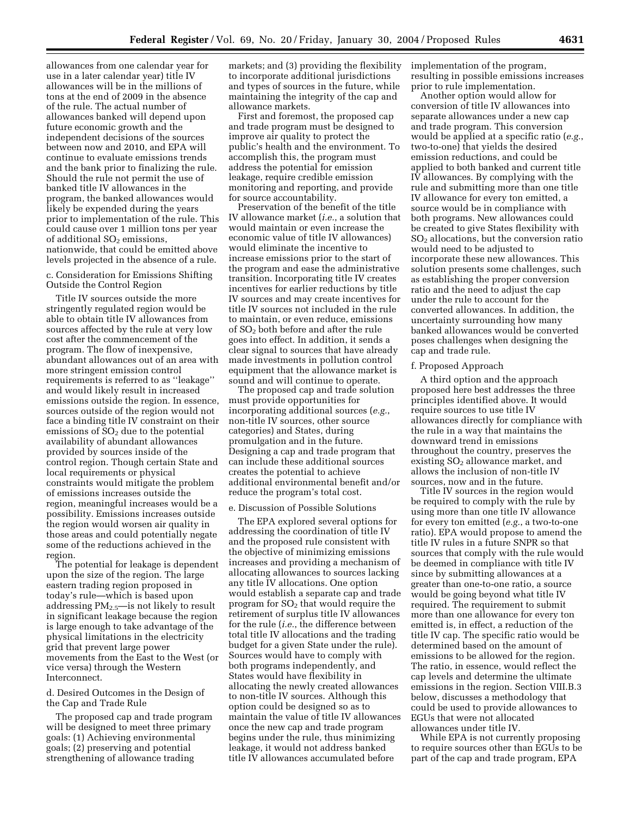allowances from one calendar year for use in a later calendar year) title IV allowances will be in the millions of tons at the end of 2009 in the absence of the rule. The actual number of allowances banked will depend upon future economic growth and the independent decisions of the sources between now and 2010, and EPA will continue to evaluate emissions trends and the bank prior to finalizing the rule. Should the rule not permit the use of banked title IV allowances in the program, the banked allowances would likely be expended during the years prior to implementation of the rule. This could cause over 1 million tons per year of additional  $SO<sub>2</sub>$  emissions, nationwide, that could be emitted above levels projected in the absence of a rule.

### c. Consideration for Emissions Shifting Outside the Control Region

Title IV sources outside the more stringently regulated region would be able to obtain title IV allowances from sources affected by the rule at very low cost after the commencement of the program. The flow of inexpensive, abundant allowances out of an area with more stringent emission control requirements is referred to as ''leakage'' and would likely result in increased emissions outside the region. In essence, sources outside of the region would not face a binding title IV constraint on their emissions of  $SO<sub>2</sub>$  due to the potential availability of abundant allowances provided by sources inside of the control region. Though certain State and local requirements or physical constraints would mitigate the problem of emissions increases outside the region, meaningful increases would be a possibility. Emissions increases outside the region would worsen air quality in those areas and could potentially negate some of the reductions achieved in the region.

The potential for leakage is dependent upon the size of the region. The large eastern trading region proposed in today's rule—which is based upon addressing PM2.5—is not likely to result in significant leakage because the region is large enough to take advantage of the physical limitations in the electricity grid that prevent large power movements from the East to the West (or vice versa) through the Western **Interconnect** 

## d. Desired Outcomes in the Design of the Cap and Trade Rule

The proposed cap and trade program will be designed to meet three primary goals: (1) Achieving environmental goals; (2) preserving and potential strengthening of allowance trading

markets; and (3) providing the flexibility to incorporate additional jurisdictions and types of sources in the future, while maintaining the integrity of the cap and allowance markets.

First and foremost, the proposed cap and trade program must be designed to improve air quality to protect the public's health and the environment. To accomplish this, the program must address the potential for emission leakage, require credible emission monitoring and reporting, and provide for source accountability.

Preservation of the benefit of the title IV allowance market (*i.e.*, a solution that would maintain or even increase the economic value of title IV allowances) would eliminate the incentive to increase emissions prior to the start of the program and ease the administrative transition. Incorporating title IV creates incentives for earlier reductions by title IV sources and may create incentives for title IV sources not included in the rule to maintain, or even reduce, emissions of SO2 both before and after the rule goes into effect. In addition, it sends a clear signal to sources that have already made investments in pollution control equipment that the allowance market is sound and will continue to operate.

The proposed cap and trade solution must provide opportunities for incorporating additional sources (*e.g.*, non-title IV sources, other source categories) and States, during promulgation and in the future. Designing a cap and trade program that can include these additional sources creates the potential to achieve additional environmental benefit and/or reduce the program's total cost.

#### e. Discussion of Possible Solutions

The EPA explored several options for addressing the coordination of title IV and the proposed rule consistent with the objective of minimizing emissions increases and providing a mechanism of allocating allowances to sources lacking any title IV allocations. One option would establish a separate cap and trade program for SO2 that would require the retirement of surplus title IV allowances for the rule (*i.e.*, the difference between total title IV allocations and the trading budget for a given State under the rule). Sources would have to comply with both programs independently, and States would have flexibility in allocating the newly created allowances to non-title IV sources. Although this option could be designed so as to maintain the value of title IV allowances once the new cap and trade program begins under the rule, thus minimizing leakage, it would not address banked title IV allowances accumulated before

implementation of the program, resulting in possible emissions increases prior to rule implementation.

Another option would allow for conversion of title IV allowances into separate allowances under a new cap and trade program. This conversion would be applied at a specific ratio (*e.g.*, two-to-one) that yields the desired emission reductions, and could be applied to both banked and current title IV allowances. By complying with the rule and submitting more than one title IV allowance for every ton emitted, a source would be in compliance with both programs. New allowances could be created to give States flexibility with SO2 allocations, but the conversion ratio would need to be adjusted to incorporate these new allowances. This solution presents some challenges, such as establishing the proper conversion ratio and the need to adjust the cap under the rule to account for the converted allowances. In addition, the uncertainty surrounding how many banked allowances would be converted poses challenges when designing the cap and trade rule.

### f. Proposed Approach

A third option and the approach proposed here best addresses the three principles identified above. It would require sources to use title IV allowances directly for compliance with the rule in a way that maintains the downward trend in emissions throughout the country, preserves the existing  $SO<sub>2</sub>$  allowance market, and allows the inclusion of non-title IV sources, now and in the future.

Title IV sources in the region would be required to comply with the rule by using more than one title IV allowance for every ton emitted (*e.g.*, a two-to-one ratio). EPA would propose to amend the title IV rules in a future SNPR so that sources that comply with the rule would be deemed in compliance with title IV since by submitting allowances at a greater than one-to-one ratio, a source would be going beyond what title IV required. The requirement to submit more than one allowance for every ton emitted is, in effect, a reduction of the title IV cap. The specific ratio would be determined based on the amount of emissions to be allowed for the region. The ratio, in essence, would reflect the cap levels and determine the ultimate emissions in the region. Section VIII.B.3 below, discusses a methodology that could be used to provide allowances to EGUs that were not allocated allowances under title IV.

While EPA is not currently proposing to require sources other than EGUs to be part of the cap and trade program, EPA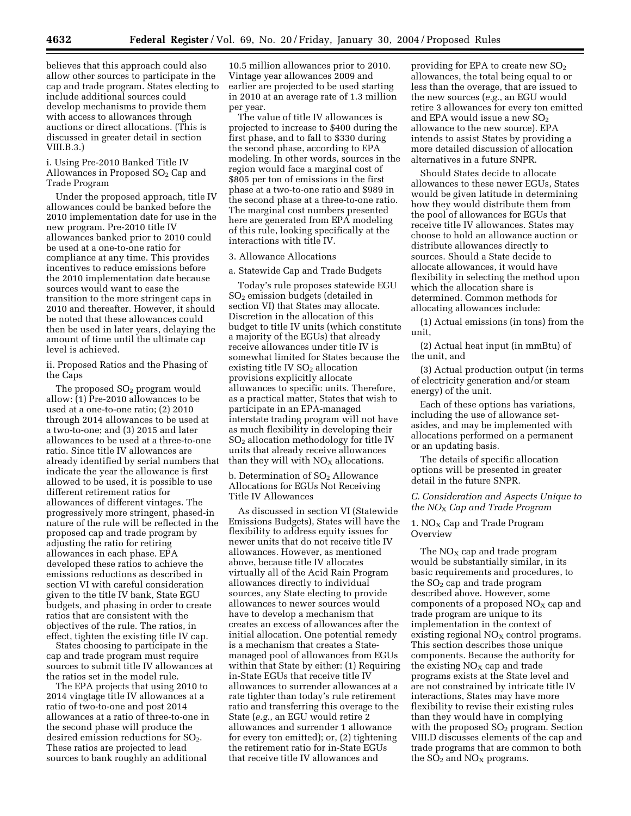believes that this approach could also allow other sources to participate in the cap and trade program. States electing to include additional sources could develop mechanisms to provide them with access to allowances through auctions or direct allocations. (This is discussed in greater detail in section VIII.B.3.)

i. Using Pre-2010 Banked Title IV Allowances in Proposed  $SO<sub>2</sub>$  Cap and Trade Program

Under the proposed approach, title IV allowances could be banked before the 2010 implementation date for use in the new program. Pre-2010 title IV allowances banked prior to 2010 could be used at a one-to-one ratio for compliance at any time. This provides incentives to reduce emissions before the 2010 implementation date because sources would want to ease the transition to the more stringent caps in 2010 and thereafter. However, it should be noted that these allowances could then be used in later years, delaying the amount of time until the ultimate cap level is achieved.

ii. Proposed Ratios and the Phasing of the Caps

The proposed  $SO<sub>2</sub>$  program would allow: (1) Pre-2010 allowances to be used at a one-to-one ratio; (2) 2010 through 2014 allowances to be used at a two-to-one; and (3) 2015 and later allowances to be used at a three-to-one ratio. Since title IV allowances are already identified by serial numbers that indicate the year the allowance is first allowed to be used, it is possible to use different retirement ratios for allowances of different vintages. The progressively more stringent, phased-in nature of the rule will be reflected in the proposed cap and trade program by adjusting the ratio for retiring allowances in each phase. EPA developed these ratios to achieve the emissions reductions as described in section VI with careful consideration given to the title IV bank, State EGU budgets, and phasing in order to create ratios that are consistent with the objectives of the rule. The ratios, in effect, tighten the existing title IV cap.

States choosing to participate in the cap and trade program must require sources to submit title IV allowances at the ratios set in the model rule.

The EPA projects that using 2010 to 2014 vingtage title IV allowances at a ratio of two-to-one and post 2014 allowances at a ratio of three-to-one in the second phase will produce the desired emission reductions for SO<sub>2</sub>. These ratios are projected to lead sources to bank roughly an additional

10.5 million allowances prior to 2010. Vintage year allowances 2009 and earlier are projected to be used starting in 2010 at an average rate of 1.3 million per year.

The value of title IV allowances is projected to increase to \$400 during the first phase, and to fall to \$330 during the second phase, according to EPA modeling. In other words, sources in the region would face a marginal cost of \$805 per ton of emissions in the first phase at a two-to-one ratio and \$989 in the second phase at a three-to-one ratio. The marginal cost numbers presented here are generated from EPA modeling of this rule, looking specifically at the interactions with title IV.

### 3. Allowance Allocations

a. Statewide Cap and Trade Budgets

Today's rule proposes statewide EGU SO2 emission budgets (detailed in section VI) that States may allocate. Discretion in the allocation of this budget to title IV units (which constitute a majority of the EGUs) that already receive allowances under title IV is somewhat limited for States because the existing title IV SO<sub>2</sub> allocation provisions explicitly allocate allowances to specific units. Therefore, as a practical matter, States that wish to participate in an EPA-managed interstate trading program will not have as much flexibility in developing their SO2 allocation methodology for title IV units that already receive allowances than they will with  $NO<sub>X</sub>$  allocations.

b. Determination of  $SO<sub>2</sub>$  Allowance Allocations for EGUs Not Receiving Title IV Allowances

As discussed in section VI (Statewide Emissions Budgets), States will have the flexibility to address equity issues for newer units that do not receive title IV allowances. However, as mentioned above, because title IV allocates virtually all of the Acid Rain Program allowances directly to individual sources, any State electing to provide allowances to newer sources would have to develop a mechanism that creates an excess of allowances after the initial allocation. One potential remedy is a mechanism that creates a Statemanaged pool of allowances from EGUs within that State by either: (1) Requiring in-State EGUs that receive title IV allowances to surrender allowances at a rate tighter than today's rule retirement ratio and transferring this overage to the State (*e.g.*, an EGU would retire 2 allowances and surrender 1 allowance for every ton emitted); or, (2) tightening the retirement ratio for in-State EGUs that receive title IV allowances and

providing for EPA to create new  $SO<sub>2</sub>$ allowances, the total being equal to or less than the overage, that are issued to the new sources (*e.g.*, an EGU would retire 3 allowances for every ton emitted and EPA would issue a new  $SO<sub>2</sub>$ allowance to the new source). EPA intends to assist States by providing a more detailed discussion of allocation alternatives in a future SNPR.

Should States decide to allocate allowances to these newer EGUs, States would be given latitude in determining how they would distribute them from the pool of allowances for EGUs that receive title IV allowances. States may choose to hold an allowance auction or distribute allowances directly to sources. Should a State decide to allocate allowances, it would have flexibility in selecting the method upon which the allocation share is determined. Common methods for allocating allowances include:

(1) Actual emissions (in tons) from the unit,

(2) Actual heat input (in mmBtu) of the unit, and

(3) Actual production output (in terms of electricity generation and/or steam energy) of the unit.

Each of these options has variations, including the use of allowance setasides, and may be implemented with allocations performed on a permanent or an updating basis.

The details of specific allocation options will be presented in greater detail in the future SNPR.

*C. Consideration and Aspects Unique to the NO*X *Cap and Trade Program* 

# 1.  $NO<sub>X</sub>$  Cap and Trade Program **Overview**

The  $NO<sub>x</sub>$  cap and trade program would be substantially similar, in its basic requirements and procedures, to the SO2 cap and trade program described above. However, some components of a proposed  $NO<sub>x</sub>$  cap and trade program are unique to its implementation in the context of existing regional  $NO<sub>X</sub>$  control programs. This section describes those unique components. Because the authority for the existing  $NO<sub>X</sub>$  cap and trade programs exists at the State level and are not constrained by intricate title IV interactions, States may have more flexibility to revise their existing rules than they would have in complying with the proposed  $SO<sub>2</sub>$  program. Section VIII.D discusses elements of the cap and trade programs that are common to both the  $SO<sub>2</sub>$  and  $NO<sub>X</sub>$  programs.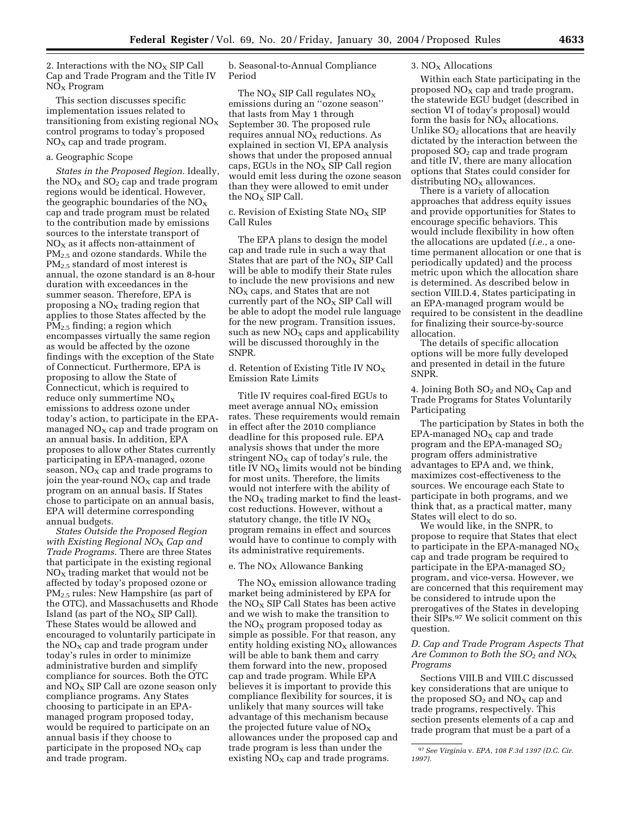2. Interactions with the  $NO<sub>X</sub>$  SIP Call Cap and Trade Program and the Title IV  $NO<sub>x</sub>$  Program

This section discusses specific implementation issues related to transitioning from existing regional  $NO<sub>x</sub>$ control programs to today's proposed  $NO<sub>X</sub>$  cap and trade program.

## a. Geographic Scope

*States in the Proposed Region.* Ideally, the  $NO<sub>X</sub>$  and  $SO<sub>2</sub>$  cap and trade program regions would be identical. However, the geographic boundaries of the  $NO<sub>X</sub>$ cap and trade program must be related to the contribution made by emissions sources to the interstate transport of  $NO<sub>x</sub>$  as it affects non-attainment of PM<sub>2.5</sub> and ozone standards. While the PM<sub>2.5</sub> standard of most interest is annual, the ozone standard is an 8-hour duration with exceedances in the summer season. Therefore, EPA is proposing a  $NO<sub>x</sub>$  trading region that applies to those States affected by the PM2.5 finding; a region which encompasses virtually the same region as would be affected by the ozone findings with the exception of the State of Connecticut. Furthermore, EPA is proposing to allow the State of Connecticut, which is required to reduce only summertime  $NO<sub>x</sub>$ emissions to address ozone under today's action, to participate in the EPAmanaged  $NO<sub>x</sub>$  cap and trade program on an annual basis. In addition, EPA proposes to allow other States currently participating in EPA-managed, ozone season,  $NO<sub>x</sub>$  cap and trade programs to join the year-round  $NO<sub>x</sub>$  cap and trade program on an annual basis. If States chose to participate on an annual basis, EPA will determine corresponding annual budgets.

*States Outside the Proposed Region with Existing Regional NO*X *Cap and Trade Programs.* There are three States that participate in the existing regional  $NO<sub>X</sub>$  trading market that would not be affected by today's proposed ozone or PM2.5 rules: New Hampshire (as part of the OTC), and Massachusetts and Rhode Island (as part of the  $NO<sub>X</sub>$  SIP Call). These States would be allowed and encouraged to voluntarily participate in the  $NO<sub>X</sub>$  cap and trade program under today's rules in order to minimize administrative burden and simplify compliance for sources. Both the OTC and  $\overline{NO_X}$  SIP Call are ozone season only compliance programs. Any States choosing to participate in an EPAmanaged program proposed today, would be required to participate on an annual basis if they choose to participate in the proposed  $NO<sub>x</sub>$  cap and trade program.

b. Seasonal-to-Annual Compliance Period

The  $NO<sub>x</sub>$  SIP Call regulates  $NO<sub>x</sub>$ emissions during an ''ozone season'' that lasts from May 1 through September 30. The proposed rule requires annual  $NO<sub>x</sub>$  reductions. As explained in section VI, EPA analysis shows that under the proposed annual caps, EGUs in the  $NO<sub>X</sub>$  SIP Call region would emit less during the ozone season than they were allowed to emit under the  $NO<sub>X</sub>$  SIP Call.

c. Revision of Existing State  $NO<sub>x</sub>$  SIP Call Rules

The EPA plans to design the model cap and trade rule in such a way that States that are part of the  $NO<sub>X</sub>$  SIP Call will be able to modify their State rules to include the new provisions and new  $NO<sub>x</sub>$  caps, and States that are not currently part of the  $NO<sub>x</sub>$  SIP Call will be able to adopt the model rule language for the new program. Transition issues, such as new  $NO<sub>x</sub>$  caps and applicability will be discussed thoroughly in the SNPR.

d. Retention of Existing Title IV  $NO<sub>X</sub>$ Emission Rate Limits

Title IV requires coal-fired EGUs to meet average annual  $NO<sub>x</sub>$  emission rates. These requirements would remain in effect after the 2010 compliance deadline for this proposed rule. EPA analysis shows that under the more stringent  $NO<sub>x</sub>$  cap of today's rule, the title IV  $NO<sub>x</sub>$  limits would not be binding for most units. Therefore, the limits would not interfere with the ability of the  $N_{\text{O}_X}$  trading market to find the leastcost reductions. However, without a statutory change, the title IV  $NO<sub>x</sub>$ program remains in effect and sources would have to continue to comply with its administrative requirements.

### e. The  $NO<sub>X</sub>$  Allowance Banking

The  $NO<sub>X</sub>$  emission allowance trading market being administered by EPA for the  $NO<sub>x</sub>$  SIP Call States has been active and we wish to make the transition to the  $NO<sub>x</sub>$  program proposed today as simple as possible. For that reason, any entity holding existing  $NO<sub>x</sub>$  allowances will be able to bank them and carry them forward into the new, proposed cap and trade program. While EPA believes it is important to provide this compliance flexibility for sources, it is unlikely that many sources will take advantage of this mechanism because the projected future value of  $NO_X$ allowances under the proposed cap and trade program is less than under the existing  $NO<sub>x</sub>$  cap and trade programs.

## 3. NO<sub>X</sub> Allocations

Within each State participating in the proposed  $NO<sub>x</sub>$  cap and trade program, the statewide EGU budget (described in section VI of today's proposal) would form the basis for  $NO<sub>X</sub>$  allocations. Unlike  $SO<sub>2</sub>$  allocations that are heavily dictated by the interaction between the proposed SO2 cap and trade program and title IV, there are many allocation options that States could consider for distributing  $NO<sub>x</sub>$  allowances.

There is a variety of allocation approaches that address equity issues and provide opportunities for States to encourage specific behaviors. This would include flexibility in how often the allocations are updated (*i.e.*, a onetime permanent allocation or one that is periodically updated) and the process metric upon which the allocation share is determined. As described below in section VIII.D.4, States participating in an EPA-managed program would be required to be consistent in the deadline for finalizing their source-by-source allocation.

The details of specific allocation options will be more fully developed and presented in detail in the future SNPR.

4. Joining Both  $SO<sub>2</sub>$  and  $NO<sub>X</sub>$  Cap and Trade Programs for States Voluntarily Participating

The participation by States in both the  $EPA$ -managed  $NO<sub>X</sub>$  cap and trade program and the EPA-managed  $SO<sub>2</sub>$ program offers administrative advantages to EPA and, we think, maximizes cost-effectiveness to the sources. We encourage each State to participate in both programs, and we think that, as a practical matter, many States will elect to do so.

We would like, in the SNPR, to propose to require that States that elect to participate in the EPA-managed  $NO<sub>x</sub>$ cap and trade program be required to participate in the EPA-managed  $SO<sub>2</sub>$ program, and vice-versa. However, we are concerned that this requirement may be considered to intrude upon the prerogatives of the States in developing their SIPs.97 We solicit comment on this question.

## *D. Cap and Trade Program Aspects That Are Common to Both the SO*2 *and NO*X *Programs*

Sections VIII.B and VIII.C discussed key considerations that are unique to the proposed  $SO_2$  and  $NO_X$  cap and trade programs, respectively. This section presents elements of a cap and trade program that must be a part of a

<sup>97</sup>*See Virginia* v. *EPA, 108 F.3d 1397 (D.C. Cir. 1997).*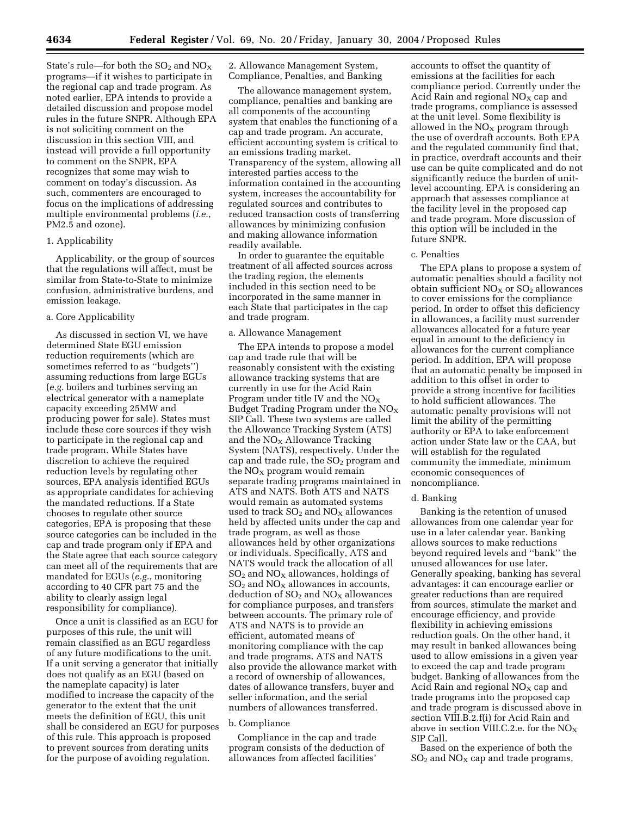State's rule—for both the  $SO_2$  and  $NO_X$ programs—if it wishes to participate in the regional cap and trade program. As noted earlier, EPA intends to provide a detailed discussion and propose model rules in the future SNPR. Although EPA is not soliciting comment on the discussion in this section VIII, and instead will provide a full opportunity to comment on the SNPR, EPA recognizes that some may wish to comment on today's discussion. As such, commenters are encouraged to focus on the implications of addressing multiple environmental problems (*i.e.*, PM2.5 and ozone).

#### 1. Applicability

Applicability, or the group of sources that the regulations will affect, must be similar from State-to-State to minimize confusion, administrative burdens, and emission leakage.

#### a. Core Applicability

As discussed in section VI, we have determined State EGU emission reduction requirements (which are sometimes referred to as ''budgets'') assuming reductions from large EGUs (*e.g.* boilers and turbines serving an electrical generator with a nameplate capacity exceeding 25MW and producing power for sale). States must include these core sources if they wish to participate in the regional cap and trade program. While States have discretion to achieve the required reduction levels by regulating other sources, EPA analysis identified EGUs as appropriate candidates for achieving the mandated reductions. If a State chooses to regulate other source categories, EPA is proposing that these source categories can be included in the cap and trade program only if EPA and the State agree that each source category can meet all of the requirements that are mandated for EGUs (*e.g.*, monitoring according to 40 CFR part 75 and the ability to clearly assign legal responsibility for compliance).

Once a unit is classified as an EGU for purposes of this rule, the unit will remain classified as an EGU regardless of any future modifications to the unit. If a unit serving a generator that initially does not qualify as an EGU (based on the nameplate capacity) is later modified to increase the capacity of the generator to the extent that the unit meets the definition of EGU, this unit shall be considered an EGU for purposes of this rule. This approach is proposed to prevent sources from derating units for the purpose of avoiding regulation.

2. Allowance Management System, Compliance, Penalties, and Banking

The allowance management system, compliance, penalties and banking are all components of the accounting system that enables the functioning of a cap and trade program. An accurate, efficient accounting system is critical to an emissions trading market. Transparency of the system, allowing all interested parties access to the information contained in the accounting system, increases the accountability for regulated sources and contributes to reduced transaction costs of transferring allowances by minimizing confusion and making allowance information readily available.

In order to guarantee the equitable treatment of all affected sources across the trading region, the elements included in this section need to be incorporated in the same manner in each State that participates in the cap and trade program.

### a. Allowance Management

The EPA intends to propose a model cap and trade rule that will be reasonably consistent with the existing allowance tracking systems that are currently in use for the Acid Rain Program under title IV and the  $NO<sub>x</sub>$ Budget Trading Program under the  $NO<sub>x</sub>$ SIP Call. These two systems are called the Allowance Tracking System (ATS) and the  $NO<sub>X</sub>$  Allowance Tracking System (NATS), respectively. Under the cap and trade rule, the  $SO<sub>2</sub>$  program and the  $NO<sub>x</sub>$  program would remain separate trading programs maintained in ATS and NATS. Both ATS and NATS would remain as automated systems used to track  $SO_2$  and  $NO_X$  allowances held by affected units under the cap and trade program, as well as those allowances held by other organizations or individuals. Specifically, ATS and NATS would track the allocation of all  $SO<sub>2</sub>$  and  $NO<sub>X</sub>$  allowances, holdings of  $SO<sub>2</sub>$  and  $NO<sub>X</sub>$  allowances in accounts, deduction of  $SO<sub>2</sub>$  and  $NO<sub>X</sub>$  allowances for compliance purposes, and transfers between accounts. The primary role of ATS and NATS is to provide an efficient, automated means of monitoring compliance with the cap and trade programs. ATS and NATS also provide the allowance market with a record of ownership of allowances, dates of allowance transfers, buyer and seller information, and the serial numbers of allowances transferred.

### b. Compliance

Compliance in the cap and trade program consists of the deduction of allowances from affected facilities'

accounts to offset the quantity of emissions at the facilities for each compliance period. Currently under the Acid Rain and regional  $NO<sub>X</sub>$  cap and trade programs, compliance is assessed at the unit level. Some flexibility is allowed in the  $NO<sub>X</sub>$  program through the use of overdraft accounts. Both EPA and the regulated community find that, in practice, overdraft accounts and their use can be quite complicated and do not significantly reduce the burden of unitlevel accounting. EPA is considering an approach that assesses compliance at the facility level in the proposed cap and trade program. More discussion of this option will be included in the future SNPR.

## c. Penalties

The EPA plans to propose a system of automatic penalties should a facility not obtain sufficient  $NO<sub>X</sub>$  or  $SO<sub>2</sub>$  allowances to cover emissions for the compliance period. In order to offset this deficiency in allowances, a facility must surrender allowances allocated for a future year equal in amount to the deficiency in allowances for the current compliance period. In addition, EPA will propose that an automatic penalty be imposed in addition to this offset in order to provide a strong incentive for facilities to hold sufficient allowances. The automatic penalty provisions will not limit the ability of the permitting authority or EPA to take enforcement action under State law or the CAA, but will establish for the regulated community the immediate, minimum economic consequences of noncompliance.

#### d. Banking

Banking is the retention of unused allowances from one calendar year for use in a later calendar year. Banking allows sources to make reductions beyond required levels and ''bank'' the unused allowances for use later. Generally speaking, banking has several advantages: it can encourage earlier or greater reductions than are required from sources, stimulate the market and encourage efficiency, and provide flexibility in achieving emissions reduction goals. On the other hand, it may result in banked allowances being used to allow emissions in a given year to exceed the cap and trade program budget. Banking of allowances from the Acid Rain and regional  $NO<sub>x</sub>$  cap and trade programs into the proposed cap and trade program is discussed above in section VIII.B.2.f(i) for Acid Rain and above in section VIII.C.2.e. for the  $NO<sub>X</sub>$ SIP Call.

Based on the experience of both the  $SO<sub>2</sub>$  and NO<sub>X</sub> cap and trade programs,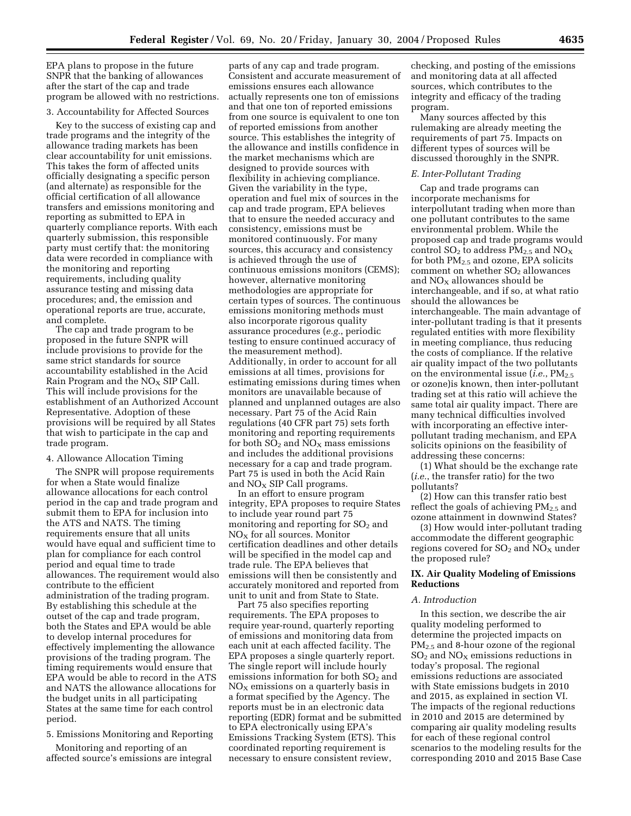EPA plans to propose in the future SNPR that the banking of allowances after the start of the cap and trade program be allowed with no restrictions.

### 3. Accountability for Affected Sources

Key to the success of existing cap and trade programs and the integrity of the allowance trading markets has been clear accountability for unit emissions. This takes the form of affected units officially designating a specific person (and alternate) as responsible for the official certification of all allowance transfers and emissions monitoring and reporting as submitted to EPA in quarterly compliance reports. With each quarterly submission, this responsible party must certify that: the monitoring data were recorded in compliance with the monitoring and reporting requirements, including quality assurance testing and missing data procedures; and, the emission and operational reports are true, accurate, and complete.

The cap and trade program to be proposed in the future SNPR will include provisions to provide for the same strict standards for source accountability established in the Acid Rain Program and the  $NO<sub>X</sub>$  SIP Call. This will include provisions for the establishment of an Authorized Account Representative. Adoption of these provisions will be required by all States that wish to participate in the cap and trade program.

#### 4. Allowance Allocation Timing

The SNPR will propose requirements for when a State would finalize allowance allocations for each control period in the cap and trade program and submit them to EPA for inclusion into the ATS and NATS. The timing requirements ensure that all units would have equal and sufficient time to plan for compliance for each control period and equal time to trade allowances. The requirement would also contribute to the efficient administration of the trading program. By establishing this schedule at the outset of the cap and trade program, both the States and EPA would be able to develop internal procedures for effectively implementing the allowance provisions of the trading program. The timing requirements would ensure that EPA would be able to record in the ATS and NATS the allowance allocations for the budget units in all participating States at the same time for each control period.

5. Emissions Monitoring and Reporting

Monitoring and reporting of an affected source's emissions are integral

parts of any cap and trade program. Consistent and accurate measurement of emissions ensures each allowance actually represents one ton of emissions and that one ton of reported emissions from one source is equivalent to one ton of reported emissions from another source. This establishes the integrity of the allowance and instills confidence in the market mechanisms which are designed to provide sources with flexibility in achieving compliance. Given the variability in the type, operation and fuel mix of sources in the cap and trade program, EPA believes that to ensure the needed accuracy and consistency, emissions must be monitored continuously. For many sources, this accuracy and consistency is achieved through the use of continuous emissions monitors (CEMS); however, alternative monitoring methodologies are appropriate for certain types of sources. The continuous emissions monitoring methods must also incorporate rigorous quality assurance procedures (*e.g.*, periodic testing to ensure continued accuracy of the measurement method). Additionally, in order to account for all emissions at all times, provisions for estimating emissions during times when monitors are unavailable because of planned and unplanned outages are also necessary. Part 75 of the Acid Rain regulations (40 CFR part 75) sets forth monitoring and reporting requirements for both  $SO_2$  and  $NO_X$  mass emissions and includes the additional provisions necessary for a cap and trade program. Part 75 is used in both the Acid Rain and  $NO<sub>X</sub>$  SIP Call programs.

In an effort to ensure program integrity, EPA proposes to require States to include year round part 75 monitoring and reporting for  $SO<sub>2</sub>$  and  $NO<sub>X</sub>$  for all sources. Monitor certification deadlines and other details will be specified in the model cap and trade rule. The EPA believes that emissions will then be consistently and accurately monitored and reported from unit to unit and from State to State.

Part 75 also specifies reporting requirements. The EPA proposes to require year-round, quarterly reporting of emissions and monitoring data from each unit at each affected facility. The EPA proposes a single quarterly report. The single report will include hourly emissions information for both  $SO<sub>2</sub>$  and  $NO<sub>x</sub>$  emissions on a quarterly basis in a format specified by the Agency. The reports must be in an electronic data reporting (EDR) format and be submitted to EPA electronically using EPA's Emissions Tracking System (ETS). This coordinated reporting requirement is necessary to ensure consistent review,

checking, and posting of the emissions and monitoring data at all affected sources, which contributes to the integrity and efficacy of the trading program.

Many sources affected by this rulemaking are already meeting the requirements of part 75. Impacts on different types of sources will be discussed thoroughly in the SNPR.

## *E. Inter-Pollutant Trading*

Cap and trade programs can incorporate mechanisms for interpollutant trading when more than one pollutant contributes to the same environmental problem. While the proposed cap and trade programs would control  $SO_2$  to address  $PM_{2.5}$  and  $NO_X$ for both PM2.5 and ozone, EPA solicits comment on whether  $SO<sub>2</sub>$  allowances and  $NO<sub>x</sub>$  allowances should be interchangeable, and if so, at what ratio should the allowances be interchangeable. The main advantage of inter-pollutant trading is that it presents regulated entities with more flexibility in meeting compliance, thus reducing the costs of compliance. If the relative air quality impact of the two pollutants on the environmental issue (*i.e.*,  $PM_{2.5}$ or ozone)is known, then inter-pollutant trading set at this ratio will achieve the same total air quality impact. There are many technical difficulties involved with incorporating an effective interpollutant trading mechanism, and EPA solicits opinions on the feasibility of addressing these concerns:

(1) What should be the exchange rate (*i.e.*, the transfer ratio) for the two pollutants?

(2) How can this transfer ratio best reflect the goals of achieving PM<sub>2.5</sub> and ozone attainment in downwind States?

(3) How would inter-pollutant trading accommodate the different geographic regions covered for  $SO_2$  and  $NO_X$  under the proposed rule?

## **IX. Air Quality Modeling of Emissions Reductions**

## *A. Introduction*

In this section, we describe the air quality modeling performed to determine the projected impacts on PM<sub>2.5</sub> and 8-hour ozone of the regional  $SO<sub>2</sub>$  and  $NO<sub>X</sub>$  emissions reductions in today's proposal. The regional emissions reductions are associated with State emissions budgets in 2010 and 2015, as explained in section VI. The impacts of the regional reductions in 2010 and 2015 are determined by comparing air quality modeling results for each of these regional control scenarios to the modeling results for the corresponding 2010 and 2015 Base Case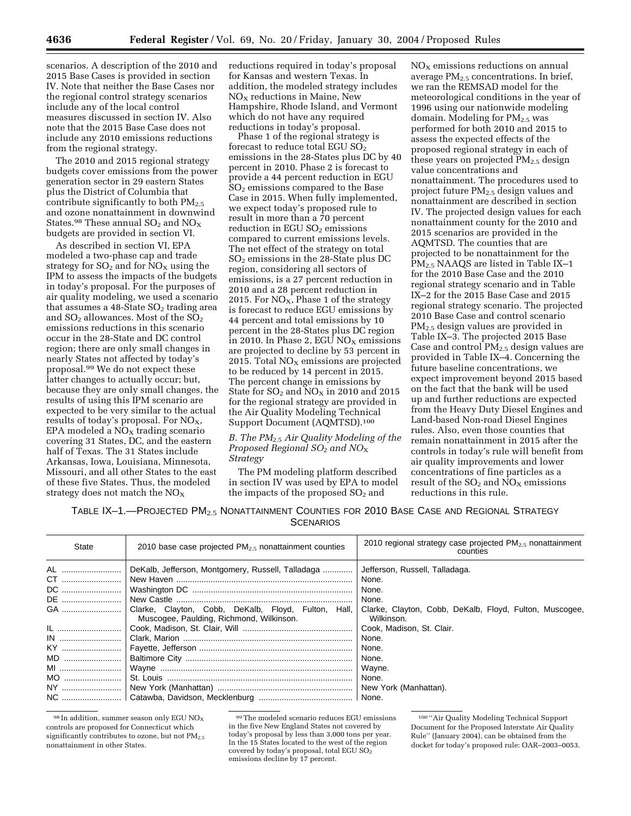scenarios. A description of the 2010 and 2015 Base Cases is provided in section IV. Note that neither the Base Cases nor the regional control strategy scenarios include any of the local control measures discussed in section IV. Also note that the 2015 Base Case does not include any 2010 emissions reductions from the regional strategy.

The 2010 and 2015 regional strategy budgets cover emissions from the power generation sector in 29 eastern States plus the District of Columbia that contribute significantly to both PM<sub>2.5</sub> and ozone nonattainment in downwind States.<sup>98</sup> These annual  $SO_2$  and  $NO_X$ budgets are provided in section VI.

As described in section VI, EPA modeled a two-phase cap and trade strategy for  $SO_2$  and for  $NO_X$  using the IPM to assess the impacts of the budgets in today's proposal. For the purposes of air quality modeling, we used a scenario that assumes a  $48$ -State  $SO<sub>2</sub>$  trading area and  $SO_2$  allowances. Most of the  $SO_2$ emissions reductions in this scenario occur in the 28-State and DC control region; there are only small changes in nearly States not affected by today's proposal.99 We do not expect these latter changes to actually occur; but, because they are only small changes, the results of using this IPM scenario are expected to be very similar to the actual results of today's proposal. For  $NO<sub>X</sub>$ , EPA modeled a  $NO<sub>x</sub>$  trading scenario covering 31 States, DC, and the eastern half of Texas. The 31 States include Arkansas, Iowa, Louisiana, Minnesota, Missouri, and all other States to the east of these five States. Thus, the modeled strategy does not match the  $NO<sub>x</sub>$ 

reductions required in today's proposal for Kansas and western Texas. In addition, the modeled strategy includes  $NO<sub>X</sub>$  reductions in Maine, New Hampshire, Rhode Island, and Vermont which do not have any required reductions in today's proposal.

Phase 1 of the regional strategy is forecast to reduce total EGU  $SO<sub>2</sub>$ emissions in the 28-States plus DC by 40 percent in 2010. Phase 2 is forecast to provide a 44 percent reduction in EGU SO2 emissions compared to the Base Case in 2015. When fully implemented, we expect today's proposed rule to result in more than a 70 percent reduction in EGU  $SO<sub>2</sub>$  emissions compared to current emissions levels. The net effect of the strategy on total  $SO<sub>2</sub>$  emissions in the 28-State plus DC region, considering all sectors of emissions, is a 27 percent reduction in 2010 and a 28 percent reduction in 2015. For  $NO<sub>x</sub>$ , Phase 1 of the strategy is forecast to reduce EGU emissions by 44 percent and total emissions by 10 percent in the 28-States plus DC region in 2010. In Phase 2, EGU  $NO<sub>X</sub>$  emissions are projected to decline by 53 percent in 2015. Total  $NO<sub>x</sub>$  emissions are projected to be reduced by 14 percent in 2015. The percent change in emissions by State for  $SO_2$  and  $NO_X$  in 2010 and 2015 for the regional strategy are provided in the Air Quality Modeling Technical Support Document (AQMTSD).100

## *B. The PM*2.5 *Air Quality Modeling of the Proposed Regional SO*2 *and NO*X *Strategy*

The PM modeling platform described in section IV was used by EPA to model the impacts of the proposed  $SO<sub>2</sub>$  and

 $NO<sub>x</sub>$  emissions reductions on annual average  $PM_{2.5}$  concentrations. In brief, we ran the REMSAD model for the meteorological conditions in the year of 1996 using our nationwide modeling domain. Modeling for PM<sub>2.5</sub> was performed for both 2010 and 2015 to assess the expected effects of the proposed regional strategy in each of these years on projected  $PM_{2.5}$  design value concentrations and nonattainment. The procedures used to project future PM<sub>2.5</sub> design values and nonattainment are described in section IV. The projected design values for each nonattainment county for the 2010 and 2015 scenarios are provided in the AQMTSD. The counties that are projected to be nonattainment for the PM2.5 NAAQS are listed in Table IX–1 for the 2010 Base Case and the 2010 regional strategy scenario and in Table IX–2 for the 2015 Base Case and 2015 regional strategy scenario. The projected 2010 Base Case and control scenario PM2.5 design values are provided in Table IX–3. The projected 2015 Base Case and control  $PM<sub>2.5</sub>$  design values are provided in Table IX–4. Concerning the future baseline concentrations, we expect improvement beyond 2015 based on the fact that the bank will be used up and further reductions are expected from the Heavy Duty Diesel Engines and Land-based Non-road Diesel Engines rules. Also, even those counties that remain nonattainment in 2015 after the controls in today's rule will benefit from air quality improvements and lower concentrations of fine particles as a result of the  $SO_2$  and  $\overline{NOx}$  emissions reductions in this rule.

TABLE IX–1.—PROJECTED PM2.5 NONATTAINMENT COUNTIES FOR 2010 BASE CASE AND REGIONAL STRATEGY **SCENARIOS** 

| <b>State</b> | 2010 base case projected $PM_2$ , nonattainment counties                                        | 2010 regional strategy case projected $PM2.5$ nonattainment<br>counties |
|--------------|-------------------------------------------------------------------------------------------------|-------------------------------------------------------------------------|
| AL           | DeKalb, Jefferson, Montgomery, Russell, Talladaga                                               | Jefferson, Russell, Talladaga.                                          |
| CT           |                                                                                                 | None.                                                                   |
|              |                                                                                                 | None.                                                                   |
| DE           |                                                                                                 | None.                                                                   |
| GA           | Clarke, Clayton, Cobb, DeKalb, Floyd, Fulton, Hall,<br>Muscogee, Paulding, Richmond, Wilkinson. | Clarke, Clayton, Cobb, DeKalb, Floyd, Fulton, Muscogee,<br>Wilkinson.   |
|              |                                                                                                 | Cook, Madison, St. Clair.                                               |
|              |                                                                                                 | None.                                                                   |
|              |                                                                                                 | None.                                                                   |
| MD           |                                                                                                 | None.                                                                   |
| MI           |                                                                                                 | Wayne.                                                                  |
| $MO$         |                                                                                                 | None.                                                                   |
|              |                                                                                                 | New York (Manhattan).                                                   |
|              |                                                                                                 | None.                                                                   |

 $98$  In addition, summer season only EGU NO<sub>x</sub> controls are proposed for Connecticut which significantly contributes to ozone, but not PM<sub>2.5</sub> nonattainment in other States.

99The modeled scenario reduces EGU emissions in the five New England States not covered by today's proposal by less than 3,000 tons per year. In the 15 States located to the west of the region covered by today's proposal, total EGU SO2 emissions decline by 17 percent.

100 ''Air Quality Modeling Technical Support Document for the Proposed Interstate Air Quality Rule'' (January 2004), can be obtained from the docket for today's proposed rule: OAR–2003–0053.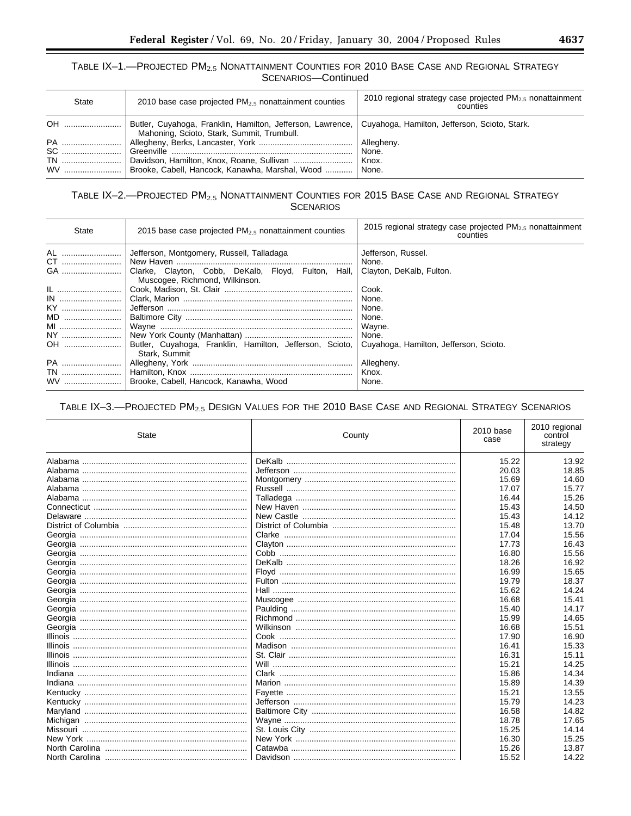# TABLE IX-1.-PROJECTED PM<sub>2.5</sub> NONATTAINMENT COUNTIES FOR 2010 BASE CASE AND REGIONAL STRATEGY SCENARIOS-Continued

| <b>State</b> | 2010 base case projected $PM_2$ , nonattainment counties                                                 | 2010 regional strategy case projected $PM2.5$ nonattainment<br>counties |
|--------------|----------------------------------------------------------------------------------------------------------|-------------------------------------------------------------------------|
| OH !         | Butler, Cuyahoga, Franklin, Hamilton, Jefferson, Lawrence,<br>Mahoning, Scioto, Stark, Summit, Trumbull. | Cuyahoga, Hamilton, Jefferson, Scioto, Stark.                           |
| PA           |                                                                                                          | Allegheny.                                                              |
|              |                                                                                                          | None.                                                                   |
| <b>TN</b>    |                                                                                                          | ' Knox.                                                                 |
|              | Brooke, Cabell, Hancock, Kanawha, Marshal, Wood    None.                                                 |                                                                         |

# TABLE IX-2.-PROJECTED PM<sub>2.5</sub> NONATTAINMENT COUNTIES FOR 2015 BASE CASE AND REGIONAL STRATEGY **SCENARIOS**

| State                                                                                           | 2015 base case projected $PM_{2.5}$ nonattainment counties                                                                                                                                                      | 2015 regional strategy case projected $PM_{2.5}$ nonattainment<br>counties                                                                                                      |
|-------------------------------------------------------------------------------------------------|-----------------------------------------------------------------------------------------------------------------------------------------------------------------------------------------------------------------|---------------------------------------------------------------------------------------------------------------------------------------------------------------------------------|
| AL<br>CT<br>GA<br><u>IL …………………………</u><br>$IN$<br>KY<br>MD<br>MI<br>NY<br>OH<br>PA<br><b>TN</b> | Jefferson, Montgomery, Russell, Talladaga<br>Clarke, Clayton, Cobb, DeKalb, Floyd, Fulton, Hall,<br>Muscogee, Richmond, Wilkinson.<br>Butler, Cuyahoga, Franklin, Hamilton, Jefferson, Scioto,<br>Stark, Summit | Jefferson, Russel.<br>None.<br>Clayton, DeKalb, Fulton.<br>Cook.<br>None.<br>None.<br>None.<br>Wayne.<br>None.<br>Cuyahoga, Hamilton, Jefferson, Scioto.<br>Allegheny.<br>Knox. |
|                                                                                                 | Brooke, Cabell, Hancock, Kanawha, Wood                                                                                                                                                                          | None.                                                                                                                                                                           |

# TABLE IX-3.-PROJECTED PM<sub>2.5</sub> DESIGN VALUES FOR THE 2010 BASE CASE AND REGIONAL STRATEGY SCENARIOS

| State | County | 2010 base<br>case | 2010 regional<br>control<br>strategy |
|-------|--------|-------------------|--------------------------------------|
|       |        | 15.22             | 13.92                                |
|       |        | 20.03             | 18.85                                |
|       |        | 15.69             | 14.60                                |
|       |        | 17.07             | 15.77                                |
|       |        | 16.44             | 15.26                                |
|       |        | 15.43             | 14.50                                |
|       |        | 15.43             | 14.12                                |
|       |        | 15.48             | 13.70                                |
|       |        | 17.04             | 15.56                                |
|       |        | 17.73             | 16.43                                |
|       |        | 16.80             | 15.56                                |
|       |        | 18.26             | 16.92                                |
|       |        | 16.99             | 15.65                                |
|       |        | 19.79             | 18.37                                |
|       |        | 15.62             | 14.24                                |
|       |        | 16.68             | 15.41                                |
|       |        | 15.40             | 14.17                                |
|       |        | 15.99             | 14.65                                |
|       |        | 16.68             | 15.51                                |
|       |        | 17.90             | 16.90                                |
|       |        | 16.41             | 15.33                                |
|       |        | 16.31             | 15.11                                |
|       |        | 15.21             | 14.25                                |
|       |        | 15.86             | 14.34                                |
|       |        | 15.89             | 14.39                                |
|       |        | 15.21             | 13.55                                |
|       |        | 15.79             | 14.23                                |
|       |        | 16.58             | 14.82                                |
|       |        | 18.78             | 17.65                                |
|       |        | 15.25             | 14.14                                |
|       |        | 16.30             | 15.25                                |
|       |        | 15.26             | 13.87                                |
|       |        | 15.52             | 14.22                                |

۰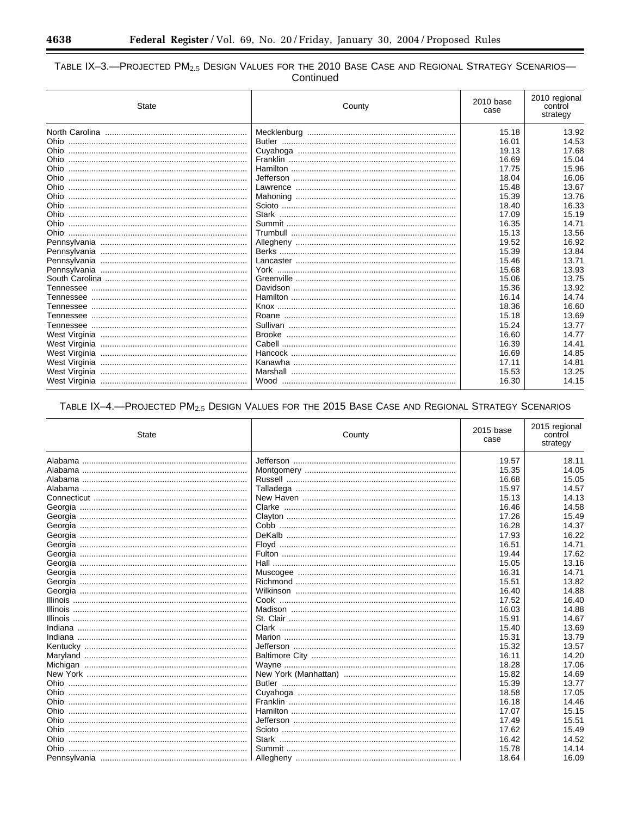۳

# TABLE IX-3.—PROJECTED  $PM_{2.5}$  Design Values for the 2010 Base Case and Regional Strategy Scenarios—<br>Continued

| State                                 | County | 2010 base<br>case | 2010 regional<br>control<br>strategy |
|---------------------------------------|--------|-------------------|--------------------------------------|
|                                       |        | 15.18             | 13.92                                |
|                                       |        | 16.01             | 14.53                                |
|                                       |        | 19.13             | 17.68                                |
|                                       |        | 16.69             | 15.04                                |
|                                       |        | 17.75             | 15.96                                |
| Ohio                                  |        | 18.04             | 16.06                                |
|                                       |        | 15.48             | 13.67                                |
|                                       |        | 15.39             | 13.76                                |
| <u>Ohio …………………………………………………………………</u> |        | 18.40             | 16.33                                |
|                                       |        | 17.09             | 15.19                                |
|                                       |        | 16.35             | 14.71                                |
| <u>Ohio …………………………………………………………………</u> |        | 15.13             | 13.56                                |
|                                       |        | 19.52             | 16.92                                |
|                                       |        | 15.39             | 13.84                                |
|                                       |        | 15.46             | 13.71                                |
|                                       |        | 15.68             | 13.93                                |
|                                       |        | 15.06             | 13.75                                |
|                                       |        | 15.36             | 13.92                                |
|                                       |        | 16.14             | 14.74                                |
|                                       |        | 18.36             | 16.60                                |
|                                       |        | 15.18             | 13.69                                |
|                                       |        | 15.24             | 13.77                                |
|                                       |        | 16.60             | 14.77                                |
|                                       |        | 16.39             | 14.41                                |
|                                       |        | 16.69             | 14.85                                |
|                                       |        | 17.11             | 14.81                                |
| West Virginia                         |        | 15.53             | 13.25                                |
|                                       |        | 16.30             | 14.15                                |
|                                       |        |                   |                                      |

# TABLE IX-4.-PROJECTED PM<sub>2.5</sub> DESIGN VALUES FOR THE 2015 BASE CASE AND REGIONAL STRATEGY SCENARIOS

| State                                | County | 2015 base<br>case | 2015 regional<br>control<br>strategy |
|--------------------------------------|--------|-------------------|--------------------------------------|
|                                      |        | 19.57             | 18.11                                |
|                                      |        | 15.35             | 14.05                                |
|                                      |        | 16.68             | 15.05                                |
|                                      |        | 15.97             | 14.57                                |
|                                      |        | 15.13             | 14.13                                |
|                                      |        | 16.46             | 14.58                                |
|                                      |        | 17.26             | 15.49                                |
|                                      |        | 16.28             | 14.37                                |
|                                      |        | 17.93             | 16.22                                |
|                                      |        | 16.51             | 14.71                                |
|                                      |        | 19.44             | 17.62                                |
|                                      |        | 15.05             | 13.16                                |
|                                      |        | 16.31             | 14.71                                |
|                                      |        | 15.51             | 13.82                                |
|                                      |        | 16.40             | 14.88                                |
|                                      |        | 17.52             | 16.40                                |
|                                      |        | 16.03             | 14.88                                |
|                                      |        | 15.91             | 14.67                                |
|                                      |        | 15.40             | 13.69                                |
|                                      |        | 15.31             | 13.79                                |
|                                      |        | 15.32             | 13.57                                |
|                                      |        | 16.11             | 14.20                                |
|                                      |        | 18.28             | 17.06                                |
|                                      |        | 15.82             | 14.69                                |
|                                      |        | 15.39             | 13.77                                |
| <u>Ohio ………………………………………………………………</u> |        | 18.58             | 17.05                                |
|                                      |        | 16.18             | 14.46                                |
|                                      |        | 17.07             | 15.15                                |
|                                      |        | 17.49             | 15.51                                |
| <u>Ohio ………………………………………………………………</u> |        | 17.62             | 15.49                                |
|                                      |        | 16.42             | 14.52                                |
|                                      |        | 15.78             | 14.14                                |
|                                      |        | 18.64             | 16.09                                |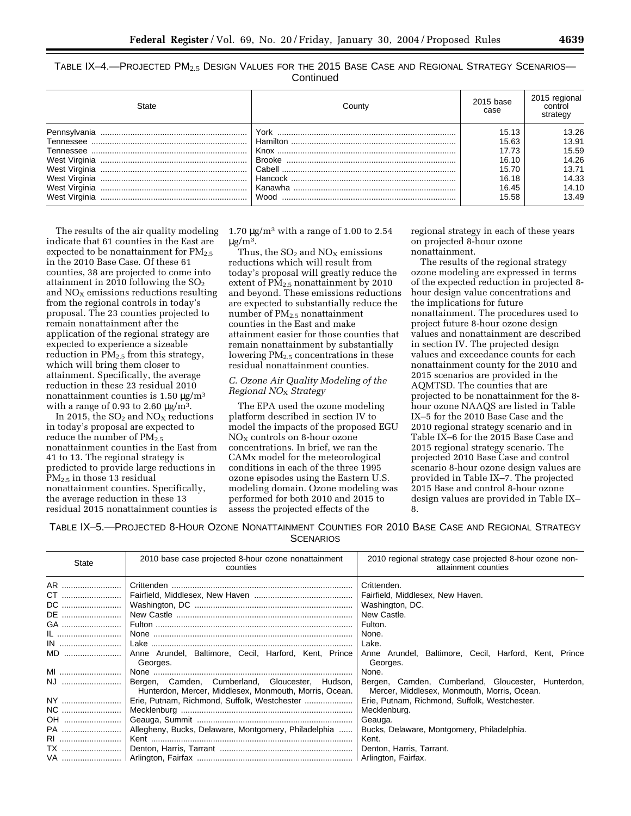TABLE IX-4.—PROJECTED  $PM_{2.5}$  Design Values for the 2015 Base Case and Regional Strategy Scenarios— **Continued** 

| State         | Countv  | 2015 base<br>case | 2015 regional<br>control<br>strategy |
|---------------|---------|-------------------|--------------------------------------|
| Pennsvlvania  | York    | 15.13             | 13.26                                |
| Tennessee     |         | 15.63             | 13.91                                |
| Tennessee     |         | 17.73             | 15.59                                |
|               |         | 16.10             | 14.26                                |
|               |         | 15.70             | 13.71                                |
| West Virginia |         | 16.18             | 14.33                                |
| West Virginia | Kanawha | 16.45             | 14.10                                |
| West Virginia | Wood    | 15.58             | 13.49                                |

The results of the air quality modeling indicate that 61 counties in the East are expected to be nonattainment for  $PM_{2.5}$ in the 2010 Base Case. Of these 61 counties, 38 are projected to come into attainment in 2010 following the  $SO<sub>2</sub>$ and  $NO<sub>x</sub>$  emissions reductions resulting from the regional controls in today's proposal. The 23 counties projected to remain nonattainment after the application of the regional strategy are expected to experience a sizeable reduction in  $PM<sub>2.5</sub>$  from this strategy, which will bring them closer to attainment. Specifically, the average reduction in these 23 residual 2010 nonattainment counties is 1.50  $\mu$ g/m<sup>3</sup> with a range of 0.93 to 2.60  $\mu$ g/m<sup>3</sup>.

In 2015, the  $SO_2$  and  $NO<sub>x</sub>$  reductions in today's proposal are expected to reduce the number of  $PM_{2.5}$ nonattainment counties in the East from 41 to 13. The regional strategy is predicted to provide large reductions in  $PM_{2.5}$  in those 13 residual nonattainment counties. Specifically, the average reduction in these 13 residual 2015 nonattainment counties is 1.70  $\mu$ g/m<sup>3</sup> with a range of 1.00 to 2.54  $\mu$ g/m<sup>3</sup>.

Thus, the  $SO<sub>2</sub>$  and  $NO<sub>X</sub>$  emissions reductions which will result from today's proposal will greatly reduce the extent of PM<sub>2.5</sub> nonattainment by 2010 and beyond. These emissions reductions are expected to substantially reduce the number of PM2.5 nonattainment counties in the East and make attainment easier for those counties that remain nonattainment by substantially lowering PM<sub>2.5</sub> concentrations in these residual nonattainment counties.

# *C. Ozone Air Quality Modeling of the Regional NO*X *Strategy*

The EPA used the ozone modeling platform described in section IV to model the impacts of the proposed EGU  $NO<sub>X</sub>$  controls on 8-hour ozone concentrations. In brief, we ran the CAMx model for the meteorological conditions in each of the three 1995 ozone episodes using the Eastern U.S. modeling domain. Ozone modeling was performed for both 2010 and 2015 to assess the projected effects of the

regional strategy in each of these years on projected 8-hour ozone nonattainment.

The results of the regional strategy ozone modeling are expressed in terms of the expected reduction in projected 8 hour design value concentrations and the implications for future nonattainment. The procedures used to project future 8-hour ozone design values and nonattainment are described in section IV. The projected design values and exceedance counts for each nonattainment county for the 2010 and 2015 scenarios are provided in the AQMTSD. The counties that are projected to be nonattainment for the 8 hour ozone NAAQS are listed in Table IX–5 for the 2010 Base Case and the 2010 regional strategy scenario and in Table IX–6 for the 2015 Base Case and 2015 regional strategy scenario. The projected 2010 Base Case and control scenario 8-hour ozone design values are provided in Table IX–7. The projected 2015 Base and control 8-hour ozone design values are provided in Table IX– 8.

TABLE IX–5.—PROJECTED 8-HOUR OZONE NONATTAINMENT COUNTIES FOR 2010 BASE CASE AND REGIONAL STRATEGY **SCENARIOS** 

| <b>State</b> | 2010 base case projected 8-hour ozone nonattainment<br>counties                                           | 2010 regional strategy case projected 8-hour ozone non-<br>attainment counties                    |  |
|--------------|-----------------------------------------------------------------------------------------------------------|---------------------------------------------------------------------------------------------------|--|
| AR           |                                                                                                           | Crittenden.                                                                                       |  |
| CT           |                                                                                                           | Fairfield, Middlesex, New Haven.                                                                  |  |
| DC           |                                                                                                           | Washington, DC.                                                                                   |  |
| DE           |                                                                                                           | New Castle.                                                                                       |  |
| GA           |                                                                                                           | Fulton.                                                                                           |  |
|              |                                                                                                           | None.                                                                                             |  |
|              |                                                                                                           | Lake.                                                                                             |  |
| MD           | Anne Arundel, Baltimore, Cecil, Harford, Kent, Prince<br>Georges.                                         | Anne Arundel, Baltimore, Cecil, Harford, Kent, Prince<br>Georges.                                 |  |
| MI           |                                                                                                           | None.                                                                                             |  |
| NJ           | Bergen, Camden, Cumberland, Gloucester, Hudson,<br>Hunterdon, Mercer, Middlesex, Monmouth, Morris, Ocean. | Bergen, Camden, Cumberland, Gloucester, Hunterdon,<br>Mercer, Middlesex, Monmouth, Morris, Ocean. |  |
| NY           | Erie, Putnam, Richmond, Suffolk, Westchester                                                              | Erie, Putnam, Richmond, Suffolk, Westchester.                                                     |  |
| NC           |                                                                                                           | Mecklenburg.                                                                                      |  |
| OH           |                                                                                                           | Geauga.                                                                                           |  |
| PA           | Allegheny, Bucks, Delaware, Montgomery, Philadelphia                                                      | Bucks, Delaware, Montgomery, Philadelphia.                                                        |  |
| RI           |                                                                                                           | Kent.                                                                                             |  |
| <b>TX</b>    |                                                                                                           | Denton, Harris, Tarrant.                                                                          |  |
|              |                                                                                                           |                                                                                                   |  |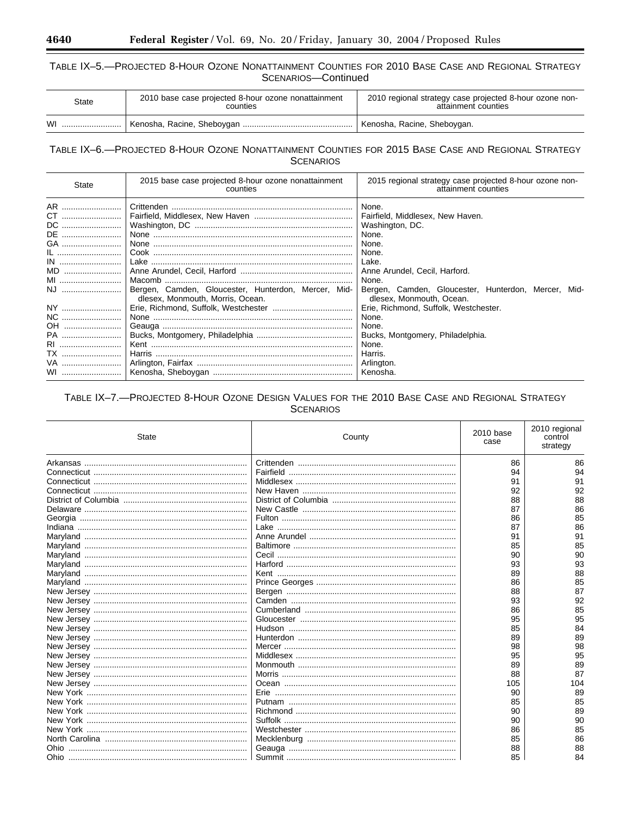# TABLE IX-5.-PROJECTED 8-HOUR OZONE NONATTAINMENT COUNTIES FOR 2010 BASE CASE AND REGIONAL STRATEGY SCENARIOS-Continued

| <b>State</b> | 2010 base case projected 8-hour ozone nonattainment<br>counties | 2010 regional strategy case projected 8-hour ozone non-<br>attainment counties |
|--------------|-----------------------------------------------------------------|--------------------------------------------------------------------------------|
| WI           |                                                                 | Kenosha, Racine, Sheboygan.                                                    |

# TABLE IX-6.-PROJECTED 8-HOUR OZONE NONATTAINMENT COUNTIES FOR 2015 BASE CASE AND REGIONAL STRATEGY **SCENARIOS**

| State                                                                                                     | 2015 base case projected 8-hour ozone nonattainment<br>counties                         | 2015 regional strategy case projected 8-hour ozone non-<br>attainment counties                                                                                                                                                                                                                                                                                             |  |
|-----------------------------------------------------------------------------------------------------------|-----------------------------------------------------------------------------------------|----------------------------------------------------------------------------------------------------------------------------------------------------------------------------------------------------------------------------------------------------------------------------------------------------------------------------------------------------------------------------|--|
| AR<br>CT<br>DC<br>DE<br>GA<br>IL<br>MD<br>MI<br>NJ<br>NY<br>NC<br>OH<br>PA<br>RI<br><b>TX</b><br>VA<br>WI | Bergen, Camden, Gloucester, Hunterdon, Mercer, Mid-<br>dlesex. Monmouth. Morris. Ocean. | None.<br>Fairfield, Middlesex, New Haven.<br>Washington, DC.<br>None.<br>None.<br>None.<br>Lake.<br>Anne Arundel, Cecil, Harford.<br>None.<br>Bergen, Camden, Gloucester, Hunterdon, Mercer, Mid-<br>dlesex. Monmouth. Ocean.<br>Erie, Richmond, Suffolk, Westchester.<br>None.<br>None.<br>Bucks, Montgomery, Philadelphia.<br>None.<br>Harris.<br>Arlington.<br>Kenosha. |  |

# TABLE IX-7.-PROJECTED 8-HOUR OZONE DESIGN VALUES FOR THE 2010 BASE CASE AND REGIONAL STRATEGY **SCENARIOS**

| State | County                          | 2010 base<br>case | 2010 regional<br>control<br>strategy |
|-------|---------------------------------|-------------------|--------------------------------------|
|       |                                 | 86                | 86                                   |
|       |                                 | 94                | 94                                   |
|       |                                 | 91                | 91                                   |
|       |                                 | 92                | 92                                   |
|       |                                 | 88                | 88                                   |
|       |                                 | 87                | 86                                   |
|       |                                 | 86                | 85                                   |
|       |                                 | 87                | 86                                   |
|       |                                 | 91                | 91                                   |
|       |                                 | 85                | 85                                   |
|       |                                 | 90                | 90                                   |
|       |                                 | 93                | 93                                   |
|       |                                 | 89                | 88                                   |
|       |                                 | 86                | 85                                   |
|       |                                 | 88                | 87                                   |
|       |                                 | 93                | 92                                   |
|       |                                 | 86                | 85                                   |
|       |                                 | 95                | 95                                   |
|       |                                 | 85                | 84                                   |
|       |                                 | 89                | 89                                   |
|       |                                 | 98                | 98                                   |
|       |                                 | 95                | 95                                   |
|       |                                 | 89                | 89                                   |
|       |                                 | 88                | 87                                   |
|       |                                 | 105               | 104                                  |
|       | Erie …………………………………………………………………… | 90                | 89                                   |
|       |                                 | 85                | 85                                   |
|       |                                 | 90                | 89                                   |
|       |                                 | 90                | 90                                   |
|       |                                 | 86                | 85                                   |
|       |                                 | 85                | 86                                   |
|       |                                 | 88                | 88                                   |
|       |                                 | 85                | 84                                   |

۳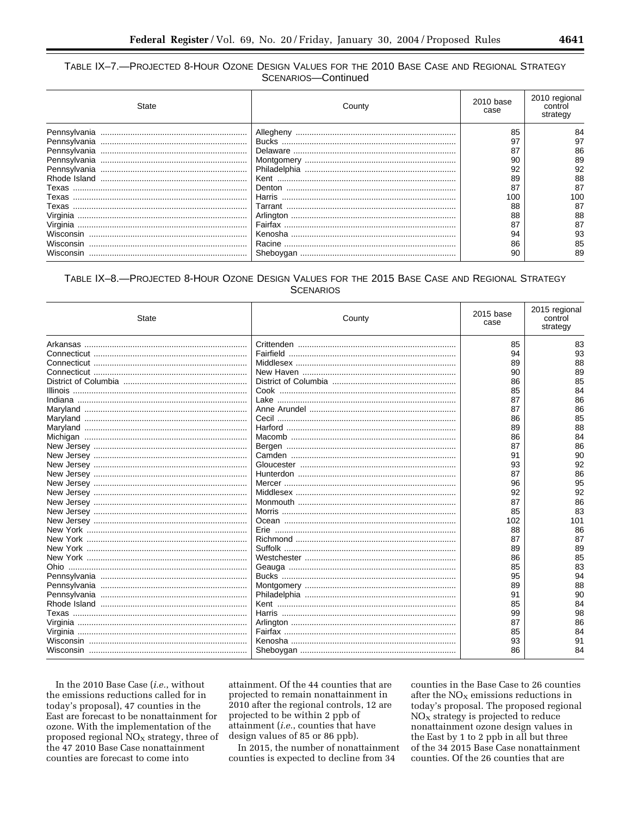# TABLE IX-7.-PROJECTED 8-HOUR OZONE DESIGN VALUES FOR THE 2010 BASE CASE AND REGIONAL STRATEGY SCENARIOS-Continued

| State        | County   | 2010 base<br>case | 2010 regional<br>control<br>strategy |
|--------------|----------|-------------------|--------------------------------------|
| Pennsylvania |          | 85                | 84                                   |
| Pennsylvania |          | 97                | 97                                   |
| Pennsylvania | Delaware | 87                | 86                                   |
| Pennsylvania |          | 90                | 89                                   |
| Pennsylvania |          | 92                | 92                                   |
|              | Kent     | 89                | 88                                   |
|              | Denton   | 87                | 87                                   |
|              | Harris   | 100               | 100                                  |
| Texas        |          | 88                | 87                                   |
| Virginia     |          | 88                | 88                                   |
| Virginia     |          | 87                | 87                                   |
|              |          | 94                | 93                                   |
| Wisconsin    | Racine   | 86                | 85                                   |
|              |          | 90                | 89                                   |

# TABLE IX-8.-PROJECTED 8-HOUR OZONE DESIGN VALUES FOR THE 2015 BASE CASE AND REGIONAL STRATEGY **SCENARIOS**

| State | County | 2015 base<br>case | 2015 regional<br>control<br>strategy |
|-------|--------|-------------------|--------------------------------------|
|       |        | 85                | 83                                   |
|       |        | 94                | 93                                   |
|       |        | 89                | 88                                   |
|       |        | 90                | 89                                   |
|       |        | 86                | 85                                   |
|       |        | 85                | 84                                   |
|       |        | 87                | 86                                   |
|       |        | 87                | 86                                   |
|       |        | 86                | 85                                   |
|       |        | 89                | 88                                   |
|       |        | 86                | 84                                   |
|       |        | 87                | 86                                   |
|       |        | 91                | 90                                   |
|       |        | 93                | 92                                   |
|       |        | 87                | 86                                   |
|       |        | 96                | 95                                   |
|       |        | 92                | 92                                   |
|       |        | 87                | 86                                   |
|       |        | 85                | 83                                   |
|       |        | 102               | 101                                  |
|       |        | 88                | 86                                   |
|       |        | 87                | 87                                   |
|       |        | 89                | 89                                   |
|       |        | 86                | 85                                   |
|       |        | 85                | 83                                   |
|       |        | 95                | 94                                   |
|       |        | 89                | 88                                   |
|       |        | 91                | 90                                   |
|       |        | 85                | 84                                   |
|       |        | 99                | 98                                   |
|       |        | 87                | 86                                   |
|       |        | 85                | 84                                   |
|       |        | 93                | 91                                   |
|       |        | 86                | 84                                   |

In the 2010 Base Case (i.e., without the emissions reductions called for in today's proposal), 47 counties in the East are forecast to be nonattainment for ozone. With the implementation of the proposed regional  $\overline{NO}_X$  strategy, three of the 47 2010 Base Case nonattainment counties are forecast to come into

attainment. Of the 44 counties that are projected to remain nonattainment in 2010 after the regional controls, 12 are projected to be within 2 ppb of attainment (i.e., counties that have design values of 85 or 86 ppb).

In 2015, the number of nonattainment counties is expected to decline from 34

counties in the Base Case to 26 counties after the  $NO<sub>x</sub>$  emissions reductions in today's proposal. The proposed regional NO<sub>x</sub> strategy is projected to reduce nonattainment ozone design values in the East by 1 to 2 ppb in all but three of the 34 2015 Base Case nonattainment counties. Of the 26 counties that are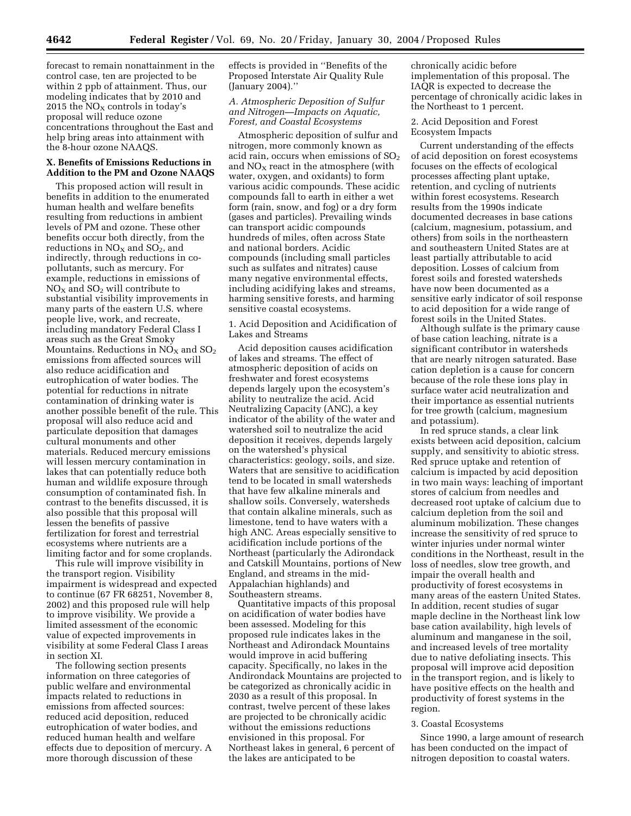forecast to remain nonattainment in the control case, ten are projected to be within 2 ppb of attainment. Thus, our modeling indicates that by 2010 and 2015 the  $\overline{\rm NO_{X}}$  controls in today's proposal will reduce ozone concentrations throughout the East and help bring areas into attainment with the 8-hour ozone NAAQS.

# **X. Benefits of Emissions Reductions in Addition to the PM and Ozone NAAQS**

This proposed action will result in benefits in addition to the enumerated human health and welfare benefits resulting from reductions in ambient levels of PM and ozone. These other benefits occur both directly, from the reductions in  $NO<sub>X</sub>$  and  $SO<sub>2</sub>$ , and indirectly, through reductions in copollutants, such as mercury. For example, reductions in emissions of  $NO<sub>X</sub>$  and  $SO<sub>2</sub>$  will contribute to substantial visibility improvements in many parts of the eastern U.S. where people live, work, and recreate, including mandatory Federal Class I areas such as the Great Smoky Mountains. Reductions in  $NO<sub>X</sub>$  and  $SO<sub>2</sub>$ emissions from affected sources will also reduce acidification and eutrophication of water bodies. The potential for reductions in nitrate contamination of drinking water is another possible benefit of the rule. This proposal will also reduce acid and particulate deposition that damages cultural monuments and other materials. Reduced mercury emissions will lessen mercury contamination in lakes that can potentially reduce both human and wildlife exposure through consumption of contaminated fish. In contrast to the benefits discussed, it is also possible that this proposal will lessen the benefits of passive fertilization for forest and terrestrial ecosystems where nutrients are a limiting factor and for some croplands.

This rule will improve visibility in the transport region. Visibility impairment is widespread and expected to continue (67 FR 68251, November 8, 2002) and this proposed rule will help to improve visibility. We provide a limited assessment of the economic value of expected improvements in visibility at some Federal Class I areas in section XI.

The following section presents information on three categories of public welfare and environmental impacts related to reductions in emissions from affected sources: reduced acid deposition, reduced eutrophication of water bodies, and reduced human health and welfare effects due to deposition of mercury. A more thorough discussion of these

effects is provided in ''Benefits of the Proposed Interstate Air Quality Rule (January 2004).''

# *A. Atmospheric Deposition of Sulfur and Nitrogen—Impacts on Aquatic, Forest, and Coastal Ecosystems*

Atmospheric deposition of sulfur and nitrogen, more commonly known as acid rain, occurs when emissions of  $SO<sub>2</sub>$ and  $NO<sub>x</sub>$  react in the atmosphere (with water, oxygen, and oxidants) to form various acidic compounds. These acidic compounds fall to earth in either a wet form (rain, snow, and fog) or a dry form (gases and particles). Prevailing winds can transport acidic compounds hundreds of miles, often across State and national borders. Acidic compounds (including small particles such as sulfates and nitrates) cause many negative environmental effects, including acidifying lakes and streams, harming sensitive forests, and harming sensitive coastal ecosystems.

1. Acid Deposition and Acidification of Lakes and Streams

Acid deposition causes acidification of lakes and streams. The effect of atmospheric deposition of acids on freshwater and forest ecosystems depends largely upon the ecosystem's ability to neutralize the acid. Acid Neutralizing Capacity (ANC), a key indicator of the ability of the water and watershed soil to neutralize the acid deposition it receives, depends largely on the watershed's physical characteristics: geology, soils, and size. Waters that are sensitive to acidification tend to be located in small watersheds that have few alkaline minerals and shallow soils. Conversely, watersheds that contain alkaline minerals, such as limestone, tend to have waters with a high ANC. Areas especially sensitive to acidification include portions of the Northeast (particularly the Adirondack and Catskill Mountains, portions of New England, and streams in the mid-Appalachian highlands) and Southeastern streams.

Quantitative impacts of this proposal on acidification of water bodies have been assessed. Modeling for this proposed rule indicates lakes in the Northeast and Adirondack Mountains would improve in acid buffering capacity. Specifically, no lakes in the Andirondack Mountains are projected to be categorized as chronically acidic in 2030 as a result of this proposal. In contrast, twelve percent of these lakes are projected to be chronically acidic without the emissions reductions envisioned in this proposal. For Northeast lakes in general, 6 percent of the lakes are anticipated to be

chronically acidic before implementation of this proposal. The IAQR is expected to decrease the percentage of chronically acidic lakes in the Northeast to 1 percent.

2. Acid Deposition and Forest Ecosystem Impacts

Current understanding of the effects of acid deposition on forest ecosystems focuses on the effects of ecological processes affecting plant uptake, retention, and cycling of nutrients within forest ecosystems. Research results from the 1990s indicate documented decreases in base cations (calcium, magnesium, potassium, and others) from soils in the northeastern and southeastern United States are at least partially attributable to acid deposition. Losses of calcium from forest soils and forested watersheds have now been documented as a sensitive early indicator of soil response to acid deposition for a wide range of forest soils in the United States.

Although sulfate is the primary cause of base cation leaching, nitrate is a significant contributor in watersheds that are nearly nitrogen saturated. Base cation depletion is a cause for concern because of the role these ions play in surface water acid neutralization and their importance as essential nutrients for tree growth (calcium, magnesium and potassium).

In red spruce stands, a clear link exists between acid deposition, calcium supply, and sensitivity to abiotic stress. Red spruce uptake and retention of calcium is impacted by acid deposition in two main ways: leaching of important stores of calcium from needles and decreased root uptake of calcium due to calcium depletion from the soil and aluminum mobilization. These changes increase the sensitivity of red spruce to winter injuries under normal winter conditions in the Northeast, result in the loss of needles, slow tree growth, and impair the overall health and productivity of forest ecosystems in many areas of the eastern United States. In addition, recent studies of sugar maple decline in the Northeast link low base cation availability, high levels of aluminum and manganese in the soil, and increased levels of tree mortality due to native defoliating insects. This proposal will improve acid deposition in the transport region, and is likely to have positive effects on the health and productivity of forest systems in the region.

## 3. Coastal Ecosystems

Since 1990, a large amount of research has been conducted on the impact of nitrogen deposition to coastal waters.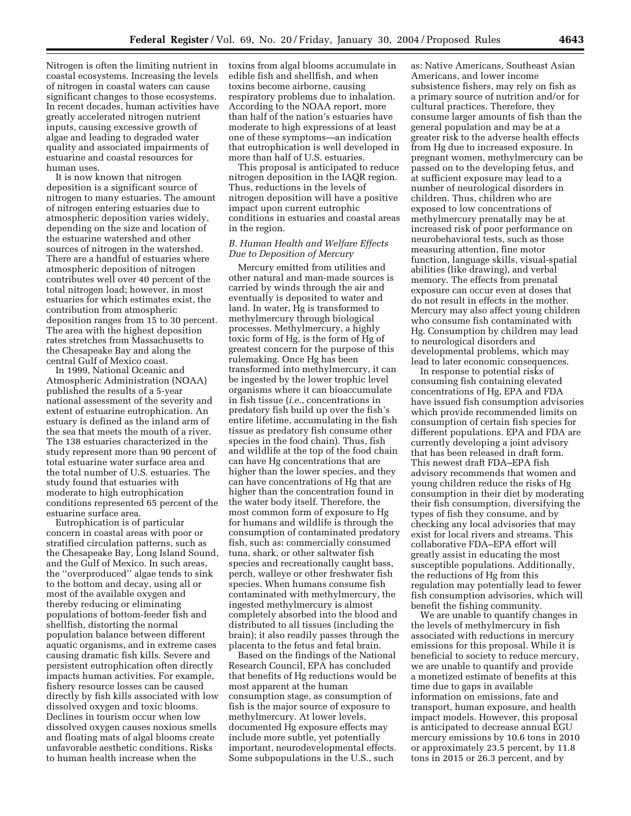Nitrogen is often the limiting nutrient in coastal ecosystems. Increasing the levels of nitrogen in coastal waters can cause significant changes to those ecosystems. In recent decades, human activities have greatly accelerated nitrogen nutrient inputs, causing excessive growth of algae and leading to degraded water quality and associated impairments of estuarine and coastal resources for human uses.

It is now known that nitrogen deposition is a significant source of nitrogen to many estuaries. The amount of nitrogen entering estuaries due to atmospheric deposition varies widely, depending on the size and location of the estuarine watershed and other sources of nitrogen in the watershed. There are a handful of estuaries where atmospheric deposition of nitrogen contributes well over 40 percent of the total nitrogen load; however, in most estuaries for which estimates exist, the contribution from atmospheric deposition ranges from 15 to 30 percent. The area with the highest deposition rates stretches from Massachusetts to the Chesapeake Bay and along the central Gulf of Mexico coast.

In 1999, National Oceanic and Atmospheric Administration (NOAA) published the results of a 5-year national assessment of the severity and extent of estuarine eutrophication. An estuary is defined as the inland arm of the sea that meets the mouth of a river. The 138 estuaries characterized in the study represent more than 90 percent of total estuarine water surface area and the total number of U.S. estuaries. The study found that estuaries with moderate to high eutrophication conditions represented 65 percent of the estuarine surface area.

Eutrophication is of particular concern in coastal areas with poor or stratified circulation patterns, such as the Chesapeake Bay, Long Island Sound, and the Gulf of Mexico. In such areas, the ''overproduced'' algae tends to sink to the bottom and decay, using all or most of the available oxygen and thereby reducing or eliminating populations of bottom-feeder fish and shellfish, distorting the normal population balance between different aquatic organisms, and in extreme cases causing dramatic fish kills. Severe and persistent eutrophication often directly impacts human activities. For example, fishery resource losses can be caused directly by fish kills associated with low dissolved oxygen and toxic blooms. Declines in tourism occur when low dissolved oxygen causes noxious smells and floating mats of algal blooms create unfavorable aesthetic conditions. Risks to human health increase when the

toxins from algal blooms accumulate in edible fish and shellfish, and when toxins become airborne, causing respiratory problems due to inhalation. According to the NOAA report, more than half of the nation's estuaries have moderate to high expressions of at least one of these symptoms—an indication that eutrophication is well developed in more than half of U.S. estuaries.

This proposal is anticipated to reduce nitrogen deposition in the IAQR region. Thus, reductions in the levels of nitrogen deposition will have a positive impact upon current eutrophic conditions in estuaries and coastal areas in the region.

# *B. Human Health and Welfare Effects Due to Deposition of Mercury*

Mercury emitted from utilities and other natural and man-made sources is carried by winds through the air and eventually is deposited to water and land. In water, Hg is transformed to methylmercury through biological processes. Methylmercury, a highly toxic form of Hg, is the form of Hg of greatest concern for the purpose of this rulemaking. Once Hg has been transformed into methylmercury, it can be ingested by the lower trophic level organisms where it can bioaccumulate in fish tissue (*i.e.*, concentrations in predatory fish build up over the fish's entire lifetime, accumulating in the fish tissue as predatory fish consume other species in the food chain). Thus, fish and wildlife at the top of the food chain can have Hg concentrations that are higher than the lower species, and they can have concentrations of Hg that are higher than the concentration found in the water body itself. Therefore, the most common form of exposure to Hg for humans and wildlife is through the consumption of contaminated predatory fish, such as: commercially consumed tuna, shark, or other saltwater fish species and recreationally caught bass, perch, walleye or other freshwater fish species. When humans consume fish contaminated with methylmercury, the ingested methylmercury is almost completely absorbed into the blood and distributed to all tissues (including the brain); it also readily passes through the placenta to the fetus and fetal brain.

Based on the findings of the National Research Council, EPA has concluded that benefits of Hg reductions would be most apparent at the human consumption stage, as consumption of fish is the major source of exposure to methylmercury. At lower levels, documented Hg exposure effects may include more subtle, yet potentially important, neurodevelopmental effects. Some subpopulations in the U.S., such

as: Native Americans, Southeast Asian Americans, and lower income subsistence fishers, may rely on fish as a primary source of nutrition and/or for cultural practices. Therefore, they consume larger amounts of fish than the general population and may be at a greater risk to the adverse health effects from Hg due to increased exposure. In pregnant women, methylmercury can be passed on to the developing fetus, and at sufficient exposure may lead to a number of neurological disorders in children. Thus, children who are exposed to low concentrations of methylmercury prenatally may be at increased risk of poor performance on neurobehavioral tests, such as those measuring attention, fine motor function, language skills, visual-spatial abilities (like drawing), and verbal memory. The effects from prenatal exposure can occur even at doses that do not result in effects in the mother. Mercury may also affect young children who consume fish contaminated with Hg. Consumption by children may lead to neurological disorders and developmental problems, which may lead to later economic consequences.

In response to potential risks of consuming fish containing elevated concentrations of Hg, EPA and FDA have issued fish consumption advisories which provide recommended limits on consumption of certain fish species for different populations. EPA and FDA are currently developing a joint advisory that has been released in draft form. This newest draft FDA–EPA fish advisory recommends that women and young children reduce the risks of Hg consumption in their diet by moderating their fish consumption, diversifying the types of fish they consume, and by checking any local advisories that may exist for local rivers and streams. This collaborative FDA–EPA effort will greatly assist in educating the most susceptible populations. Additionally, the reductions of Hg from this regulation may potentially lead to fewer fish consumption advisories, which will benefit the fishing community.

We are unable to quantify changes in the levels of methylmercury in fish associated with reductions in mercury emissions for this proposal. While it is beneficial to society to reduce mercury, we are unable to quantify and provide a monetized estimate of benefits at this time due to gaps in available information on emissions, fate and transport, human exposure, and health impact models. However, this proposal is anticipated to decrease annual EGU mercury emissions by 10.6 tons in 2010 or approximately 23.5 percent, by 11.8 tons in 2015 or 26.3 percent, and by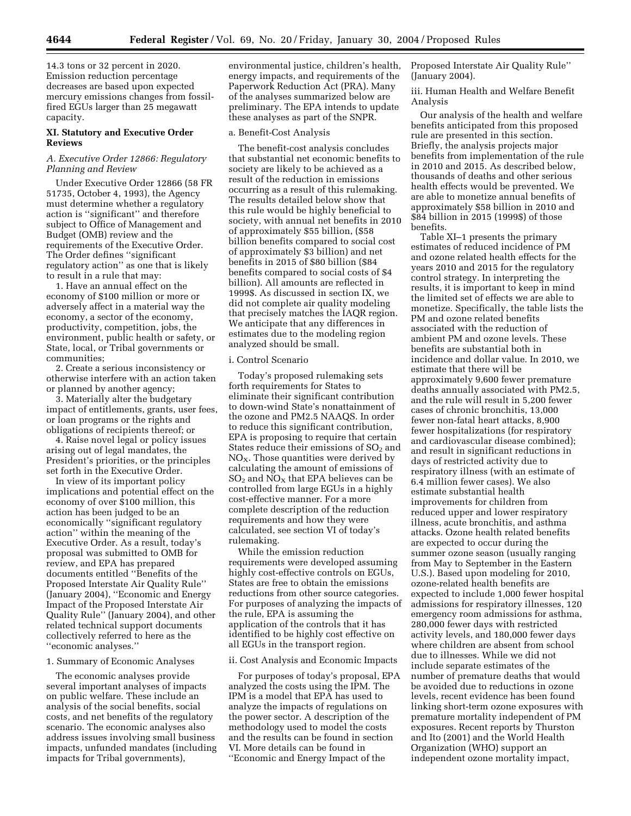14.3 tons or 32 percent in 2020. Emission reduction percentage decreases are based upon expected mercury emissions changes from fossilfired EGUs larger than 25 megawatt capacity.

## **XI. Statutory and Executive Order Reviews**

# *A. Executive Order 12866: Regulatory Planning and Review*

Under Executive Order 12866 (58 FR 51735, October 4, 1993), the Agency must determine whether a regulatory action is ''significant'' and therefore subject to Office of Management and Budget (OMB) review and the requirements of the Executive Order. The Order defines ''significant regulatory action'' as one that is likely to result in a rule that may:

1. Have an annual effect on the economy of \$100 million or more or adversely affect in a material way the economy, a sector of the economy, productivity, competition, jobs, the environment, public health or safety, or State, local, or Tribal governments or communities;

2. Create a serious inconsistency or otherwise interfere with an action taken or planned by another agency;

3. Materially alter the budgetary impact of entitlements, grants, user fees, or loan programs or the rights and obligations of recipients thereof; or

4. Raise novel legal or policy issues arising out of legal mandates, the President's priorities, or the principles set forth in the Executive Order.

In view of its important policy implications and potential effect on the economy of over \$100 million, this action has been judged to be an economically ''significant regulatory action'' within the meaning of the Executive Order. As a result, today's proposal was submitted to OMB for review, and EPA has prepared documents entitled ''Benefits of the Proposed Interstate Air Quality Rule'' (January 2004), ''Economic and Energy Impact of the Proposed Interstate Air Quality Rule'' (January 2004), and other related technical support documents collectively referred to here as the ''economic analyses.''

#### 1. Summary of Economic Analyses

The economic analyses provide several important analyses of impacts on public welfare. These include an analysis of the social benefits, social costs, and net benefits of the regulatory scenario. The economic analyses also address issues involving small business impacts, unfunded mandates (including impacts for Tribal governments),

environmental justice, children's health, energy impacts, and requirements of the Paperwork Reduction Act (PRA). Many of the analyses summarized below are preliminary. The EPA intends to update these analyses as part of the SNPR.

#### a. Benefit-Cost Analysis

The benefit-cost analysis concludes that substantial net economic benefits to society are likely to be achieved as a result of the reduction in emissions occurring as a result of this rulemaking. The results detailed below show that this rule would be highly beneficial to society, with annual net benefits in 2010 of approximately \$55 billion, (\$58 billion benefits compared to social cost of approximately \$3 billion) and net benefits in 2015 of \$80 billion (\$84 benefits compared to social costs of \$4 billion). All amounts are reflected in 1999\$. As discussed in section IX, we did not complete air quality modeling that precisely matches the IAQR region. We anticipate that any differences in estimates due to the modeling region analyzed should be small.

#### i. Control Scenario

Today's proposed rulemaking sets forth requirements for States to eliminate their significant contribution to down-wind State's nonattainment of the ozone and PM2.5 NAAQS. In order to reduce this significant contribution, EPA is proposing to require that certain States reduce their emissions of  $SO<sub>2</sub>$  and  $NO<sub>X</sub>$ . Those quantities were derived by calculating the amount of emissions of  $SO<sub>2</sub>$  and  $NO<sub>X</sub>$  that EPA believes can be controlled from large EGUs in a highly cost-effective manner. For a more complete description of the reduction requirements and how they were calculated, see section VI of today's rulemaking.

While the emission reduction requirements were developed assuming highly cost-effective controls on EGUs, States are free to obtain the emissions reductions from other source categories. For purposes of analyzing the impacts of the rule, EPA is assuming the application of the controls that it has identified to be highly cost effective on all EGUs in the transport region.

#### ii. Cost Analysis and Economic Impacts

For purposes of today's proposal, EPA analyzed the costs using the IPM. The IPM is a model that EPA has used to analyze the impacts of regulations on the power sector. A description of the methodology used to model the costs and the results can be found in section VI. More details can be found in ''Economic and Energy Impact of the

Proposed Interstate Air Quality Rule'' (January 2004).

iii. Human Health and Welfare Benefit Analysis

Our analysis of the health and welfare benefits anticipated from this proposed rule are presented in this section. Briefly, the analysis projects major benefits from implementation of the rule in 2010 and 2015. As described below, thousands of deaths and other serious health effects would be prevented. We are able to monetize annual benefits of approximately \$58 billion in 2010 and \$84 billion in 2015 (1999\$) of those benefits.

Table XI–1 presents the primary estimates of reduced incidence of PM and ozone related health effects for the years 2010 and 2015 for the regulatory control strategy. In interpreting the results, it is important to keep in mind the limited set of effects we are able to monetize. Specifically, the table lists the PM and ozone related benefits associated with the reduction of ambient PM and ozone levels. These benefits are substantial both in incidence and dollar value. In 2010, we estimate that there will be approximately 9,600 fewer premature deaths annually associated with PM2.5, and the rule will result in 5,200 fewer cases of chronic bronchitis, 13,000 fewer non-fatal heart attacks, 8,900 fewer hospitalizations (for respiratory and cardiovascular disease combined); and result in significant reductions in days of restricted activity due to respiratory illness (with an estimate of 6.4 million fewer cases). We also estimate substantial health improvements for children from reduced upper and lower respiratory illness, acute bronchitis, and asthma attacks. Ozone health related benefits are expected to occur during the summer ozone season (usually ranging from May to September in the Eastern U.S.). Based upon modeling for 2010, ozone-related health benefits are expected to include 1,000 fewer hospital admissions for respiratory illnesses, 120 emergency room admissions for asthma, 280,000 fewer days with restricted activity levels, and 180,000 fewer days where children are absent from school due to illnesses. While we did not include separate estimates of the number of premature deaths that would be avoided due to reductions in ozone levels, recent evidence has been found linking short-term ozone exposures with premature mortality independent of PM exposures. Recent reports by Thurston and Ito (2001) and the World Health Organization (WHO) support an independent ozone mortality impact,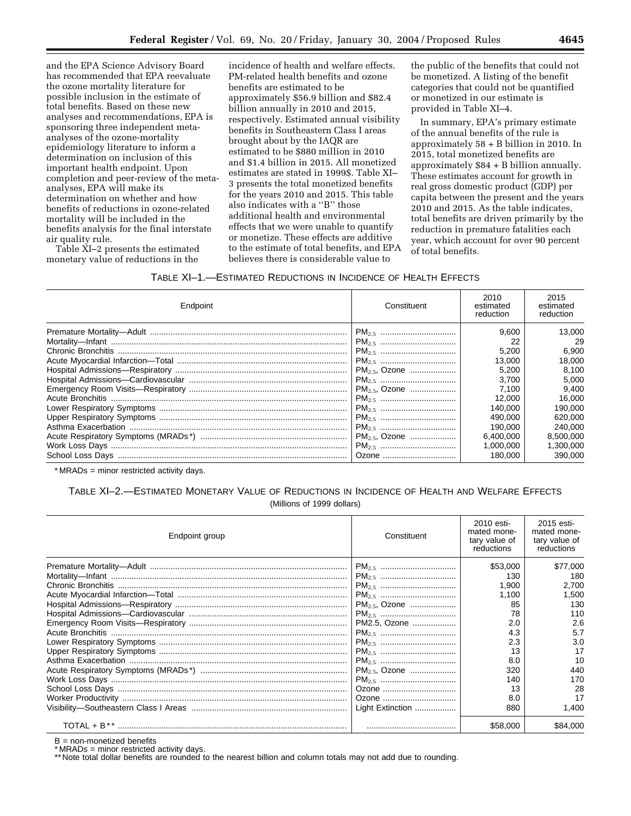and the EPA Science Advisory Board has recommended that EPA reevaluate the ozone mortality literature for possible inclusion in the estimate of total benefits. Based on these new analyses and recommendations, EPA is sponsoring three independent metaanalyses of the ozone-mortality epidemiology literature to inform a determination on inclusion of this important health endpoint. Upon completion and peer-review of the metaanalyses, EPA will make its determination on whether and how benefits of reductions in ozone-related mortality will be included in the benefits analysis for the final interstate air quality rule.

Table XI–2 presents the estimated monetary value of reductions in the

incidence of health and welfare effects. PM-related health benefits and ozone benefits are estimated to be approximately \$56.9 billion and \$82.4 billion annually in 2010 and 2015, respectively. Estimated annual visibility benefits in Southeastern Class I areas brought about by the IAQR are estimated to be \$880 million in 2010 and \$1.4 billion in 2015. All monetized estimates are stated in 1999\$. Table XI– 3 presents the total monetized benefits for the years 2010 and 2015. This table also indicates with a ''B'' those additional health and environmental effects that we were unable to quantify or monetize. These effects are additive to the estimate of total benefits, and EPA believes there is considerable value to

the public of the benefits that could not be monetized. A listing of the benefit categories that could not be quantified or monetized in our estimate is provided in Table XI–4.

In summary, EPA's primary estimate of the annual benefits of the rule is approximately 58 + B billion in 2010. In 2015, total monetized benefits are approximately \$84 + B billion annually. These estimates account for growth in real gross domestic product (GDP) per capita between the present and the years 2010 and 2015. As the table indicates, total benefits are driven primarily by the reduction in premature fatalities each year, which account for over 90 percent of total benefits.

# TABLE XI–1.—ESTIMATED REDUCTIONS IN INCIDENCE OF HEALTH EFFECTS

| Endpoint | Constituent        | 2010<br>estimated<br>reduction | 2015<br>estimated<br>reduction |
|----------|--------------------|--------------------------------|--------------------------------|
|          |                    | 9.600                          | 13.000                         |
|          |                    | 22                             | 29                             |
|          |                    | 5,200                          | 6,900                          |
|          |                    | 13.000                         | 18.000                         |
|          | $PM_{2.5}$ , Ozone | 5.200                          | 8,100                          |
|          |                    | 3.700                          | 5.000                          |
|          | $PM_{2.5}$ , Ozone | 7.100                          | 9,400                          |
|          |                    | 12.000                         | 16,000                         |
|          |                    | 140.000                        | 190,000                        |
|          |                    | 490.000                        | 620,000                        |
|          |                    | 190.000                        | 240.000                        |
|          | $PM_{2.5}$ , Ozone | 6.400.000                      | 8,500,000                      |
|          |                    | 1.000.000                      | 1.300.000                      |
|          | Ozone              | 180,000                        | 390,000                        |

\* MRADs = minor restricted activity days.

# TABLE XI–2.—ESTIMATED MONETARY VALUE OF REDUCTIONS IN INCIDENCE OF HEALTH AND WELFARE EFFECTS (Millions of 1999 dollars)

| Endpoint group | Constituent        | 2010 esti-<br>mated mone-<br>tary value of<br>reductions | 2015 esti-<br>mated mone-<br>tary value of<br>reductions |
|----------------|--------------------|----------------------------------------------------------|----------------------------------------------------------|
|                |                    | \$53,000                                                 | \$77,000                                                 |
|                |                    | 130                                                      | 180                                                      |
|                |                    | 1.900                                                    | 2,700                                                    |
|                |                    | 1,100                                                    | 1,500                                                    |
|                | $PM_{2.5}$ , Ozone | 85                                                       | 130                                                      |
|                |                    | 78                                                       | 110                                                      |
|                | PM2.5, Ozone       | 2.0                                                      | 2.6                                                      |
|                |                    | 4.3                                                      | 5.7                                                      |
|                |                    | 2.3                                                      | 3.0                                                      |
|                |                    | 13                                                       | 17                                                       |
|                |                    | 8.0                                                      | 10                                                       |
|                | $PM_{2.5}$ , Ozone | 320                                                      | 440                                                      |
|                |                    | 140                                                      | 170                                                      |
|                | Ozone              | 13                                                       | 28                                                       |
|                | Ozone              | 8.0                                                      | 17                                                       |
|                | Light Extinction   | 880                                                      | 1,400                                                    |
|                |                    | \$58,000                                                 | \$84,000                                                 |

 $B = non-monetized benefits$ 

\* MRADs = minor restricted activity days.

\*\* Note total dollar benefits are rounded to the nearest billion and column totals may not add due to rounding.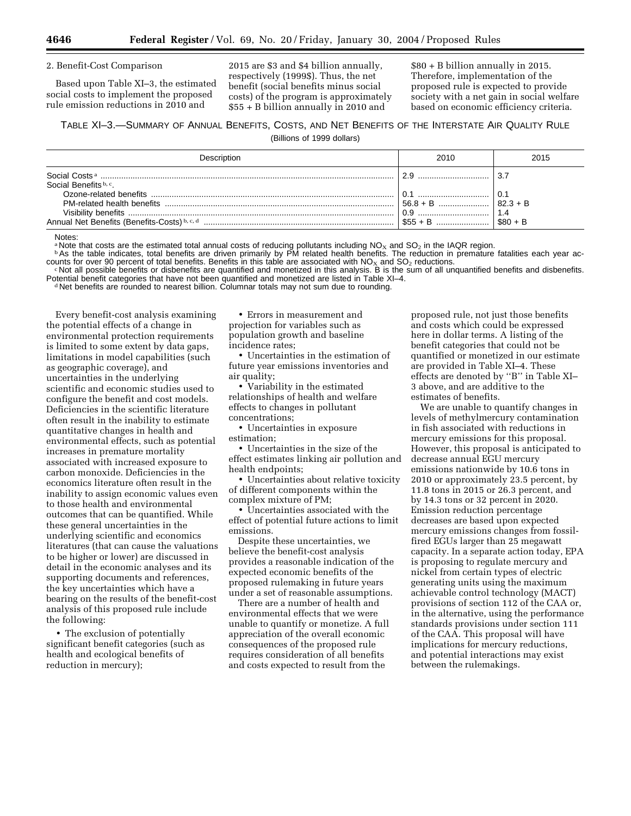#### 2. Benefit-Cost Comparison

Based upon Table XI–3, the estimated social costs to implement the proposed rule emission reductions in 2010 and

2015 are \$3 and \$4 billion annually, respectively (1999\$). Thus, the net benefit (social benefits minus social costs) of the program is approximately \$55 + B billion annually in 2010 and

\$80 + B billion annually in 2015. Therefore, implementation of the proposed rule is expected to provide society with a net gain in social welfare based on economic efficiency criteria.

# TABLE XI–3.—SUMMARY OF ANNUAL BENEFITS, COSTS, AND NET BENEFITS OF THE INTERSTATE AIR QUALITY RULE

(Billions of 1999 dollars)

| Description           | 2010 | 2015 |
|-----------------------|------|------|
|                       | 2.9  | 3.   |
| Social Benefits b, c. |      |      |
|                       | 0.1  | 0.1  |
|                       |      |      |
|                       |      |      |
|                       |      |      |

Notes:

<sup>1</sup>Note that costs are the estimated total annual costs of reducing pollutants including NO<sub>x</sub> and SO<sub>2</sub> in the IAQR region.<br><sup>b</sup>As the table indicates, total benefits are driven primarily by PM related health benefits. The counts for over 90 percent of total benefits. Benefits in this table are associated with NO<sub>x</sub> and SO<sub>2</sub> reductions.<br>
«Not all possible benefits or disbenefits are quantified and monetized in this analysis. B is the sum of

Potential benefit categories that have not been quantified and monetized are listed in Table XI–4.<br>d Net benefits are rounded to nearest billion. Columnar totals may not sum due to rounding.

Every benefit-cost analysis examining the potential effects of a change in environmental protection requirements is limited to some extent by data gaps, limitations in model capabilities (such as geographic coverage), and uncertainties in the underlying scientific and economic studies used to configure the benefit and cost models. Deficiencies in the scientific literature often result in the inability to estimate quantitative changes in health and environmental effects, such as potential increases in premature mortality associated with increased exposure to carbon monoxide. Deficiencies in the economics literature often result in the inability to assign economic values even to those health and environmental outcomes that can be quantified. While these general uncertainties in the underlying scientific and economics literatures (that can cause the valuations to be higher or lower) are discussed in detail in the economic analyses and its supporting documents and references, the key uncertainties which have a bearing on the results of the benefit-cost analysis of this proposed rule include the following:

• The exclusion of potentially significant benefit categories (such as health and ecological benefits of reduction in mercury);

• Errors in measurement and projection for variables such as population growth and baseline incidence rates;

• Uncertainties in the estimation of future year emissions inventories and air quality;

• Variability in the estimated relationships of health and welfare effects to changes in pollutant concentrations;

• Uncertainties in exposure estimation;

• Uncertainties in the size of the effect estimates linking air pollution and health endpoints;

• Uncertainties about relative toxicity of different components within the complex mixture of PM;

• Uncertainties associated with the effect of potential future actions to limit emissions.

Despite these uncertainties, we believe the benefit-cost analysis provides a reasonable indication of the expected economic benefits of the proposed rulemaking in future years under a set of reasonable assumptions.

There are a number of health and environmental effects that we were unable to quantify or monetize. A full appreciation of the overall economic consequences of the proposed rule requires consideration of all benefits and costs expected to result from the

proposed rule, not just those benefits and costs which could be expressed here in dollar terms. A listing of the benefit categories that could not be quantified or monetized in our estimate are provided in Table XI–4. These effects are denoted by ''B'' in Table XI– 3 above, and are additive to the estimates of benefits.

We are unable to quantify changes in levels of methylmercury contamination in fish associated with reductions in mercury emissions for this proposal. However, this proposal is anticipated to decrease annual EGU mercury emissions nationwide by 10.6 tons in 2010 or approximately 23.5 percent, by 11.8 tons in 2015 or 26.3 percent, and by 14.3 tons or 32 percent in 2020. Emission reduction percentage decreases are based upon expected mercury emissions changes from fossilfired EGUs larger than 25 megawatt capacity. In a separate action today, EPA is proposing to regulate mercury and nickel from certain types of electric generating units using the maximum achievable control technology (MACT) provisions of section 112 of the CAA or, in the alternative, using the performance standards provisions under section 111 of the CAA. This proposal will have implications for mercury reductions, and potential interactions may exist between the rulemakings.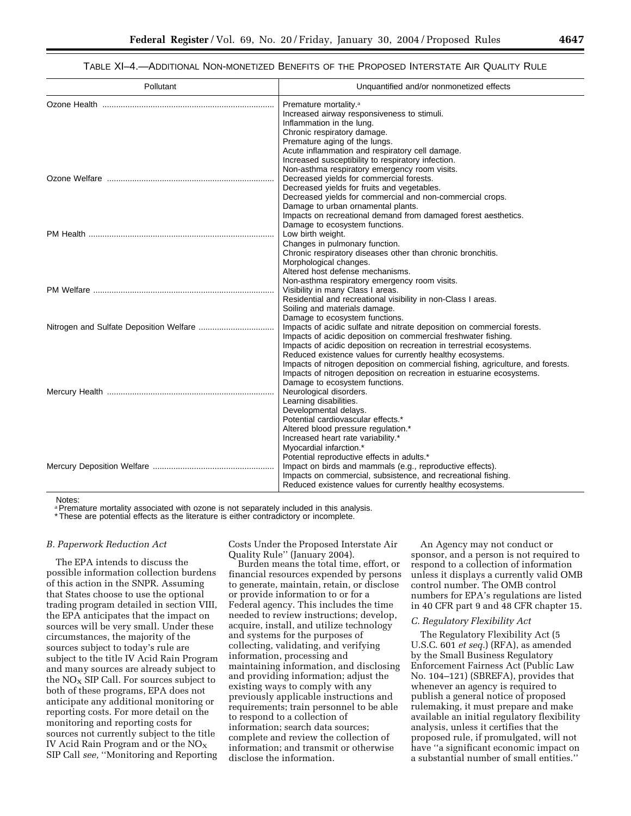TABLE XI–4.—ADDITIONAL NON-MONETIZED BENEFITS OF THE PROPOSED INTERSTATE AIR QUALITY RULE

| Pollutant | Unquantified and/or nonmonetized effects                                        |
|-----------|---------------------------------------------------------------------------------|
|           | Premature mortality. <sup>a</sup>                                               |
|           | Increased airway responsiveness to stimuli.                                     |
|           | Inflammation in the lung.                                                       |
|           | Chronic respiratory damage.                                                     |
|           | Premature aging of the lungs.                                                   |
|           | Acute inflammation and respiratory cell damage.                                 |
|           | Increased susceptibility to respiratory infection.                              |
|           | Non-asthma respiratory emergency room visits.                                   |
|           | Decreased yields for commercial forests.                                        |
|           | Decreased yields for fruits and vegetables.                                     |
|           | Decreased yields for commercial and non-commercial crops.                       |
|           | Damage to urban ornamental plants.                                              |
|           | Impacts on recreational demand from damaged forest aesthetics.                  |
|           | Damage to ecosystem functions.                                                  |
|           | Low birth weight.                                                               |
|           | Changes in pulmonary function.                                                  |
|           | Chronic respiratory diseases other than chronic bronchitis.                     |
|           | Morphological changes.                                                          |
|           | Altered host defense mechanisms.                                                |
|           | Non-asthma respiratory emergency room visits.                                   |
|           | Visibility in many Class I areas.                                               |
|           | Residential and recreational visibility in non-Class I areas.                   |
|           | Soiling and materials damage.                                                   |
|           | Damage to ecosystem functions.                                                  |
|           | Impacts of acidic sulfate and nitrate deposition on commercial forests.         |
|           | Impacts of acidic deposition on commercial freshwater fishing.                  |
|           | Impacts of acidic deposition on recreation in terrestrial ecosystems.           |
|           | Reduced existence values for currently healthy ecosystems.                      |
|           | Impacts of nitrogen deposition on commercial fishing, agriculture, and forests. |
|           | Impacts of nitrogen deposition on recreation in estuarine ecosystems.           |
|           | Damage to ecosystem functions.                                                  |
|           | Neurological disorders.                                                         |
|           | Learning disabilities.                                                          |
|           | Developmental delays.                                                           |
|           | Potential cardiovascular effects.*                                              |
|           | Altered blood pressure regulation.*                                             |
|           | Increased heart rate variability.*                                              |
|           | Myocardial infarction.*                                                         |
|           | Potential reproductive effects in adults.*                                      |
|           | Impact on birds and mammals (e.g., reproductive effects).                       |
|           | Impacts on commercial, subsistence, and recreational fishing.                   |
|           | Reduced existence values for currently healthy ecosystems.                      |

Notes:

a Premature mortality associated with ozone is not separately included in this analysis.

\* These are potential effects as the literature is either contradictory or incomplete.

## *B. Paperwork Reduction Act*

The EPA intends to discuss the possible information collection burdens of this action in the SNPR. Assuming that States choose to use the optional trading program detailed in section VIII, the EPA anticipates that the impact on sources will be very small. Under these circumstances, the majority of the sources subject to today's rule are subject to the title IV Acid Rain Program and many sources are already subject to the  $NO<sub>x</sub>$  SIP Call. For sources subject to both of these programs, EPA does not anticipate any additional monitoring or reporting costs. For more detail on the monitoring and reporting costs for sources not currently subject to the title IV Acid Rain Program and or the  $NO_X$ SIP Call *see,* ''Monitoring and Reporting

Costs Under the Proposed Interstate Air Quality Rule'' (January 2004).

Burden means the total time, effort, or financial resources expended by persons to generate, maintain, retain, or disclose or provide information to or for a Federal agency. This includes the time needed to review instructions; develop, acquire, install, and utilize technology and systems for the purposes of collecting, validating, and verifying information, processing and maintaining information, and disclosing and providing information; adjust the existing ways to comply with any previously applicable instructions and requirements; train personnel to be able to respond to a collection of information; search data sources; complete and review the collection of information; and transmit or otherwise disclose the information.

An Agency may not conduct or sponsor, and a person is not required to respond to a collection of information unless it displays a currently valid OMB control number. The OMB control numbers for EPA's regulations are listed in 40 CFR part 9 and 48 CFR chapter 15.

#### *C. Regulatory Flexibility Act*

The Regulatory Flexibility Act (5 U.S.C. 601 *et seq.*) (RFA), as amended by the Small Business Regulatory Enforcement Fairness Act (Public Law No. 104–121) (SBREFA), provides that whenever an agency is required to publish a general notice of proposed rulemaking, it must prepare and make available an initial regulatory flexibility analysis, unless it certifies that the proposed rule, if promulgated, will not have ''a significant economic impact on a substantial number of small entities.''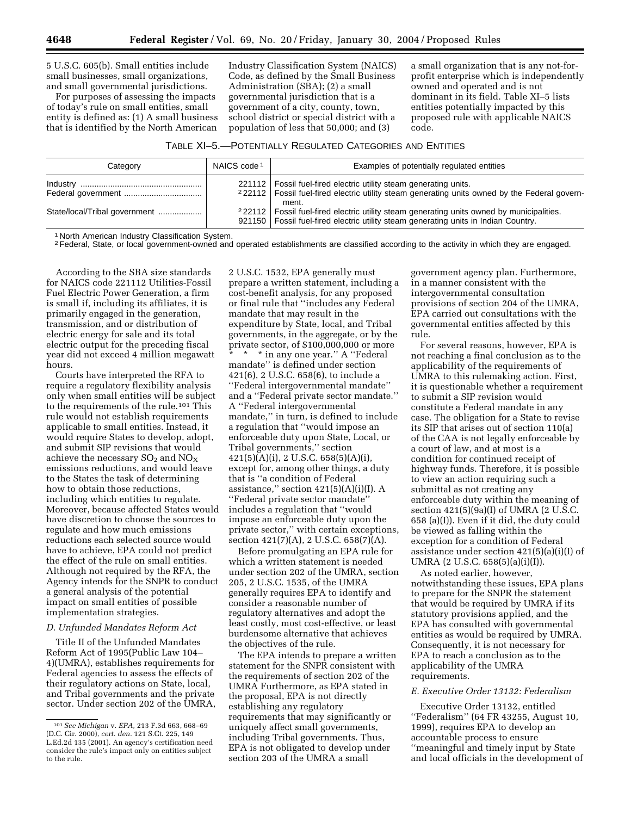5 U.S.C. 605(b). Small entities include small businesses, small organizations, and small governmental jurisdictions.

For purposes of assessing the impacts of today's rule on small entities, small entity is defined as: (1) A small business that is identified by the North American

Industry Classification System (NAICS) Code, as defined by the Small Business Administration (SBA); (2) a small governmental jurisdiction that is a government of a city, county, town, school district or special district with a population of less that 50,000; and (3)

a small organization that is any not-forprofit enterprise which is independently owned and operated and is not dominant in its field. Table XI–5 lists entities potentially impacted by this proposed rule with applicable NAICS code.

TABLE XI–5.—POTENTIALLY REGULATED CATEGORIES AND ENTITIES

| Category                      | NAICS code <sup>1</sup> | Examples of potentially regulated entities                                                                                                                                                       |
|-------------------------------|-------------------------|--------------------------------------------------------------------------------------------------------------------------------------------------------------------------------------------------|
|                               |                         | 221112   Fossil fuel-fired electric utility steam generating units.<br><sup>2</sup> 22112   Fossil fuel-fired electric utility steam generating units owned by the Federal govern-<br>ment.      |
| State/local/Tribal government |                         | <sup>2</sup> 22112   Fossil fuel-fired electric utility steam generating units owned by municipalities.<br>921150   Fossil fuel-fired electric utility steam generating units in Indian Country. |

1 North American Industry Classification System.

<sup>2</sup> Federal, State, or local government-owned and operated establishments are classified according to the activity in which they are engaged.

According to the SBA size standards for NAICS code 221112 Utilities-Fossil Fuel Electric Power Generation, a firm is small if, including its affiliates, it is primarily engaged in the generation, transmission, and or distribution of electric energy for sale and its total electric output for the preceding fiscal year did not exceed 4 million megawatt hours.

Courts have interpreted the RFA to require a regulatory flexibility analysis only when small entities will be subject to the requirements of the rule.101 This rule would not establish requirements applicable to small entities. Instead, it would require States to develop, adopt, and submit SIP revisions that would achieve the necessary  $SO_2$  and  $NO_X$ emissions reductions, and would leave to the States the task of determining how to obtain those reductions, including which entities to regulate. Moreover, because affected States would have discretion to choose the sources to regulate and how much emissions reductions each selected source would have to achieve, EPA could not predict the effect of the rule on small entities. Although not required by the RFA, the Agency intends for the SNPR to conduct a general analysis of the potential impact on small entities of possible implementation strategies.

## *D. Unfunded Mandates Reform Act*

Title II of the Unfunded Mandates Reform Act of 1995(Public Law 104– 4)(UMRA), establishes requirements for Federal agencies to assess the effects of their regulatory actions on State, local, and Tribal governments and the private sector. Under section 202 of the UMRA, 2 U.S.C. 1532, EPA generally must prepare a written statement, including a cost-benefit analysis, for any proposed or final rule that ''includes any Federal mandate that may result in the expenditure by State, local, and Tribal governments, in the aggregate, or by the private sector, of \$100,000,000 or more \* in any one year." A "Federal

mandate'' is defined under section 421(6), 2 U.S.C. 658(6), to include a ''Federal intergovernmental mandate'' and a ''Federal private sector mandate.'' A ''Federal intergovernmental mandate,'' in turn, is defined to include a regulation that ''would impose an enforceable duty upon State, Local, or Tribal governments,'' section 421(5)(A)(i), 2 U.S.C. 658(5)(A)(i), except for, among other things, a duty that is ''a condition of Federal assistance," section  $421(5)(A)(i)(I)$ . A ''Federal private sector mandate'' includes a regulation that ''would impose an enforceable duty upon the private sector,'' with certain exceptions, section 421(7)(A), 2 U.S.C. 658(7)(A).

Before promulgating an EPA rule for which a written statement is needed under section 202 of the UMRA, section 205, 2 U.S.C. 1535, of the UMRA generally requires EPA to identify and consider a reasonable number of regulatory alternatives and adopt the least costly, most cost-effective, or least burdensome alternative that achieves the objectives of the rule.

The EPA intends to prepare a written statement for the SNPR consistent with the requirements of section 202 of the UMRA Furthermore, as EPA stated in the proposal, EPA is not directly establishing any regulatory requirements that may significantly or uniquely affect small governments, including Tribal governments. Thus, EPA is not obligated to develop under section 203 of the UMRA a small

government agency plan. Furthermore, in a manner consistent with the intergovernmental consultation provisions of section 204 of the UMRA, EPA carried out consultations with the governmental entities affected by this rule.

For several reasons, however, EPA is not reaching a final conclusion as to the applicability of the requirements of UMRA to this rulemaking action. First, it is questionable whether a requirement to submit a SIP revision would constitute a Federal mandate in any case. The obligation for a State to revise its SIP that arises out of section 110(a) of the CAA is not legally enforceable by a court of law, and at most is a condition for continued receipt of highway funds. Therefore, it is possible to view an action requiring such a submittal as not creating any enforceable duty within the meaning of section 421(5)(9a)(I) of UMRA (2 U.S.C. 658 (a)(I)). Even if it did, the duty could be viewed as falling within the exception for a condition of Federal assistance under section 421(5)(a)(i)(I) of UMRA (2 U.S.C. 658(5)(a)(i)(I)).

As noted earlier, however, notwithstanding these issues, EPA plans to prepare for the SNPR the statement that would be required by UMRA if its statutory provisions applied, and the EPA has consulted with governmental entities as would be required by UMRA. Consequently, it is not necessary for EPA to reach a conclusion as to the applicability of the UMRA requirements.

## *E. Executive Order 13132: Federalism*

Executive Order 13132, entitled ''Federalism'' (64 FR 43255, August 10, 1999), requires EPA to develop an accountable process to ensure ''meaningful and timely input by State and local officials in the development of

<sup>101</sup>*See Michigan* v. *EPA,* 213 F.3d 663, 668–69 (D.C. Cir. 2000), *cert. den.* 121 S.Ct. 225, 149 L.Ed.2d 135 (2001). An agency's certification need consider the rule's impact only on entities subject to the rule.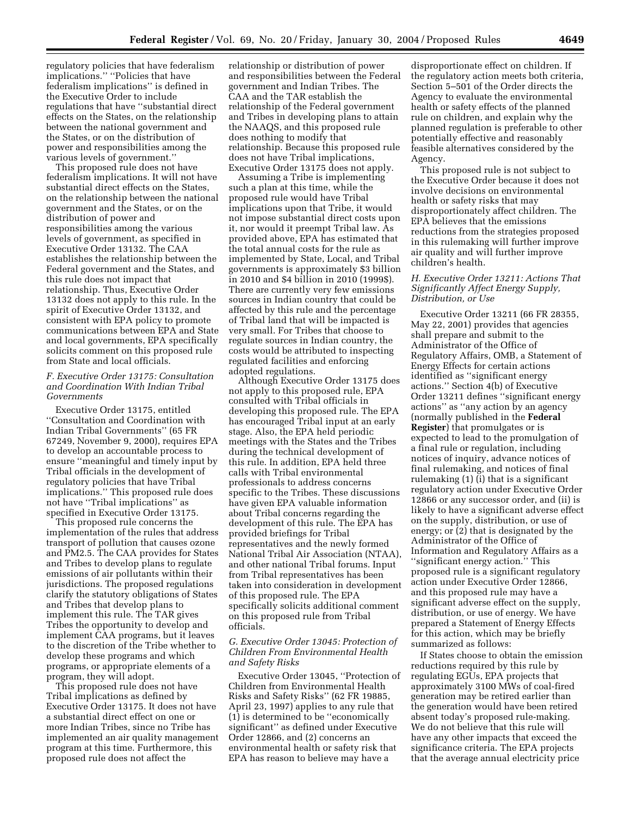regulatory policies that have federalism implications.'' ''Policies that have federalism implications'' is defined in the Executive Order to include regulations that have ''substantial direct effects on the States, on the relationship between the national government and the States, or on the distribution of power and responsibilities among the various levels of government.''

This proposed rule does not have federalism implications. It will not have substantial direct effects on the States, on the relationship between the national government and the States, or on the distribution of power and responsibilities among the various levels of government, as specified in Executive Order 13132. The CAA establishes the relationship between the Federal government and the States, and this rule does not impact that relationship. Thus, Executive Order 13132 does not apply to this rule. In the spirit of Executive Order 13132, and consistent with EPA policy to promote communications between EPA and State and local governments, EPA specifically solicits comment on this proposed rule from State and local officials.

## *F. Executive Order 13175: Consultation and Coordination With Indian Tribal Governments*

Executive Order 13175, entitled ''Consultation and Coordination with Indian Tribal Governments'' (65 FR 67249, November 9, 2000), requires EPA to develop an accountable process to ensure ''meaningful and timely input by Tribal officials in the development of regulatory policies that have Tribal implications.'' This proposed rule does not have ''Tribal implications'' as specified in Executive Order 13175.

This proposed rule concerns the implementation of the rules that address transport of pollution that causes ozone and PM2.5. The CAA provides for States and Tribes to develop plans to regulate emissions of air pollutants within their jurisdictions. The proposed regulations clarify the statutory obligations of States and Tribes that develop plans to implement this rule. The TAR gives Tribes the opportunity to develop and implement CAA programs, but it leaves to the discretion of the Tribe whether to develop these programs and which programs, or appropriate elements of a program, they will adopt.

This proposed rule does not have Tribal implications as defined by Executive Order 13175. It does not have a substantial direct effect on one or more Indian Tribes, since no Tribe has implemented an air quality management program at this time. Furthermore, this proposed rule does not affect the

relationship or distribution of power and responsibilities between the Federal government and Indian Tribes. The CAA and the TAR establish the relationship of the Federal government and Tribes in developing plans to attain the NAAQS, and this proposed rule does nothing to modify that relationship. Because this proposed rule does not have Tribal implications, Executive Order 13175 does not apply.

Assuming a Tribe is implementing such a plan at this time, while the proposed rule would have Tribal implications upon that Tribe, it would not impose substantial direct costs upon it, nor would it preempt Tribal law. As provided above, EPA has estimated that the total annual costs for the rule as implemented by State, Local, and Tribal governments is approximately \$3 billion in 2010 and \$4 billion in 2010 (1999\$). There are currently very few emissions sources in Indian country that could be affected by this rule and the percentage of Tribal land that will be impacted is very small. For Tribes that choose to regulate sources in Indian country, the costs would be attributed to inspecting regulated facilities and enforcing adopted regulations.

Although Executive Order 13175 does not apply to this proposed rule, EPA consulted with Tribal officials in developing this proposed rule. The EPA has encouraged Tribal input at an early stage. Also, the EPA held periodic meetings with the States and the Tribes during the technical development of this rule. In addition, EPA held three calls with Tribal environmental professionals to address concerns specific to the Tribes. These discussions have given EPA valuable information about Tribal concerns regarding the development of this rule. The EPA has provided briefings for Tribal representatives and the newly formed National Tribal Air Association (NTAA), and other national Tribal forums. Input from Tribal representatives has been taken into consideration in development of this proposed rule. The EPA specifically solicits additional comment on this proposed rule from Tribal officials.

# *G. Executive Order 13045: Protection of Children From Environmental Health and Safety Risks*

Executive Order 13045, ''Protection of Children from Environmental Health Risks and Safety Risks'' (62 FR 19885, April 23, 1997) applies to any rule that (1) is determined to be ''economically significant'' as defined under Executive Order 12866, and (2) concerns an environmental health or safety risk that EPA has reason to believe may have a

disproportionate effect on children. If the regulatory action meets both criteria, Section 5–501 of the Order directs the Agency to evaluate the environmental health or safety effects of the planned rule on children, and explain why the planned regulation is preferable to other potentially effective and reasonably feasible alternatives considered by the Agency.

This proposed rule is not subject to the Executive Order because it does not involve decisions on environmental health or safety risks that may disproportionately affect children. The EPA believes that the emissions reductions from the strategies proposed in this rulemaking will further improve air quality and will further improve children's health.

## *H. Executive Order 13211: Actions That Significantly Affect Energy Supply, Distribution, or Use*

Executive Order 13211 (66 FR 28355, May 22, 2001) provides that agencies shall prepare and submit to the Administrator of the Office of Regulatory Affairs, OMB, a Statement of Energy Effects for certain actions identified as ''significant energy actions.'' Section 4(b) of Executive Order 13211 defines ''significant energy actions'' as ''any action by an agency (normally published in the **Federal Register**) that promulgates or is expected to lead to the promulgation of a final rule or regulation, including notices of inquiry, advance notices of final rulemaking, and notices of final rulemaking (1) (i) that is a significant regulatory action under Executive Order 12866 or any successor order, and (ii) is likely to have a significant adverse effect on the supply, distribution, or use of energy; or (2) that is designated by the Administrator of the Office of Information and Regulatory Affairs as a ''significant energy action.'' This proposed rule is a significant regulatory action under Executive Order 12866, and this proposed rule may have a significant adverse effect on the supply, distribution, or use of energy. We have prepared a Statement of Energy Effects for this action, which may be briefly summarized as follows:

If States choose to obtain the emission reductions required by this rule by regulating EGUs, EPA projects that approximately 3100 MWs of coal-fired generation may be retired earlier than the generation would have been retired absent today's proposed rule-making. We do not believe that this rule will have any other impacts that exceed the significance criteria. The EPA projects that the average annual electricity price